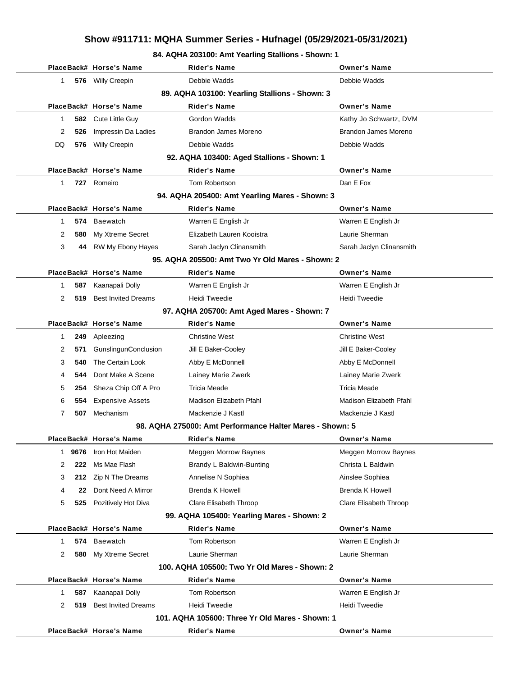### **84. AQHA 203100: Amt Yearling Stallions - Shown: 1**

|              |      | PlaceBack# Horse's Name     | <b>Rider's Name</b>                                      | <b>Owner's Name</b>         |
|--------------|------|-----------------------------|----------------------------------------------------------|-----------------------------|
| 1            |      | 576 Willy Creepin           | Debbie Wadds                                             | Debbie Wadds                |
|              |      |                             | 89. AQHA 103100: Yearling Stallions - Shown: 3           |                             |
|              |      | PlaceBack# Horse's Name     | <b>Rider's Name</b>                                      | <b>Owner's Name</b>         |
| 1            | 582  | Cute Little Guy             | Gordon Wadds                                             | Kathy Jo Schwartz, DVM      |
| 2            | 526  | Impressin Da Ladies         | Brandon James Moreno                                     | Brandon James Moreno        |
| DQ           | 576  | Willy Creepin               | Debbie Wadds                                             | Debbie Wadds                |
|              |      |                             | 92. AQHA 103400: Aged Stallions - Shown: 1               |                             |
|              |      | PlaceBack# Horse's Name     | <b>Rider's Name</b>                                      | <b>Owner's Name</b>         |
| 1            | 727  | Romeiro                     | Tom Robertson                                            | Dan E Fox                   |
|              |      |                             | 94. AQHA 205400: Amt Yearling Mares - Shown: 3           |                             |
|              |      | PlaceBack# Horse's Name     | <b>Rider's Name</b>                                      | <b>Owner's Name</b>         |
| 1            | 574  | Baewatch                    | Warren E English Jr                                      | Warren E English Jr         |
| 2            | 580  | My Xtreme Secret            | Elizabeth Lauren Kooistra                                | Laurie Sherman              |
| 3            | 44   | RW My Ebony Hayes           | Sarah Jaclyn Clinansmith                                 | Sarah Jaclyn Clinansmith    |
|              |      |                             | 95. AQHA 205500: Amt Two Yr Old Mares - Shown: 2         |                             |
|              |      | PlaceBack# Horse's Name     | <b>Rider's Name</b>                                      | <b>Owner's Name</b>         |
| 1            | 587  | Kaanapali Dolly             | Warren E English Jr                                      | Warren E English Jr         |
| 2            | 519  | <b>Best Invited Dreams</b>  | Heidi Tweedie                                            | Heidi Tweedie               |
|              |      |                             | 97. AQHA 205700: Amt Aged Mares - Shown: 7               |                             |
|              |      | PlaceBack# Horse's Name     | <b>Rider's Name</b>                                      | <b>Owner's Name</b>         |
| 1            | 249  | Apleezing                   | <b>Christine West</b>                                    | <b>Christine West</b>       |
| 2            | 571  | <b>GunslingunConclusion</b> | Jill E Baker-Cooley                                      | Jill E Baker-Cooley         |
| 3            | 540  | The Certain Look            | Abby E McDonnell                                         | Abby E McDonnell            |
| 4            | 544  | Dont Make A Scene           | Lainey Marie Zwerk                                       | Lainey Marie Zwerk          |
| 5            | 254  | Sheza Chip Off A Pro        | <b>Tricia Meade</b>                                      | Tricia Meade                |
| 6            | 554  | <b>Expensive Assets</b>     | Madison Elizabeth Pfahl                                  | Madison Elizabeth Pfahl     |
| 7            | 507  | Mechanism                   | Mackenzie J Kastl                                        | Mackenzie J Kastl           |
|              |      |                             | 98. AQHA 275000: Amt Performance Halter Mares - Shown: 5 |                             |
|              |      | PlaceBack# Horse's Name     | Rider's Name                                             | <b>Owner's Name</b>         |
| $\mathbf{1}$ | 9676 | Iron Hot Maiden             | <b>Meggen Morrow Baynes</b>                              | <b>Meggen Morrow Baynes</b> |
| 2            | 222  | Ms Mae Flash                | Brandy L Baldwin-Bunting                                 | Christa L Baldwin           |
| 3            | 212  | Zip N The Dreams            | Annelise N Sophiea                                       | Ainslee Sophiea             |
| 4            | 22   | Dont Need A Mirror          | <b>Brenda K Howell</b>                                   | Brenda K Howell             |
| 5            | 525  | Pozitively Hot Diva         | <b>Clare Elisabeth Throop</b>                            | Clare Elisabeth Throop      |
|              |      |                             | 99. AQHA 105400: Yearling Mares - Shown: 2               |                             |
|              |      | PlaceBack# Horse's Name     | <b>Rider's Name</b>                                      | <b>Owner's Name</b>         |
| 1            | 574  | <b>Baewatch</b>             | Tom Robertson                                            | Warren E English Jr         |
| 2            | 580  | My Xtreme Secret            | Laurie Sherman                                           | Laurie Sherman              |
|              |      |                             | 100. AQHA 105500: Two Yr Old Mares - Shown: 2            |                             |
|              |      | PlaceBack# Horse's Name     | <b>Rider's Name</b>                                      | <b>Owner's Name</b>         |
| 1            | 587  | Kaanapali Dolly             | Tom Robertson                                            | Warren E English Jr         |
| 2            | 519  | <b>Best Invited Dreams</b>  | Heidi Tweedie                                            | Heidi Tweedie               |
|              |      |                             | 101. AQHA 105600: Three Yr Old Mares - Shown: 1          |                             |
|              |      | PlaceBack# Horse's Name     | <b>Rider's Name</b>                                      | <b>Owner's Name</b>         |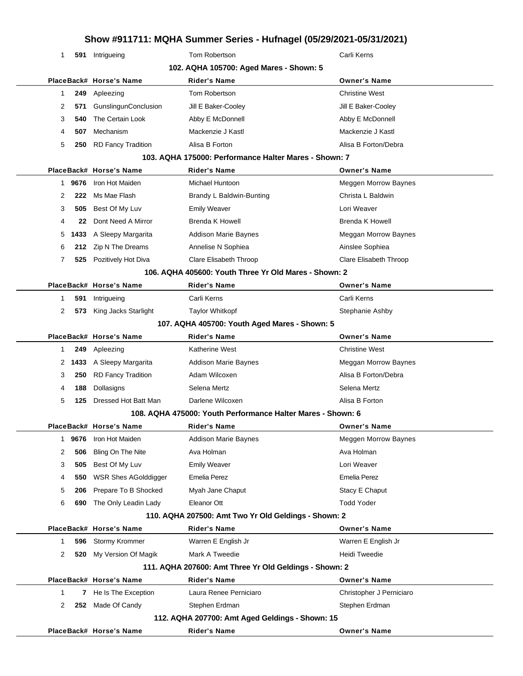| 1                       |        | 591 Intrigueing             | Tom Robertson                                               | Carli Kerns                 |
|-------------------------|--------|-----------------------------|-------------------------------------------------------------|-----------------------------|
|                         |        |                             | 102. AQHA 105700: Aged Mares - Shown: 5                     |                             |
| PlaceBack# Horse's Name |        |                             | <b>Rider's Name</b>                                         | <b>Owner's Name</b>         |
| 1                       | 249    | Apleezing                   | Tom Robertson                                               | <b>Christine West</b>       |
| 2                       | 571    | GunslingunConclusion        | Jill E Baker-Cooley                                         | Jill E Baker-Cooley         |
| 3                       | 540    | The Certain Look            | Abby E McDonnell                                            | Abby E McDonnell            |
| 4                       | 507    | Mechanism                   | Mackenzie J Kastl                                           | Mackenzie J Kastl           |
| 5                       | 250    | <b>RD Fancy Tradition</b>   | Alisa B Forton                                              | Alisa B Forton/Debra        |
|                         |        |                             | 103. AQHA 175000: Performance Halter Mares - Shown: 7       |                             |
|                         |        | PlaceBack# Horse's Name     | <b>Rider's Name</b>                                         | <b>Owner's Name</b>         |
| 1.                      | 9676   | Iron Hot Maiden             | Michael Huntoon                                             | <b>Meggen Morrow Baynes</b> |
| 2                       | 222    | Ms Mae Flash                | Brandy L Baldwin-Bunting                                    | Christa L Baldwin           |
| 3                       | 505    | Best Of My Luv              | <b>Emily Weaver</b>                                         | Lori Weaver                 |
| 4                       | 22     | Dont Need A Mirror          | <b>Brenda K Howell</b>                                      | <b>Brenda K Howell</b>      |
| 5                       | 1433   | A Sleepy Margarita          | <b>Addison Marie Baynes</b>                                 | <b>Meggan Morrow Baynes</b> |
| 6                       |        | 212 Zip N The Dreams        | Annelise N Sophiea                                          | Ainslee Sophiea             |
| 7                       |        | 525 Pozitively Hot Diva     | Clare Elisabeth Throop                                      |                             |
|                         |        |                             | 106. AQHA 405600: Youth Three Yr Old Mares - Shown: 2       | Clare Elisabeth Throop      |
|                         |        | PlaceBack# Horse's Name     | <b>Rider's Name</b>                                         | <b>Owner's Name</b>         |
|                         |        |                             | Carli Kerns                                                 | Carli Kerns                 |
| 1                       | 591    | Intrigueing                 |                                                             |                             |
| 2                       |        | 573 King Jacks Starlight    | <b>Taylor Whitkopf</b>                                      | Stephanie Ashby             |
|                         |        |                             | 107. AQHA 405700: Youth Aged Mares - Shown: 5               |                             |
|                         |        | PlaceBack# Horse's Name     | <b>Rider's Name</b>                                         | <b>Owner's Name</b>         |
| 1                       | 249    | Apleezing                   | <b>Katherine West</b>                                       | <b>Christine West</b>       |
|                         | 2 1433 | A Sleepy Margarita          | <b>Addison Marie Baynes</b>                                 | Meggan Morrow Baynes        |
| 3                       | 250    | <b>RD Fancy Tradition</b>   | Adam Wilcoxen                                               | Alisa B Forton/Debra        |
| 4                       | 188    | Dollasigns                  | Selena Mertz                                                | Selena Mertz                |
| 5                       | 125    | Dressed Hot Batt Man        | Darlene Wilcoxen                                            | Alisa B Forton              |
|                         |        |                             | 108. AQHA 475000: Youth Performance Halter Mares - Shown: 6 |                             |
|                         |        | PlaceBack# Horse's Name     | <b>Rider's Name</b>                                         | <b>Owner's Name</b>         |
| 1                       | 9676   | Iron Hot Maiden             | <b>Addison Marie Baynes</b>                                 | <b>Meggen Morrow Baynes</b> |
| 2                       | 506    | Bling On The Nite           | Ava Holman                                                  | Ava Holman                  |
| 3                       | 505    | Best Of My Luv              | <b>Emily Weaver</b>                                         | Lori Weaver                 |
| 4                       | 550    | <b>WSR Shes AGolddigger</b> | <b>Emelia Perez</b>                                         | <b>Emelia Perez</b>         |
| 5                       | 206    | Prepare To B Shocked        | Myah Jane Chaput                                            | Stacy E Chaput              |
| 6                       | 690    | The Only Leadin Lady        | Eleanor Ott                                                 | <b>Todd Yoder</b>           |
|                         |        |                             | 110. AQHA 207500: Amt Two Yr Old Geldings - Shown: 2        |                             |
|                         |        | PlaceBack# Horse's Name     | <b>Rider's Name</b>                                         | <b>Owner's Name</b>         |
| 1                       | 596    | Stormy Krommer              | Warren E English Jr                                         | Warren E English Jr         |
| 2                       |        | 520 My Version Of Magik     | Mark A Tweedie                                              | Heidi Tweedie               |
|                         |        |                             | 111. AQHA 207600: Amt Three Yr Old Geldings - Shown: 2      |                             |
|                         |        | PlaceBack# Horse's Name     | <b>Rider's Name</b>                                         | <b>Owner's Name</b>         |
| 1                       | 7      | He Is The Exception         | Laura Renee Perniciaro                                      | Christopher J Perniciaro    |
| 2                       |        | 252 Made Of Candy           | Stephen Erdman                                              | Stephen Erdman              |
|                         |        |                             | 112. AQHA 207700: Amt Aged Geldings - Shown: 15             |                             |
|                         |        | PlaceBack# Horse's Name     | <b>Rider's Name</b>                                         | <b>Owner's Name</b>         |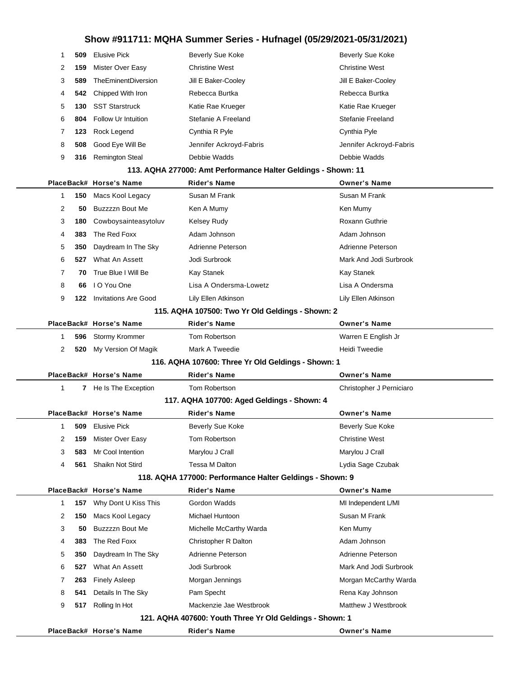|                                                | 509<br>1             | <b>Elusive Pick</b>         | <b>Beverly Sue Koke</b>                                       | Beverly Sue Koke         |
|------------------------------------------------|----------------------|-----------------------------|---------------------------------------------------------------|--------------------------|
|                                                | 2<br>159             | Mister Over Easy            | <b>Christine West</b>                                         | <b>Christine West</b>    |
|                                                | 3<br>589             | TheEminentDiversion         | Jill E Baker-Cooley                                           | Jill E Baker-Cooley      |
|                                                | 4<br>542             | Chipped With Iron           | Rebecca Burtka                                                | Rebecca Burtka           |
|                                                | 5<br>130             | <b>SST Starstruck</b>       | Katie Rae Krueger                                             | Katie Rae Krueger        |
|                                                | 6<br>804             | Follow Ur Intuition         | Stefanie A Freeland                                           | Stefanie Freeland        |
|                                                | 7<br>123             | Rock Legend                 | Cynthia R Pyle                                                | Cynthia Pyle             |
|                                                | 8<br>508             | Good Eye Will Be            | Jennifer Ackroyd-Fabris                                       | Jennifer Ackroyd-Fabris  |
|                                                | 9<br>316             | <b>Remington Steal</b>      | Debbie Wadds                                                  | Debbie Wadds             |
|                                                |                      |                             | 113. AQHA 277000: Amt Performance Halter Geldings - Shown: 11 |                          |
|                                                |                      | PlaceBack# Horse's Name     | <b>Rider's Name</b>                                           | <b>Owner's Name</b>      |
|                                                | 150<br>1             | Macs Kool Legacy            | Susan M Frank                                                 | Susan M Frank            |
|                                                | 2<br>50              | Buzzzzn Bout Me             | Ken A Mumy                                                    | Ken Mumy                 |
|                                                | 3<br>180             | Cowboysainteasytoluv        | <b>Kelsey Rudy</b>                                            | Roxann Guthrie           |
|                                                | 383<br>4             | The Red Foxx                | Adam Johnson                                                  | Adam Johnson             |
|                                                | 5<br>350             | Daydream In The Sky         | Adrienne Peterson                                             | Adrienne Peterson        |
|                                                | 6<br>527             | What An Assett              | Jodi Surbrook                                                 | Mark And Jodi Surbrook   |
|                                                | $\overline{7}$<br>70 | True Blue I Will Be         | Kay Stanek                                                    | Kay Stanek               |
|                                                | 8<br>66              | I O You One                 | Lisa A Ondersma-Lowetz                                        | Lisa A Ondersma          |
|                                                | 9<br>122             | <b>Invitations Are Good</b> | Lily Ellen Atkinson                                           | Lily Ellen Atkinson      |
|                                                |                      |                             | 115. AQHA 107500: Two Yr Old Geldings - Shown: 2              |                          |
|                                                |                      | PlaceBack# Horse's Name     | <b>Rider's Name</b>                                           | <b>Owner's Name</b>      |
|                                                | 1<br>596             | Stormy Krommer              | Tom Robertson                                                 | Warren E English Jr      |
|                                                | 2<br>520             | My Version Of Magik         | Mark A Tweedie                                                | Heidi Tweedie            |
|                                                |                      |                             | 116. AQHA 107600: Three Yr Old Geldings - Shown: 1            |                          |
|                                                |                      | PlaceBack# Horse's Name     | <b>Rider's Name</b>                                           | <b>Owner's Name</b>      |
|                                                | 1                    | 7 He Is The Exception       | Tom Robertson                                                 | Christopher J Perniciaro |
|                                                |                      |                             | 117. AQHA 107700: Aged Geldings - Shown: 4                    |                          |
| PlaceBack# Horse's Name<br><b>Rider's Name</b> |                      |                             | <b>Owner's Name</b>                                           |                          |
|                                                | 1                    | <b>509</b> Elusive Pick     | Beverly Sue Koke                                              | <b>Beverly Sue Koke</b>  |
|                                                | 2<br>159             | Mister Over Easy            | Tom Robertson                                                 | <b>Christine West</b>    |
|                                                | 3<br>583             | Mr Cool Intention           | Marylou J Crall                                               | Marylou J Crall          |
|                                                | 4<br>561             | Shaikn Not Stird            | Tessa M Dalton                                                | Lydia Sage Czubak        |
|                                                |                      |                             | 118. AQHA 177000: Performance Halter Geldings - Shown: 9      |                          |
|                                                |                      | PlaceBack# Horse's Name     | <b>Rider's Name</b>                                           | <b>Owner's Name</b>      |
|                                                | 1<br>157             | Why Dont U Kiss This        | Gordon Wadds                                                  | MI Independent L/MI      |
|                                                | 2<br>150             | Macs Kool Legacy            | Michael Huntoon                                               | Susan M Frank            |
|                                                | 3<br>50              | Buzzzzn Bout Me             | Michelle McCarthy Warda                                       | Ken Mumy                 |
|                                                | 4<br>383             | The Red Foxx                | Christopher R Dalton                                          | Adam Johnson             |
|                                                | 5<br>350             | Daydream In The Sky         | Adrienne Peterson                                             | Adrienne Peterson        |
|                                                | 6<br>527             | What An Assett              | Jodi Surbrook                                                 | Mark And Jodi Surbrook   |
|                                                | 7<br>263             | <b>Finely Asleep</b>        | Morgan Jennings                                               | Morgan McCarthy Warda    |
|                                                | 8<br>541             | Details In The Sky          | Pam Specht                                                    | Rena Kay Johnson         |
|                                                | 9<br>517             | Rolling In Hot              | Mackenzie Jae Westbrook                                       | Matthew J Westbrook      |
|                                                |                      |                             | 121. AQHA 407600: Youth Three Yr Old Geldings - Shown: 1      |                          |
|                                                |                      | PlaceBack# Horse's Name     | Rider's Name                                                  | <b>Owner's Name</b>      |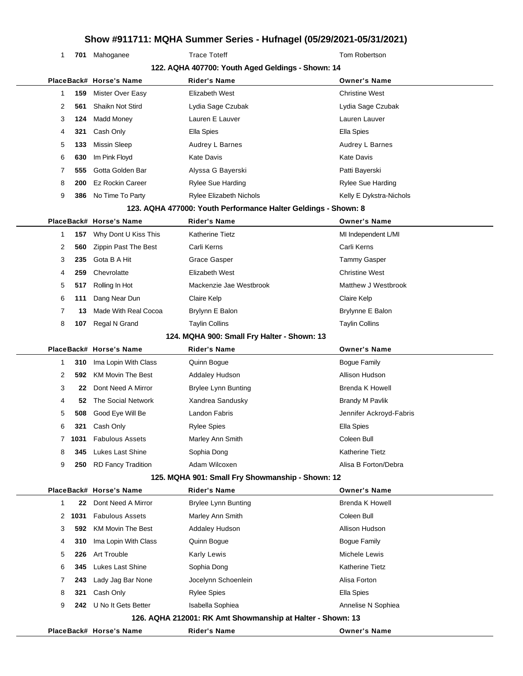1 701 Mahoganee Trace Toteff Trace Tote Tote Tom Robertson

|   | 122. AQHA 407700: Youth Aged Geldings - Shown: 14 |                          |                                                                |                          |  |
|---|---------------------------------------------------|--------------------------|----------------------------------------------------------------|--------------------------|--|
|   |                                                   | PlaceBack# Horse's Name  | Rider's Name                                                   | <b>Owner's Name</b>      |  |
| 1 | 159                                               | Mister Over Easy         | Elizabeth West                                                 | <b>Christine West</b>    |  |
| 2 | 561                                               | Shaikn Not Stird         | Lydia Sage Czubak                                              | Lydia Sage Czubak        |  |
| 3 | 124                                               | <b>Madd Money</b>        | Lauren E Lauver                                                | Lauren Lauver            |  |
| 4 | 321                                               | Cash Only                | Ella Spies                                                     | Ella Spies               |  |
| 5 | 133                                               | <b>Missin Sleep</b>      | Audrey L Barnes                                                | Audrey L Barnes          |  |
| 6 | 630                                               | Im Pink Floyd            | Kate Davis                                                     | <b>Kate Davis</b>        |  |
| 7 | 555                                               | Gotta Golden Bar         | Alyssa G Bayerski                                              | Patti Bayerski           |  |
| 8 | 200                                               | <b>Ez Rockin Career</b>  | <b>Rylee Sue Harding</b>                                       | <b>Rylee Sue Harding</b> |  |
| 9 | 386                                               | No Time To Party         | <b>Rylee Elizabeth Nichols</b>                                 | Kelly E Dykstra-Nichols  |  |
|   |                                                   |                          | 123. AQHA 477000: Youth Performance Halter Geldings - Shown: 8 |                          |  |
|   |                                                   | PlaceBack# Horse's Name  | <b>Rider's Name</b>                                            | <b>Owner's Name</b>      |  |
| 1 | 157                                               | Why Dont U Kiss This     | Katherine Tietz                                                | MI Independent L/MI      |  |
| 2 | 560                                               | Zippin Past The Best     | Carli Kerns                                                    | Carli Kerns              |  |
| 3 | 235                                               | Gota B A Hit             | <b>Grace Gasper</b>                                            | <b>Tammy Gasper</b>      |  |
| 4 | 259                                               | Chevrolatte              | Elizabeth West                                                 | <b>Christine West</b>    |  |
| 5 | 517                                               | Rolling In Hot           | Mackenzie Jae Westbrook                                        | Matthew J Westbrook      |  |
| 6 | 111                                               | Dang Near Dun            | Claire Kelp                                                    | Claire Kelp              |  |
| 7 | 13                                                | Made With Real Cocoa     | Brylynn E Balon                                                | Brylynne E Balon         |  |
| 8 | 107                                               | Regal N Grand            | <b>Taylin Collins</b>                                          | <b>Taylin Collins</b>    |  |
|   |                                                   |                          | 124. MQHA 900: Small Fry Halter - Shown: 13                    |                          |  |
|   |                                                   | PlaceBack# Horse's Name  | <b>Rider's Name</b>                                            | <b>Owner's Name</b>      |  |
| 1 | 310                                               | Ima Lopin With Class     | Quinn Bogue                                                    | <b>Bogue Family</b>      |  |
| 2 | 592                                               | <b>KM Movin The Best</b> | Addaley Hudson                                                 | Allison Hudson           |  |
| 3 | 22                                                | Dont Need A Mirror       | <b>Brylee Lynn Bunting</b>                                     | <b>Brenda K Howell</b>   |  |
| 4 | 52                                                | The Social Network       | Xandrea Sandusky                                               | <b>Brandy M Pavlik</b>   |  |
| 5 | 508                                               | Good Eye Will Be         | Landon Fabris                                                  | Jennifer Ackroyd-Fabris  |  |
| 6 | 321                                               | Cash Only                | <b>Rylee Spies</b>                                             | Ella Spies               |  |
| 7 | 1031                                              | <b>Fabulous Assets</b>   | Marley Ann Smith                                               | Coleen Bull              |  |
| 8 | 345                                               | Lukes Last Shine         | Sophia Dong                                                    | <b>Katherine Tietz</b>   |  |
| 9 | 250                                               | RD Fancy Tradition       | Adam Wilcoxen                                                  | Alisa B Forton/Debra     |  |
|   |                                                   |                          | 125. MQHA 901: Small Fry Showmanship - Shown: 12               |                          |  |
|   |                                                   | PlaceBack# Horse's Name  | <b>Rider's Name</b>                                            | <b>Owner's Name</b>      |  |
| 1 | 22                                                | Dont Need A Mirror       | <b>Brylee Lynn Bunting</b>                                     | <b>Brenda K Howell</b>   |  |
| 2 | 1031                                              | <b>Fabulous Assets</b>   | Marley Ann Smith                                               | Coleen Bull              |  |
| 3 | 592                                               | <b>KM Movin The Best</b> | Addaley Hudson                                                 | Allison Hudson           |  |
| 4 | 310                                               | Ima Lopin With Class     | Quinn Bogue                                                    | <b>Bogue Family</b>      |  |
| 5 | 226                                               | <b>Art Trouble</b>       | Karly Lewis                                                    | Michele Lewis            |  |
| 6 | 345                                               | Lukes Last Shine         | Sophia Dong                                                    | <b>Katherine Tietz</b>   |  |
| 7 | 243                                               | Lady Jag Bar None        | Jocelynn Schoenlein                                            | Alisa Forton             |  |
| 8 | 321                                               | Cash Only                | <b>Rylee Spies</b>                                             | Ella Spies               |  |
| 9 | 242                                               | U No It Gets Better      | Isabella Sophiea                                               | Annelise N Sophiea       |  |
|   |                                                   |                          | 126. AQHA 212001: RK Amt Showmanship at Halter - Shown: 13     |                          |  |
|   |                                                   | PlaceBack# Horse's Name  | <b>Rider's Name</b>                                            | <b>Owner's Name</b>      |  |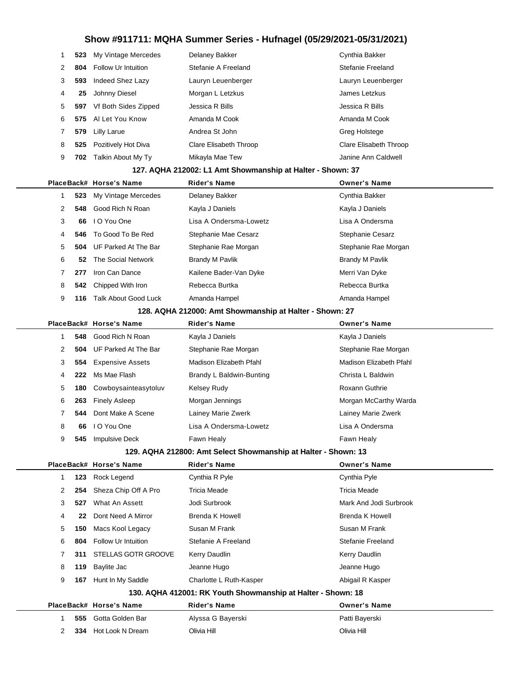| 1 | 523 | My Vintage Mercedes        | Delaney Bakker                                                 | Cynthia Bakker          |
|---|-----|----------------------------|----------------------------------------------------------------|-------------------------|
| 2 | 804 | <b>Follow Ur Intuition</b> | Stefanie A Freeland                                            | Stefanie Freeland       |
| 3 | 593 | Indeed Shez Lazy           | Lauryn Leuenberger                                             | Lauryn Leuenberger      |
| 4 | 25  | Johnny Diesel              | Morgan L Letzkus                                               | James Letzkus           |
| 5 | 597 | Vf Both Sides Zipped       | Jessica R Bills                                                | Jessica R Bills         |
| 6 | 575 | Al Let You Know            | Amanda M Cook                                                  | Amanda M Cook           |
| 7 | 579 | <b>Lilly Larue</b>         | Andrea St John                                                 | Greg Holstege           |
| 8 | 525 | Pozitively Hot Diva        | Clare Elisabeth Throop                                         | Clare Elisabeth Throop  |
| 9 | 702 | Talkin About My Ty         | Mikayla Mae Tew                                                | Janine Ann Caldwell     |
|   |     |                            | 127. AQHA 212002: L1 Amt Showmanship at Halter - Shown: 37     |                         |
|   |     | PlaceBack# Horse's Name    | <b>Rider's Name</b>                                            | <b>Owner's Name</b>     |
| 1 | 523 | My Vintage Mercedes        | Delaney Bakker                                                 | Cynthia Bakker          |
| 2 | 548 | Good Rich N Roan           | Kayla J Daniels                                                | Kayla J Daniels         |
| 3 | 66  | I O You One                | Lisa A Ondersma-Lowetz                                         | Lisa A Ondersma         |
| 4 | 546 | To Good To Be Red          | Stephanie Mae Cesarz                                           | Stephanie Cesarz        |
| 5 | 504 | UF Parked At The Bar       | Stephanie Rae Morgan                                           | Stephanie Rae Morgan    |
| 6 | 52  | The Social Network         | <b>Brandy M Pavlik</b>                                         | <b>Brandy M Pavlik</b>  |
| 7 | 277 | Iron Can Dance             | Kailene Bader-Van Dyke                                         | Merri Van Dyke          |
| 8 | 542 | Chipped With Iron          | Rebecca Burtka                                                 | Rebecca Burtka          |
| 9 | 116 | Talk About Good Luck       | Amanda Hampel                                                  | Amanda Hampel           |
|   |     |                            | 128. AQHA 212000: Amt Showmanship at Halter - Shown: 27        |                         |
|   |     | PlaceBack# Horse's Name    | <b>Rider's Name</b>                                            | <b>Owner's Name</b>     |
| 1 | 548 | Good Rich N Roan           | Kayla J Daniels                                                | Kayla J Daniels         |
| 2 | 504 | UF Parked At The Bar       | Stephanie Rae Morgan                                           | Stephanie Rae Morgan    |
| 3 | 554 | <b>Expensive Assets</b>    | Madison Elizabeth Pfahl                                        | Madison Elizabeth Pfahl |
| 4 | 222 | Ms Mae Flash               | Brandy L Baldwin-Bunting                                       | Christa L Baldwin       |
| 5 | 180 | Cowboysainteasytoluv       | Kelsey Rudy                                                    | Roxann Guthrie          |
| 6 | 263 | <b>Finely Asleep</b>       | Morgan Jennings                                                | Morgan McCarthy Warda   |
| 7 | 544 | Dont Make A Scene          | Lainey Marie Zwerk                                             | Lainey Marie Zwerk      |
| 8 | 66  | I O You One                | Lisa A Ondersma-Lowetz                                         | Lisa A Ondersma         |
| 9 | 545 | <b>Impulsive Deck</b>      | Fawn Healy                                                     | Fawn Healy              |
|   |     |                            | 129. AQHA 212800: Amt Select Showmanship at Halter - Shown: 13 |                         |
|   |     | PlaceBack# Horse's Name    | <b>Rider's Name</b>                                            | <b>Owner's Name</b>     |
| 1 | 123 | Rock Legend                | Cynthia R Pyle                                                 | Cynthia Pyle            |
| 2 | 254 | Sheza Chip Off A Pro       | <b>Tricia Meade</b>                                            | <b>Tricia Meade</b>     |
| 3 | 527 | What An Assett             | Jodi Surbrook                                                  | Mark And Jodi Surbrook  |
| 4 | 22  | Dont Need A Mirror         | Brenda K Howell                                                | Brenda K Howell         |
| 5 | 150 | Macs Kool Legacy           | Susan M Frank                                                  | Susan M Frank           |
| 6 | 804 | Follow Ur Intuition        | Stefanie A Freeland                                            | Stefanie Freeland       |
| 7 | 311 | STELLAS GOTR GROOVE        | Kerry Daudlin                                                  | Kerry Daudlin           |
| 8 | 119 | Baylite Jac                | Jeanne Hugo                                                    | Jeanne Hugo             |
| 9 |     | 167 Hunt In My Saddle      | Charlotte L Ruth-Kasper                                        | Abigail R Kasper        |
|   |     |                            | 130. AQHA 412001: RK Youth Showmanship at Halter - Shown: 18   |                         |
|   |     | PlaceBack# Horse's Name    | <b>Rider's Name</b>                                            | <b>Owner's Name</b>     |
| 1 | 555 | Gotta Golden Bar           | Alyssa G Bayerski                                              | Patti Bayerski          |
| 2 |     | 334 Hot Look N Dream       | Olivia Hill                                                    | Olivia Hill             |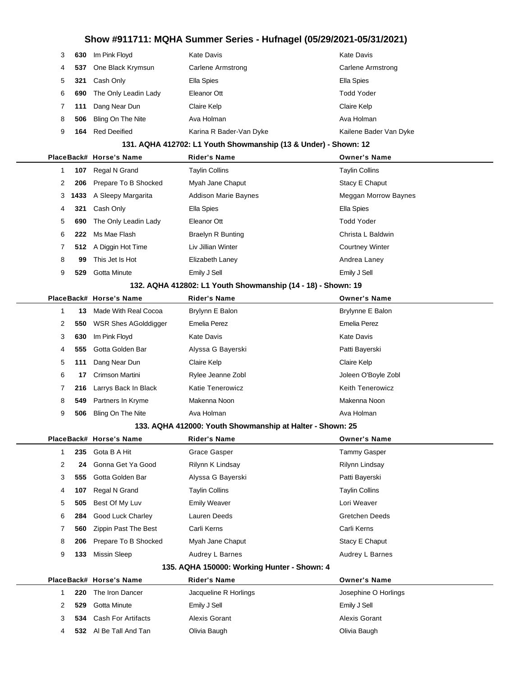| 3            | 630  | Im Pink Floyd                                                | <b>Kate Davis</b>                                               | <b>Kate Davis</b>        |
|--------------|------|--------------------------------------------------------------|-----------------------------------------------------------------|--------------------------|
| 4            | 537  | One Black Krymsun                                            | Carlene Armstrong                                               | <b>Carlene Armstrong</b> |
| 5            | 321  | Cash Only                                                    | Ella Spies                                                      | Ella Spies               |
| 6            | 690  | The Only Leadin Lady                                         | Eleanor Ott                                                     | <b>Todd Yoder</b>        |
| 7            | 111  | Dang Near Dun                                                | Claire Kelp                                                     | Claire Kelp              |
| 8            | 506  | Bling On The Nite                                            | Ava Holman                                                      | Ava Holman               |
| 9            | 164  | <b>Red Deeified</b>                                          | Karina R Bader-Van Dyke                                         | Kailene Bader Van Dyke   |
|              |      |                                                              | 131. AQHA 412702: L1 Youth Showmanship (13 & Under) - Shown: 12 |                          |
|              |      | PlaceBack# Horse's Name                                      | <b>Rider's Name</b>                                             | <b>Owner's Name</b>      |
| 1            | 107  | Regal N Grand                                                | <b>Taylin Collins</b>                                           | <b>Taylin Collins</b>    |
| 2            | 206  | Prepare To B Shocked                                         | Myah Jane Chaput                                                | Stacy E Chaput           |
| 3            | 1433 | A Sleepy Margarita                                           | Addison Marie Baynes                                            | Meggan Morrow Baynes     |
| 4            | 321  | Cash Only                                                    | Ella Spies                                                      | Ella Spies               |
| 5            | 690  | The Only Leadin Lady                                         | Eleanor Ott                                                     | <b>Todd Yoder</b>        |
| 6            | 222  | Ms Mae Flash                                                 | <b>Braelyn R Bunting</b>                                        | Christa L Baldwin        |
| 7            | 512  | A Diggin Hot Time                                            | Liv Jillian Winter                                              | <b>Courtney Winter</b>   |
| 8            | 99   | This Jet Is Hot                                              | Elizabeth Laney                                                 | Andrea Laney             |
| 9            | 529  | <b>Gotta Minute</b>                                          | Emily J Sell                                                    | Emily J Sell             |
|              |      | 132. AQHA 412802: L1 Youth Showmanship (14 - 18) - Shown: 19 |                                                                 |                          |
|              |      | PlaceBack# Horse's Name                                      | <b>Rider's Name</b>                                             | <b>Owner's Name</b>      |
| $\mathbf{1}$ | 13   | Made With Real Cocoa                                         | Brylynn E Balon                                                 | Brylynne E Balon         |
| 2            | 550  | <b>WSR Shes AGolddigger</b>                                  | Emelia Perez                                                    | Emelia Perez             |
| 3            | 630  | Im Pink Floyd                                                | <b>Kate Davis</b>                                               | <b>Kate Davis</b>        |
| 4            | 555  | Gotta Golden Bar                                             | Alyssa G Bayerski                                               | Patti Bayerski           |
| 5            | 111  | Dang Near Dun                                                | Claire Kelp                                                     | Claire Kelp              |
| 6            | 17   | Crimson Martini                                              | Rylee Jeanne Zobl                                               | Joleen O'Boyle Zobl      |
| 7            | 216  | Larrys Back In Black                                         | <b>Katie Tenerowicz</b>                                         | <b>Keith Tenerowicz</b>  |
| 8            | 549  | Partners In Kryme                                            | Makenna Noon                                                    | Makenna Noon             |

#### **133. AQHA 412000: Youth Showmanship at Halter - Shown: 25**

**506** Bling On The Nite **Ava Holman** Ava Holman Ava Holman Ava Holman

|   |     | PlaceBack# Horse's Name  | <b>Rider's Name</b>   | <b>Owner's Name</b>   |
|---|-----|--------------------------|-----------------------|-----------------------|
|   |     | 235 Gota B A Hit         | Grace Gasper          | Tammy Gasper          |
| 2 |     | 24 Gonna Get Ya Good     | Rilynn K Lindsay      | Rilynn Lindsay        |
| 3 | 555 | Gotta Golden Bar         | Alyssa G Bayerski     | Patti Bayerski        |
| 4 | 107 | Regal N Grand            | <b>Taylin Collins</b> | <b>Taylin Collins</b> |
| 5 | 505 | Best Of My Luv           | <b>Emily Weaver</b>   | Lori Weaver           |
| 6 |     | 284 Good Luck Charley    | Lauren Deeds          | <b>Gretchen Deeds</b> |
|   | 560 | Zippin Past The Best     | Carli Kerns           | Carli Kerns           |
| 8 |     | 206 Prepare To B Shocked | Myah Jane Chaput      | Stacy E Chaput        |
| 9 | 133 | Missin Sleep             | Audrey L Barnes       | Audrey L Barnes       |
|   |     | $\sim$ $\sim$ $\sim$     | $\overline{a}$        |                       |

#### **135. AQHA 150000: Working Hunter - Shown: 4**

|  |  |     | PlaceBack# Horse's Name | <b>Rider's Name</b>   | <b>Owner's Name</b>  |
|--|--|-----|-------------------------|-----------------------|----------------------|
|  |  | 220 | The Iron Dancer         | Jacqueline R Horlings | Josephine O Horlings |
|  |  | 529 | Gotta Minute            | Emily J Sell          | Emily J Sell         |
|  |  |     | 534 Cash For Artifacts  | Alexis Gorant         | Alexis Gorant        |
|  |  |     | 532 Al Be Tall And Tan  | Olivia Baugh          | Olivia Baugh         |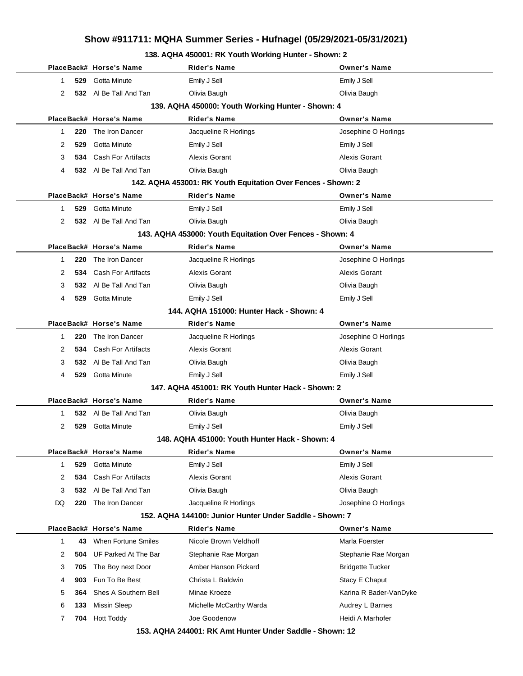### **138. AQHA 450001: RK Youth Working Hunter - Shown: 2**

|              |     | PlaceBack# Horse's Name   | Rider's Name                                                 | <b>Owner's Name</b>     |
|--------------|-----|---------------------------|--------------------------------------------------------------|-------------------------|
| 1            | 529 | Gotta Minute              | Emily J Sell                                                 | Emily J Sell            |
| 2            |     | 532 Al Be Tall And Tan    | Olivia Baugh                                                 | Olivia Baugh            |
|              |     |                           | 139. AQHA 450000: Youth Working Hunter - Shown: 4            |                         |
|              |     | PlaceBack# Horse's Name   | Rider's Name                                                 | <b>Owner's Name</b>     |
| $\mathbf{1}$ | 220 | The Iron Dancer           | Jacqueline R Horlings                                        | Josephine O Horlings    |
| 2            | 529 | Gotta Minute              | Emily J Sell                                                 | Emily J Sell            |
| 3            | 534 | <b>Cash For Artifacts</b> | Alexis Gorant                                                | Alexis Gorant           |
| 4            |     | 532 Al Be Tall And Tan    | Olivia Baugh                                                 | Olivia Baugh            |
|              |     |                           | 142. AQHA 453001: RK Youth Equitation Over Fences - Shown: 2 |                         |
|              |     | PlaceBack# Horse's Name   | <b>Rider's Name</b>                                          | <b>Owner's Name</b>     |
| 1            | 529 | Gotta Minute              | Emily J Sell                                                 | Emily J Sell            |
| 2            |     | 532 Al Be Tall And Tan    | Olivia Baugh                                                 | Olivia Baugh            |
|              |     |                           | 143. AQHA 453000: Youth Equitation Over Fences - Shown: 4    |                         |
|              |     | PlaceBack# Horse's Name   | <b>Rider's Name</b>                                          | <b>Owner's Name</b>     |
| 1            | 220 | The Iron Dancer           | Jacqueline R Horlings                                        | Josephine O Horlings    |
| 2            | 534 | <b>Cash For Artifacts</b> | Alexis Gorant                                                | Alexis Gorant           |
| 3            |     | 532 Al Be Tall And Tan    | Olivia Baugh                                                 | Olivia Baugh            |
| 4            |     | 529 Gotta Minute          | Emily J Sell                                                 | Emily J Sell            |
|              |     |                           | 144. AQHA 151000: Hunter Hack - Shown: 4                     |                         |
|              |     | PlaceBack# Horse's Name   | Rider's Name                                                 | <b>Owner's Name</b>     |
| 1            | 220 | The Iron Dancer           | Jacqueline R Horlings                                        | Josephine O Horlings    |
| 2            | 534 | <b>Cash For Artifacts</b> | Alexis Gorant                                                | <b>Alexis Gorant</b>    |
| 3            | 532 | Al Be Tall And Tan        | Olivia Baugh                                                 | Olivia Baugh            |
| 4            | 529 | Gotta Minute              | Emily J Sell                                                 | Emily J Sell            |
|              |     |                           | 147. AQHA 451001: RK Youth Hunter Hack - Shown: 2            |                         |
|              |     | PlaceBack# Horse's Name   | Rider's Name                                                 | <b>Owner's Name</b>     |
| 1            |     | 532 Al Be Tall And Tan    | Olivia Baugh                                                 | Olivia Baugh            |
| 2            | 529 | Gotta Minute              | Emily J Sell                                                 | Emily J Sell            |
|              |     |                           | <u> 148. AQHA 451000: Youth Hunter Hack - Shown: 4</u>       |                         |
|              |     | PlaceBack# Horse's Name   | Rider's Name                                                 | <b>Owner's Name</b>     |
| 1            | 529 | Gotta Minute              | Emily J Sell                                                 | Emily J Sell            |
| 2            | 534 | <b>Cash For Artifacts</b> | <b>Alexis Gorant</b>                                         | Alexis Gorant           |
| 3            | 532 | AI Be Tall And Tan        | Olivia Baugh                                                 | Olivia Baugh            |
| DQ           | 220 | The Iron Dancer           | Jacqueline R Horlings                                        | Josephine O Horlings    |
|              |     |                           | 152. AQHA 144100: Junior Hunter Under Saddle - Shown: 7      |                         |
|              |     | PlaceBack# Horse's Name   | <b>Rider's Name</b>                                          | <b>Owner's Name</b>     |
| 1            | 43  | When Fortune Smiles       | Nicole Brown Veldhoff                                        | Marla Foerster          |
| 2            | 504 | UF Parked At The Bar      | Stephanie Rae Morgan                                         | Stephanie Rae Morgan    |
| 3            | 705 | The Boy next Door         | Amber Hanson Pickard                                         | <b>Bridgette Tucker</b> |
| 4            | 903 | Fun To Be Best            | Christa L Baldwin                                            | Stacy E Chaput          |
| 5            | 364 | Shes A Southern Bell      | Minae Kroeze                                                 | Karina R Bader-VanDyke  |
| 6            | 133 | <b>Missin Sleep</b>       | Michelle McCarthy Warda                                      | Audrey L Barnes         |
| 7            | 704 | <b>Hott Toddy</b>         | Joe Goodenow                                                 | Heidi A Marhofer        |
|              |     |                           | 153. AQHA 244001: RK Amt Hunter Under Saddle - Shown: 12     |                         |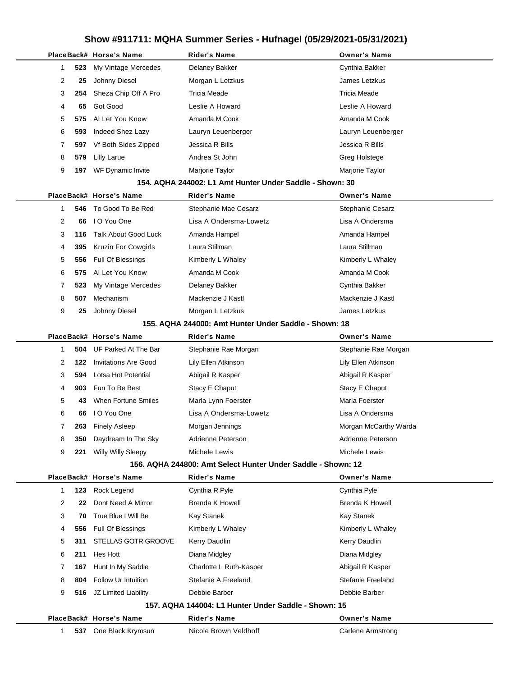|  |              |     | PlaceBack# Horse's Name     | <b>Rider's Name</b>                                          | <b>Owner's Name</b>    |
|--|--------------|-----|-----------------------------|--------------------------------------------------------------|------------------------|
|  | 1            | 523 | My Vintage Mercedes         | Delaney Bakker                                               | Cynthia Bakker         |
|  | 2            | 25  | Johnny Diesel               | Morgan L Letzkus                                             | James Letzkus          |
|  | 3            | 254 | Sheza Chip Off A Pro        | Tricia Meade                                                 | <b>Tricia Meade</b>    |
|  | 4            | 65  | Got Good                    | Leslie A Howard                                              | Leslie A Howard        |
|  | 5            | 575 | Al Let You Know             | Amanda M Cook                                                | Amanda M Cook          |
|  | 6            | 593 | Indeed Shez Lazy            | Lauryn Leuenberger                                           | Lauryn Leuenberger     |
|  | 7            | 597 | Vf Both Sides Zipped        | Jessica R Bills                                              | Jessica R Bills        |
|  | 8            | 579 | <b>Lilly Larue</b>          | Andrea St John                                               | Greg Holstege          |
|  | 9            | 197 | WF Dynamic Invite           | Marjorie Taylor                                              | Marjorie Taylor        |
|  |              |     |                             | 154. AQHA 244002: L1 Amt Hunter Under Saddle - Shown: 30     |                        |
|  |              |     | PlaceBack# Horse's Name     | <b>Rider's Name</b>                                          | <b>Owner's Name</b>    |
|  | 1            | 546 | To Good To Be Red           | Stephanie Mae Cesarz                                         | Stephanie Cesarz       |
|  | 2            | 66  | I O You One                 | Lisa A Ondersma-Lowetz                                       | Lisa A Ondersma        |
|  | 3            | 116 | <b>Talk About Good Luck</b> | Amanda Hampel                                                | Amanda Hampel          |
|  | 4            | 395 | <b>Kruzin For Cowgirls</b>  | Laura Stillman                                               | Laura Stillman         |
|  | 5            | 556 | Full Of Blessings           | Kimberly L Whaley                                            | Kimberly L Whaley      |
|  | 6            | 575 | Al Let You Know             | Amanda M Cook                                                | Amanda M Cook          |
|  | 7            | 523 | My Vintage Mercedes         | Delaney Bakker                                               | Cynthia Bakker         |
|  | 8            | 507 | Mechanism                   | Mackenzie J Kastl                                            | Mackenzie J Kastl      |
|  | 9            | 25  | Johnny Diesel               | Morgan L Letzkus                                             | James Letzkus          |
|  |              |     |                             | 155. AQHA 244000: Amt Hunter Under Saddle - Shown: 18        |                        |
|  |              |     | PlaceBack# Horse's Name     | <b>Rider's Name</b>                                          | <b>Owner's Name</b>    |
|  | $\mathbf{1}$ | 504 | UF Parked At The Bar        | Stephanie Rae Morgan                                         | Stephanie Rae Morgan   |
|  | 2            | 122 | <b>Invitations Are Good</b> | Lily Ellen Atkinson                                          | Lily Ellen Atkinson    |
|  | 3            | 594 | Lotsa Hot Potential         | Abigail R Kasper                                             | Abigail R Kasper       |
|  | 4            | 903 | Fun To Be Best              | Stacy E Chaput                                               | Stacy E Chaput         |
|  | 5            | 43  | <b>When Fortune Smiles</b>  | Marla Lynn Foerster                                          | Marla Foerster         |
|  | 6            | 66  | I O You One                 | Lisa A Ondersma-Lowetz                                       | Lisa A Ondersma        |
|  | 7            | 263 | <b>Finely Asleep</b>        | Morgan Jennings                                              | Morgan McCarthy Warda  |
|  | 8            | 350 | Daydream In The Sky         | Adrienne Peterson                                            | Adrienne Peterson      |
|  | 9            | 221 | <b>Willy Willy Sleepy</b>   | Michele Lewis                                                | Michele Lewis          |
|  |              |     |                             | 156. AQHA 244800: Amt Select Hunter Under Saddle - Shown: 12 |                        |
|  |              |     | PlaceBack# Horse's Name     | <b>Rider's Name</b>                                          | <b>Owner's Name</b>    |
|  | $\mathbf{1}$ | 123 | Rock Legend                 | Cynthia R Pyle                                               | Cynthia Pyle           |
|  | 2            | 22  | Dont Need A Mirror          | Brenda K Howell                                              | <b>Brenda K Howell</b> |
|  | 3            | 70  | True Blue I Will Be         | Kay Stanek                                                   | Kay Stanek             |
|  | 4            | 556 | Full Of Blessings           | Kimberly L Whaley                                            | Kimberly L Whaley      |
|  | 5            | 311 | STELLAS GOTR GROOVE         | Kerry Daudlin                                                | Kerry Daudlin          |
|  | 6            | 211 | Hes Hott                    | Diana Midgley                                                | Diana Midgley          |
|  | 7            | 167 | Hunt In My Saddle           | Charlotte L Ruth-Kasper                                      | Abigail R Kasper       |
|  | 8            | 804 | Follow Ur Intuition         | Stefanie A Freeland                                          | Stefanie Freeland      |
|  | 9            | 516 | JZ Limited Liability        | Debbie Barber                                                | Debbie Barber          |
|  |              |     |                             | 157. AQHA 144004: L1 Hunter Under Saddle - Shown: 15         |                        |
|  |              |     | PlaceBack# Horse's Name     | <b>Rider's Name</b>                                          | <b>Owner's Name</b>    |
|  | $\mathbf{1}$ | 537 | One Black Krymsun           | Nicole Brown Veldhoff                                        | Carlene Armstrong      |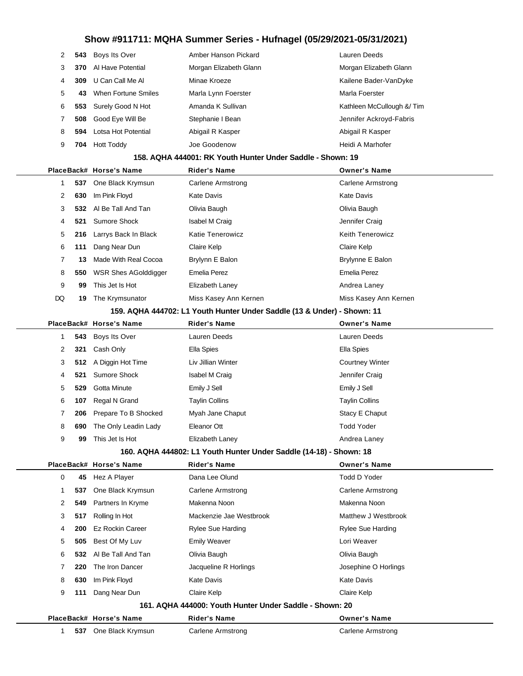| 2 |     | 543 Boys Its Over            | Amber Hanson Pickard   | Lauren Deeds              |
|---|-----|------------------------------|------------------------|---------------------------|
| 3 |     | <b>370</b> Al Have Potential | Morgan Elizabeth Glann | Morgan Elizabeth Glann    |
| 4 |     | 309 U Can Call Me Al         | Minae Kroeze           | Kailene Bader-VanDyke     |
| 5 | 43. | When Fortune Smiles          | Marla Lynn Foerster    | Marla Foerster            |
| 6 |     | 553 Surely Good N Hot        | Amanda K Sullivan      | Kathleen McCullough & Tim |
|   |     | 508 Good Eye Will Be         | Stephanie I Bean       | Jennifer Ackroyd-Fabris   |
| 8 | 594 | Lotsa Hot Potential          | Abigail R Kasper       | Abigail R Kasper          |
| 9 | 704 | <b>Hott Toddy</b>            | Joe Goodenow           | Heidi A Marhofer          |
|   |     |                              |                        |                           |

#### **158. AQHA 444001: RK Youth Hunter Under Saddle - Shown: 19**

|    |     | PlaceBack# Horse's Name     | <b>Rider's Name</b>     | <b>Owner's Name</b>     |
|----|-----|-----------------------------|-------------------------|-------------------------|
|    | 537 | One Black Krymsun           | Carlene Armstrong       | Carlene Armstrong       |
| 2  | 630 | Im Pink Floyd               | Kate Davis              | Kate Davis              |
| 3  | 532 | Al Be Tall And Tan          | Olivia Baugh            | Olivia Baugh            |
| 4  | 521 | Sumore Shock                | Isabel M Craig          | Jennifer Craig          |
| 5  | 216 | Larrys Back In Black        | <b>Katie Tenerowicz</b> | <b>Keith Tenerowicz</b> |
| 6  | 111 | Dang Near Dun               | Claire Kelp             | Claire Kelp             |
|    | 13  | Made With Real Cocoa        | Brylynn E Balon         | Brylynne E Balon        |
| 8  | 550 | <b>WSR Shes AGolddigger</b> | Emelia Perez            | Emelia Perez            |
| 9  | 99  | This Jet Is Hot             | Elizabeth Laney         | Andrea Laney            |
| DQ | 19  | The Krymsunator             | Miss Kasey Ann Kernen   | Miss Kasey Ann Kernen   |
|    |     |                             |                         |                         |

#### **159. AQHA 444702: L1 Youth Hunter Under Saddle (13 & Under) - Shown: 11**

|                      |     | PlaceBack# Horse's Name  | <b>Rider's Name</b>   | <b>Owner's Name</b>    |
|----------------------|-----|--------------------------|-----------------------|------------------------|
|                      |     | 543 Boys Its Over        | Lauren Deeds          | Lauren Deeds           |
| $\mathbf{2}^{\circ}$ | 321 | Cash Only                | Ella Spies            | Ella Spies             |
| 3                    |     | 512 A Diggin Hot Time    | Liv Jillian Winter    | <b>Courtney Winter</b> |
| 4                    | 521 | Sumore Shock             | <b>Isabel M Craig</b> | Jennifer Craig         |
| 5                    | 529 | <b>Gotta Minute</b>      | Emily J Sell          | Emily J Sell           |
| 6                    | 107 | Regal N Grand            | <b>Taylin Collins</b> | <b>Taylin Collins</b>  |
| 7                    |     | 206 Prepare To B Shocked | Myah Jane Chaput      | Stacy E Chaput         |
| 8                    | 690 | The Only Leadin Lady     | Eleanor Ott           | <b>Todd Yoder</b>      |
| 9                    | 99  | This Jet Is Hot          | Elizabeth Laney       | Andrea Laney           |
|                      |     |                          |                       |                        |

### **160. AQHA 444802: L1 Youth Hunter Under Saddle (14-18) - Shown: 18**

|   |     | PlaceBack# Horse's Name | <b>Rider's Name</b>                                     | <b>Owner's Name</b>  |
|---|-----|-------------------------|---------------------------------------------------------|----------------------|
| 0 | 45  | Hez A Player            | Dana Lee Olund                                          | Todd D Yoder         |
|   | 537 | One Black Krymsun       | Carlene Armstrong                                       | Carlene Armstrong    |
| 2 | 549 | Partners In Kryme       | Makenna Noon                                            | Makenna Noon         |
| 3 | 517 | Rolling In Hot          | Mackenzie Jae Westbrook                                 | Matthew J Westbrook  |
| 4 | 200 | <b>Ez Rockin Career</b> | Rylee Sue Harding                                       | Rylee Sue Harding    |
| 5 | 505 | Best Of My Luv          | <b>Emily Weaver</b>                                     | Lori Weaver          |
| 6 | 532 | AI Be Tall And Tan      | Olivia Baugh                                            | Olivia Baugh         |
|   | 220 | The Iron Dancer         | Jacqueline R Horlings                                   | Josephine O Horlings |
| 8 | 630 | Im Pink Floyd           | <b>Kate Davis</b>                                       | <b>Kate Davis</b>    |
| 9 | 111 | Dang Near Dun           | Claire Kelp                                             | Claire Kelp          |
|   |     |                         | 161. AQHA 444000: Youth Hunter Under Saddle - Shown: 20 |                      |
|   |     | PlaceBack# Horse's Name | <b>Rider's Name</b>                                     | <b>Owner's Name</b>  |
|   | 537 | One Black Krymsun       | Carlene Armstrong                                       | Carlene Armstrong    |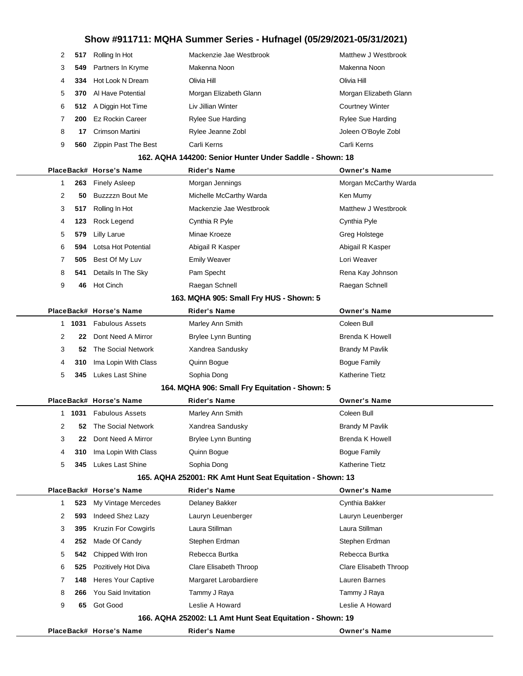| 2 | 517 | Rolling In Hot        | Mackenzie Jae Westbrook  | Matthew J Westbrook      |
|---|-----|-----------------------|--------------------------|--------------------------|
| 3 |     | 549 Partners In Kryme | Makenna Noon             | Makenna Noon             |
|   | 334 | Hot Look N Dream      | Olivia Hill              | Olivia Hill              |
| 5 | 370 | Al Have Potential     | Morgan Elizabeth Glann   | Morgan Elizabeth Glann   |
| 6 |     | 512 A Diggin Hot Time | Liv Jillian Winter       | <b>Courtney Winter</b>   |
|   | 200 | Ez Rockin Career      | <b>Rylee Sue Harding</b> | <b>Rylee Sue Harding</b> |
| 8 | 17  | Crimson Martini       | Rylee Jeanne Zobl        | Joleen O'Boyle Zobl      |
| 9 | 560 | Zippin Past The Best  | Carli Kerns              | Carli Kerns              |
|   |     |                       |                          |                          |

#### **162. AQHA 144200: Senior Hunter Under Saddle - Shown: 18**

|   |        | PlaceBack# Horse's Name                                   | Rider's Name                                              | <b>Owner's Name</b>    |
|---|--------|-----------------------------------------------------------|-----------------------------------------------------------|------------------------|
| 1 | 263    | <b>Finely Asleep</b>                                      | Morgan Jennings                                           | Morgan McCarthy Warda  |
| 2 | 50     | Buzzzzn Bout Me                                           | Michelle McCarthy Warda                                   | Ken Mumy               |
| 3 | 517    | Rolling In Hot                                            | Mackenzie Jae Westbrook                                   | Matthew J Westbrook    |
| 4 | 123    | Rock Legend                                               | Cynthia R Pyle                                            | Cynthia Pyle           |
| 5 | 579    | <b>Lilly Larue</b>                                        | Minae Kroeze                                              | Greg Holstege          |
| 6 | 594    | Lotsa Hot Potential                                       | Abigail R Kasper                                          | Abigail R Kasper       |
| 7 | 505    | Best Of My Luv                                            | <b>Emily Weaver</b>                                       | Lori Weaver            |
| 8 | 541    | Details In The Sky                                        | Pam Specht                                                | Rena Kay Johnson       |
| 9 | 46     | <b>Hot Cinch</b>                                          | Raegan Schnell                                            | Raegan Schnell         |
|   |        |                                                           | 163. MQHA 905: Small Fry HUS - Shown: 5                   |                        |
|   |        | PlaceBack# Horse's Name                                   | <b>Rider's Name</b>                                       | <b>Owner's Name</b>    |
|   | 1 1031 | <b>Fabulous Assets</b>                                    | Marley Ann Smith                                          | Coleen Bull            |
| 2 | 22     | Dont Need A Mirror                                        | <b>Brylee Lynn Bunting</b>                                | <b>Brenda K Howell</b> |
| 3 | 52     | The Social Network                                        | Xandrea Sandusky                                          | <b>Brandy M Pavlik</b> |
| 4 | 310    | Ima Lopin With Class                                      | Quinn Bogue                                               | <b>Bogue Family</b>    |
| 5 | 345    | <b>Lukes Last Shine</b>                                   | Sophia Dong                                               | <b>Katherine Tietz</b> |
|   |        |                                                           | 164. MQHA 906: Small Fry Equitation - Shown: 5            |                        |
|   |        | PlaceBack# Horse's Name                                   | <b>Rider's Name</b>                                       | <b>Owner's Name</b>    |
|   | 1 1031 | <b>Fabulous Assets</b>                                    | Marley Ann Smith                                          | Coleen Bull            |
| 2 | 52     | The Social Network                                        | Xandrea Sandusky                                          | <b>Brandy M Pavlik</b> |
| 3 | 22     | Dont Need A Mirror                                        | <b>Brylee Lynn Bunting</b>                                | <b>Brenda K Howell</b> |
| 4 | 310    | Ima Lopin With Class                                      | Quinn Bogue                                               | <b>Bogue Family</b>    |
| 5 | 345    | Lukes Last Shine                                          | Sophia Dong                                               | <b>Katherine Tietz</b> |
|   |        | 165. AQHA 252001: RK Amt Hunt Seat Equitation - Shown: 13 |                                                           |                        |
|   |        | PlaceBack# Horse's Name                                   | <b>Rider's Name</b>                                       | <b>Owner's Name</b>    |
| 1 | 523    | My Vintage Mercedes                                       | Delaney Bakker                                            | Cynthia Bakker         |
| 2 | 593    | Indeed Shez Lazy                                          | Lauryn Leuenberger                                        | Lauryn Leuenberger     |
| 3 | 395    | <b>Kruzin For Cowgirls</b>                                | Laura Stillman                                            | Laura Stillman         |
| 4 | 252    | Made Of Candy                                             | Stephen Erdman                                            | Stephen Erdman         |
| 5 | 542    | Chipped With Iron                                         | Rebecca Burtka                                            | Rebecca Burtka         |
| 6 | 525    | Pozitively Hot Diva                                       | Clare Elisabeth Throop                                    | Clare Elisabeth Throop |
| 7 | 148    | Heres Your Captive                                        | Margaret Larobardiere                                     | Lauren Barnes          |
| 8 | 266    | You Said Invitation                                       | Tammy J Raya                                              | Tammy J Raya           |
| 9 | 65     | Got Good                                                  | Leslie A Howard                                           | Leslie A Howard        |
|   |        |                                                           | 166. AQHA 252002: L1 Amt Hunt Seat Equitation - Shown: 19 |                        |
|   |        | PlaceBack# Horse's Name                                   | <b>Rider's Name</b>                                       | <b>Owner's Name</b>    |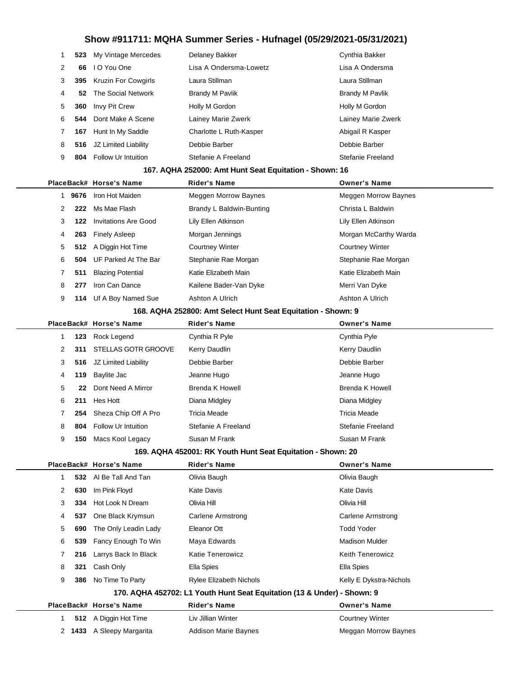|   | 523                                                    | My Vintage Mercedes        | Delaney Bakker          | Cynthia Bakker         |  |  |  |  |
|---|--------------------------------------------------------|----------------------------|-------------------------|------------------------|--|--|--|--|
| 2 | 66                                                     | I O You One                | Lisa A Ondersma-Lowetz  | Lisa A Ondersma        |  |  |  |  |
| 3 | 395                                                    | <b>Kruzin For Cowgirls</b> | Laura Stillman          | Laura Stillman         |  |  |  |  |
| 4 | 52                                                     | The Social Network         | <b>Brandy M Pavlik</b>  | <b>Brandy M Pavlik</b> |  |  |  |  |
| 5 | 360                                                    | Invy Pit Crew              | Holly M Gordon          | Holly M Gordon         |  |  |  |  |
| 6 | 544                                                    | Dont Make A Scene          | Lainey Marie Zwerk      | Lainey Marie Zwerk     |  |  |  |  |
|   | 167                                                    | Hunt In My Saddle          | Charlotte L Ruth-Kasper | Abigail R Kasper       |  |  |  |  |
| 8 | 516                                                    | JZ Limited Liability       | Debbie Barber           | Debbie Barber          |  |  |  |  |
| 9 | 804                                                    | <b>Follow Ur Intuition</b> | Stefanie A Freeland     | Stefanie Freeland      |  |  |  |  |
|   | 167. AQHA 252000: Amt Hunt Seat Equitation - Shown: 16 |                            |                         |                        |  |  |  |  |

|   |      | PlaceBack# Horse's Name         | <b>Rider's Name</b>      | <b>Owner's Name</b>         |
|---|------|---------------------------------|--------------------------|-----------------------------|
|   | 9676 | Iron Hot Maiden                 | Meggen Morrow Baynes     | <b>Meggen Morrow Baynes</b> |
| 2 | 222  | Ms Mae Flash                    | Brandy L Baldwin-Bunting | Christa L Baldwin           |
| 3 | 122  | Invitations Are Good            | Lily Ellen Atkinson      | Lily Ellen Atkinson         |
| 4 | 263  | <b>Finely Asleep</b>            | Morgan Jennings          | Morgan McCarthy Warda       |
| 5 |      | 512 A Diggin Hot Time           | <b>Courtney Winter</b>   | <b>Courtney Winter</b>      |
| 6 |      | <b>504</b> UF Parked At The Bar | Stephanie Rae Morgan     | Stephanie Rae Morgan        |
|   | 511  | <b>Blazing Potential</b>        | Katie Elizabeth Main     | Katie Elizabeth Main        |
| 8 | 277  | Iron Can Dance                  | Kailene Bader-Van Dyke   | Merri Van Dyke              |
| 9 | 14   | Uf A Boy Named Sue              | Ashton A Ulrich          | Ashton A Ulrich             |
|   |      |                                 |                          |                             |

#### **168. AQHA 252800: Amt Select Hunt Seat Equitation - Shown: 9**

|   |     | PlaceBack# Horse's Name    | <b>Rider's Name</b>                                                                                                                                                     | <b>Owner's Name</b>    |
|---|-----|----------------------------|-------------------------------------------------------------------------------------------------------------------------------------------------------------------------|------------------------|
|   | 123 | Rock Legend                | Cynthia R Pyle                                                                                                                                                          | Cynthia Pyle           |
| 2 | 311 | <b>STELLAS GOTR GROOVE</b> | Kerry Daudlin                                                                                                                                                           | Kerry Daudlin          |
| 3 | 516 | JZ Limited Liability       | Debbie Barber                                                                                                                                                           | Debbie Barber          |
| 4 | 119 | Baylite Jac                | Jeanne Hugo                                                                                                                                                             | Jeanne Hugo            |
| 5 | 22  | Dont Need A Mirror         | <b>Brenda K Howell</b>                                                                                                                                                  | <b>Brenda K Howell</b> |
| 6 | 211 | Hes Hott                   | Diana Midgley                                                                                                                                                           | Diana Midgley          |
|   | 254 | Sheza Chip Off A Pro       | Tricia Meade                                                                                                                                                            | Tricia Meade           |
| 8 | 804 | Follow Ur Intuition        | Stefanie A Freeland                                                                                                                                                     | Stefanie Freeland      |
| 9 | 150 | Macs Kool Legacy           | Susan M Frank                                                                                                                                                           | Susan M Frank          |
|   |     |                            | $100 - 10111 - 150001 - 517$ $V_{\text{sub}}$ $V_{\text{sub}}$ $V_{\text{sub}}$ $\Omega_{\text{sub}}$ $\Omega_{\text{sub}}$ $\Omega_{\text{sub}}$ $\Omega_{\text{sub}}$ |                        |

### **169. AQHA 452001: RK Youth Hunt Seat Equitation - Shown: 20**

|   |        | PlaceBack# Horse's Name | <b>Rider's Name</b>                                                     | <b>Owner's Name</b>     |
|---|--------|-------------------------|-------------------------------------------------------------------------|-------------------------|
|   |        | 532 AI Be Tall And Tan  | Olivia Baugh                                                            | Olivia Baugh            |
| 2 | 630    | Im Pink Floyd           | Kate Davis                                                              | <b>Kate Davis</b>       |
| 3 | 334    | Hot Look N Dream        | Olivia Hill                                                             | Olivia Hill             |
| 4 | 537    | One Black Krymsun       | Carlene Armstrong                                                       | Carlene Armstrong       |
| 5 | 690    | The Only Leadin Lady    | Eleanor Ott                                                             | <b>Todd Yoder</b>       |
| 6 | 539    | Fancy Enough To Win     | Maya Edwards                                                            | <b>Madison Mulder</b>   |
|   | 216    | Larrys Back In Black    | Katie Tenerowicz                                                        | <b>Keith Tenerowicz</b> |
| 8 | 321    | Cash Only               | Ella Spies                                                              | Ella Spies              |
| 9 | 386    | No Time To Party        | <b>Rylee Elizabeth Nichols</b>                                          | Kelly E Dykstra-Nichols |
|   |        |                         | 170. AQHA 452702: L1 Youth Hunt Seat Equitation (13 & Under) - Shown: 9 |                         |
|   |        | PlaceBack# Horse's Name | <b>Rider's Name</b>                                                     | <b>Owner's Name</b>     |
|   |        | 512 A Diggin Hot Time   | Liv Jillian Winter                                                      | <b>Courtney Winter</b>  |
|   | 2 1433 | A Sleepy Margarita      | <b>Addison Marie Baynes</b>                                             | Meggan Morrow Baynes    |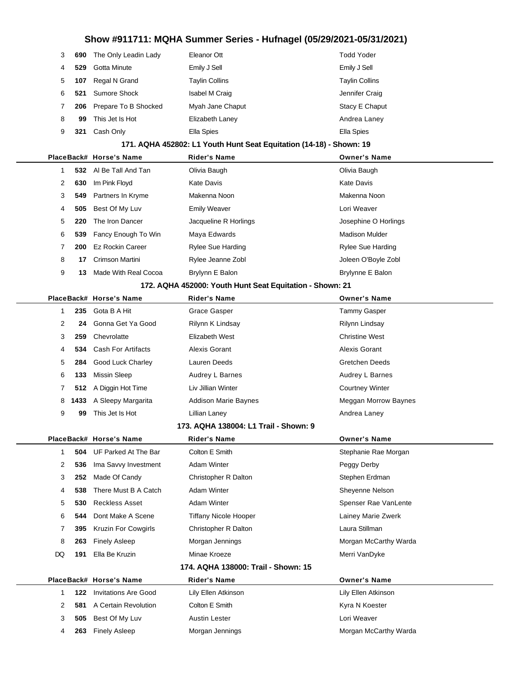| 3  | 690 | The Only Leadin Lady     | Eleanor Ott           | <b>Todd Yoder</b>     |
|----|-----|--------------------------|-----------------------|-----------------------|
| 4  | 529 | Gotta Minute             | Emily J Sell          | Emily J Sell          |
| 5  | 107 | Regal N Grand            | <b>Taylin Collins</b> | <b>Taylin Collins</b> |
| 6. | 521 | Sumore Shock             | <b>Isabel M Craig</b> | Jennifer Craig        |
|    |     | 206 Prepare To B Shocked | Myah Jane Chaput      | Stacy E Chaput        |
| 8  | 99  | This Jet Is Hot          | Elizabeth Laney       | Andrea Laney          |
| 9  | 321 | Cash Only                | Ella Spies            | Ella Spies            |
|    |     |                          |                       |                       |

#### **171. AQHA 452802: L1 Youth Hunt Seat Equitation (14-18) - Shown: 19**

|              |     | PlaceBack# Horse's Name | <b>Rider's Name</b>      | <b>Owner's Name</b>      |
|--------------|-----|-------------------------|--------------------------|--------------------------|
|              | 532 | AI Be Tall And Tan      | Olivia Baugh             | Olivia Baugh             |
| $\mathbf{2}$ | 630 | Im Pink Floyd           | Kate Davis               | <b>Kate Davis</b>        |
| 3            | 549 | Partners In Kryme       | Makenna Noon             | Makenna Noon             |
| 4            | 505 | Best Of My Luv          | <b>Emily Weaver</b>      | Lori Weaver              |
| 5            | 220 | The Iron Dancer         | Jacqueline R Horlings    | Josephine O Horlings     |
| 6            | 539 | Fancy Enough To Win     | Maya Edwards             | Madison Mulder           |
|              | 200 | Ez Rockin Career        | <b>Rylee Sue Harding</b> | <b>Rylee Sue Harding</b> |
| 8            | 17  | Crimson Martini         | Rylee Jeanne Zobl        | Joleen O'Boyle Zobl      |
| 9            | 13  | Made With Real Cocoa    | Brylynn E Balon          | Brylynne E Balon         |
|              |     |                         |                          |                          |

#### **172. AQHA 452000: Youth Hunt Seat Equitation - Shown: 21**

|   |      | PlaceBack# Horse's Name | <b>Rider's Name</b>         | <b>Owner's Name</b>         |
|---|------|-------------------------|-----------------------------|-----------------------------|
|   | 235  | Gota B A Hit            | Grace Gasper                | Tammy Gasper                |
| 2 | 24   | Gonna Get Ya Good       | Rilynn K Lindsay            | Rilynn Lindsay              |
| 3 | 259  | Chevrolatte             | Elizabeth West              | <b>Christine West</b>       |
| 4 |      | 534 Cash For Artifacts  | Alexis Gorant               | Alexis Gorant               |
| 5 | 284  | Good Luck Charley       | Lauren Deeds                | <b>Gretchen Deeds</b>       |
| 6 | 133  | Missin Sleep            | Audrey L Barnes             | Audrey L Barnes             |
| 7 |      | 512 A Diggin Hot Time   | Liv Jillian Winter          | <b>Courtney Winter</b>      |
| 8 | 1433 | A Sleepy Margarita      | <b>Addison Marie Baynes</b> | <b>Meggan Morrow Baynes</b> |
| 9 | 99   | This Jet Is Hot         | Lillian Laney               | Andrea Laney                |
|   |      |                         |                             |                             |

#### **173. AQHA 138004: L1 Trail - Shown: 9**

**505** Best Of My Luv **Austin Lester Louri Weaver** Lori Weaver

**263** Finely Asleep Morgan Jennings Morgan McCarthy Warda

|    |     | PlaceBack# Horse's Name         | <b>Rider's Name</b>                 | <b>Owner's Name</b>   |
|----|-----|---------------------------------|-------------------------------------|-----------------------|
|    |     | <b>504</b> UF Parked At The Bar | Colton E Smith                      | Stephanie Rae Morgan  |
| 2  | 536 | Ima Savvy Investment            | Adam Winter                         | Peggy Derby           |
| 3  | 252 | Made Of Candy                   | Christopher R Dalton                | Stephen Erdman        |
| 4  | 538 | There Must B A Catch            | Adam Winter                         | Sheyenne Nelson       |
| 5  | 530 | <b>Reckless Asset</b>           | Adam Winter                         | Spenser Rae VanLente  |
| 6  | 544 | Dont Make A Scene               | Tiffany Nicole Hooper               | Lainey Marie Zwerk    |
| 7  | 395 | <b>Kruzin For Cowgirls</b>      | Christopher R Dalton                | Laura Stillman        |
| 8  | 263 | <b>Finely Asleep</b>            | Morgan Jennings                     | Morgan McCarthy Warda |
| DQ | 191 | Ella Be Kruzin                  | Minae Kroeze                        | Merri VanDyke         |
|    |     |                                 | 174. AQHA 138000: Trail - Shown: 15 |                       |
|    |     | PlaceBack# Horse's Name         | <b>Rider's Name</b>                 | <b>Owner's Name</b>   |
|    | 122 | <b>Invitations Are Good</b>     | Lily Ellen Atkinson                 | Lily Ellen Atkinson   |
| 2  | 581 | A Certain Revolution            | Colton E Smith                      | Kyra N Koester        |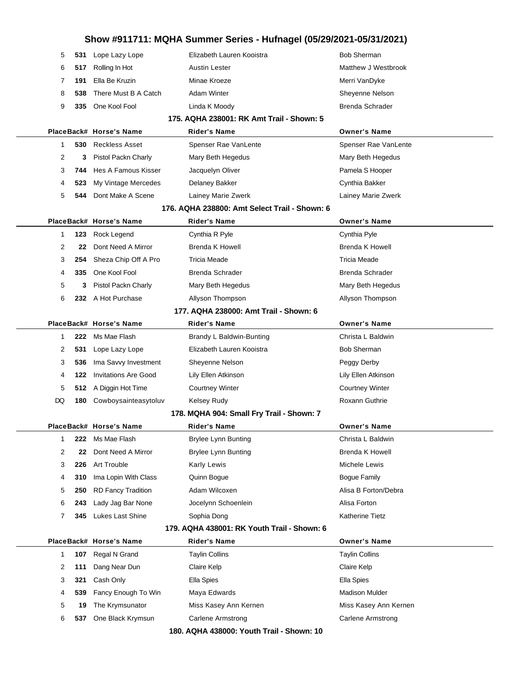| 5  | 531 | Lope Lazy Lope              | Elizabeth Lauren Kooistra                     | <b>Bob Sherman</b>       |
|----|-----|-----------------------------|-----------------------------------------------|--------------------------|
| 6  | 517 | Rolling In Hot              | <b>Austin Lester</b>                          | Matthew J Westbrook      |
| 7  | 191 | Ella Be Kruzin              | Minae Kroeze                                  | Merri VanDyke            |
| 8  | 538 | There Must B A Catch        | Adam Winter                                   | Sheyenne Nelson          |
| 9  | 335 | One Kool Fool               | Linda K Moody                                 | Brenda Schrader          |
|    |     |                             | 175. AQHA 238001: RK Amt Trail - Shown: 5     |                          |
|    |     | PlaceBack# Horse's Name     | <b>Rider's Name</b>                           | Owner's Name             |
| 1  | 530 | <b>Reckless Asset</b>       | Spenser Rae VanLente                          | Spenser Rae VanLente     |
| 2  | 3   | Pistol Packn Charly         | Mary Beth Hegedus                             | Mary Beth Hegedus        |
| 3  | 744 | Hes A Famous Kisser         | Jacquelyn Oliver                              | Pamela S Hooper          |
| 4  | 523 | My Vintage Mercedes         | Delaney Bakker                                | Cynthia Bakker           |
| 5  | 544 | Dont Make A Scene           | Lainey Marie Zwerk                            | Lainey Marie Zwerk       |
|    |     |                             | 176. AQHA 238800: Amt Select Trail - Shown: 6 |                          |
|    |     | PlaceBack# Horse's Name     | Rider's Name                                  | Owner's Name             |
| 1  | 123 | Rock Legend                 | Cynthia R Pyle                                | Cynthia Pyle             |
| 2  | 22  | Dont Need A Mirror          | Brenda K Howell                               | Brenda K Howell          |
| 3  | 254 | Sheza Chip Off A Pro        | <b>Tricia Meade</b>                           | <b>Tricia Meade</b>      |
| 4  | 335 | One Kool Fool               | <b>Brenda Schrader</b>                        | <b>Brenda Schrader</b>   |
| 5  | 3   | Pistol Packn Charly         | Mary Beth Hegedus                             | Mary Beth Hegedus        |
| 6  |     | 232 A Hot Purchase          | Allyson Thompson                              | Allyson Thompson         |
|    |     |                             | 177. AQHA 238000: Amt Trail - Shown: 6        |                          |
|    |     | PlaceBack# Horse's Name     | Rider's Name                                  | Owner's Name             |
| 1  | 222 | Ms Mae Flash                | Brandy L Baldwin-Bunting                      | Christa L Baldwin        |
| 2  | 531 | Lope Lazy Lope              | Elizabeth Lauren Kooistra                     | <b>Bob Sherman</b>       |
| 3  | 536 | Ima Savvy Investment        | Sheyenne Nelson                               | Peggy Derby              |
| 4  | 122 | <b>Invitations Are Good</b> | Lily Ellen Atkinson                           | Lily Ellen Atkinson      |
| 5  |     | 512 A Diggin Hot Time       | <b>Courtney Winter</b>                        | <b>Courtney Winter</b>   |
| DQ | 180 | Cowboysainteasytoluv        | <b>Kelsey Rudy</b>                            | Roxann Guthrie           |
|    |     |                             | 178. MQHA 904: Small Fry Trail - Shown: 7     |                          |
|    |     | PlaceBack# Horse's Name     | Rider's Name                                  | Owner's Name             |
| 1  | 222 | Ms Mae Flash                | <b>Brylee Lynn Bunting</b>                    | Christa L Baldwin        |
| 2  | 22  | Dont Need A Mirror          | <b>Brylee Lynn Bunting</b>                    | Brenda K Howell          |
| 3  | 226 | Art Trouble                 | <b>Karly Lewis</b>                            | Michele Lewis            |
| 4  | 310 | Ima Lopin With Class        | Quinn Bogue                                   | <b>Bogue Family</b>      |
| 5  | 250 | <b>RD Fancy Tradition</b>   | Adam Wilcoxen                                 | Alisa B Forton/Debra     |
| 6  | 243 | Lady Jag Bar None           | Jocelynn Schoenlein                           | Alisa Forton             |
| 7  | 345 | Lukes Last Shine            | Sophia Dong                                   | <b>Katherine Tietz</b>   |
|    |     |                             | 179. AQHA 438001: RK Youth Trail - Shown: 6   |                          |
|    |     | PlaceBack# Horse's Name     | <b>Rider's Name</b>                           | <b>Owner's Name</b>      |
| 1  | 107 | Regal N Grand               | <b>Taylin Collins</b>                         | <b>Taylin Collins</b>    |
| 2  | 111 | Dang Near Dun               | Claire Kelp                                   | Claire Kelp              |
| 3  | 321 | Cash Only                   | Ella Spies                                    | Ella Spies               |
| 4  | 539 | Fancy Enough To Win         | Maya Edwards                                  | <b>Madison Mulder</b>    |
| 5  | 19  | The Krymsunator             | Miss Kasey Ann Kernen                         | Miss Kasey Ann Kernen    |
| 6  | 537 | One Black Krymsun           | Carlene Armstrong                             | <b>Carlene Armstrong</b> |
|    |     |                             | 180. AQHA 438000: Youth Trail - Shown: 10     |                          |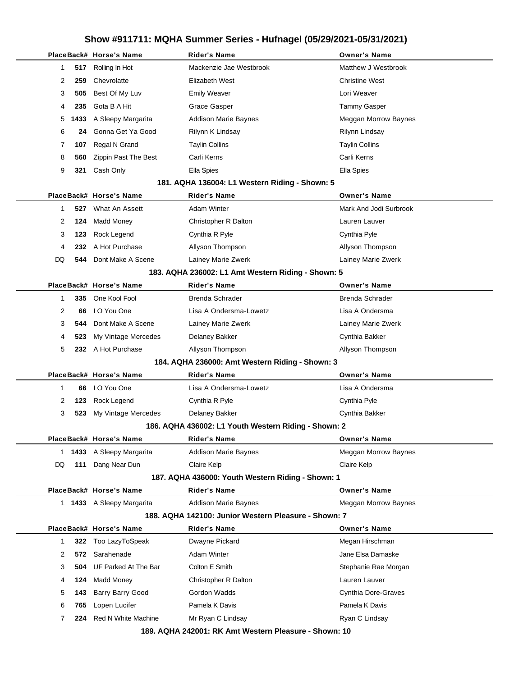|  |                     | PlaceBack# Horse's Name   | <b>Rider's Name</b>                                  | <b>Owner's Name</b>         |
|--|---------------------|---------------------------|------------------------------------------------------|-----------------------------|
|  | 1<br>517            | Rolling In Hot            | Mackenzie Jae Westbrook                              | Matthew J Westbrook         |
|  | 2<br>259            | Chevrolatte               | Elizabeth West                                       | <b>Christine West</b>       |
|  | 3<br>505            | Best Of My Luv            | <b>Emily Weaver</b>                                  | Lori Weaver                 |
|  | 235<br>4            | Gota B A Hit              | Grace Gasper                                         | Tammy Gasper                |
|  | 5<br>1433           | A Sleepy Margarita        | Addison Marie Baynes                                 | Meggan Morrow Baynes        |
|  | 6<br>24             | Gonna Get Ya Good         | Rilynn K Lindsay                                     | Rilynn Lindsay              |
|  | 107<br>7            | Regal N Grand             | <b>Taylin Collins</b>                                | <b>Taylin Collins</b>       |
|  | 8<br>560            | Zippin Past The Best      | Carli Kerns                                          | Carli Kerns                 |
|  | 9<br>321            | Cash Only                 | Ella Spies                                           | Ella Spies                  |
|  |                     |                           | 181. AQHA 136004: L1 Western Riding - Shown: 5       |                             |
|  |                     | PlaceBack# Horse's Name   | Rider's Name                                         | <b>Owner's Name</b>         |
|  | 1<br>527            | What An Assett            | <b>Adam Winter</b>                                   | Mark And Jodi Surbrook      |
|  | 124<br>2            | Madd Money                | Christopher R Dalton                                 | Lauren Lauver               |
|  | 3<br>123            | Rock Legend               | Cynthia R Pyle                                       | Cynthia Pyle                |
|  | 232<br>4            | A Hot Purchase            | Allyson Thompson                                     | Allyson Thompson            |
|  | DQ<br>544           | Dont Make A Scene         | Lainey Marie Zwerk                                   | Lainey Marie Zwerk          |
|  |                     |                           | 183. AQHA 236002: L1 Amt Western Riding - Shown: 5   |                             |
|  |                     | PlaceBack# Horse's Name   | <b>Rider's Name</b>                                  | <b>Owner's Name</b>         |
|  | 1<br>335            | One Kool Fool             | Brenda Schrader                                      | Brenda Schrader             |
|  | 2<br>66             | I O You One               | Lisa A Ondersma-Lowetz                               | Lisa A Ondersma             |
|  | 3<br>544            | Dont Make A Scene         | Lainey Marie Zwerk                                   | Lainey Marie Zwerk          |
|  | 4<br>523            | My Vintage Mercedes       | Delaney Bakker                                       | Cynthia Bakker              |
|  | 5                   | 232 A Hot Purchase        | Allyson Thompson                                     | Allyson Thompson            |
|  |                     |                           | 184. AQHA 236000: Amt Western Riding - Shown: 3      |                             |
|  |                     | PlaceBack# Horse's Name   | <b>Rider's Name</b>                                  | <b>Owner's Name</b>         |
|  | 1<br>66             | I O You One               | Lisa A Ondersma-Lowetz                               | Lisa A Ondersma             |
|  | 2<br>123            | Rock Legend               | Cynthia R Pyle                                       | Cynthia Pyle                |
|  | 3<br>523            | My Vintage Mercedes       | Delaney Bakker                                       | Cynthia Bakker              |
|  |                     |                           | 186. AQHA 436002: L1 Youth Western Riding - Shown: 2 |                             |
|  |                     | PlaceBack# Horse's Name   | Rider's Name                                         | <b>Owner's Name</b>         |
|  |                     | 1 1433 A Sleepy Margarita | Addison Marie Baynes                                 | Meggan Morrow Baynes        |
|  | DQ                  | 111 Dang Near Dun         | Claire Kelp                                          | Claire Kelp                 |
|  |                     |                           | 187. AQHA 436000: Youth Western Riding - Shown: 1    |                             |
|  |                     | PlaceBack# Horse's Name   | <b>Rider's Name</b>                                  | <b>Owner's Name</b>         |
|  |                     | 1 1433 A Sleepy Margarita | Addison Marie Baynes                                 | <b>Meggan Morrow Baynes</b> |
|  |                     |                           | 188. AQHA 142100: Junior Western Pleasure - Shown: 7 |                             |
|  |                     | PlaceBack# Horse's Name   | Rider's Name                                         | <b>Owner's Name</b>         |
|  | $\mathbf{1}$<br>322 | Too LazyToSpeak           | Dwayne Pickard                                       | Megan Hirschman             |
|  | 2<br>572            | Sarahenade                | Adam Winter                                          | Jane Elsa Damaske           |
|  | 3<br>504            | UF Parked At The Bar      | Colton E Smith                                       | Stephanie Rae Morgan        |
|  | 4<br>124            | <b>Madd Money</b>         | Christopher R Dalton                                 | Lauren Lauver               |
|  | 5<br>143            | <b>Barry Barry Good</b>   | Gordon Wadds                                         | Cynthia Dore-Graves         |
|  | 6<br>765            | Lopen Lucifer             | Pamela K Davis                                       | Pamela K Davis              |
|  | 7<br>224            | Red N White Machine       | Mr Ryan C Lindsay                                    | Ryan C Lindsay              |
|  |                     |                           | 180 AOHA 242001: PK Amt Western Pleasure - Shown: 10 |                             |

**189. AQHA 242001: RK Amt Western Pleasure - Shown: 10**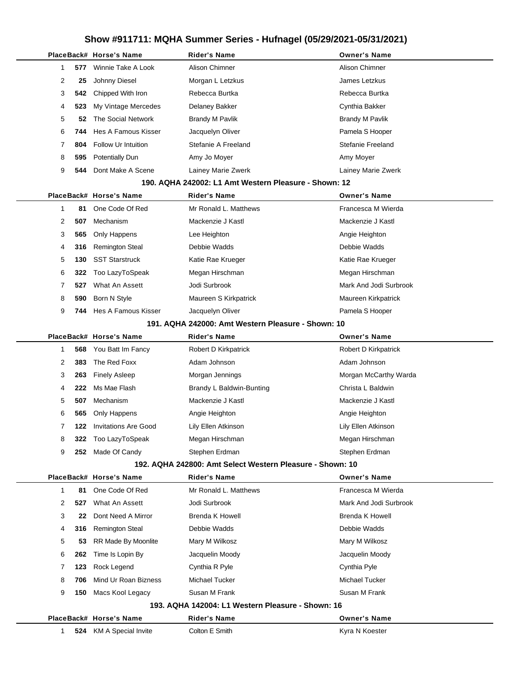|          | PlaceBack# Horse's Name     | <b>Rider's Name</b>                                       | <b>Owner's Name</b>    |
|----------|-----------------------------|-----------------------------------------------------------|------------------------|
| 577<br>1 | Winnie Take A Look          | Alison Chimner                                            | Alison Chimner         |
| 2<br>25  | Johnny Diesel               | Morgan L Letzkus                                          | James Letzkus          |
| 3<br>542 | Chipped With Iron           | Rebecca Burtka                                            | Rebecca Burtka         |
| 523<br>4 | My Vintage Mercedes         | Delaney Bakker                                            | Cynthia Bakker         |
| 5<br>52  | The Social Network          | <b>Brandy M Pavlik</b>                                    | <b>Brandy M Pavlik</b> |
| 6<br>744 | Hes A Famous Kisser         | Jacquelyn Oliver                                          | Pamela S Hooper        |
| 804<br>7 | Follow Ur Intuition         | Stefanie A Freeland                                       | Stefanie Freeland      |
| 8<br>595 | <b>Potentially Dun</b>      | Amy Jo Moyer                                              | Amy Moyer              |
| 9<br>544 | Dont Make A Scene           | Lainey Marie Zwerk                                        | Lainey Marie Zwerk     |
|          |                             | 190. AQHA 242002: L1 Amt Western Pleasure - Shown: 12     |                        |
|          | PlaceBack# Horse's Name     | Rider's Name                                              | <b>Owner's Name</b>    |
| 1<br>81  | One Code Of Red             | Mr Ronald L. Matthews                                     | Francesca M Wierda     |
| 2<br>507 | Mechanism                   | Mackenzie J Kastl                                         | Mackenzie J Kastl      |
| 3<br>565 | Only Happens                | Lee Heighton                                              | Angie Heighton         |
| 316<br>4 | <b>Remington Steal</b>      | Debbie Wadds                                              | Debbie Wadds           |
| 5<br>130 | <b>SST Starstruck</b>       | Katie Rae Krueger                                         | Katie Rae Krueger      |
| 6<br>322 | Too LazyToSpeak             | Megan Hirschman                                           | Megan Hirschman        |
| 7<br>527 | What An Assett              | Jodi Surbrook                                             | Mark And Jodi Surbrook |
| 8<br>590 | Born N Style                | Maureen S Kirkpatrick                                     | Maureen Kirkpatrick    |
| 9<br>744 | Hes A Famous Kisser         | Jacquelyn Oliver                                          | Pamela S Hooper        |
|          |                             | 191. AQHA 242000: Amt Western Pleasure - Shown: 10        |                        |
|          | PlaceBack# Horse's Name     | <b>Rider's Name</b>                                       | <b>Owner's Name</b>    |
| 568<br>1 | You Batt Im Fancy           | Robert D Kirkpatrick                                      | Robert D Kirkpatrick   |
| 2<br>383 | The Red Foxx                | Adam Johnson                                              | Adam Johnson           |
| 3<br>263 | <b>Finely Asleep</b>        | Morgan Jennings                                           | Morgan McCarthy Warda  |
| 222<br>4 | Ms Mae Flash                | Brandy L Baldwin-Bunting                                  | Christa L Baldwin      |
| 507<br>5 | Mechanism                   | Mackenzie J Kastl                                         | Mackenzie J Kastl      |
| 6<br>565 | Only Happens                | Angie Heighton                                            | Angie Heighton         |
| 7<br>122 | <b>Invitations Are Good</b> | Lily Ellen Atkinson                                       | Lily Ellen Atkinson    |
| 8<br>322 | Too LazyToSpeak             | Megan Hirschman                                           | Megan Hirschman        |
| 9<br>252 | Made Of Candy               | Stephen Erdman                                            | Stephen Erdman         |
|          |                             | 192. AQHA 242800: Amt Select Western Pleasure - Shown: 10 |                        |
|          | PlaceBack# Horse's Name     | Rider's Name                                              | <b>Owner's Name</b>    |
| 1<br>81  | One Code Of Red             | Mr Ronald L. Matthews                                     | Francesca M Wierda     |
| 2<br>527 | What An Assett              | Jodi Surbrook                                             | Mark And Jodi Surbrook |
| 3<br>22  | Dont Need A Mirror          | <b>Brenda K Howell</b>                                    | <b>Brenda K Howell</b> |
| 316<br>4 | <b>Remington Steal</b>      | Debbie Wadds                                              | Debbie Wadds           |
| 5<br>53  | RR Made By Moonlite         | Mary M Wilkosz                                            | Mary M Wilkosz         |
| 6<br>262 | Time Is Lopin By            | Jacquelin Moody                                           | Jacquelin Moody        |
| 7<br>123 | Rock Legend                 | Cynthia R Pyle                                            | Cynthia Pyle           |
| 8<br>706 | Mind Ur Roan Bizness        | Michael Tucker                                            | Michael Tucker         |
| 9<br>150 | Macs Kool Legacy            | Susan M Frank                                             | Susan M Frank          |
|          |                             | 193. AQHA 142004: L1 Western Pleasure - Shown: 16         |                        |
|          | PlaceBack# Horse's Name     | <b>Rider's Name</b>                                       | <b>Owner's Name</b>    |
| 1        | 524 KM A Special Invite     | Colton E Smith                                            | Kyra N Koester         |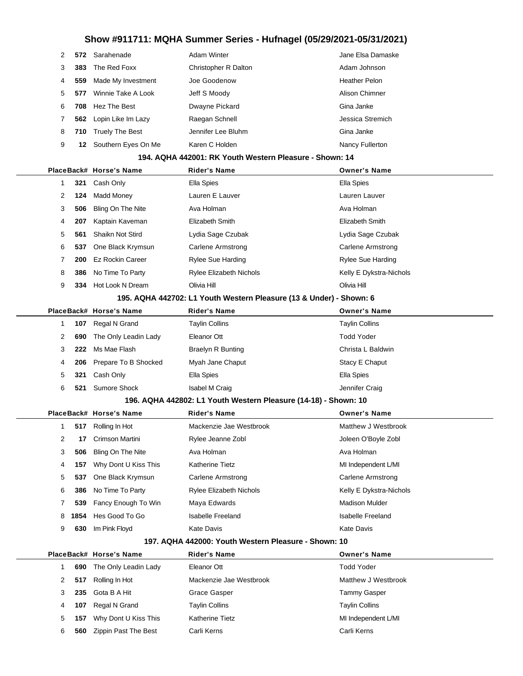| 2              |      | 572 Sarahenade          | <b>Adam Winter</b>                                                  | Jane Elsa Damaske        |
|----------------|------|-------------------------|---------------------------------------------------------------------|--------------------------|
| 3              | 383  | The Red Foxx            | Christopher R Dalton                                                | Adam Johnson             |
| 4              | 559  | Made My Investment      | Joe Goodenow                                                        | <b>Heather Pelon</b>     |
| 5              | 577  | Winnie Take A Look      | Jeff S Moody                                                        | Alison Chimner           |
| 6              | 708  | Hez The Best            | Dwayne Pickard                                                      | Gina Janke               |
| 7              | 562  | Lopin Like Im Lazy      | Raegan Schnell                                                      | Jessica Stremich         |
| 8              | 710  | <b>Truely The Best</b>  | Jennifer Lee Bluhm                                                  | Gina Janke               |
| 9              | 12   | Southern Eyes On Me     | Karen C Holden                                                      | Nancy Fullerton          |
|                |      |                         | 194. AQHA 442001: RK Youth Western Pleasure - Shown: 14             |                          |
|                |      | PlaceBack# Horse's Name | <b>Rider's Name</b>                                                 | <b>Owner's Name</b>      |
| $\mathbf{1}$   | 321  | Cash Only               | Ella Spies                                                          | <b>Ella Spies</b>        |
| $\overline{2}$ | 124  | Madd Money              | Lauren E Lauver                                                     | Lauren Lauver            |
| 3              | 506  | Bling On The Nite       | Ava Holman                                                          | Ava Holman               |
| 4              | 207  | Kaptain Kaveman         | Elizabeth Smith                                                     | Elizabeth Smith          |
| 5              | 561  | Shaikn Not Stird        | Lydia Sage Czubak                                                   | Lydia Sage Czubak        |
| 6              | 537  | One Black Krymsun       | Carlene Armstrong                                                   | Carlene Armstrong        |
| 7              | 200  | <b>Ez Rockin Career</b> | Rylee Sue Harding                                                   | <b>Rylee Sue Harding</b> |
| 8              | 386  | No Time To Party        | <b>Rylee Elizabeth Nichols</b>                                      | Kelly E Dykstra-Nichols  |
| 9              | 334  | Hot Look N Dream        | Olivia Hill                                                         | Olivia Hill              |
|                |      |                         | 195. AQHA 442702: L1 Youth Western Pleasure (13 & Under) - Shown: 6 |                          |
|                |      | PlaceBack# Horse's Name | Rider's Name                                                        | <b>Owner's Name</b>      |
| $\mathbf{1}$   | 107  | Regal N Grand           | <b>Taylin Collins</b>                                               | <b>Taylin Collins</b>    |
| 2              | 690  | The Only Leadin Lady    | Eleanor Ott                                                         | <b>Todd Yoder</b>        |
| 3              | 222  | Ms Mae Flash            | <b>Braelyn R Bunting</b>                                            | Christa L Baldwin        |
|                |      |                         | Myah Jane Chaput                                                    | Stacy E Chaput           |
| 4              | 206  | Prepare To B Shocked    |                                                                     |                          |
| 5              | 321  | Cash Only               | Ella Spies                                                          | Ella Spies               |
| 6              | 521  | Sumore Shock            | Isabel M Craig                                                      | Jennifer Craig           |
|                |      |                         | 196. AQHA 442802: L1 Youth Western Pleasure (14-18) - Shown: 10     |                          |
|                |      | PlaceBack# Horse's Name | Rider's Name                                                        | <b>Owner's Name</b>      |
|                |      | 517 Rolling In Hot      | Mackenzie Jae Westbrook                                             | Matthew J Westbrook      |
| 2              | 17   | Crimson Martini         | Rylee Jeanne Zobl                                                   | Joleen O'Boyle Zobl      |
| 3              | 506  | Bling On The Nite       | Ava Holman                                                          | Ava Holman               |
| 4              | 157  | Why Dont U Kiss This    | <b>Katherine Tietz</b>                                              | MI Independent L/MI      |
| 5              | 537  | One Black Krymsun       | Carlene Armstrong                                                   | <b>Carlene Armstrong</b> |
| 6              | 386  | No Time To Party        | Rylee Elizabeth Nichols                                             | Kelly E Dykstra-Nichols  |
| 7              | 539  | Fancy Enough To Win     | Maya Edwards                                                        | <b>Madison Mulder</b>    |
| 8              | 1854 | Hes Good To Go          | <b>Isabelle Freeland</b>                                            | <b>Isabelle Freeland</b> |
| 9              | 630  | Im Pink Floyd           | Kate Davis                                                          | <b>Kate Davis</b>        |
|                |      |                         | 197. AQHA 442000: Youth Western Pleasure - Shown: 10                |                          |

|   | 690 | The Only Leadin Lady | Eleanor Ott             | <b>Todd Yoder</b>     |
|---|-----|----------------------|-------------------------|-----------------------|
|   | 517 | Rolling In Hot       | Mackenzie Jae Westbrook | Matthew J Westbrook   |
|   | 235 | Gota B A Hit         | Grace Gasper            | <b>Tammy Gasper</b>   |
| 4 | 107 | Regal N Grand        | <b>Taylin Collins</b>   | <b>Taylin Collins</b> |
| 5 | 157 | Why Dont U Kiss This | <b>Katherine Tietz</b>  | MI Independent L/MI   |
| 6 | 560 | Zippin Past The Best | Carli Kerns             | Carli Kerns           |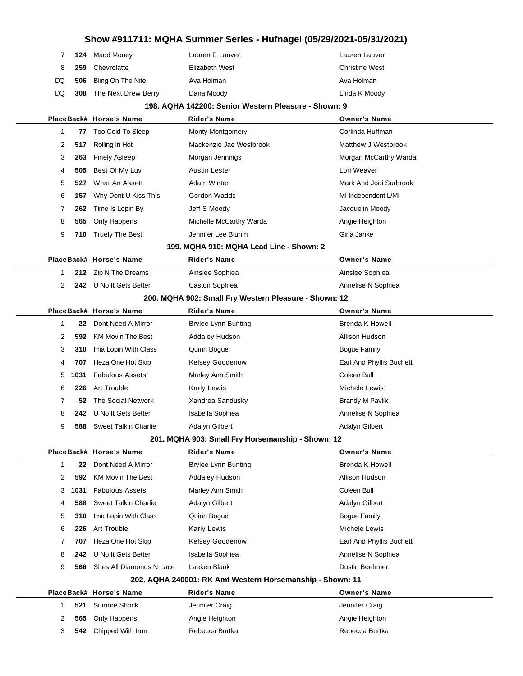|     |     | 7 124 Madd Money           | Lauren E Lauver | Lauren Lauver         |
|-----|-----|----------------------------|-----------------|-----------------------|
| - 8 | 259 | Chevrolatte                | Elizabeth West  | <b>Christine West</b> |
|     |     | DQ 506 Bling On The Nite   | Ava Holman      | Ava Holman            |
|     |     | DQ 308 The Next Drew Berry | Dana Moody      | Linda K Moody         |

#### **198. AQHA 142200: Senior Western Pleasure - Shown: 9**

|             |      | PlaceBack# Horse's Name     | <b>Rider's Name</b>                                       | <b>Owner's Name</b>      |
|-------------|------|-----------------------------|-----------------------------------------------------------|--------------------------|
| $\mathbf 1$ | 77   | Too Cold To Sleep           | <b>Monty Montgomery</b>                                   | Corlinda Huffman         |
| 2           | 517  | Rolling In Hot              | Mackenzie Jae Westbrook                                   | Matthew J Westbrook      |
| 3           | 263  | <b>Finely Asleep</b>        | Morgan Jennings                                           | Morgan McCarthy Warda    |
| 4           | 505  | Best Of My Luv              | Austin Lester                                             | Lori Weaver              |
| 5           | 527  | What An Assett              | Adam Winter                                               | Mark And Jodi Surbrook   |
| 6           | 157  | Why Dont U Kiss This        | Gordon Wadds                                              | MI Independent L/MI      |
| 7           | 262  | Time Is Lopin By            | Jeff S Moody                                              | Jacquelin Moody          |
| 8           | 565  | Only Happens                | Michelle McCarthy Warda                                   | Angie Heighton           |
| 9           | 710  | <b>Truely The Best</b>      | Jennifer Lee Bluhm                                        | Gina Janke               |
|             |      |                             | 199. MQHA 910: MQHA Lead Line - Shown: 2                  |                          |
|             |      | PlaceBack# Horse's Name     | <b>Rider's Name</b>                                       | <b>Owner's Name</b>      |
| 1           | 212  | Zip N The Dreams            | Ainslee Sophiea                                           | Ainslee Sophiea          |
| 2           | 242. | U No It Gets Better         | Caston Sophiea                                            | Annelise N Sophiea       |
|             |      |                             | 200. MQHA 902: Small Fry Western Pleasure - Shown: 12     |                          |
|             |      | PlaceBack# Horse's Name     | <b>Rider's Name</b>                                       | <b>Owner's Name</b>      |
| $\mathbf 1$ | 22   | Dont Need A Mirror          | <b>Brylee Lynn Bunting</b>                                | <b>Brenda K Howell</b>   |
| 2           | 592  | KM Movin The Best           | <b>Addaley Hudson</b>                                     | Allison Hudson           |
| 3           | 310  | Ima Lopin With Class        | Quinn Bogue                                               | <b>Bogue Family</b>      |
| 4           | 707  | Heza One Hot Skip           | Kelsey Goodenow                                           | Earl And Phyllis Buchett |
| 5           | 1031 | <b>Fabulous Assets</b>      | Marley Ann Smith                                          | Coleen Bull              |
| 6           | 226  | Art Trouble                 | Karly Lewis                                               | Michele Lewis            |
| 7           | 52   | The Social Network          | Xandrea Sandusky                                          | <b>Brandy M Pavlik</b>   |
| 8           | 242. | U No It Gets Better         | Isabella Sophiea                                          | Annelise N Sophiea       |
| 9           | 588  | <b>Sweet Talkin Charlie</b> | Adalyn Gilbert                                            | Adalyn Gilbert           |
|             |      |                             | 201. MQHA 903: Small Fry Horsemanship - Shown: 12         |                          |
|             |      | PlaceBack# Horse's Name     | <b>Rider's Name</b>                                       | <b>Owner's Name</b>      |
| $\mathbf 1$ | 22   | Dont Need A Mirror          | <b>Brylee Lynn Bunting</b>                                | <b>Brenda K Howell</b>   |
| 2           | 592  | <b>KM Movin The Best</b>    | Addaley Hudson                                            | Allison Hudson           |
| 3           | 1031 | <b>Fabulous Assets</b>      | Marley Ann Smith                                          | Coleen Bull              |
| 4           | 588  | <b>Sweet Talkin Charlie</b> | Adalyn Gilbert                                            | Adalyn Gilbert           |
| 5           | 310  | Ima Lopin With Class        | Quinn Bogue                                               | <b>Bogue Family</b>      |
| 6           | 226  | Art Trouble                 | Karly Lewis                                               | Michele Lewis            |
| 7           | 707  | Heza One Hot Skip           | Kelsey Goodenow                                           | Earl And Phyllis Buchett |
| 8           | 242  | U No It Gets Better         | Isabella Sophiea                                          | Annelise N Sophiea       |
| 9           | 566  | Shes All Diamonds N Lace    | Laeken Blank                                              | <b>Dustin Boehmer</b>    |
|             |      |                             | 202. AQHA 240001: RK Amt Western Horsemanship - Shown: 11 |                          |
|             |      | PlaceBack# Horse's Name     | <b>Rider's Name</b>                                       | <b>Owner's Name</b>      |
| 1           | 521  | Sumore Shock                | Jennifer Craig                                            | Jennifer Craig           |
| 2           | 565  | Only Happens                | Angie Heighton                                            | Angie Heighton           |
| 3           | 542  | Chipped With Iron           | Rebecca Burtka                                            | Rebecca Burtka           |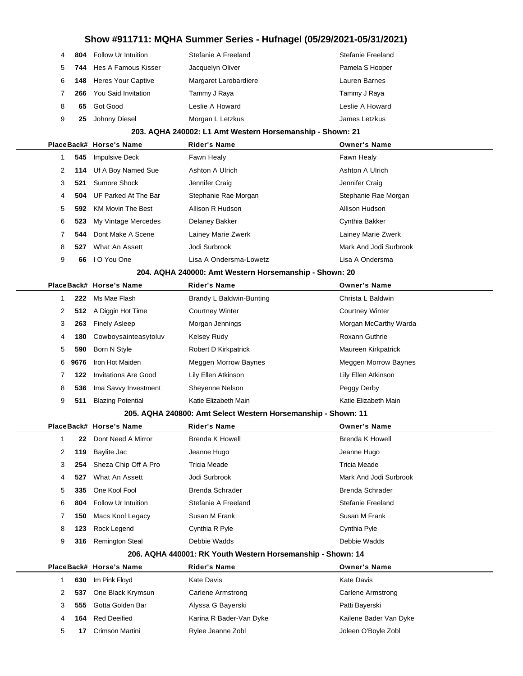| 4     |     | <b>804</b> Follow Ur Intuition | Stefanie A Freeland   | Stefanie Freeland |
|-------|-----|--------------------------------|-----------------------|-------------------|
| $5 -$ |     | 744 Hes A Famous Kisser        | Jacquelyn Oliver      | Pamela S Hooper   |
| 6     |     | <b>148</b> Heres Your Captive  | Margaret Larobardiere | Lauren Barnes     |
| 7     | 266 | You Said Invitation            | Tammy J Raya          | Tammy J Raya      |
| 8     | 65  | Got Good                       | Leslie A Howard       | Leslie A Howard   |
| 9     | 25  | Johnny Diesel                  | Morgan L Letzkus      | James Letzkus     |

#### **203. AQHA 240002: L1 Amt Western Horsemanship - Shown: 21**

|              |     | PlaceBack# Horse's Name         | <b>Rider's Name</b>    | <b>Owner's Name</b>    |
|--------------|-----|---------------------------------|------------------------|------------------------|
|              |     | 545 Impulsive Deck              | Fawn Healy             | Fawn Healy             |
| $\mathbf{2}$ |     | 114 Uf A Boy Named Sue          | Ashton A Ulrich        | Ashton A Ulrich        |
| 3            |     | 521 Sumore Shock                | Jennifer Craig         | Jennifer Craig         |
| 4            |     | <b>504</b> UF Parked At The Bar | Stephanie Rae Morgan   | Stephanie Rae Morgan   |
| 5.           | 592 | <b>KM Movin The Best</b>        | Allison R Hudson       | Allison Hudson         |
| 6            | 523 | My Vintage Mercedes             | Delaney Bakker         | Cynthia Bakker         |
|              | 544 | Dont Make A Scene               | Lainey Marie Zwerk     | Lainey Marie Zwerk     |
| 8            | 527 | What An Assett                  | Jodi Surbrook          | Mark And Jodi Surbrook |
| 9            | 66  | I O You One                     | Lisa A Ondersma-Lowetz | Lisa A Ondersma        |
|              |     |                                 |                        |                        |

#### **204. AQHA 240000: Amt Western Horsemanship - Shown: 20**

|   |      | PlaceBack# Horse's Name  | <b>Rider's Name</b>         | <b>Owner's Name</b>         |
|---|------|--------------------------|-----------------------------|-----------------------------|
|   | 222  | Ms Mae Flash             | Brandy L Baldwin-Bunting    | Christa L Baldwin           |
| 2 |      | 512 A Diggin Hot Time    | <b>Courtney Winter</b>      | <b>Courtney Winter</b>      |
| 3 | 263  | <b>Finely Asleep</b>     | Morgan Jennings             | Morgan McCarthy Warda       |
| 4 | 180  | Cowboysainteasytoluv     | Kelsey Rudy                 | Roxann Guthrie              |
| 5 | 590  | Born N Style             | Robert D Kirkpatrick        | Maureen Kirkpatrick         |
| 6 | 9676 | Iron Hot Maiden          | <b>Meggen Morrow Baynes</b> | <b>Meggen Morrow Baynes</b> |
|   | 122  | Invitations Are Good     | Lily Ellen Atkinson         | Lily Ellen Atkinson         |
| 8 | 536  | Ima Savvy Investment     | Sheyenne Nelson             | Peggy Derby                 |
| 9 | 511  | <b>Blazing Potential</b> | Katie Elizabeth Main        | Katie Elizabeth Main        |

#### **205. AQHA 240800: Amt Select Western Horsemanship - Shown: 11**

|              |     | PlaceBack# Horse's Name | <b>Rider's Name</b> | <b>Owner's Name</b>    |
|--------------|-----|-------------------------|---------------------|------------------------|
|              | 22  | Dont Need A Mirror      | Brenda K Howell     | Brenda K Howell        |
| $\mathbf{2}$ | 119 | Baylite Jac             | Jeanne Hugo         | Jeanne Hugo            |
| 3            | 254 | Sheza Chip Off A Pro    | Tricia Meade        | Tricia Meade           |
| 4            | 527 | What An Assett          | Jodi Surbrook       | Mark And Jodi Surbrook |
| 5.           | 335 | One Kool Fool           | Brenda Schrader     | Brenda Schrader        |
| 6            | 804 | Follow Ur Intuition     | Stefanie A Freeland | Stefanie Freeland      |
| 7            | 150 | Macs Kool Legacy        | Susan M Frank       | Susan M Frank          |
| 8            | 123 | Rock Legend             | Cynthia R Pyle      | Cynthia Pyle           |
| 9            | 316 | <b>Remington Steal</b>  | Debbie Wadds        | Debbie Wadds           |
|              |     |                         |                     |                        |

#### **206. AQHA 440001: RK Youth Western Horsemanship - Shown: 14**

|   |     | PlaceBack# Horse's Name | Rider's Name            | <b>Owner's Name</b>    |
|---|-----|-------------------------|-------------------------|------------------------|
|   | 630 | Im Pink Floyd           | Kate Davis              | Kate Davis             |
|   | 537 | One Black Krymsun       | Carlene Armstrong       | Carlene Armstrong      |
| 3 | 555 | Gotta Golden Bar        | Alyssa G Bayerski       | Patti Bayerski         |
| 4 | 164 | Red Deeified            | Karina R Bader-Van Dyke | Kailene Bader Van Dyke |
|   |     | Crimson Martini         | Rylee Jeanne Zobl       | Joleen O'Boyle Zobl    |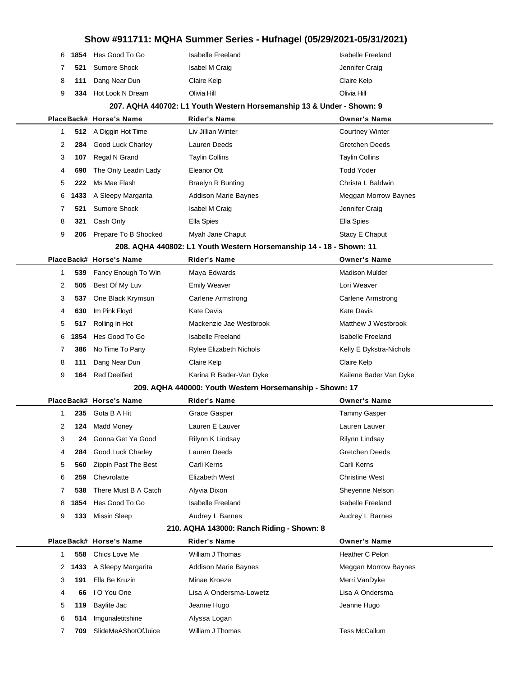|  | 6 1854 Hes Good To Go  | Isabelle Freeland | Isabelle Freeland |
|--|------------------------|-------------------|-------------------|
|  | 7 521 Sumore Shock     | Isabel M Craig    | Jennifer Craig    |
|  | 8 111 Dang Near Dun    | Claire Kelp       | Claire Kelp       |
|  | 9 334 Hot Look N Dream | Olivia Hill       | Olivia Hill       |
|  |                        |                   |                   |

#### **207. AQHA 440702: L1 Youth Western Horsemanship 13 & Under - Shown: 9**

|   |     | PlaceBack# Horse's Name   | <b>Rider's Name</b>                                              | <b>Owner's Name</b>         |
|---|-----|---------------------------|------------------------------------------------------------------|-----------------------------|
|   |     | 512 A Diggin Hot Time     | Liv Jillian Winter                                               | <b>Courtney Winter</b>      |
| 2 | 284 | <b>Good Luck Charley</b>  | Lauren Deeds                                                     | Gretchen Deeds              |
| 3 | 107 | Regal N Grand             | <b>Taylin Collins</b>                                            | <b>Taylin Collins</b>       |
| 4 | 690 | The Only Leadin Lady      | Eleanor Ott                                                      | <b>Todd Yoder</b>           |
| 5 | 222 | Ms Mae Flash              | <b>Braelyn R Bunting</b>                                         | Christa L Baldwin           |
|   |     | 6 1433 A Sleepy Margarita | <b>Addison Marie Baynes</b>                                      | <b>Meggan Morrow Baynes</b> |
|   | 521 | Sumore Shock              | <b>Isabel M Craig</b>                                            | Jennifer Craig              |
| 8 | 321 | Cash Only                 | Ella Spies                                                       | Ella Spies                  |
| 9 | 206 | Prepare To B Shocked      | Myah Jane Chaput                                                 | Stacy E Chaput              |
|   |     |                           | 000 AOUA 440000 L4 Vauth Western Hercemanabin 44 - 40 - Cheum 44 |                             |

#### **208. AQHA 440802: L1 Youth Western Horsemanship 14 - 18 - Shown: 11**

|   |     | PlaceBack# Horse's Name | <b>Rider's Name</b>            | <b>Owner's Name</b>     |
|---|-----|-------------------------|--------------------------------|-------------------------|
|   |     | 539 Fancy Enough To Win | Maya Edwards                   | <b>Madison Mulder</b>   |
| 2 | 505 | Best Of My Luv          | <b>Emily Weaver</b>            | Lori Weaver             |
| 3 | 537 | One Black Krymsun       | Carlene Armstrong              | Carlene Armstrong       |
| 4 | 630 | Im Pink Floyd           | Kate Davis                     | Kate Davis              |
| 5 | 517 | Rolling In Hot          | Mackenzie Jae Westbrook        | Matthew J Westbrook     |
|   |     | 6 1854 Hes Good To Go   | Isabelle Freeland              | Isabelle Freeland       |
|   |     | 386 No Time To Party    | <b>Rylee Elizabeth Nichols</b> | Kelly E Dykstra-Nichols |
| 8 | 111 | Dang Near Dun           | Claire Kelp                    | Claire Kelp             |
| 9 | 164 | Red Deeified            | Karina R Bader-Van Dyke        | Kailene Bader Van Dyke  |
|   |     |                         |                                |                         |

#### **209. AQHA 440000: Youth Western Horsemanship - Shown: 17**

|              |     | PlaceBack# Horse's Name | <b>Rider's Name</b> | <b>Owner's Name</b>   |
|--------------|-----|-------------------------|---------------------|-----------------------|
|              | 235 | Gota B A Hit            | Grace Gasper        | Tammy Gasper          |
| $\mathbf{2}$ | 124 | Madd Money              | Lauren E Lauver     | Lauren Lauver         |
| 3            | 24  | Gonna Get Ya Good       | Rilynn K Lindsay    | Rilynn Lindsay        |
| 4            | 284 | Good Luck Charley       | Lauren Deeds        | <b>Gretchen Deeds</b> |
| 5            | 560 | Zippin Past The Best    | Carli Kerns         | Carli Kerns           |
| 6            | 259 | Chevrolatte             | Elizabeth West      | <b>Christine West</b> |
|              | 538 | There Must B A Catch    | Alyvia Dixon        | Sheyenne Nelson       |
|              |     | 8 1854 Hes Good To Go   | Isabelle Freeland   | Isabelle Freeland     |
| 9            | 133 | Missin Sleep            | Audrey L Barnes     | Audrey L Barnes       |
|              |     |                         |                     |                       |

#### **210. AQHA 143000: Ranch Riding - Shown: 8**

|   |     | PlaceBack# Horse's Name   | <b>Rider's Name</b>         | <b>Owner's Name</b>  |
|---|-----|---------------------------|-----------------------------|----------------------|
|   | 558 | Chics Love Me             | William J Thomas            | Heather C Pelon      |
|   |     | 2 1433 A Sleepy Margarita | <b>Addison Marie Baynes</b> | Meggan Morrow Baynes |
| 3 | 191 | Ella Be Kruzin            | Minae Kroeze                | Merri VanDyke        |
| 4 | 66  | I O You One               | Lisa A Ondersma-Lowetz      | Lisa A Ondersma      |
| 5 |     | 119 Baylite Jac           | Jeanne Hugo                 | Jeanne Hugo          |
| 6 | 514 | Imgunaletitshine          | Alyssa Logan                |                      |
|   | 709 | SlideMeAShotOfJuice       | William J Thomas            | Tess McCallum        |
|   |     |                           |                             |                      |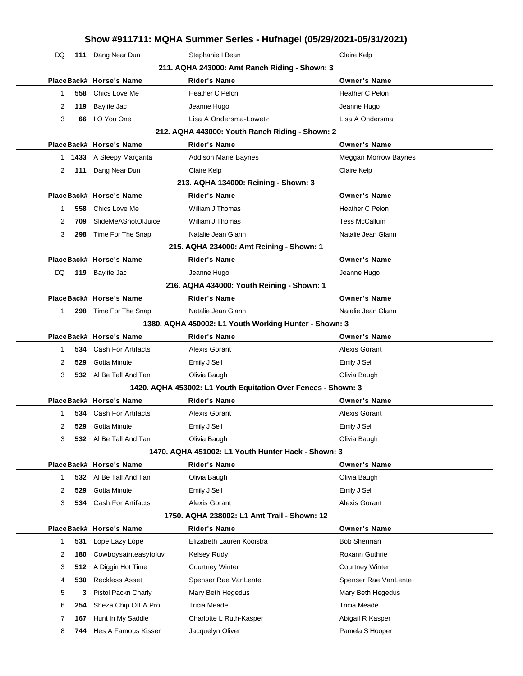| Show #911711: MQHA Summer Series - Hufnagel (05/29/2021-05/31/2021) |            |                                                        |                                                               |                                                |  |
|---------------------------------------------------------------------|------------|--------------------------------------------------------|---------------------------------------------------------------|------------------------------------------------|--|
| DQ                                                                  |            | 111 Dang Near Dun                                      | Stephanie I Bean                                              | Claire Kelp                                    |  |
|                                                                     |            |                                                        | 211. AQHA 243000: Amt Ranch Riding - Shown: 3                 |                                                |  |
|                                                                     |            | PlaceBack# Horse's Name                                | <b>Rider's Name</b>                                           | <b>Owner's Name</b>                            |  |
| 1                                                                   | 558        | Chics Love Me                                          | Heather C Pelon                                               | Heather C Pelon                                |  |
| 2                                                                   | 119        | <b>Baylite Jac</b>                                     | Jeanne Hugo                                                   | Jeanne Hugo                                    |  |
| 3                                                                   | 66         | I O You One                                            | Lisa A Ondersma-Lowetz                                        | Lisa A Ondersma                                |  |
|                                                                     |            |                                                        | 212. AQHA 443000: Youth Ranch Riding - Shown: 2               |                                                |  |
|                                                                     |            | PlaceBack# Horse's Name                                | <b>Rider's Name</b>                                           | <b>Owner's Name</b>                            |  |
|                                                                     |            | 1 1433 A Sleepy Margarita                              | Addison Marie Baynes                                          | Meggan Morrow Baynes                           |  |
| 2                                                                   |            | 111 Dang Near Dun                                      | Claire Kelp                                                   | Claire Kelp                                    |  |
|                                                                     |            |                                                        | 213. AQHA 134000: Reining - Shown: 3                          |                                                |  |
|                                                                     |            | PlaceBack# Horse's Name                                | <b>Rider's Name</b>                                           | <b>Owner's Name</b>                            |  |
| 1                                                                   | 558        | Chics Love Me                                          | William J Thomas                                              | Heather C Pelon                                |  |
| 2                                                                   | 709        | SlideMeAShotOfJuice                                    | William J Thomas                                              | <b>Tess McCallum</b>                           |  |
| 3                                                                   | 298        | Time For The Snap                                      | Natalie Jean Glann                                            | Natalie Jean Glann                             |  |
|                                                                     |            |                                                        | 215. AQHA 234000: Amt Reining - Shown: 1                      |                                                |  |
|                                                                     |            | PlaceBack# Horse's Name                                | <b>Rider's Name</b>                                           | <b>Owner's Name</b>                            |  |
| DQ                                                                  |            | 119 Baylite Jac                                        | Jeanne Hugo                                                   | Jeanne Hugo                                    |  |
|                                                                     |            |                                                        | 216. AQHA 434000: Youth Reining - Shown: 1                    |                                                |  |
|                                                                     |            | PlaceBack# Horse's Name                                | <b>Rider's Name</b>                                           | <b>Owner's Name</b>                            |  |
| 1                                                                   | 298        | Time For The Snap                                      | Natalie Jean Glann                                            | Natalie Jean Glann                             |  |
|                                                                     |            |                                                        | 1380. AQHA 450002: L1 Youth Working Hunter - Shown: 3         |                                                |  |
|                                                                     |            | PlaceBack# Horse's Name                                | <b>Rider's Name</b>                                           | <b>Owner's Name</b>                            |  |
| 1                                                                   |            | <b>534</b> Cash For Artifacts                          | Alexis Gorant                                                 | Alexis Gorant                                  |  |
| 2                                                                   | 529        | Gotta Minute                                           | Emily J Sell                                                  | Emily J Sell                                   |  |
| 3                                                                   |            | 532 Al Be Tall And Tan<br>Olivia Baugh<br>Olivia Baugh |                                                               |                                                |  |
|                                                                     |            |                                                        | 1420. AQHA 453002: L1 Youth Equitation Over Fences - Shown: 3 |                                                |  |
|                                                                     |            | PlaceBack# Horse's Name                                | <b>Rider's Name</b>                                           | <b>Owner's Name</b>                            |  |
| $\mathbf{1}$                                                        |            | <b>534</b> Cash For Artifacts                          | Alexis Gorant                                                 | Alexis Gorant                                  |  |
| 2                                                                   | 529        | Gotta Minute                                           | Emily J Sell                                                  | Emily J Sell                                   |  |
| 3                                                                   |            | 532 Al Be Tall And Tan                                 | Olivia Baugh                                                  | Olivia Baugh                                   |  |
|                                                                     |            |                                                        | 1470. AQHA 451002: L1 Youth Hunter Hack - Shown: 3            |                                                |  |
|                                                                     |            | PlaceBack# Horse's Name                                | <b>Rider's Name</b>                                           | <b>Owner's Name</b>                            |  |
| 1                                                                   | 532        | Al Be Tall And Tan                                     | Olivia Baugh                                                  | Olivia Baugh                                   |  |
| 2                                                                   | 529        | Gotta Minute                                           | Emily J Sell                                                  | Emily J Sell                                   |  |
| 3                                                                   | 534        | Cash For Artifacts                                     | Alexis Gorant                                                 | Alexis Gorant                                  |  |
|                                                                     |            |                                                        | 1750, AQHA 238002: L1 Amt Trail - Shown: 12                   |                                                |  |
|                                                                     |            | PlaceBack# Horse's Name                                | <b>Rider's Name</b>                                           | <b>Owner's Name</b><br><b>Bob Sherman</b>      |  |
| $\mathbf{1}$                                                        | 531        | Lope Lazy Lope                                         | Elizabeth Lauren Kooistra                                     |                                                |  |
| 2<br>3                                                              | 180        | Cowboysainteasytoluv<br>A Diggin Hot Time              | Kelsey Rudy                                                   | Roxann Guthrie                                 |  |
| 4                                                                   | 512<br>530 | <b>Reckless Asset</b>                                  | <b>Courtney Winter</b><br>Spenser Rae VanLente                | <b>Courtney Winter</b><br>Spenser Rae VanLente |  |
| 5                                                                   | 3          | Pistol Packn Charly                                    | Mary Beth Hegedus                                             | Mary Beth Hegedus                              |  |
| 6                                                                   | 254        | Sheza Chip Off A Pro                                   | <b>Tricia Meade</b>                                           | <b>Tricia Meade</b>                            |  |
| 7                                                                   | 167        | Hunt In My Saddle                                      | Charlotte L Ruth-Kasper                                       | Abigail R Kasper                               |  |
| 8                                                                   | 744        | Hes A Famous Kisser                                    | Jacquelyn Oliver                                              | Pamela S Hooper                                |  |
|                                                                     |            |                                                        |                                                               |                                                |  |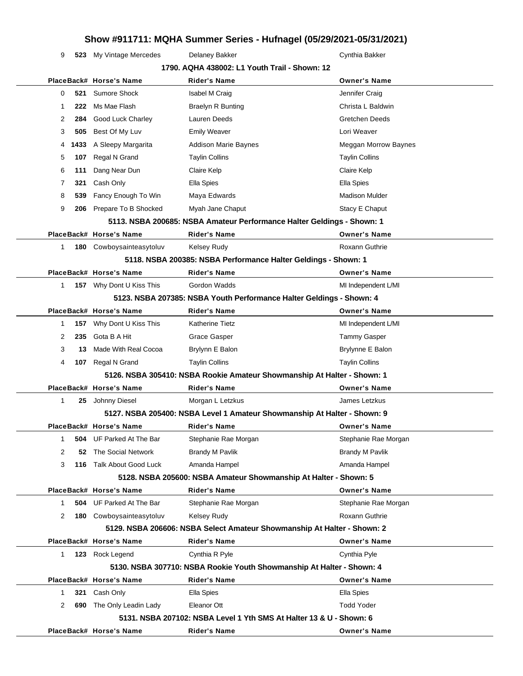9 **523** My Vintage Mercedes Delaney Bakker Cynthia Bakker Cynthia Bakker

| 1790. AQHA 438002: L1 Youth Trail - Shown: 12 |      |                                 |                                                                                         |                                   |  |
|-----------------------------------------------|------|---------------------------------|-----------------------------------------------------------------------------------------|-----------------------------------|--|
|                                               |      | PlaceBack# Horse's Name         | Rider's Name                                                                            | <b>Owner's Name</b>               |  |
| 0                                             | 521  | <b>Sumore Shock</b>             | Isabel M Craig                                                                          | Jennifer Craig                    |  |
| -1                                            | 222  | Ms Mae Flash                    | <b>Braelyn R Bunting</b>                                                                | Christa L Baldwin                 |  |
| 2                                             | 284  | Good Luck Charley               | Lauren Deeds                                                                            | <b>Gretchen Deeds</b>             |  |
| 3                                             | 505  | Best Of My Luv                  | <b>Emily Weaver</b>                                                                     | Lori Weaver                       |  |
| 4                                             | 1433 | A Sleepy Margarita              | <b>Addison Marie Baynes</b>                                                             | Meggan Morrow Baynes              |  |
| 5                                             | 107  | Regal N Grand                   | <b>Taylin Collins</b>                                                                   | <b>Taylin Collins</b>             |  |
| 6                                             | 111  | Dang Near Dun                   | Claire Kelp                                                                             | Claire Kelp                       |  |
| 7                                             | 321  | Cash Only                       | Ella Spies                                                                              | Ella Spies                        |  |
| 8                                             | 539  | Fancy Enough To Win             | Maya Edwards                                                                            | <b>Madison Mulder</b>             |  |
| 9                                             | 206  | Prepare To B Shocked            | Myah Jane Chaput                                                                        | Stacy E Chaput                    |  |
|                                               |      |                                 | 5113. NSBA 200685: NSBA Amateur Performance Halter Geldings - Shown: 1                  |                                   |  |
|                                               |      | PlaceBack# Horse's Name         | <b>Rider's Name</b>                                                                     | <b>Owner's Name</b>               |  |
| 1                                             |      | 180 Cowboysainteasytoluv        | <b>Kelsey Rudy</b>                                                                      | Roxann Guthrie                    |  |
|                                               |      |                                 | 5118. NSBA 200385: NSBA Performance Halter Geldings - Shown: 1                          |                                   |  |
|                                               |      | PlaceBack# Horse's Name         | <b>Rider's Name</b>                                                                     | <b>Owner's Name</b>               |  |
| $\mathbf{1}$                                  |      | 157 Why Dont U Kiss This        | Gordon Wadds                                                                            | MI Independent L/MI               |  |
|                                               |      |                                 | 5123. NSBA 207385: NSBA Youth Performance Halter Geldings - Shown: 4                    |                                   |  |
|                                               |      | PlaceBack# Horse's Name         | <b>Rider's Name</b>                                                                     | <b>Owner's Name</b>               |  |
| 1                                             |      | 157 Why Dont U Kiss This        | Katherine Tietz                                                                         | MI Independent L/MI               |  |
| 2                                             | 235  | Gota B A Hit                    | Grace Gasper                                                                            | <b>Tammy Gasper</b>               |  |
| 3                                             | 13   | Made With Real Cocoa            | Brylynn E Balon                                                                         | Brylynne E Balon                  |  |
| 4                                             | 107  | Regal N Grand                   | <b>Taylin Collins</b>                                                                   | <b>Taylin Collins</b>             |  |
|                                               |      |                                 | 5126. NSBA 305410: NSBA Rookie Amateur Showmanship At Halter - Shown: 1                 |                                   |  |
|                                               |      | PlaceBack# Horse's Name         | <b>Rider's Name</b>                                                                     | <b>Owner's Name</b>               |  |
| 1                                             |      | 25 Johnny Diesel                | Morgan L Letzkus                                                                        | James Letzkus                     |  |
|                                               |      |                                 | 5127. NSBA 205400: NSBA Level 1 Amateur Showmanship At Halter - Shown: 9                |                                   |  |
|                                               |      | PlaceBack# Horse's Name         | <b>Rider's Name</b>                                                                     | <b>Owner's Name</b>               |  |
| 1                                             |      | <b>504</b> UF Parked At The Bar | Stephanie Rae Morgan                                                                    | Stephanie Rae Morgan              |  |
| 2                                             | 52   | The Social Network              | <b>Brandy M Pavlik</b>                                                                  | <b>Brandy M Pavlik</b>            |  |
| 3                                             | 116  | <b>Talk About Good Luck</b>     | Amanda Hampel                                                                           | Amanda Hampel                     |  |
|                                               |      |                                 | 5128. NSBA 205600: NSBA Amateur Showmanship At Halter - Shown: 5                        |                                   |  |
|                                               |      | PlaceBack# Horse's Name         | <b>Rider's Name</b>                                                                     | <b>Owner's Name</b>               |  |
| 1                                             | 504  | UF Parked At The Bar            | Stephanie Rae Morgan                                                                    | Stephanie Rae Morgan              |  |
| 2                                             | 180  | Cowboysainteasytoluv            | <b>Kelsey Rudy</b>                                                                      | Roxann Guthrie                    |  |
|                                               |      |                                 | 5129. NSBA 206606: NSBA Select Amateur Showmanship At Halter - Shown: 2                 |                                   |  |
|                                               |      | PlaceBack# Horse's Name         | <b>Rider's Name</b>                                                                     | <b>Owner's Name</b>               |  |
| 1                                             | 123  | Rock Legend                     | Cynthia R Pyle<br>5130. NSBA 307710: NSBA Rookie Youth Showmanship At Halter - Shown: 4 | Cynthia Pyle                      |  |
|                                               |      | PlaceBack# Horse's Name         |                                                                                         |                                   |  |
| 1                                             | 321  | Cash Only                       | <b>Rider's Name</b><br>Ella Spies                                                       | <b>Owner's Name</b><br>Ella Spies |  |
| 2                                             | 690  | The Only Leadin Lady            | Eleanor Ott                                                                             | <b>Todd Yoder</b>                 |  |
|                                               |      |                                 | 5131, NSBA 207102: NSBA Level 1 Yth SMS At Halter 13 & U - Shown: 6                     |                                   |  |
|                                               |      | PlaceBack# Horse's Name         | <b>Rider's Name</b>                                                                     | <b>Owner's Name</b>               |  |
|                                               |      |                                 |                                                                                         |                                   |  |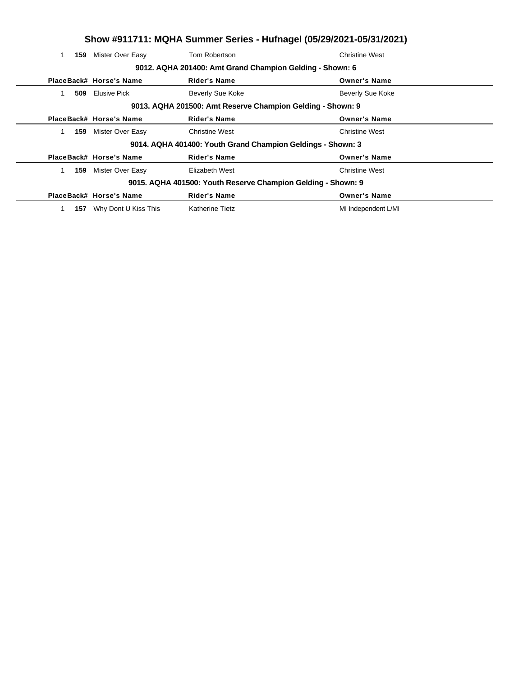|     | Show #911711: MQHA Summer Series - Hufnagel (05/29/2021-05/31/2021) |                                                             |                         |  |  |  |
|-----|---------------------------------------------------------------------|-------------------------------------------------------------|-------------------------|--|--|--|
| 159 | Mister Over Easy                                                    | Tom Robertson                                               | <b>Christine West</b>   |  |  |  |
|     |                                                                     | 9012. AQHA 201400: Amt Grand Champion Gelding - Shown: 6    |                         |  |  |  |
|     | PlaceBack# Horse's Name                                             | <b>Rider's Name</b>                                         | <b>Owner's Name</b>     |  |  |  |
| 509 | <b>Elusive Pick</b>                                                 | Beverly Sue Koke                                            | <b>Beverly Sue Koke</b> |  |  |  |
|     | 9013. AQHA 201500: Amt Reserve Champion Gelding - Shown: 9          |                                                             |                         |  |  |  |
|     | PlaceBack# Horse's Name                                             | <b>Rider's Name</b>                                         | <b>Owner's Name</b>     |  |  |  |
| 159 | Mister Over Easy                                                    | <b>Christine West</b>                                       | <b>Christine West</b>   |  |  |  |
|     |                                                                     | 9014. AQHA 401400: Youth Grand Champion Geldings - Shown: 3 |                         |  |  |  |
|     | PlaceBack# Horse's Name                                             | <b>Rider's Name</b>                                         | <b>Owner's Name</b>     |  |  |  |
| 159 | Mister Over Easy                                                    | Elizabeth West                                              | <b>Christine West</b>   |  |  |  |
|     | 9015. AQHA 401500: Youth Reserve Champion Gelding - Shown: 9        |                                                             |                         |  |  |  |
|     | PlaceBack# Horse's Name                                             | <b>Rider's Name</b>                                         | <b>Owner's Name</b>     |  |  |  |
| 157 | Why Dont U Kiss This                                                | <b>Katherine Tietz</b>                                      | MI Independent L/MI     |  |  |  |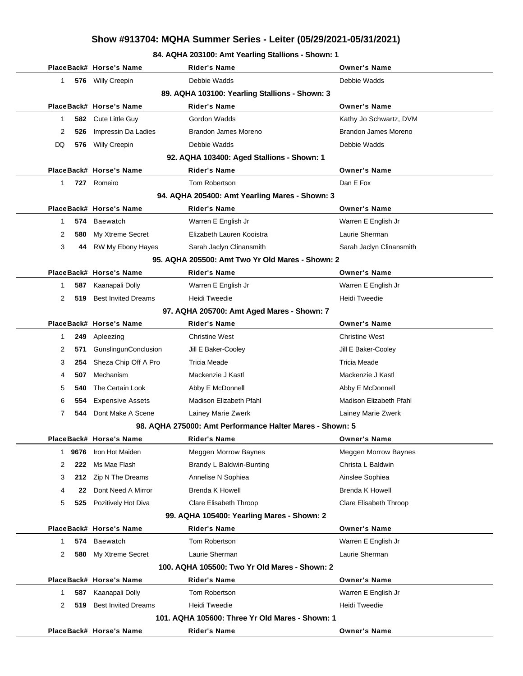#### **84. AQHA 203100: Amt Yearling Stallions - Shown: 1**

|                                                | PlaceBack# Horse's Name    | <b>Rider's Name</b>                                      | <b>Owner's Name</b>         |  |  |  |  |
|------------------------------------------------|----------------------------|----------------------------------------------------------|-----------------------------|--|--|--|--|
| 1                                              | 576 Willy Creepin          | Debbie Wadds                                             | Debbie Wadds                |  |  |  |  |
| 89. AQHA 103100: Yearling Stallions - Shown: 3 |                            |                                                          |                             |  |  |  |  |
|                                                | PlaceBack# Horse's Name    | <b>Rider's Name</b>                                      | <b>Owner's Name</b>         |  |  |  |  |
| 1                                              | 582 Cute Little Guy        | Gordon Wadds                                             | Kathy Jo Schwartz, DVM      |  |  |  |  |
| 2<br>526                                       | Impressin Da Ladies        | Brandon James Moreno                                     | Brandon James Moreno        |  |  |  |  |
| DQ<br>576                                      | <b>Willy Creepin</b>       | Debbie Wadds                                             | Debbie Wadds                |  |  |  |  |
|                                                |                            | 92. AQHA 103400: Aged Stallions - Shown: 1               |                             |  |  |  |  |
|                                                | PlaceBack# Horse's Name    | <b>Rider's Name</b>                                      | <b>Owner's Name</b>         |  |  |  |  |
| 1                                              | 727 Romeiro                | Tom Robertson                                            | Dan E Fox                   |  |  |  |  |
|                                                |                            | 94. AQHA 205400: Amt Yearling Mares - Shown: 3           |                             |  |  |  |  |
|                                                | PlaceBack# Horse's Name    | <b>Rider's Name</b>                                      | <b>Owner's Name</b>         |  |  |  |  |
| 574<br>1                                       | Baewatch                   | Warren E English Jr                                      | Warren E English Jr         |  |  |  |  |
| 2<br>580                                       | My Xtreme Secret           | Elizabeth Lauren Kooistra                                | Laurie Sherman              |  |  |  |  |
| 3<br>44                                        | RW My Ebony Hayes          | Sarah Jaclyn Clinansmith                                 | Sarah Jaclyn Clinansmith    |  |  |  |  |
|                                                |                            | 95. AQHA 205500: Amt Two Yr Old Mares - Shown: 2         |                             |  |  |  |  |
|                                                | PlaceBack# Horse's Name    | <b>Rider's Name</b>                                      | <b>Owner's Name</b>         |  |  |  |  |
| 587<br>1                                       | Kaanapali Dolly            | Warren E English Jr                                      | Warren E English Jr         |  |  |  |  |
| 2<br>519                                       | <b>Best Invited Dreams</b> | Heidi Tweedie                                            | Heidi Tweedie               |  |  |  |  |
|                                                |                            | 97. AQHA 205700: Amt Aged Mares - Shown: 7               |                             |  |  |  |  |
|                                                | PlaceBack# Horse's Name    | <b>Rider's Name</b>                                      | <b>Owner's Name</b>         |  |  |  |  |
| 249<br>1                                       | Apleezing                  | <b>Christine West</b>                                    | <b>Christine West</b>       |  |  |  |  |
| 2<br>571                                       | GunslingunConclusion       | Jill E Baker-Cooley                                      | Jill E Baker-Cooley         |  |  |  |  |
| 3<br>254                                       | Sheza Chip Off A Pro       | Tricia Meade                                             | Tricia Meade                |  |  |  |  |
| 507<br>4                                       | Mechanism                  | Mackenzie J Kastl                                        | Mackenzie J Kastl           |  |  |  |  |
| 5<br>540                                       | The Certain Look           | Abby E McDonnell                                         | Abby E McDonnell            |  |  |  |  |
| 6<br>554                                       | <b>Expensive Assets</b>    | Madison Elizabeth Pfahl                                  | Madison Elizabeth Pfahl     |  |  |  |  |
| 7<br>544                                       | Dont Make A Scene          | Lainey Marie Zwerk                                       | Lainey Marie Zwerk          |  |  |  |  |
|                                                |                            | 98. AQHA 275000: Amt Performance Halter Mares - Shown: 5 |                             |  |  |  |  |
|                                                | PlaceBack# Horse's Name    | <b>Rider's Name</b>                                      | <b>Owner's Name</b>         |  |  |  |  |
| 9676<br>1                                      | Iron Hot Maiden            | <b>Meggen Morrow Baynes</b>                              | <b>Meggen Morrow Baynes</b> |  |  |  |  |
| 2<br>222                                       | Ms Mae Flash               | Brandy L Baldwin-Bunting                                 | Christa L Baldwin           |  |  |  |  |
| 3<br>212                                       | Zip N The Dreams           | Annelise N Sophiea                                       | Ainslee Sophiea             |  |  |  |  |
| 4<br>22                                        | Dont Need A Mirror         | <b>Brenda K Howell</b>                                   | <b>Brenda K Howell</b>      |  |  |  |  |
| 5<br>525                                       | Pozitively Hot Diva        | Clare Elisabeth Throop                                   | Clare Elisabeth Throop      |  |  |  |  |
|                                                |                            | 99. AQHA 105400: Yearling Mares - Shown: 2               |                             |  |  |  |  |
|                                                | PlaceBack# Horse's Name    | <b>Rider's Name</b>                                      | <b>Owner's Name</b>         |  |  |  |  |
| 574<br>1                                       | <b>Baewatch</b>            | Tom Robertson                                            | Warren E English Jr         |  |  |  |  |
| 2<br>580                                       | My Xtreme Secret           | Laurie Sherman                                           | Laurie Sherman              |  |  |  |  |
|                                                |                            | 100. AQHA 105500: Two Yr Old Mares - Shown: 2            |                             |  |  |  |  |
|                                                | PlaceBack# Horse's Name    | <b>Rider's Name</b>                                      | <b>Owner's Name</b>         |  |  |  |  |
| 587<br>1                                       | Kaanapali Dolly            | Tom Robertson                                            | Warren E English Jr         |  |  |  |  |
| 2<br>519                                       | <b>Best Invited Dreams</b> | Heidi Tweedie                                            | Heidi Tweedie               |  |  |  |  |
|                                                |                            | 101. AQHA 105600: Three Yr Old Mares - Shown: 1          |                             |  |  |  |  |
|                                                | PlaceBack# Horse's Name    | <b>Rider's Name</b>                                      | <b>Owner's Name</b>         |  |  |  |  |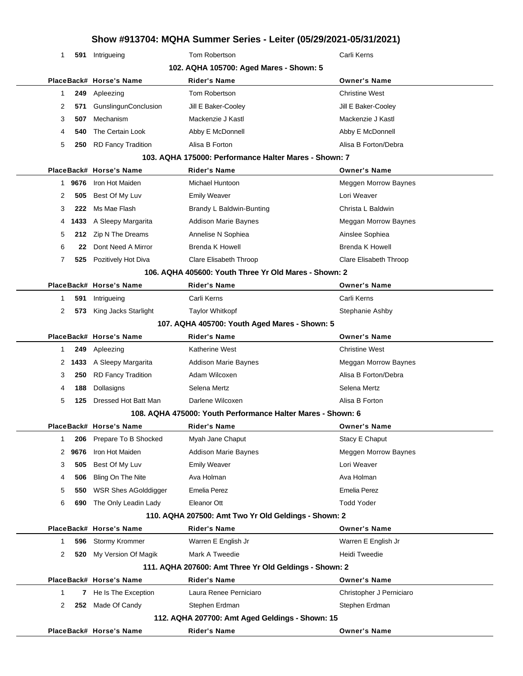| ווט איז דע זכונדער דעס ונארים די פאוויוווס ראוואר אויציווי. דע זכונדער דעסוכט |      |                             |                                                             |                             |
|-------------------------------------------------------------------------------|------|-----------------------------|-------------------------------------------------------------|-----------------------------|
| 1                                                                             |      | 591 Intrigueing             | Tom Robertson                                               | Carli Kerns                 |
|                                                                               |      |                             | 102. AQHA 105700: Aged Mares - Shown: 5                     |                             |
|                                                                               |      | PlaceBack# Horse's Name     | <b>Rider's Name</b>                                         | <b>Owner's Name</b>         |
| $\mathbf{1}$                                                                  | 249  | Apleezing                   | Tom Robertson                                               | <b>Christine West</b>       |
| 2                                                                             | 571  | GunslingunConclusion        | Jill E Baker-Cooley                                         | Jill E Baker-Cooley         |
| 3                                                                             | 507  | Mechanism                   | Mackenzie J Kastl                                           | Mackenzie J Kastl           |
| 4                                                                             | 540  | The Certain Look            | Abby E McDonnell                                            | Abby E McDonnell            |
| 5                                                                             | 250  | <b>RD Fancy Tradition</b>   | Alisa B Forton                                              | Alisa B Forton/Debra        |
|                                                                               |      |                             | 103. AQHA 175000: Performance Halter Mares - Shown: 7       |                             |
|                                                                               |      | PlaceBack# Horse's Name     | <b>Rider's Name</b>                                         | <b>Owner's Name</b>         |
| 1                                                                             | 9676 | Iron Hot Maiden             | Michael Huntoon                                             | Meggen Morrow Baynes        |
| 2                                                                             | 505  | Best Of My Luv              | <b>Emily Weaver</b>                                         | Lori Weaver                 |
| 3                                                                             | 222  | Ms Mae Flash                | Brandy L Baldwin-Bunting                                    | Christa L Baldwin           |
| 4                                                                             | 1433 | A Sleepy Margarita          | <b>Addison Marie Baynes</b>                                 | Meggan Morrow Baynes        |
| 5                                                                             | 212  | Zip N The Dreams            | Annelise N Sophiea                                          | Ainslee Sophiea             |
| 6                                                                             | 22   | Dont Need A Mirror          | Brenda K Howell                                             | <b>Brenda K Howell</b>      |
| 7                                                                             | 525  | Pozitively Hot Diva         | Clare Elisabeth Throop                                      | Clare Elisabeth Throop      |
|                                                                               |      |                             | 106. AQHA 405600: Youth Three Yr Old Mares - Shown: 2       |                             |
|                                                                               |      | PlaceBack# Horse's Name     | <b>Rider's Name</b>                                         | <b>Owner's Name</b>         |
| 1                                                                             | 591  | Intrigueing                 | Carli Kerns                                                 | Carli Kerns                 |
| 2                                                                             | 573  | King Jacks Starlight        | <b>Taylor Whitkopf</b>                                      | Stephanie Ashby             |
|                                                                               |      |                             | 107. AQHA 405700: Youth Aged Mares - Shown: 5               |                             |
|                                                                               |      | PlaceBack# Horse's Name     | <b>Rider's Name</b>                                         | <b>Owner's Name</b>         |
| 1                                                                             | 249  | Apleezing                   | <b>Katherine West</b>                                       | <b>Christine West</b>       |
| 2                                                                             | 1433 | A Sleepy Margarita          | <b>Addison Marie Baynes</b>                                 | Meggan Morrow Baynes        |
| 3                                                                             | 250  | <b>RD Fancy Tradition</b>   | Adam Wilcoxen                                               | Alisa B Forton/Debra        |
| 4                                                                             | 188  | Dollasigns                  | Selena Mertz                                                | Selena Mertz                |
| 5                                                                             | 125  | Dressed Hot Batt Man        | Darlene Wilcoxen                                            | Alisa B Forton              |
|                                                                               |      |                             | 108. AQHA 475000: Youth Performance Halter Mares - Shown: 6 |                             |
|                                                                               |      | PlaceBack# Horse's Name     | Rider's Name                                                | <b>Owner's Name</b>         |
| 1                                                                             | 206  | Prepare To B Shocked        | Myah Jane Chaput                                            | Stacy E Chaput              |
| 2                                                                             | 9676 | Iron Hot Maiden             | <b>Addison Marie Baynes</b>                                 | <b>Meggen Morrow Baynes</b> |
| 3                                                                             | 505  | Best Of My Luv              | <b>Emily Weaver</b>                                         | Lori Weaver                 |
| 4                                                                             | 506  | Bling On The Nite           | Ava Holman                                                  | Ava Holman                  |
| 5                                                                             | 550  | <b>WSR Shes AGolddigger</b> | <b>Emelia Perez</b>                                         | Emelia Perez                |
| 6                                                                             | 690  | The Only Leadin Lady        | Eleanor Ott                                                 | <b>Todd Yoder</b>           |
|                                                                               |      |                             | 110. AQHA 207500: Amt Two Yr Old Geldings - Shown: 2        |                             |
|                                                                               |      | PlaceBack# Horse's Name     | <b>Rider's Name</b>                                         | <b>Owner's Name</b>         |
| 1                                                                             | 596  | Stormy Krommer              | Warren E English Jr                                         | Warren E English Jr         |
| 2                                                                             | 520  | My Version Of Magik         | Mark A Tweedie                                              | Heidi Tweedie               |
|                                                                               |      |                             | 111. AQHA 207600: Amt Three Yr Old Geldings - Shown: 2      |                             |
|                                                                               |      | PlaceBack# Horse's Name     | <b>Rider's Name</b>                                         | <b>Owner's Name</b>         |
| $\mathbf{1}$                                                                  |      | 7 He Is The Exception       | Laura Renee Perniciaro                                      | Christopher J Perniciaro    |
| 2                                                                             | 252  | Made Of Candy               | Stephen Erdman                                              | Stephen Erdman              |
|                                                                               |      |                             | 112. AQHA 207700: Amt Aged Geldings - Shown: 15             |                             |
|                                                                               |      | PlaceBack# Horse's Name     | <b>Rider's Name</b>                                         | <b>Owner's Name</b>         |
|                                                                               |      |                             |                                                             |                             |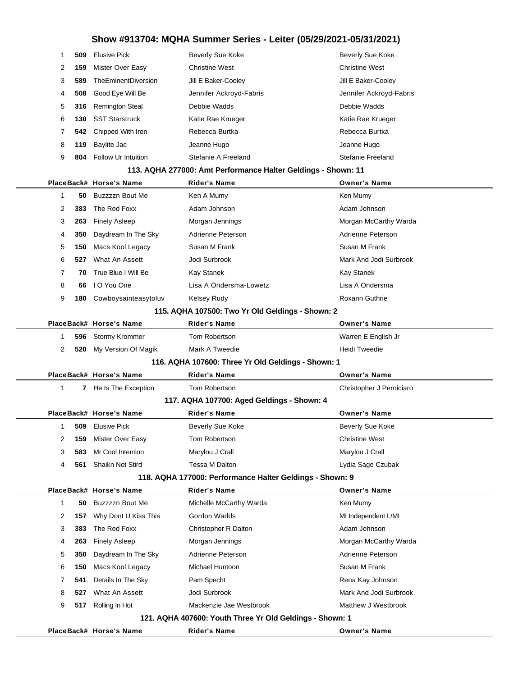| 1            | 509                                                      | <b>Elusive Pick</b>     | <b>Beverly Sue Koke</b>                                       | <b>Beverly Sue Koke</b>  |  |  |  |
|--------------|----------------------------------------------------------|-------------------------|---------------------------------------------------------------|--------------------------|--|--|--|
| 2            | 159                                                      | Mister Over Easy        | <b>Christine West</b>                                         | <b>Christine West</b>    |  |  |  |
| 3            | 589                                                      | TheEminentDiversion     | Jill E Baker-Cooley                                           | Jill E Baker-Cooley      |  |  |  |
| 4            | 508                                                      | Good Eye Will Be        | Jennifer Ackroyd-Fabris                                       | Jennifer Ackroyd-Fabris  |  |  |  |
| 5            | 316                                                      | <b>Remington Steal</b>  | Debbie Wadds                                                  | Debbie Wadds             |  |  |  |
| 6            | 130                                                      | <b>SST Starstruck</b>   | Katie Rae Krueger                                             | Katie Rae Krueger        |  |  |  |
| 7            | 542                                                      | Chipped With Iron       | Rebecca Burtka                                                | Rebecca Burtka           |  |  |  |
| 8            | 119                                                      | Baylite Jac             | Jeanne Hugo                                                   | Jeanne Hugo              |  |  |  |
| 9            | 804                                                      | Follow Ur Intuition     | Stefanie A Freeland                                           | Stefanie Freeland        |  |  |  |
|              |                                                          |                         | 113. AQHA 277000: Amt Performance Halter Geldings - Shown: 11 |                          |  |  |  |
|              |                                                          | PlaceBack# Horse's Name | <b>Rider's Name</b>                                           | <b>Owner's Name</b>      |  |  |  |
| 1            | 50                                                       | Buzzzzn Bout Me         | Ken A Mumy                                                    | Ken Mumy                 |  |  |  |
| 2            | 383                                                      | The Red Foxx            | Adam Johnson                                                  | Adam Johnson             |  |  |  |
| 3            | 263                                                      | <b>Finely Asleep</b>    | Morgan Jennings                                               | Morgan McCarthy Warda    |  |  |  |
| 4            | 350                                                      | Daydream In The Sky     | Adrienne Peterson                                             | Adrienne Peterson        |  |  |  |
| 5            | 150                                                      | Macs Kool Legacy        | Susan M Frank                                                 | Susan M Frank            |  |  |  |
| 6            | 527                                                      | What An Assett          | Jodi Surbrook                                                 | Mark And Jodi Surbrook   |  |  |  |
| 7            | 70                                                       | True Blue I Will Be     | Kay Stanek                                                    | Kay Stanek               |  |  |  |
| 8            | 66                                                       | I O You One             | Lisa A Ondersma-Lowetz                                        | Lisa A Ondersma          |  |  |  |
| 9            | 180                                                      | Cowboysainteasytoluv    | <b>Kelsey Rudy</b>                                            | <b>Roxann Guthrie</b>    |  |  |  |
|              |                                                          |                         | 115. AQHA 107500: Two Yr Old Geldings - Shown: 2              |                          |  |  |  |
|              |                                                          | PlaceBack# Horse's Name | <b>Rider's Name</b>                                           | <b>Owner's Name</b>      |  |  |  |
| 1            | 596                                                      | <b>Stormy Krommer</b>   | Tom Robertson                                                 | Warren E English Jr      |  |  |  |
| 2            | 520                                                      | My Version Of Magik     | Mark A Tweedie                                                | Heidi Tweedie            |  |  |  |
|              |                                                          |                         | 116. AQHA 107600: Three Yr Old Geldings - Shown: 1            |                          |  |  |  |
|              |                                                          | PlaceBack# Horse's Name | <b>Rider's Name</b>                                           | <b>Owner's Name</b>      |  |  |  |
| $\mathbf 1$  |                                                          | 7 He Is The Exception   | Tom Robertson                                                 | Christopher J Perniciaro |  |  |  |
|              |                                                          |                         | 117. AQHA 107700: Aged Geldings - Shown: 4                    |                          |  |  |  |
|              |                                                          | PlaceBack# Horse's Name | <b>Rider's Name</b>                                           | <b>Owner's Name</b>      |  |  |  |
| 1            | 509                                                      | <b>Elusive Pick</b>     | Beverly Sue Koke                                              | <b>Beverly Sue Koke</b>  |  |  |  |
| 2            | 159                                                      | Mister Over Easy        | Tom Robertson                                                 | Christine West           |  |  |  |
| 3            | 583                                                      | Mr Cool Intention       | Marylou J Crall                                               | Marylou J Crall          |  |  |  |
| 4            | 561                                                      | Shaikn Not Stird        | Tessa M Dalton                                                | Lydia Sage Czubak        |  |  |  |
|              | 118. AQHA 177000: Performance Halter Geldings - Shown: 9 |                         |                                                               |                          |  |  |  |
|              |                                                          | PlaceBack# Horse's Name | <b>Rider's Name</b>                                           | <b>Owner's Name</b>      |  |  |  |
| $\mathbf{1}$ | 50                                                       | Buzzzzn Bout Me         | Michelle McCarthy Warda                                       | Ken Mumy                 |  |  |  |
| 2            | 157                                                      | Why Dont U Kiss This    | Gordon Wadds                                                  | MI Independent L/MI      |  |  |  |
| 3            | 383                                                      | The Red Foxx            | Christopher R Dalton                                          | Adam Johnson             |  |  |  |
| 4            | 263                                                      | <b>Finely Asleep</b>    | Morgan Jennings                                               | Morgan McCarthy Warda    |  |  |  |
| 5            | 350                                                      | Daydream In The Sky     | Adrienne Peterson                                             | Adrienne Peterson        |  |  |  |
| 6            | 150                                                      | Macs Kool Legacy        | Michael Huntoon                                               | Susan M Frank            |  |  |  |
| 7            | 541                                                      | Details In The Sky      | Pam Specht                                                    | Rena Kay Johnson         |  |  |  |
| 8            | 527                                                      | What An Assett          | Jodi Surbrook                                                 | Mark And Jodi Surbrook   |  |  |  |
| 9            | 517                                                      | Rolling In Hot          | Mackenzie Jae Westbrook                                       | Matthew J Westbrook      |  |  |  |
|              |                                                          |                         | 121. AQHA 407600: Youth Three Yr Old Geldings - Shown: 1      |                          |  |  |  |
|              |                                                          | PlaceBack# Horse's Name | Rider's Name                                                  | <b>Owner's Name</b>      |  |  |  |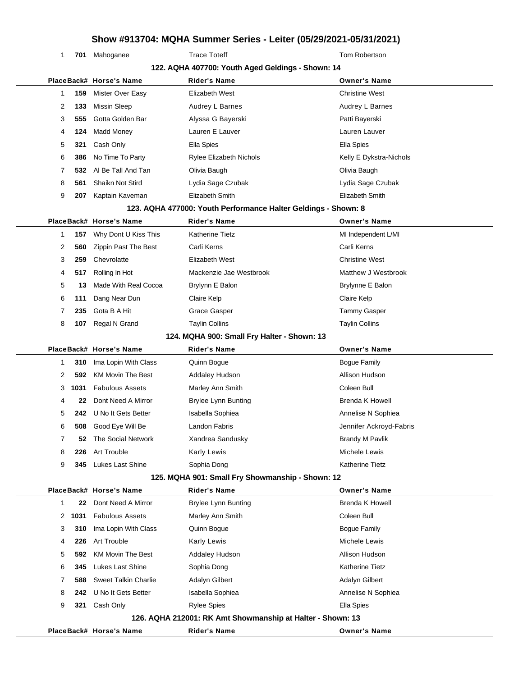1 701 Mahoganee Trace Toteff Trace Tote Tote Tom Robertson

|   |      |                             | 122. AQHA 407700: Youth Aged Geldings - Shown: 14              |                         |
|---|------|-----------------------------|----------------------------------------------------------------|-------------------------|
|   |      | PlaceBack# Horse's Name     | <b>Rider's Name</b>                                            | <b>Owner's Name</b>     |
| 1 | 159  | Mister Over Easy            | Elizabeth West                                                 | <b>Christine West</b>   |
| 2 | 133  | <b>Missin Sleep</b>         | Audrey L Barnes                                                | Audrey L Barnes         |
| 3 | 555  | Gotta Golden Bar            | Alyssa G Bayerski                                              | Patti Bayerski          |
| 4 | 124  | Madd Money                  | Lauren E Lauver                                                | Lauren Lauver           |
| 5 | 321  | Cash Only                   | Ella Spies                                                     | Ella Spies              |
| 6 | 386  | No Time To Party            | <b>Rylee Elizabeth Nichols</b>                                 | Kelly E Dykstra-Nichols |
| 7 | 532  | Al Be Tall And Tan          | Olivia Baugh                                                   | Olivia Baugh            |
| 8 | 561  | Shaikn Not Stird            | Lydia Sage Czubak                                              | Lydia Sage Czubak       |
| 9 | 207  | Kaptain Kaveman             | Elizabeth Smith                                                | Elizabeth Smith         |
|   |      |                             | 123. AQHA 477000: Youth Performance Halter Geldings - Shown: 8 |                         |
|   |      | PlaceBack# Horse's Name     | <b>Rider's Name</b>                                            | <b>Owner's Name</b>     |
| 1 | 157  | Why Dont U Kiss This        | <b>Katherine Tietz</b>                                         | MI Independent L/MI     |
| 2 | 560  | Zippin Past The Best        | Carli Kerns                                                    | Carli Kerns             |
| 3 | 259  | Chevrolatte                 | Elizabeth West                                                 | <b>Christine West</b>   |
| 4 | 517  | Rolling In Hot              | Mackenzie Jae Westbrook                                        | Matthew J Westbrook     |
| 5 | 13   | Made With Real Cocoa        | Brylynn E Balon                                                | Brylynne E Balon        |
| 6 | 111  | Dang Near Dun               | Claire Kelp                                                    | Claire Kelp             |
| 7 | 235  | Gota B A Hit                | Grace Gasper                                                   | Tammy Gasper            |
| 8 | 107  | Regal N Grand               | <b>Taylin Collins</b>                                          | <b>Taylin Collins</b>   |
|   |      |                             | 124. MQHA 900: Small Fry Halter - Shown: 13                    |                         |
|   |      | PlaceBack# Horse's Name     | <b>Rider's Name</b>                                            | <b>Owner's Name</b>     |
| 1 | 310  | Ima Lopin With Class        | Quinn Bogue                                                    | <b>Bogue Family</b>     |
| 2 | 592  | <b>KM Movin The Best</b>    | <b>Addaley Hudson</b>                                          | Allison Hudson          |
| 3 | 1031 | <b>Fabulous Assets</b>      | Marley Ann Smith                                               | Coleen Bull             |
| 4 | 22   | Dont Need A Mirror          | <b>Brylee Lynn Bunting</b>                                     | <b>Brenda K Howell</b>  |
| 5 | 242  | U No It Gets Better         | Isabella Sophiea                                               | Annelise N Sophiea      |
| 6 | 508  | Good Eye Will Be            | Landon Fabris                                                  | Jennifer Ackroyd-Fabris |
| 7 | 52   | The Social Network          | Xandrea Sandusky                                               | <b>Brandy M Pavlik</b>  |
| 8 | 226  | Art Trouble                 | Karly Lewis                                                    | Michele Lewis           |
| 9 | 345  | <b>Lukes Last Shine</b>     | Sophia Dong                                                    | Katherine Tietz         |
|   |      |                             | 125. MQHA 901: Small Fry Showmanship - Shown: 12               |                         |
|   |      | PlaceBack# Horse's Name     | Rider's Name                                                   | <b>Owner's Name</b>     |
| 1 | 22   | Dont Need A Mirror          | <b>Brylee Lynn Bunting</b>                                     | Brenda K Howell         |
| 2 | 1031 | <b>Fabulous Assets</b>      | Marley Ann Smith                                               | Coleen Bull             |
| 3 | 310  | Ima Lopin With Class        | Quinn Bogue                                                    | <b>Bogue Family</b>     |
| 4 | 226  | Art Trouble                 | <b>Karly Lewis</b>                                             | Michele Lewis           |
| 5 | 592  | <b>KM Movin The Best</b>    | <b>Addaley Hudson</b>                                          | Allison Hudson          |
| 6 | 345  | <b>Lukes Last Shine</b>     | Sophia Dong                                                    | <b>Katherine Tietz</b>  |
| 7 | 588  | <b>Sweet Talkin Charlie</b> | Adalyn Gilbert                                                 | Adalyn Gilbert          |
| 8 | 242  | U No It Gets Better         | Isabella Sophiea                                               | Annelise N Sophiea      |
| 9 | 321  | Cash Only                   | <b>Rylee Spies</b>                                             | Ella Spies              |
|   |      |                             | 126. AQHA 212001: RK Amt Showmanship at Halter - Shown: 13     |                         |
|   |      | PlaceBack# Horse's Name     | <b>Rider's Name</b>                                            | <b>Owner's Name</b>     |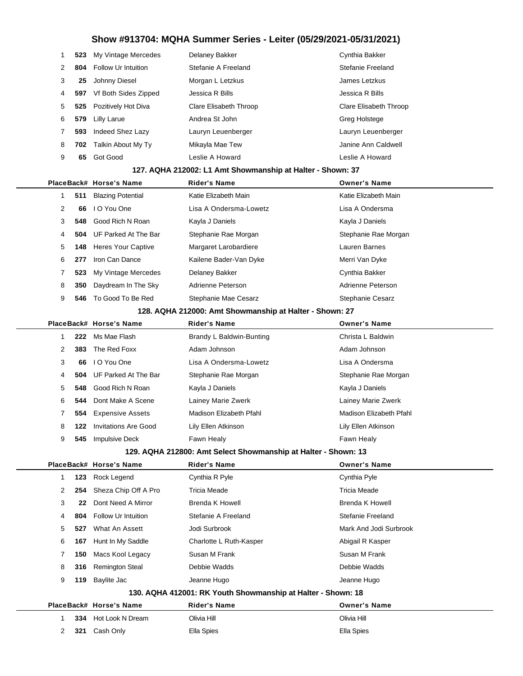|   |     | 523 My Vintage Mercedes | Delaney Bakker         | Cynthia Bakker         |
|---|-----|-------------------------|------------------------|------------------------|
| 2 |     | 804 Follow Ur Intuition | Stefanie A Freeland    | Stefanie Freeland      |
| 3 | 25  | Johnny Diesel           | Morgan L Letzkus       | James Letzkus          |
| 4 | 597 | Vf Both Sides Zipped    | Jessica R Bills        | Jessica R Bills        |
| 5 |     | 525 Pozitively Hot Diva | Clare Elisabeth Throop | Clare Elisabeth Throop |
| 6 | 579 | Lilly Larue             | Andrea St John         | Greg Holstege          |
|   | 593 | Indeed Shez Lazy        | Lauryn Leuenberger     | Lauryn Leuenberger     |
| 8 |     | 702 Talkin About My Ty  | Mikayla Mae Tew        | Janine Ann Caldwell    |
| 9 | 65  | Got Good                | Leslie A Howard        | Leslie A Howard        |
|   |     |                         |                        |                        |

#### **127. AQHA 212002: L1 Amt Showmanship at Halter - Shown: 37**

|   |     | PlaceBack# Horse's Name   | <b>Rider's Name</b>    | <b>Owner's Name</b>  |
|---|-----|---------------------------|------------------------|----------------------|
|   | 511 | <b>Blazing Potential</b>  | Katie Elizabeth Main   | Katie Elizabeth Main |
| 2 | 66  | I O You One               | Lisa A Ondersma-Lowetz | Lisa A Ondersma      |
| 3 | 548 | Good Rich N Roan          | Kayla J Daniels        | Kayla J Daniels      |
| 4 | 504 | UF Parked At The Bar      | Stephanie Rae Morgan   | Stephanie Rae Morgan |
| 5 | 148 | <b>Heres Your Captive</b> | Margaret Larobardiere  | Lauren Barnes        |
| 6 | 277 | Iron Can Dance            | Kailene Bader-Van Dyke | Merri Van Dyke       |
|   | 523 | My Vintage Mercedes       | Delaney Bakker         | Cynthia Bakker       |
| 8 | 350 | Daydream In The Sky       | Adrienne Peterson      | Adrienne Peterson    |
| 9 | 546 | To Good To Be Red         | Stephanie Mae Cesarz   | Stephanie Cesarz     |
|   |     |                           |                        |                      |

#### **128. AQHA 212000: Amt Showmanship at Halter - Shown: 27**

|   |     | PlaceBack# Horse's Name | <b>Rider's Name</b>                                                         | <b>Owner's Name</b>     |
|---|-----|-------------------------|-----------------------------------------------------------------------------|-------------------------|
|   | 222 | Ms Mae Flash            | Brandy L Baldwin-Bunting                                                    | Christa L Baldwin       |
| 2 | 383 | The Red Foxx            | Adam Johnson                                                                | Adam Johnson            |
| 3 | 66  | I O You One             | Lisa A Ondersma-Lowetz                                                      | Lisa A Ondersma         |
| 4 | 504 | UF Parked At The Bar    | Stephanie Rae Morgan                                                        | Stephanie Rae Morgan    |
| 5 | 548 | Good Rich N Roan        | Kayla J Daniels                                                             | Kayla J Daniels         |
| 6 | 544 | Dont Make A Scene       | Lainey Marie Zwerk                                                          | Lainey Marie Zwerk      |
| 7 | 554 | <b>Expensive Assets</b> | Madison Elizabeth Pfahl                                                     | Madison Elizabeth Pfahl |
| 8 | 122 | Invitations Are Good    | Lily Ellen Atkinson                                                         | Lily Ellen Atkinson     |
| 9 | 545 | <b>Impulsive Deck</b>   | Fawn Healy                                                                  | Fawn Healy              |
|   |     |                         | $100 \pm 0.0111$ $242000$ , $3m1$ $2m2$ $2m3$ $2m3$ $2m4$ $2m5$ $2m5$ $2m5$ |                         |

|                |     | PlaceBack# Horse's Name    | <b>Rider's Name</b>                                          | <b>Owner's Name</b>    |
|----------------|-----|----------------------------|--------------------------------------------------------------|------------------------|
|                | 123 | Rock Legend                | Cynthia R Pyle                                               | Cynthia Pyle           |
| $\overline{2}$ | 254 | Sheza Chip Off A Pro       | Tricia Meade                                                 | Tricia Meade           |
| 3              | 22  | Dont Need A Mirror         | Brenda K Howell                                              | Brenda K Howell        |
| 4              | 804 | <b>Follow Ur Intuition</b> | Stefanie A Freeland                                          | Stefanie Freeland      |
| 5              | 527 | What An Assett             | Jodi Surbrook                                                | Mark And Jodi Surbrook |
| 6              | 167 | Hunt In My Saddle          | Charlotte L Ruth-Kasper                                      | Abigail R Kasper       |
| 7              | 150 | Macs Kool Legacy           | Susan M Frank                                                | Susan M Frank          |
| 8              | 316 | <b>Remington Steal</b>     | Debbie Wadds                                                 | Debbie Wadds           |
| 9              | 119 | Baylite Jac                | Jeanne Hugo                                                  | Jeanne Hugo            |
|                |     |                            | 130. AQHA 412001: RK Youth Showmanship at Halter - Shown: 18 |                        |
|                |     | PlaceBack# Horse's Name    | <b>Rider's Name</b>                                          | <b>Owner's Name</b>    |
|                | 334 | Hot Look N Dream           | Olivia Hill                                                  | Olivia Hill            |
| 2              | 321 | Cash Only                  | Ella Spies                                                   | Ella Spies             |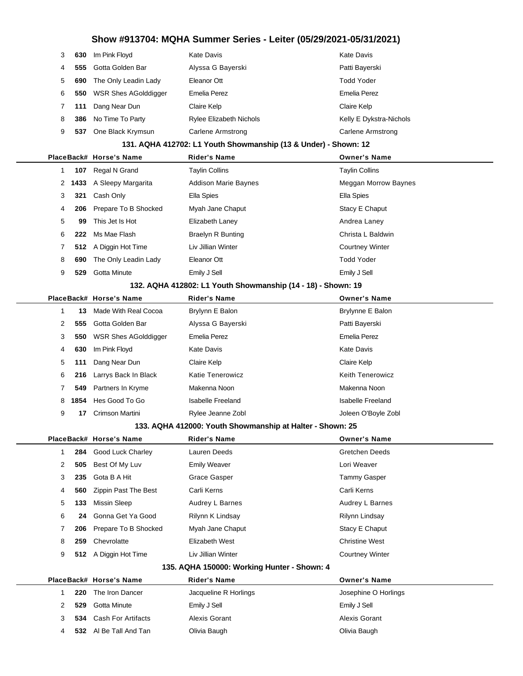| 3 | 630 | Im Pink Floyd               | Kate Davis                     | Kate Davis              |
|---|-----|-----------------------------|--------------------------------|-------------------------|
| 4 | 555 | Gotta Golden Bar            | Alyssa G Bayerski              | Patti Bayerski          |
| 5 | 690 | The Only Leadin Lady        | Eleanor Ott                    | Todd Yoder              |
| 6 | 550 | <b>WSR Shes AGolddigger</b> | Emelia Perez                   | Emelia Perez            |
|   | 111 | Dang Near Dun               | Claire Kelp                    | Claire Kelp             |
| 8 | 386 | No Time To Party            | <b>Rylee Elizabeth Nichols</b> | Kelly E Dykstra-Nichols |
| 9 | 537 | One Black Krymsun           | Carlene Armstrong              | Carlene Armstrong       |

#### **131. AQHA 412702: L1 Youth Showmanship (13 & Under) - Shown: 12**

|   |     | PlaceBack# Horse's Name   | <b>Rider's Name</b>         | <b>Owner's Name</b>    |
|---|-----|---------------------------|-----------------------------|------------------------|
|   | 107 | Regal N Grand             | <b>Taylin Collins</b>       | <b>Taylin Collins</b>  |
|   |     | 2 1433 A Sleepy Margarita | <b>Addison Marie Baynes</b> | Meggan Morrow Baynes   |
| 3 | 321 | Cash Only                 | Ella Spies                  | Ella Spies             |
| 4 | 206 | Prepare To B Shocked      | Myah Jane Chaput            | Stacy E Chaput         |
| 5 | 99  | This Jet Is Hot           | Elizabeth Laney             | Andrea Laney           |
| 6 | 222 | Ms Mae Flash              | <b>Braelyn R Bunting</b>    | Christa L Baldwin      |
|   |     | 512 A Diggin Hot Time     | Liv Jillian Winter          | <b>Courtney Winter</b> |
| 8 | 690 | The Only Leadin Lady      | Eleanor Ott                 | <b>Todd Yoder</b>      |
| 9 | 529 | Gotta Minute              | Emily J Sell                | Emily J Sell           |
|   |     |                           |                             |                        |

#### **132. AQHA 412802: L1 Youth Showmanship (14 - 18) - Shown: 19**

|   |      | PlaceBack# Horse's Name     | <b>Rider's Name</b> | <b>Owner's Name</b>     |
|---|------|-----------------------------|---------------------|-------------------------|
|   | 13   | Made With Real Cocoa        | Brylynn E Balon     | Brylynne E Balon        |
| 2 | 555  | Gotta Golden Bar            | Alyssa G Bayerski   | Patti Bayerski          |
| 3 | 550  | <b>WSR Shes AGolddigger</b> | Emelia Perez        | <b>Emelia Perez</b>     |
| 4 | 630  | Im Pink Floyd               | Kate Davis          | Kate Davis              |
| 5 | 111  | Dang Near Dun               | Claire Kelp         | Claire Kelp             |
| 6 | 216  | Larrys Back In Black        | Katie Tenerowicz    | <b>Keith Tenerowicz</b> |
|   | 549  | Partners In Kryme           | Makenna Noon        | Makenna Noon            |
| 8 | 1854 | Hes Good To Go              | Isabelle Freeland   | Isabelle Freeland       |
| 9 | 17   | Crimson Martini             | Rylee Jeanne Zobl   | Joleen O'Boyle Zobl     |

#### **133. AQHA 412000: Youth Showmanship at Halter - Shown: 25**

|   |     | PlaceBack# Horse's Name | <b>Rider's Name</b>                                                                                             | <b>Owner's Name</b>    |
|---|-----|-------------------------|-----------------------------------------------------------------------------------------------------------------|------------------------|
|   |     | 284 Good Luck Charley   | Lauren Deeds                                                                                                    | <b>Gretchen Deeds</b>  |
| 2 | 505 | Best Of My Luv          | <b>Emily Weaver</b>                                                                                             | Lori Weaver            |
| 3 | 235 | Gota B A Hit            | Grace Gasper                                                                                                    | Tammy Gasper           |
| 4 | 560 | Zippin Past The Best    | Carli Kerns                                                                                                     | Carli Kerns            |
| 5 | 133 | Missin Sleep            | Audrey L Barnes                                                                                                 | Audrey L Barnes        |
| 6 | 24  | Gonna Get Ya Good       | Rilynn K Lindsay                                                                                                | Rilynn Lindsay         |
|   | 206 | Prepare To B Shocked    | Myah Jane Chaput                                                                                                | Stacy E Chaput         |
| 8 | 259 | Chevrolatte             | Elizabeth West                                                                                                  | <b>Christine West</b>  |
| 9 | 512 | A Diggin Hot Time       | Liv Jillian Winter                                                                                              | <b>Courtney Winter</b> |
|   |     |                         | $10F - 10H + 10000$ , $M_{\text{tot}} + 1$ , $M_{\text{tot}} + 1$ , $M_{\text{tot}} - 0$ , $M_{\text{tot}} - 1$ |                        |

#### **135. AQHA 150000: Working Hunter - Shown: 4**

|     | PlaceBack# Horse's Name | <b>Rider's Name</b>   | <b>Owner's Name</b>  |
|-----|-------------------------|-----------------------|----------------------|
| 220 | The Iron Dancer         | Jacqueline R Horlings | Josephine O Horlings |
| 529 | Gotta Minute            | Emily J Sell          | Emily J Sell         |
|     | 534 Cash For Artifacts  | Alexis Gorant         | Alexis Gorant        |
|     | 532 Al Be Tall And Tan  | Olivia Baugh          | Olivia Baugh         |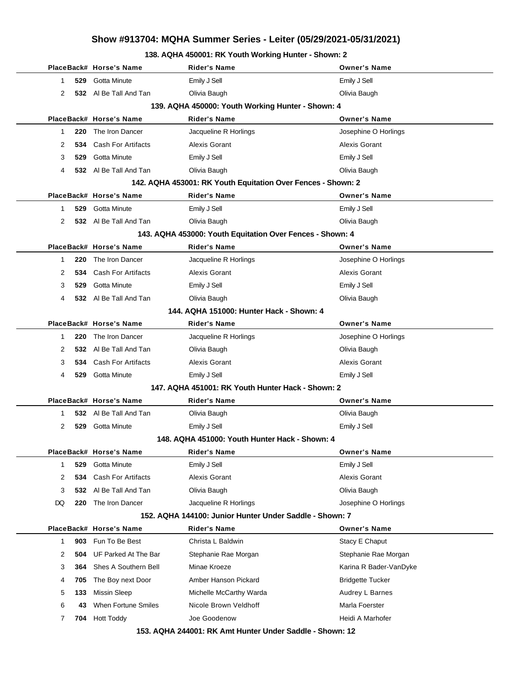### **138. AQHA 450001: RK Youth Working Hunter - Shown: 2**

|    |     | PlaceBack# Horse's Name   | Rider's Name                                                 | <b>Owner's Name</b>     |
|----|-----|---------------------------|--------------------------------------------------------------|-------------------------|
| 1  | 529 | <b>Gotta Minute</b>       | Emily J Sell                                                 | Emily J Sell            |
| 2  |     | 532 Al Be Tall And Tan    | Olivia Baugh                                                 | Olivia Baugh            |
|    |     |                           | 139. AQHA 450000: Youth Working Hunter - Shown: 4            |                         |
|    |     | PlaceBack# Horse's Name   | Rider's Name                                                 | <b>Owner's Name</b>     |
| 1  | 220 | The Iron Dancer           | Jacqueline R Horlings                                        | Josephine O Horlings    |
| 2  | 534 | <b>Cash For Artifacts</b> | Alexis Gorant                                                | <b>Alexis Gorant</b>    |
| 3  | 529 | Gotta Minute              | Emily J Sell                                                 | Emily J Sell            |
| 4  |     | 532 Al Be Tall And Tan    | Olivia Baugh                                                 | Olivia Baugh            |
|    |     |                           | 142. AQHA 453001: RK Youth Equitation Over Fences - Shown: 2 |                         |
|    |     | PlaceBack# Horse's Name   | <b>Rider's Name</b>                                          | <b>Owner's Name</b>     |
| 1  | 529 | <b>Gotta Minute</b>       | Emily J Sell                                                 | Emily J Sell            |
| 2  |     | 532 Al Be Tall And Tan    | Olivia Baugh                                                 | Olivia Baugh            |
|    |     |                           | 143. AQHA 453000: Youth Equitation Over Fences - Shown: 4    |                         |
|    |     | PlaceBack# Horse's Name   | <b>Rider's Name</b>                                          | <b>Owner's Name</b>     |
| 1  | 220 | The Iron Dancer           | Jacqueline R Horlings                                        | Josephine O Horlings    |
| 2  | 534 | <b>Cash For Artifacts</b> | Alexis Gorant                                                | Alexis Gorant           |
| 3  | 529 | <b>Gotta Minute</b>       | Emily J Sell                                                 | Emily J Sell            |
| 4  |     | 532 Al Be Tall And Tan    | Olivia Baugh                                                 | Olivia Baugh            |
|    |     |                           | 144. AQHA 151000: Hunter Hack - Shown: 4                     |                         |
|    |     | PlaceBack# Horse's Name   | Rider's Name                                                 | <b>Owner's Name</b>     |
| 1  | 220 | The Iron Dancer           | Jacqueline R Horlings                                        | Josephine O Horlings    |
| 2  | 532 | AI Be Tall And Tan        | Olivia Baugh                                                 | Olivia Baugh            |
| 3  | 534 | <b>Cash For Artifacts</b> | Alexis Gorant                                                | Alexis Gorant           |
| 4  | 529 | Gotta Minute              | Emily J Sell                                                 | Emily J Sell            |
|    |     |                           | 147. AQHA 451001: RK Youth Hunter Hack - Shown: 2            |                         |
|    |     | PlaceBack# Horse's Name   | Rider's Name                                                 | <b>Owner's Name</b>     |
| 1  | 532 | AI Be Tall And Tan        | Olivia Baugh                                                 | Olivia Baugh            |
| 2  | 529 | Gotta Minute              | Emily J Sell                                                 | Emily J Sell            |
|    |     |                           | 148. AQHA 451000: Youth Hunter Hack - Shown: 4               |                         |
|    |     | PlaceBack# Horse's Name   | Rider's Name                                                 | <b>Owner's Name</b>     |
| 1  | 529 | Gotta Minute              | Emily J Sell                                                 | Emily J Sell            |
| 2  | 534 | <b>Cash For Artifacts</b> | Alexis Gorant                                                | <b>Alexis Gorant</b>    |
| 3  | 532 | Al Be Tall And Tan        | Olivia Baugh                                                 | Olivia Baugh            |
| DQ | 220 | The Iron Dancer           | Jacqueline R Horlings                                        | Josephine O Horlings    |
|    |     |                           | 152. AQHA 144100: Junior Hunter Under Saddle - Shown: 7      |                         |
|    |     | PlaceBack# Horse's Name   | <b>Rider's Name</b>                                          | <b>Owner's Name</b>     |
| 1  | 903 | Fun To Be Best            | Christa L Baldwin                                            | Stacy E Chaput          |
| 2  | 504 | UF Parked At The Bar      | Stephanie Rae Morgan                                         | Stephanie Rae Morgan    |
| 3  | 364 | Shes A Southern Bell      | Minae Kroeze                                                 | Karina R Bader-VanDyke  |
| 4  | 705 | The Boy next Door         | Amber Hanson Pickard                                         | <b>Bridgette Tucker</b> |
| 5  | 133 | <b>Missin Sleep</b>       | Michelle McCarthy Warda                                      | Audrey L Barnes         |
| 6  | 43  | When Fortune Smiles       | Nicole Brown Veldhoff                                        | Marla Foerster          |
| 7  | 704 | <b>Hott Toddy</b>         | Joe Goodenow                                                 | Heidi A Marhofer        |
|    |     |                           | 152 AOUA 244004, DK Amt Hunter Hoder Coddle, Chourn 12       |                         |

**153. AQHA 244001: RK Amt Hunter Under Saddle - Shown: 12**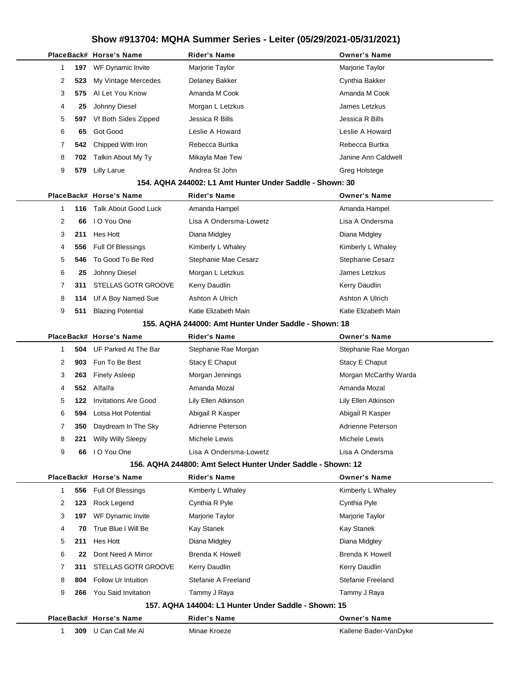|   |     | PlaceBack# Horse's Name     | <b>Rider's Name</b>                                          | <b>Owner's Name</b>      |
|---|-----|-----------------------------|--------------------------------------------------------------|--------------------------|
| 1 | 197 | WF Dynamic Invite           | Marjorie Taylor                                              | Marjorie Taylor          |
| 2 | 523 | My Vintage Mercedes         | Delaney Bakker                                               | Cynthia Bakker           |
| 3 | 575 | Al Let You Know             | Amanda M Cook                                                | Amanda M Cook            |
| 4 | 25  | Johnny Diesel               | Morgan L Letzkus                                             | James Letzkus            |
| 5 | 597 | Vf Both Sides Zipped        | Jessica R Bills                                              | Jessica R Bills          |
| 6 | 65  | Got Good                    | Leslie A Howard                                              | Leslie A Howard          |
| 7 | 542 | Chipped With Iron           | Rebecca Burtka                                               | Rebecca Burtka           |
| 8 | 702 | Talkin About My Ty          | Mikayla Mae Tew                                              | Janine Ann Caldwell      |
| 9 | 579 | <b>Lilly Larue</b>          | Andrea St John                                               | Greg Holstege            |
|   |     |                             | 154, AQHA 244002: L1 Amt Hunter Under Saddle - Shown: 30     |                          |
|   |     | PlaceBack# Horse's Name     | <b>Rider's Name</b>                                          | <b>Owner's Name</b>      |
| 1 | 116 | <b>Talk About Good Luck</b> | Amanda Hampel                                                | Amanda Hampel            |
| 2 | 66  | I O You One                 | Lisa A Ondersma-Lowetz                                       | Lisa A Ondersma          |
| 3 | 211 | Hes Hott                    | Diana Midgley                                                | Diana Midgley            |
| 4 | 556 | Full Of Blessings           | Kimberly L Whaley                                            | Kimberly L Whaley        |
| 5 | 546 | To Good To Be Red           | Stephanie Mae Cesarz                                         | <b>Stephanie Cesarz</b>  |
| 6 | 25  | Johnny Diesel               | Morgan L Letzkus                                             | James Letzkus            |
| 7 | 311 | STELLAS GOTR GROOVE         | Kerry Daudlin                                                | Kerry Daudlin            |
| 8 | 114 | Uf A Boy Named Sue          | Ashton A Ulrich                                              | Ashton A Ulrich          |
| 9 | 511 | <b>Blazing Potential</b>    | Katie Elizabeth Main                                         | Katie Elizabeth Main     |
|   |     |                             | 155. AQHA 244000: Amt Hunter Under Saddle - Shown: 18        |                          |
|   |     | PlaceBack# Horse's Name     | <b>Rider's Name</b>                                          | <b>Owner's Name</b>      |
| 1 | 504 | UF Parked At The Bar        | Stephanie Rae Morgan                                         | Stephanie Rae Morgan     |
| 2 | 903 | Fun To Be Best              | Stacy E Chaput                                               | Stacy E Chaput           |
| 3 | 263 | <b>Finely Asleep</b>        | Morgan Jennings                                              | Morgan McCarthy Warda    |
| 4 | 552 | Alfalfa                     | Amanda Mozal                                                 | Amanda Mozal             |
| 5 | 122 | <b>Invitations Are Good</b> | Lily Ellen Atkinson                                          | Lily Ellen Atkinson      |
| 6 | 594 | Lotsa Hot Potential         | Abigail R Kasper                                             | Abigail R Kasper         |
| 7 | 350 | Daydream In The Sky         | Adrienne Peterson                                            | Adrienne Peterson        |
| 8 | 221 | Willy Willy Sleepy          | Michele Lewis                                                | Michele Lewis            |
| 9 | 66  | I O You One                 | Lisa A Ondersma-Lowetz                                       | Lisa A Ondersma          |
|   |     |                             | 156. AQHA 244800: Amt Select Hunter Under Saddle - Shown: 12 |                          |
|   |     | PlaceBack# Horse's Name     | Rider's Name                                                 | <b>Owner's Name</b>      |
| 1 | 556 | Full Of Blessings           | Kimberly L Whaley                                            | Kimberly L Whaley        |
| 2 | 123 | Rock Legend                 | Cynthia R Pyle                                               | Cynthia Pyle             |
| 3 | 197 | WF Dynamic Invite           | Marjorie Taylor                                              | Marjorie Taylor          |
| 4 | 70  | True Blue I Will Be         | <b>Kay Stanek</b>                                            | Kay Stanek               |
| 5 | 211 | Hes Hott                    | Diana Midgley                                                | Diana Midgley            |
| 6 | 22  | Dont Need A Mirror          | <b>Brenda K Howell</b>                                       | <b>Brenda K Howell</b>   |
| 7 | 311 | STELLAS GOTR GROOVE         | Kerry Daudlin                                                | Kerry Daudlin            |
| 8 | 804 | Follow Ur Intuition         | Stefanie A Freeland                                          | <b>Stefanie Freeland</b> |
| 9 | 266 | You Said Invitation         | Tammy J Raya                                                 | Tammy J Raya             |
|   |     |                             | 157. AQHA 144004: L1 Hunter Under Saddle - Shown: 15         |                          |
|   |     | PlaceBack# Horse's Name     | <b>Rider's Name</b>                                          | <b>Owner's Name</b>      |
| 1 |     | 309 U Can Call Me Al        | Minae Kroeze                                                 | Kailene Bader-VanDyke    |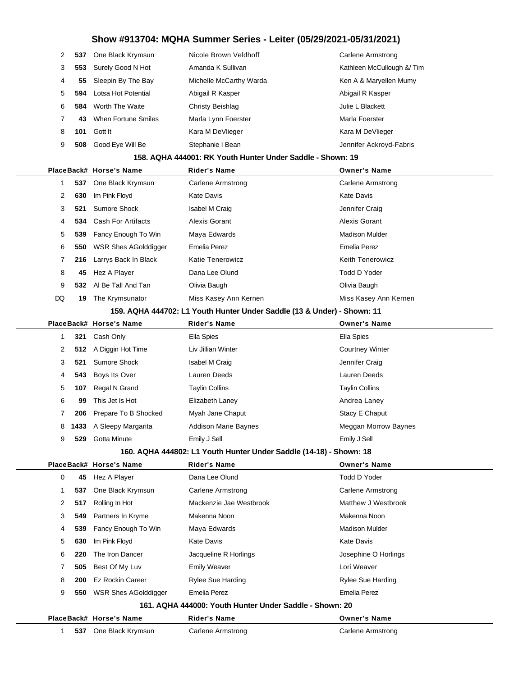| 2              | 537 | One Black Krymsun     | Nicole Brown Veldhoff   | Carlene Armstrong         |
|----------------|-----|-----------------------|-------------------------|---------------------------|
| 3              | 553 | Surely Good N Hot     | Amanda K Sullivan       | Kathleen McCullough & Tim |
| $\overline{4}$ |     | 55 Sleepin By The Bay | Michelle McCarthy Warda | Ken A & Maryellen Mumy    |
| 5              | 594 | Lotsa Hot Potential   | Abigail R Kasper        | Abigail R Kasper          |
| 6              | 584 | Worth The Waite       | Christy Beishlag        | Julie L Blackett          |
| 7              | 43  | When Fortune Smiles   | Marla Lynn Foerster     | Marla Foerster            |
| 8              | 101 | Gott It               | Kara M DeVlieger        | Kara M DeVlieger          |
| 9              | 508 | Good Eye Will Be      | Stephanie I Bean        | Jennifer Ackroyd-Fabris   |

#### **158. AQHA 444001: RK Youth Hunter Under Saddle - Shown: 19**

|    |     | PlaceBack# Horse's Name     | <b>Rider's Name</b>     | <b>Owner's Name</b>     |
|----|-----|-----------------------------|-------------------------|-------------------------|
|    |     | 537 One Black Krymsun       | Carlene Armstrong       | Carlene Armstrong       |
| 2  | 630 | Im Pink Floyd               | Kate Davis              | Kate Davis              |
| 3  |     | 521 Sumore Shock            | Isabel M Craig          | Jennifer Craig          |
| 4  |     | 534 Cash For Artifacts      | Alexis Gorant           | Alexis Gorant           |
| 5  | 539 | Fancy Enough To Win         | Maya Edwards            | Madison Mulder          |
| 6  | 550 | <b>WSR Shes AGolddigger</b> | Emelia Perez            | Emelia Perez            |
|    | 216 | Larrys Back In Black        | <b>Katie Tenerowicz</b> | <b>Keith Tenerowicz</b> |
| 8  | 45  | Hez A Player                | Dana Lee Olund          | Todd D Yoder            |
| 9  |     | 532 Al Be Tall And Tan      | Olivia Baugh            | Olivia Baugh            |
| DQ | 19  | The Krymsunator             | Miss Kasey Ann Kernen   | Miss Kasey Ann Kernen   |

**159. AQHA 444702: L1 Youth Hunter Under Saddle (13 & Under) - Shown: 11**

|   |     | PlaceBack# Horse's Name | <b>Rider's Name</b>                                                                                                                                                                                                                                                | <b>Owner's Name</b>    |
|---|-----|-------------------------|--------------------------------------------------------------------------------------------------------------------------------------------------------------------------------------------------------------------------------------------------------------------|------------------------|
|   | 321 | Cash Only               | Ella Spies                                                                                                                                                                                                                                                         | Ella Spies             |
| 2 |     | 512 A Diggin Hot Time   | Liv Jillian Winter                                                                                                                                                                                                                                                 | <b>Courtney Winter</b> |
| 3 | 521 | Sumore Shock            | <b>Isabel M Craig</b>                                                                                                                                                                                                                                              | Jennifer Craig         |
| 4 | 543 | Boys Its Over           | Lauren Deeds                                                                                                                                                                                                                                                       | Lauren Deeds           |
| 5 | 107 | Regal N Grand           | <b>Taylin Collins</b>                                                                                                                                                                                                                                              | <b>Taylin Collins</b>  |
| 6 | 99  | This Jet Is Hot         | Elizabeth Laney                                                                                                                                                                                                                                                    | Andrea Laney           |
|   | 206 | Prepare To B Shocked    | Myah Jane Chaput                                                                                                                                                                                                                                                   | Stacy E Chaput         |
| 8 |     | 1433 A Sleepy Margarita | <b>Addison Marie Baynes</b>                                                                                                                                                                                                                                        | Meggan Morrow Baynes   |
| 9 | 529 | Gotta Minute            | Emily J Sell                                                                                                                                                                                                                                                       | Emily J Sell           |
|   |     |                         | $100 - 10111 - 11000 - 1111 - 1111 - 1111 - 1111 - 1111 - 1111 - 1111 - 1111 - 1111 - 1111 - 1111 - 1111 - 1111 - 1111 - 1111 - 1111 - 1111 - 1111 - 1111 - 1111 - 1111 - 1111 - 1111 - 1111 - 1111 - 1111 - 1111 - 1111 - 1111 - 1111 - 1111 - 1111 - 1111 - 111$ |                        |

|  |  | 160. AQHA 444802: L1 Youth Hunter Under Saddle (14-18) - Shown: 18 |  |
|--|--|--------------------------------------------------------------------|--|
|--|--|--------------------------------------------------------------------|--|

**537** One Black Krymsun Carlene Armstrong Carlene Armstrong Carlene Armstrong

|   |     | PlaceBack# Horse's Name     | <b>Rider's Name</b>                                     | <b>Owner's Name</b>   |  |
|---|-----|-----------------------------|---------------------------------------------------------|-----------------------|--|
| 0 | 45  | Hez A Player                | Dana Lee Olund                                          | Todd D Yoder          |  |
|   | 537 | One Black Krymsun           | Carlene Armstrong                                       | Carlene Armstrong     |  |
| 2 | 517 | Rolling In Hot              | Mackenzie Jae Westbrook                                 | Matthew J Westbrook   |  |
| 3 | 549 | Partners In Kryme           | Makenna Noon                                            | Makenna Noon          |  |
| 4 | 539 | Fancy Enough To Win         | Maya Edwards                                            | <b>Madison Mulder</b> |  |
| 5 | 630 | Im Pink Floyd               | Kate Davis                                              | Kate Davis            |  |
| 6 | 220 | The Iron Dancer             | Jacqueline R Horlings                                   | Josephine O Horlings  |  |
| 7 | 505 | Best Of My Luv              | <b>Emily Weaver</b>                                     | Lori Weaver           |  |
| 8 | 200 | Ez Rockin Career            | Rylee Sue Harding                                       | Rylee Sue Harding     |  |
| 9 | 550 | <b>WSR Shes AGolddigger</b> | Emelia Perez                                            | <b>Emelia Perez</b>   |  |
|   |     |                             | 161. AQHA 444000: Youth Hunter Under Saddle - Shown: 20 |                       |  |
|   |     | PlaceBack# Horse's Name     | <b>Rider's Name</b>                                     | <b>Owner's Name</b>   |  |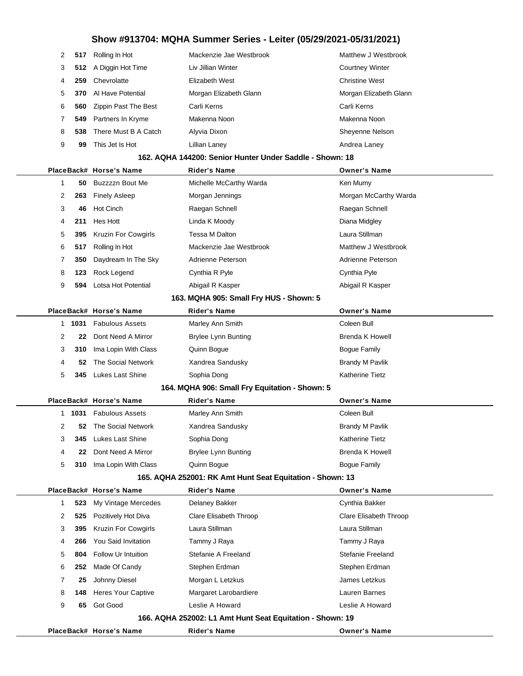| $\mathcal{P}$ | 517 | Rolling In Hot                  | Mackenzie Jae Westbrook | Matthew J Westbrook    |
|---------------|-----|---------------------------------|-------------------------|------------------------|
| 3             |     | 512 A Diggin Hot Time           | Liv Jillian Winter      | <b>Courtney Winter</b> |
| 4             | 259 | Chevrolatte                     | Elizabeth West          | <b>Christine West</b>  |
| 5.            |     | <b>370</b> Al Have Potential    | Morgan Elizabeth Glann  | Morgan Elizabeth Glann |
| 6             |     | <b>560</b> Zippin Past The Best | Carli Kerns             | Carli Kerns            |
|               |     | 549 Partners In Kryme           | Makenna Noon            | Makenna Noon           |
| 8             | 538 | There Must B A Catch            | Alyvia Dixon            | Sheyenne Nelson        |
| 9             | 99  | This Jet Is Hot                 | Lillian Lanev           | Andrea Laney           |

#### **162. AQHA 144200: Senior Hunter Under Saddle - Shown: 18**

|           | PlaceBack# Horse's Name    | Rider's Name                                              | <b>Owner's Name</b>    |
|-----------|----------------------------|-----------------------------------------------------------|------------------------|
| 1<br>50   | Buzzzzn Bout Me            | Michelle McCarthy Warda                                   | Ken Mumy               |
| 2<br>263  | <b>Finely Asleep</b>       | Morgan Jennings                                           | Morgan McCarthy Warda  |
| 3<br>46   | <b>Hot Cinch</b>           | Raegan Schnell                                            | Raegan Schnell         |
| 211<br>4  | Hes Hott                   | Linda K Moody                                             | Diana Midgley          |
| 5<br>395  | Kruzin For Cowgirls        | Tessa M Dalton                                            | Laura Stillman         |
| 6<br>517  | Rolling In Hot             | Mackenzie Jae Westbrook                                   | Matthew J Westbrook    |
| 7<br>350  | Daydream In The Sky        | Adrienne Peterson                                         | Adrienne Peterson      |
| 8<br>123  | Rock Legend                | Cynthia R Pyle                                            | Cynthia Pyle           |
| 9<br>594  | Lotsa Hot Potential        | Abigail R Kasper                                          | Abigail R Kasper       |
|           |                            | 163. MQHA 905: Small Fry HUS - Shown: 5                   |                        |
|           | PlaceBack# Horse's Name    | Rider's Name                                              | <b>Owner's Name</b>    |
| 1031<br>1 | <b>Fabulous Assets</b>     | Marley Ann Smith                                          | Coleen Bull            |
| 2<br>22   | Dont Need A Mirror         | <b>Brylee Lynn Bunting</b>                                | <b>Brenda K Howell</b> |
| 3<br>310  | Ima Lopin With Class       | Quinn Bogue                                               | Bogue Family           |
| 4<br>52   | The Social Network         | Xandrea Sandusky                                          | <b>Brandy M Pavlik</b> |
| 5<br>345  | <b>Lukes Last Shine</b>    | Sophia Dong                                               | <b>Katherine Tietz</b> |
|           |                            | 164. MQHA 906: Small Fry Equitation - Shown: 5            |                        |
|           | PlaceBack# Horse's Name    | <b>Rider's Name</b>                                       | <b>Owner's Name</b>    |
| 1031<br>1 | <b>Fabulous Assets</b>     | Marley Ann Smith                                          | Coleen Bull            |
| 2<br>52   | The Social Network         | Xandrea Sandusky                                          | <b>Brandy M Pavlik</b> |
| 3<br>345  | Lukes Last Shine           | Sophia Dong                                               | Katherine Tietz        |
| 4<br>22   | Dont Need A Mirror         | <b>Brylee Lynn Bunting</b>                                | <b>Brenda K Howell</b> |
| 5<br>310  | Ima Lopin With Class       | Quinn Bogue                                               | <b>Bogue Family</b>    |
|           |                            | 165. AQHA 252001: RK Amt Hunt Seat Equitation - Shown: 13 |                        |
|           | PlaceBack# Horse's Name    | Rider's Name                                              | <b>Owner's Name</b>    |
| 1<br>523  | My Vintage Mercedes        | Delaney Bakker                                            | Cynthia Bakker         |
| 2<br>525  | Pozitively Hot Diva        | Clare Elisabeth Throop                                    | Clare Elisabeth Throop |
| 3<br>395  | Kruzin For Cowgirls        | Laura Stillman                                            | Laura Stillman         |
| 4<br>266  | <b>You Said Invitation</b> | Tammy J Raya                                              | Tammy J Raya           |
| 5<br>804  | Follow Ur Intuition        | Stefanie A Freeland                                       | Stefanie Freeland      |
| 6<br>252  | Made Of Candy              | Stephen Erdman                                            | Stephen Erdman         |
| 7<br>25   | Johnny Diesel              | Morgan L Letzkus                                          | James Letzkus          |
| 8<br>148  | <b>Heres Your Captive</b>  | Margaret Larobardiere                                     | Lauren Barnes          |
| 9<br>65   | Got Good                   | Leslie A Howard                                           | Leslie A Howard        |
|           |                            | 166. AQHA 252002: L1 Amt Hunt Seat Equitation - Shown: 19 |                        |
|           | PlaceBack# Horse's Name    | <b>Rider's Name</b>                                       | <b>Owner's Name</b>    |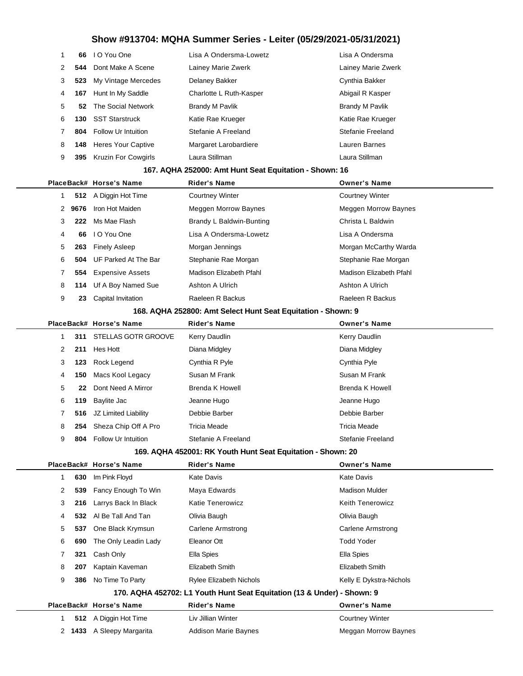| 1 | 66   | I O You One                | Lisa A Ondersma-Lowetz                                       | Lisa A Ondersma             |
|---|------|----------------------------|--------------------------------------------------------------|-----------------------------|
| 2 | 544  | Dont Make A Scene          | Lainey Marie Zwerk                                           | Lainey Marie Zwerk          |
| 3 | 523  | My Vintage Mercedes        | Delaney Bakker                                               | Cynthia Bakker              |
| 4 | 167  | Hunt In My Saddle          | Charlotte L Ruth-Kasper                                      | Abigail R Kasper            |
| 5 | 52   | The Social Network         | <b>Brandy M Pavlik</b>                                       | <b>Brandy M Pavlik</b>      |
| 6 | 130  | <b>SST Starstruck</b>      | Katie Rae Krueger                                            | Katie Rae Krueger           |
| 7 | 804  | Follow Ur Intuition        | Stefanie A Freeland                                          | <b>Stefanie Freeland</b>    |
| 8 | 148  | <b>Heres Your Captive</b>  | Margaret Larobardiere                                        | Lauren Barnes               |
| 9 | 395  | Kruzin For Cowgirls        | Laura Stillman                                               | Laura Stillman              |
|   |      |                            | 167. AQHA 252000: Amt Hunt Seat Equitation - Shown: 16       |                             |
|   |      | PlaceBack# Horse's Name    | <b>Rider's Name</b>                                          | <b>Owner's Name</b>         |
| 1 | 512  | A Diggin Hot Time          | <b>Courtney Winter</b>                                       | <b>Courtney Winter</b>      |
| 2 | 9676 | Iron Hot Maiden            | Meggen Morrow Baynes                                         | <b>Meggen Morrow Baynes</b> |
| 3 | 222  | Ms Mae Flash               | Brandy L Baldwin-Bunting                                     | Christa L Baldwin           |
| 4 | 66   | I O You One                | Lisa A Ondersma-Lowetz                                       | Lisa A Ondersma             |
| 5 | 263  | <b>Finely Asleep</b>       | Morgan Jennings                                              | Morgan McCarthy Warda       |
| 6 | 504  | UF Parked At The Bar       | Stephanie Rae Morgan                                         | Stephanie Rae Morgan        |
| 7 | 554  | <b>Expensive Assets</b>    | Madison Elizabeth Pfahl                                      | Madison Elizabeth Pfahl     |
| 8 | 114  | Uf A Boy Named Sue         | Ashton A Ulrich                                              | Ashton A Ulrich             |
| 9 | 23   | Capital Invitation         | Raeleen R Backus                                             | Raeleen R Backus            |
|   |      |                            | 168. AQHA 252800: Amt Select Hunt Seat Equitation - Shown: 9 |                             |
|   |      |                            |                                                              |                             |
|   |      | PlaceBack# Horse's Name    | <b>Rider's Name</b>                                          | <b>Owner's Name</b>         |
| 1 | 311  | STELLAS GOTR GROOVE        | Kerry Daudlin                                                | Kerry Daudlin               |
| 2 | 211  | Hes Hott                   | Diana Midgley                                                | Diana Midgley               |
| 3 | 123  | Rock Legend                | Cynthia R Pyle                                               | Cynthia Pyle                |
| 4 | 150  | Macs Kool Legacy           | Susan M Frank                                                | Susan M Frank               |
| 5 | 22   | Dont Need A Mirror         | <b>Brenda K Howell</b>                                       | <b>Brenda K Howell</b>      |
| 6 | 119  | <b>Baylite Jac</b>         | Jeanne Hugo                                                  | Jeanne Hugo                 |
| 7 |      | 516 JZ Limited Liability   | Debbie Barber                                                | Debbie Barber               |
| 8 | 254  | Sheza Chip Off A Pro       | Tricia Meade                                                 | Tricia Meade                |
| 9 | 804  | <b>Follow Ur Intuition</b> | Stefanie A Freeland                                          | Stefanie Freeland           |
|   |      |                            | 169. AQHA 452001: RK Youth Hunt Seat Equitation - Shown: 20  |                             |
|   |      | PlaceBack# Horse's Name    | <b>Rider's Name</b>                                          | <b>Owner's Name</b>         |
| 1 | 630  | Im Pink Floyd              | <b>Kate Davis</b>                                            | <b>Kate Davis</b>           |
| 2 | 539  | Fancy Enough To Win        | Maya Edwards                                                 | <b>Madison Mulder</b>       |
| 3 | 216  | Larrys Back In Black       | <b>Katie Tenerowicz</b>                                      | <b>Keith Tenerowicz</b>     |
| 4 | 532  | Al Be Tall And Tan         | Olivia Baugh                                                 | Olivia Baugh                |
| 5 | 537  | One Black Krymsun          | Carlene Armstrong                                            | <b>Carlene Armstrong</b>    |
| 6 | 690  | The Only Leadin Lady       | Eleanor Ott                                                  | <b>Todd Yoder</b>           |
| 7 | 321  | Cash Only                  | Ella Spies                                                   | Ella Spies                  |
| 8 | 207  | Kaptain Kaveman            | Elizabeth Smith                                              | Elizabeth Smith             |
| 9 | 386  | No Time To Party           | Rylee Elizabeth Nichols                                      | Kelly E Dykstra-Nichols     |

**170. AQHA 452702: L1 Youth Hunt Seat Equitation (13 & Under) - Shown: 9**

|  | PlaceBack# Horse's Name   | <b>Rider's Name</b>  | <b>Owner's Name</b>    |
|--|---------------------------|----------------------|------------------------|
|  | 512 A Diggin Hot Time     | Liv Jillian Winter   | <b>Courtney Winter</b> |
|  | 2 1433 A Sleepy Margarita | Addison Marie Baynes | Meggan Morrow Baynes   |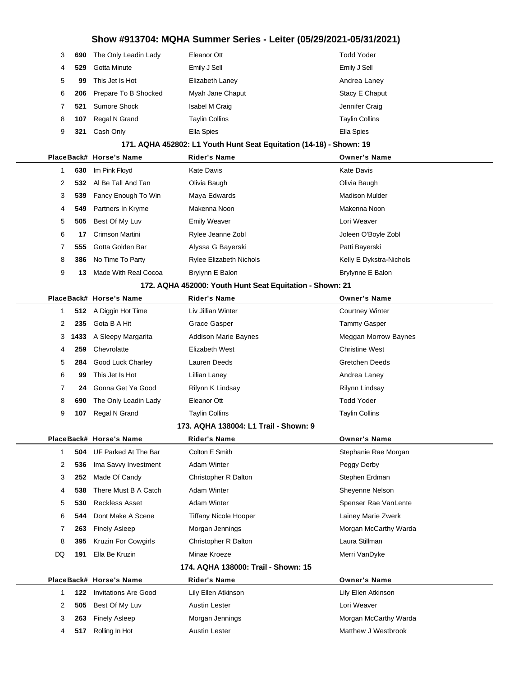| 3              |     | <b>690</b> The Only Leadin Lady | Eleanor Ott           | <b>Todd Yoder</b>     |
|----------------|-----|---------------------------------|-----------------------|-----------------------|
| $\overline{4}$ | 529 | Gotta Minute                    | Emily J Sell          | Emily J Sell          |
| 5              | 99  | This Jet Is Hot                 | Elizabeth Laney       | Andrea Laney          |
| 6              |     | 206 Prepare To B Shocked        | Myah Jane Chaput      | Stacy E Chaput        |
|                | 521 | Sumore Shock                    | Isabel M Craig        | Jennifer Craig        |
| 8              | 107 | Regal N Grand                   | <b>Taylin Collins</b> | <b>Taylin Collins</b> |
| 9              | 321 | Cash Only                       | Ella Spies            | Ella Spies            |
|                |     |                                 |                       |                       |

#### **171. AQHA 452802: L1 Youth Hunt Seat Equitation (14-18) - Shown: 19**

|   |     | PlaceBack# Horse's Name | <b>Rider's Name</b>                                                                                                             | <b>Owner's Name</b>     |
|---|-----|-------------------------|---------------------------------------------------------------------------------------------------------------------------------|-------------------------|
|   | 630 | Im Pink Floyd           | Kate Davis                                                                                                                      | Kate Davis              |
| 2 | 532 | Al Be Tall And Tan      | Olivia Baugh                                                                                                                    | Olivia Baugh            |
| 3 | 539 | Fancy Enough To Win     | Maya Edwards                                                                                                                    | <b>Madison Mulder</b>   |
| 4 | 549 | Partners In Kryme       | Makenna Noon                                                                                                                    | Makenna Noon            |
| 5 | 505 | Best Of My Luv          | <b>Emily Weaver</b>                                                                                                             | Lori Weaver             |
| 6 | 17  | Crimson Martini         | Rylee Jeanne Zobl                                                                                                               | Joleen O'Boyle Zobl     |
|   | 555 | Gotta Golden Bar        | Alyssa G Bayerski                                                                                                               | Patti Bayerski          |
| 8 | 386 | No Time To Party        | <b>Rylee Elizabeth Nichols</b>                                                                                                  | Kelly E Dykstra-Nichols |
| 9 | 13  | Made With Real Cocoa    | Brylynn E Balon                                                                                                                 | Brylynne E Balon        |
|   |     |                         | $\frac{1}{100}$ , and $\frac{1}{100}$ , $\frac{1}{100}$ , $\frac{1}{100}$ , $\frac{1}{100}$ , $\frac{1}{100}$ , $\frac{1}{100}$ |                         |

#### **172. AQHA 452000: Youth Hunt Seat Equitation - Shown: 21**

|  |   |     | PlaceBack# Horse's Name   | <b>Rider's Name</b>         | <b>Owner's Name</b>         |
|--|---|-----|---------------------------|-----------------------------|-----------------------------|
|  |   |     | 512 A Diggin Hot Time     | Liv Jillian Winter          | <b>Courtney Winter</b>      |
|  | 2 | 235 | Gota B A Hit              | Grace Gasper                | Tammy Gasper                |
|  |   |     | 3 1433 A Sleepy Margarita | <b>Addison Marie Baynes</b> | <b>Meggan Morrow Baynes</b> |
|  | 4 | 259 | Chevrolatte               | Elizabeth West              | <b>Christine West</b>       |
|  | 5 | 284 | <b>Good Luck Charley</b>  | Lauren Deeds                | Gretchen Deeds              |
|  | 6 | 99  | This Jet Is Hot           | Lillian Laney               | Andrea Laney                |
|  | 7 | 24  | Gonna Get Ya Good         | Rilynn K Lindsay            | Rilynn Lindsay              |
|  | 8 | 690 | The Only Leadin Lady      | Eleanor Ott                 | <b>Todd Yoder</b>           |
|  | 9 | 107 | Regal N Grand             | <b>Taylin Collins</b>       | <b>Taylin Collins</b>       |
|  |   |     |                           |                             |                             |

#### **173. AQHA 138004: L1 Trail - Shown: 9**

|  |    |     | PlaceBack# Horse's Name         | <b>Rider's Name</b>                 | <b>Owner's Name</b>   |
|--|----|-----|---------------------------------|-------------------------------------|-----------------------|
|  |    |     | <b>504</b> UF Parked At The Bar | Colton E Smith                      | Stephanie Rae Morgan  |
|  | 2  |     | 536 Ima Savvy Investment        | Adam Winter                         | Peggy Derby           |
|  | 3  | 252 | Made Of Candy                   | Christopher R Dalton                | Stephen Erdman        |
|  | 4  | 538 | There Must B A Catch            | Adam Winter                         | Sheyenne Nelson       |
|  | 5  | 530 | <b>Reckless Asset</b>           | Adam Winter                         | Spenser Rae VanLente  |
|  | 6  | 544 | Dont Make A Scene               | Tiffany Nicole Hooper               | Lainey Marie Zwerk    |
|  |    | 263 | Finely Asleep                   | Morgan Jennings                     | Morgan McCarthy Warda |
|  | 8  | 395 | <b>Kruzin For Cowgirls</b>      | Christopher R Dalton                | Laura Stillman        |
|  | DQ | 191 | Ella Be Kruzin                  | Minae Kroeze                        | Merri VanDyke         |
|  |    |     |                                 | 174. AQHA 138000: Trail - Shown: 15 |                       |
|  |    |     | PlaceBack# Horse's Name         | <b>Rider's Name</b>                 | <b>Owner's Name</b>   |
|  |    | 122 | <b>Invitations Are Good</b>     | Lily Ellen Atkinson                 | Lily Ellen Atkinson   |
|  | 2  | 505 | Best Of My Luv                  | <b>Austin Lester</b>                | Lori Weaver           |

**263** Finely Asleep Morgan Jennings Morgan McCarthy Warda **517** Rolling In Hot **Austin Lester** Austin Lester Matthew J Westbrook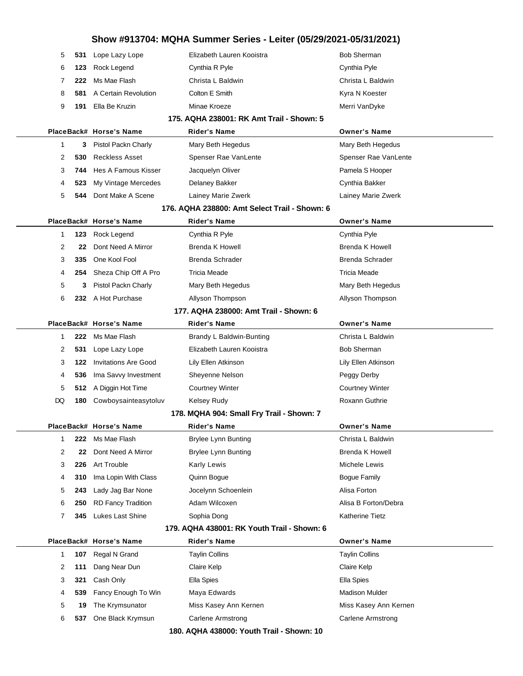| 5            | 531 | Lope Lazy Lope              | Elizabeth Lauren Kooistra                     | <b>Bob Sherman</b>     |
|--------------|-----|-----------------------------|-----------------------------------------------|------------------------|
| 6            | 123 | Rock Legend                 | Cynthia R Pyle                                | Cynthia Pyle           |
| 7            | 222 | Ms Mae Flash                | Christa L Baldwin                             | Christa L Baldwin      |
| 8            | 581 | A Certain Revolution        | Colton E Smith                                | Kyra N Koester         |
| 9            | 191 | Ella Be Kruzin              | Minae Kroeze                                  | Merri VanDyke          |
|              |     |                             | 175. AQHA 238001: RK Amt Trail - Shown: 5     |                        |
|              |     | PlaceBack# Horse's Name     | <b>Rider's Name</b>                           | <b>Owner's Name</b>    |
| $\mathbf 1$  | 3   | Pistol Packn Charly         | Mary Beth Hegedus                             | Mary Beth Hegedus      |
| 2            | 530 | <b>Reckless Asset</b>       | Spenser Rae VanLente                          | Spenser Rae VanLente   |
| 3            | 744 | Hes A Famous Kisser         | Jacquelyn Oliver                              | Pamela S Hooper        |
| 4            | 523 | My Vintage Mercedes         | Delaney Bakker                                | Cynthia Bakker         |
| 5            | 544 | Dont Make A Scene           | Lainey Marie Zwerk                            | Lainey Marie Zwerk     |
|              |     |                             | 176. AQHA 238800: Amt Select Trail - Shown: 6 |                        |
|              |     | PlaceBack# Horse's Name     | <b>Rider's Name</b>                           | <b>Owner's Name</b>    |
| $\mathbf{1}$ | 123 | Rock Legend                 | Cynthia R Pyle                                | Cynthia Pyle           |
| 2            | 22  | Dont Need A Mirror          | Brenda K Howell                               | <b>Brenda K Howell</b> |
| 3            | 335 | One Kool Fool               | <b>Brenda Schrader</b>                        | Brenda Schrader        |
| 4            | 254 | Sheza Chip Off A Pro        | <b>Tricia Meade</b>                           | Tricia Meade           |
| 5            | 3   | Pistol Packn Charly         | Mary Beth Hegedus                             | Mary Beth Hegedus      |
| 6            |     | 232 A Hot Purchase          | Allyson Thompson                              | Allyson Thompson       |
|              |     |                             | 177. AQHA 238000: Amt Trail - Shown: 6        |                        |
|              |     | PlaceBack# Horse's Name     | <b>Rider's Name</b>                           | <b>Owner's Name</b>    |
| $\mathbf{1}$ | 222 | Ms Mae Flash                | Brandy L Baldwin-Bunting                      | Christa L Baldwin      |
| 2            | 531 | Lope Lazy Lope              | Elizabeth Lauren Kooistra                     | <b>Bob Sherman</b>     |
| 3            | 122 | <b>Invitations Are Good</b> | Lily Ellen Atkinson                           | Lily Ellen Atkinson    |
| 4            | 536 | Ima Savvy Investment        | Sheyenne Nelson                               | Peggy Derby            |
| 5            | 512 | A Diggin Hot Time           | <b>Courtney Winter</b>                        | <b>Courtney Winter</b> |
| DQ           | 180 | Cowboysainteasytoluv        | <b>Kelsey Rudy</b>                            | Roxann Guthrie         |
|              |     |                             | 178. MQHA 904: Small Fry Trail - Shown: 7     |                        |
|              |     | PlaceBack# Horse's Name     | <b>Rider's Name</b>                           | <b>Owner's Name</b>    |
| 1            | 222 | Ms Mae Flash                | <b>Brylee Lynn Bunting</b>                    | Christa L Baldwin      |
| 2            | 22  | Dont Need A Mirror          | <b>Brylee Lynn Bunting</b>                    | <b>Brenda K Howell</b> |
| 3            | 226 | Art Trouble                 | Karly Lewis                                   | Michele Lewis          |
| 4            | 310 | Ima Lopin With Class        | Quinn Bogue                                   | <b>Bogue Family</b>    |
| 5            | 243 | Lady Jag Bar None           | Jocelynn Schoenlein                           | Alisa Forton           |
| 6            | 250 | <b>RD Fancy Tradition</b>   | Adam Wilcoxen                                 | Alisa B Forton/Debra   |
| 7            | 345 | Lukes Last Shine            | Sophia Dong                                   | Katherine Tietz        |
|              |     |                             | 179. AQHA 438001: RK Youth Trail - Shown: 6   |                        |
|              |     | PlaceBack# Horse's Name     | <b>Rider's Name</b>                           | <b>Owner's Name</b>    |
| 1            | 107 | Regal N Grand               | <b>Taylin Collins</b>                         | <b>Taylin Collins</b>  |
| 2            | 111 | Dang Near Dun               | Claire Kelp                                   | Claire Kelp            |
| 3            | 321 | Cash Only                   | Ella Spies                                    | Ella Spies             |
| 4            | 539 | Fancy Enough To Win         | Maya Edwards                                  | Madison Mulder         |
| 5            | 19  | The Krymsunator             | Miss Kasey Ann Kernen                         | Miss Kasey Ann Kernen  |
| 6            | 537 | One Black Krymsun           | Carlene Armstrong                             | Carlene Armstrong      |
|              |     |                             | 180. AQHA 438000: Youth Trail - Shown: 10     |                        |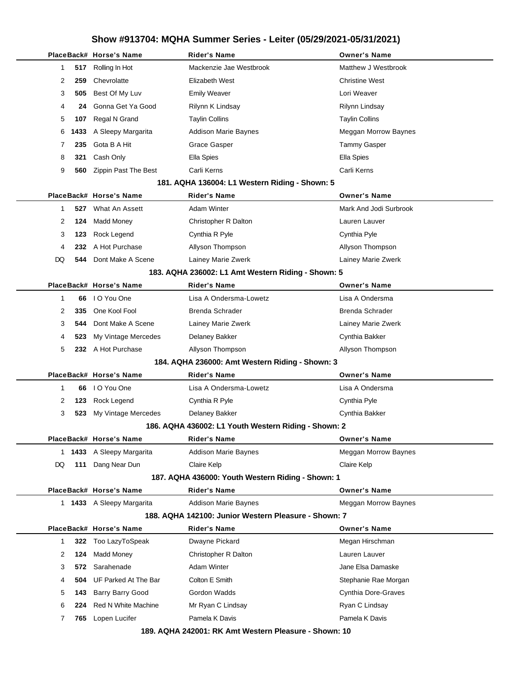|              |      | PlaceBack# Horse's Name    | <b>Rider's Name</b>                                  | <b>Owner's Name</b>         |
|--------------|------|----------------------------|------------------------------------------------------|-----------------------------|
| 1            | 517  | Rolling In Hot             | Mackenzie Jae Westbrook                              | Matthew J Westbrook         |
| 2            | 259  | Chevrolatte                | Elizabeth West                                       | <b>Christine West</b>       |
| 3            | 505  | Best Of My Luv             | <b>Emily Weaver</b>                                  | Lori Weaver                 |
| 4            | 24   | Gonna Get Ya Good          | Rilynn K Lindsay                                     | Rilynn Lindsay              |
| 5            | 107  | Regal N Grand              | <b>Taylin Collins</b>                                | <b>Taylin Collins</b>       |
| 6            | 1433 | A Sleepy Margarita         | <b>Addison Marie Baynes</b>                          | Meggan Morrow Baynes        |
| 7            | 235  | Gota B A Hit               | Grace Gasper                                         | <b>Tammy Gasper</b>         |
| 8            | 321  | Cash Only                  | Ella Spies                                           | Ella Spies                  |
| 9            | 560  | Zippin Past The Best       | Carli Kerns                                          | Carli Kerns                 |
|              |      |                            | 181. AQHA 136004: L1 Western Riding - Shown: 5       |                             |
|              |      | PlaceBack# Horse's Name    | Rider's Name                                         | <b>Owner's Name</b>         |
| 1            | 527  | What An Assett             | <b>Adam Winter</b>                                   | Mark And Jodi Surbrook      |
| 2            | 124  | <b>Madd Money</b>          | Christopher R Dalton                                 | Lauren Lauver               |
| 3            | 123  | Rock Legend                | Cynthia R Pyle                                       | Cynthia Pyle                |
| 4            | 232. | A Hot Purchase             | Allyson Thompson                                     | Allyson Thompson            |
| DQ           | 544  | Dont Make A Scene          | Lainey Marie Zwerk                                   | Lainey Marie Zwerk          |
|              |      |                            | 183. AQHA 236002: L1 Amt Western Riding - Shown: 5   |                             |
|              |      | PlaceBack# Horse's Name    | <b>Rider's Name</b>                                  | <b>Owner's Name</b>         |
| 1            | 66   | I O You One                | Lisa A Ondersma-Lowetz                               | Lisa A Ondersma             |
| 2            | 335  | One Kool Fool              | <b>Brenda Schrader</b>                               | <b>Brenda Schrader</b>      |
| 3            | 544  | Dont Make A Scene          | Lainey Marie Zwerk                                   | Lainey Marie Zwerk          |
| 4            | 523  | My Vintage Mercedes        | Delaney Bakker                                       | Cynthia Bakker              |
| 5            |      | 232 A Hot Purchase         | Allyson Thompson                                     | Allyson Thompson            |
|              |      |                            | 184. AQHA 236000: Amt Western Riding - Shown: 3      |                             |
|              |      | PlaceBack# Horse's Name    | <b>Rider's Name</b>                                  | <b>Owner's Name</b>         |
| 1            | 66   | I O You One                | Lisa A Ondersma-Lowetz                               | Lisa A Ondersma             |
| 2            | 123  | Rock Legend                | Cynthia R Pyle                                       | Cynthia Pyle                |
| 3            | 523  | My Vintage Mercedes        | Delaney Bakker                                       | Cynthia Bakker              |
|              |      |                            | 186. AQHA 436002: L1 Youth Western Riding - Shown: 2 |                             |
|              |      | PlaceBack# Horse's Name    | <b>Rider's Name</b>                                  | <b>Owner's Name</b>         |
| 1            |      | 1433 A Sleepy Margarita    | <b>Addison Marie Baynes</b>                          | <b>Meggan Morrow Baynes</b> |
| DQ           | 111  | Dang Near Dun              | Claire Kelp                                          | Claire Kelp                 |
|              |      |                            | 187. AQHA 436000: Youth Western Riding - Shown: 1    |                             |
|              |      | PlaceBack# Horse's Name    | <b>Rider's Name</b>                                  | <b>Owner's Name</b>         |
|              |      | 1 1433 A Sleepy Margarita  | <b>Addison Marie Baynes</b>                          | <b>Meggan Morrow Baynes</b> |
|              |      |                            | 188. AQHA 142100: Junior Western Pleasure - Shown: 7 |                             |
|              |      | PlaceBack# Horse's Name    | Rider's Name                                         | <b>Owner's Name</b>         |
| $\mathbf{1}$ | 322  | Too LazyToSpeak            | Dwayne Pickard                                       | Megan Hirschman             |
| 2            | 124  | <b>Madd Money</b>          | Christopher R Dalton                                 | Lauren Lauver               |
| 3            | 572  | Sarahenade                 | <b>Adam Winter</b>                                   | Jane Elsa Damaske           |
| 4            | 504  | UF Parked At The Bar       | Colton E Smith                                       | Stephanie Rae Morgan        |
| 5            | 143  | <b>Barry Barry Good</b>    | Gordon Wadds                                         | <b>Cynthia Dore-Graves</b>  |
| 6            | 224  | <b>Red N White Machine</b> | Mr Ryan C Lindsay                                    | Ryan C Lindsay              |
| 7            | 765  | Lopen Lucifer              | Pamela K Davis                                       | Pamela K Davis              |
|              |      |                            | 190 AOUA 242004 . PK Amt Western Pleasure, Shown 10  |                             |

**189. AQHA 242001: RK Amt Western Pleasure - Shown: 10**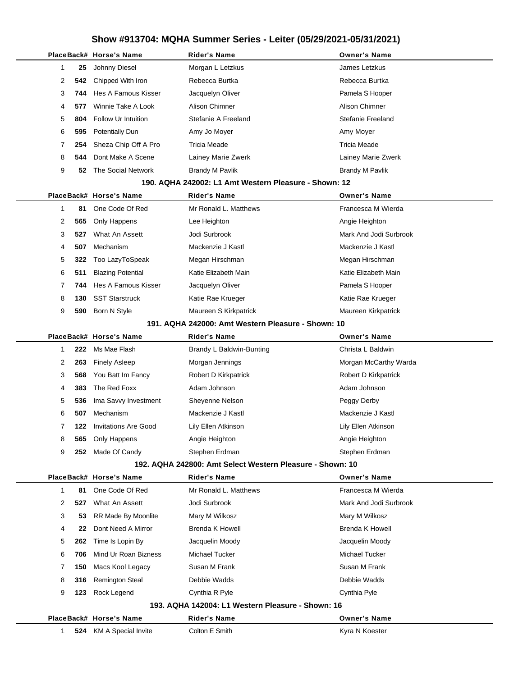|                                                                |                                                    |     | PlaceBack# Horse's Name     | Rider's Name                                              | <b>Owner's Name</b>    |  |
|----------------------------------------------------------------|----------------------------------------------------|-----|-----------------------------|-----------------------------------------------------------|------------------------|--|
|                                                                | 1                                                  | 25  | Johnny Diesel               | Morgan L Letzkus                                          | James Letzkus          |  |
|                                                                | 2                                                  | 542 | Chipped With Iron           | Rebecca Burtka                                            | Rebecca Burtka         |  |
|                                                                | 3                                                  | 744 | Hes A Famous Kisser         | Jacquelyn Oliver                                          | Pamela S Hooper        |  |
|                                                                | 4                                                  | 577 | Winnie Take A Look          | Alison Chimner                                            | Alison Chimner         |  |
|                                                                | 5                                                  | 804 | Follow Ur Intuition         | Stefanie A Freeland                                       | Stefanie Freeland      |  |
|                                                                | 6                                                  | 595 | <b>Potentially Dun</b>      | Amy Jo Moyer                                              | Amy Moyer              |  |
|                                                                | 7                                                  | 254 | Sheza Chip Off A Pro        | <b>Tricia Meade</b>                                       | <b>Tricia Meade</b>    |  |
|                                                                | 8                                                  | 544 | Dont Make A Scene           | Lainey Marie Zwerk                                        | Lainey Marie Zwerk     |  |
|                                                                | 9                                                  | 52  | The Social Network          | <b>Brandy M Pavlik</b>                                    | <b>Brandy M Pavlik</b> |  |
|                                                                |                                                    |     |                             | 190. AQHA 242002: L1 Amt Western Pleasure - Shown: 12     |                        |  |
| PlaceBack# Horse's Name<br><b>Owner's Name</b><br>Rider's Name |                                                    |     |                             |                                                           |                        |  |
|                                                                | 1                                                  | 81  | One Code Of Red             | Mr Ronald L. Matthews                                     | Francesca M Wierda     |  |
|                                                                | 2                                                  | 565 | Only Happens                | Lee Heighton                                              | Angie Heighton         |  |
|                                                                | 3                                                  | 527 | What An Assett              | Jodi Surbrook                                             | Mark And Jodi Surbrook |  |
|                                                                | 4                                                  | 507 | Mechanism                   | Mackenzie J Kastl                                         | Mackenzie J Kastl      |  |
|                                                                | 5                                                  | 322 | Too LazyToSpeak             | Megan Hirschman                                           | Megan Hirschman        |  |
|                                                                | 6                                                  | 511 | <b>Blazing Potential</b>    | Katie Elizabeth Main                                      | Katie Elizabeth Main   |  |
|                                                                | 7                                                  | 744 | Hes A Famous Kisser         | Jacquelyn Oliver                                          | Pamela S Hooper        |  |
|                                                                | 8                                                  | 130 | <b>SST Starstruck</b>       | Katie Rae Krueger                                         | Katie Rae Krueger      |  |
|                                                                | 9                                                  | 590 | Born N Style                | Maureen S Kirkpatrick                                     | Maureen Kirkpatrick    |  |
|                                                                | 191. AQHA 242000: Amt Western Pleasure - Shown: 10 |     |                             |                                                           |                        |  |
|                                                                |                                                    |     | PlaceBack# Horse's Name     | <b>Rider's Name</b>                                       | <b>Owner's Name</b>    |  |
|                                                                | 1                                                  | 222 | Ms Mae Flash                | Brandy L Baldwin-Bunting                                  | Christa L Baldwin      |  |
|                                                                | 2                                                  | 263 | <b>Finely Asleep</b>        | Morgan Jennings                                           | Morgan McCarthy Warda  |  |
|                                                                | 3                                                  | 568 | You Batt Im Fancy           | Robert D Kirkpatrick                                      | Robert D Kirkpatrick   |  |
|                                                                | 4                                                  | 383 | The Red Foxx                | Adam Johnson                                              | Adam Johnson           |  |
|                                                                | 5                                                  | 536 | Ima Savvy Investment        | Sheyenne Nelson                                           | Peggy Derby            |  |
|                                                                | 6                                                  | 507 | Mechanism                   | Mackenzie J Kastl                                         | Mackenzie J Kastl      |  |
|                                                                | 7                                                  | 122 | <b>Invitations Are Good</b> | Lily Ellen Atkinson                                       | Lily Ellen Atkinson    |  |
|                                                                | 8                                                  | 565 | Only Happens                | Angie Heighton                                            | Angie Heighton         |  |
|                                                                | 9                                                  | 252 | Made Of Candy               | Stephen Erdman                                            | Stephen Erdman         |  |
|                                                                |                                                    |     |                             | 192. AQHA 242800: Amt Select Western Pleasure - Shown: 10 |                        |  |
|                                                                |                                                    |     | PlaceBack# Horse's Name     | <b>Rider's Name</b>                                       | <b>Owner's Name</b>    |  |
|                                                                | $\mathbf{1}$                                       | 81  | One Code Of Red             | Mr Ronald L. Matthews                                     | Francesca M Wierda     |  |
|                                                                | 2                                                  | 527 | What An Assett              | Jodi Surbrook                                             | Mark And Jodi Surbrook |  |
|                                                                | 3                                                  | 53  | RR Made By Moonlite         | Mary M Wilkosz                                            | Mary M Wilkosz         |  |
|                                                                | 4                                                  | 22  | Dont Need A Mirror          | <b>Brenda K Howell</b>                                    | <b>Brenda K Howell</b> |  |
|                                                                | 5                                                  | 262 | Time Is Lopin By            | Jacquelin Moody                                           | Jacquelin Moody        |  |
|                                                                | 6                                                  | 706 | Mind Ur Roan Bizness        | Michael Tucker                                            | Michael Tucker         |  |
|                                                                | 7                                                  | 150 | Macs Kool Legacy            | Susan M Frank                                             | Susan M Frank          |  |
|                                                                | 8                                                  | 316 | <b>Remington Steal</b>      | Debbie Wadds                                              | Debbie Wadds           |  |
|                                                                | 9                                                  | 123 | Rock Legend                 | Cynthia R Pyle                                            | Cynthia Pyle           |  |
|                                                                |                                                    |     |                             | 193. AQHA 142004: L1 Western Pleasure - Shown: 16         |                        |  |
|                                                                |                                                    |     | PlaceBack# Horse's Name     | <b>Rider's Name</b>                                       | <b>Owner's Name</b>    |  |
|                                                                | 1                                                  |     | 524 KM A Special Invite     | Colton E Smith                                            | Kyra N Koester         |  |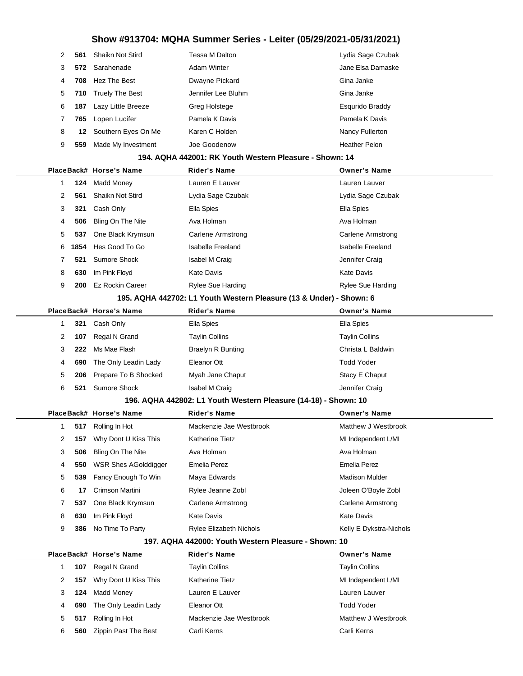| $\mathcal{P}$ | 561 | Shaikn Not Stird       | Tessa M Dalton     | Lydia Sage Czubak    |
|---------------|-----|------------------------|--------------------|----------------------|
| 3             |     | 572 Sarahenade         | Adam Winter        | Jane Elsa Damaske    |
| 4             | 708 | Hez The Best           | Dwayne Pickard     | Gina Janke           |
| 5             | 710 | <b>Truely The Best</b> | Jennifer Lee Bluhm | Gina Janke           |
| 6             | 187 | Lazy Little Breeze     | Greg Holstege      | Esqurido Braddy      |
|               | 765 | Lopen Lucifer          | Pamela K Davis     | Pamela K Davis       |
| 8             | 12  | Southern Eyes On Me    | Karen C Holden     | Nancy Fullerton      |
| 9             | 559 | Made My Investment     | Joe Goodenow       | <b>Heather Pelon</b> |
|               |     |                        |                    |                      |

#### **194. AQHA 442001: RK Youth Western Pleasure - Shown: 14**

|   |      | PlaceBack# Horse's Name     | <b>Rider's Name</b>                                                 | <b>Owner's Name</b>      |
|---|------|-----------------------------|---------------------------------------------------------------------|--------------------------|
| 1 | 124  | <b>Madd Money</b>           | Lauren E Lauver                                                     | Lauren Lauver            |
| 2 | 561  | Shaikn Not Stird            | Lydia Sage Czubak                                                   | Lydia Sage Czubak        |
| 3 | 321  | Cash Only                   | Ella Spies                                                          | Ella Spies               |
| 4 | 506  | Bling On The Nite           | Ava Holman                                                          | Ava Holman               |
| 5 | 537  | One Black Krymsun           | <b>Carlene Armstrong</b>                                            | Carlene Armstrong        |
| 6 | 1854 | Hes Good To Go              | <b>Isabelle Freeland</b>                                            | <b>Isabelle Freeland</b> |
| 7 | 521  | <b>Sumore Shock</b>         | Isabel M Craig                                                      | Jennifer Craig           |
| 8 | 630  | Im Pink Floyd               | <b>Kate Davis</b>                                                   | <b>Kate Davis</b>        |
| 9 | 200  | <b>Ez Rockin Career</b>     | <b>Rylee Sue Harding</b>                                            | <b>Rylee Sue Harding</b> |
|   |      |                             | 195. AQHA 442702: L1 Youth Western Pleasure (13 & Under) - Shown: 6 |                          |
|   |      | PlaceBack# Horse's Name     | <b>Rider's Name</b>                                                 | <b>Owner's Name</b>      |
| 1 | 321  | Cash Only                   | Ella Spies                                                          | <b>Ella Spies</b>        |
| 2 | 107  | Regal N Grand               | <b>Taylin Collins</b>                                               | <b>Taylin Collins</b>    |
| 3 | 222  | Ms Mae Flash                | <b>Braelyn R Bunting</b>                                            | Christa L Baldwin        |
| 4 | 690  | The Only Leadin Lady        | Eleanor Ott                                                         | <b>Todd Yoder</b>        |
| 5 | 206  | Prepare To B Shocked        | Myah Jane Chaput                                                    | Stacy E Chaput           |
| 6 | 521  | <b>Sumore Shock</b>         | Isabel M Craig                                                      | Jennifer Craig           |
|   |      |                             | 196. AQHA 442802: L1 Youth Western Pleasure (14-18) - Shown: 10     |                          |
|   |      | PlaceBack# Horse's Name     | <b>Rider's Name</b>                                                 | <b>Owner's Name</b>      |
| 1 | 517  | Rolling In Hot              | Mackenzie Jae Westbrook                                             | Matthew J Westbrook      |
| 2 | 157  | Why Dont U Kiss This        | <b>Katherine Tietz</b>                                              | MI Independent L/MI      |
| 3 | 506  | Bling On The Nite           | Ava Holman                                                          | Ava Holman               |
| 4 | 550  | <b>WSR Shes AGolddigger</b> | Emelia Perez                                                        | <b>Emelia Perez</b>      |

|                                                         | 4                                                    |     | 550 WSR Shes AGolddigger | Emelia Perez                   | Emelia Perez            |  |  |  |
|---------------------------------------------------------|------------------------------------------------------|-----|--------------------------|--------------------------------|-------------------------|--|--|--|
|                                                         | 5                                                    |     | 539 Fancy Enough To Win  | Maya Edwards                   | <b>Madison Mulder</b>   |  |  |  |
|                                                         | 6                                                    | 17  | Crimson Martini          | Rylee Jeanne Zobl              | Joleen O'Boyle Zobl     |  |  |  |
|                                                         |                                                      | 537 | One Black Krymsun        | Carlene Armstrong              | Carlene Armstrong       |  |  |  |
|                                                         | 8                                                    | 630 | Im Pink Floyd            | Kate Davis                     | Kate Davis              |  |  |  |
|                                                         | 9                                                    | 386 | No Time To Party         | <b>Rylee Elizabeth Nichols</b> | Kelly E Dykstra-Nichols |  |  |  |
|                                                         | 197. AQHA 442000: Youth Western Pleasure - Shown: 10 |     |                          |                                |                         |  |  |  |
| PlaceBack# Horse's Name<br>Rider's Name<br>Owner's Name |                                                      |     |                          |                                |                         |  |  |  |

|   |     | FlaceDack# Fluise's Ivalite     | NIUCI S NAIIIC          | <b>UWIICI S</b> NAIHC |
|---|-----|---------------------------------|-------------------------|-----------------------|
|   | 107 | Regal N Grand                   | <b>Taylin Collins</b>   | <b>Taylin Collins</b> |
|   | 157 | Why Dont U Kiss This            | <b>Katherine Tietz</b>  | MI Independent L/MI   |
|   | 124 | Madd Money                      | Lauren E Lauver         | Lauren Lauver         |
| 4 | 690 | The Only Leadin Lady            | Eleanor Ott             | <b>Todd Yoder</b>     |
| 5 | 517 | Rolling In Hot                  | Mackenzie Jae Westbrook | Matthew J Westbrook   |
| 6 |     | <b>560</b> Zippin Past The Best | Carli Kerns             | Carli Kerns           |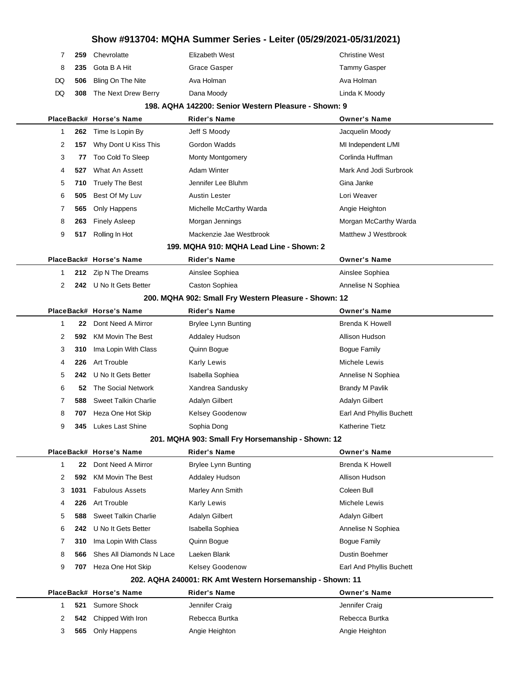|     | 259 | Chevrolatte                | Elizabeth West | <b>Christine West</b> |
|-----|-----|----------------------------|----------------|-----------------------|
| - 8 |     | 235 Gota B A Hit           | Grace Gasper   | <b>Tammy Gasper</b>   |
|     |     | DQ 506 Bling On The Nite   | Ava Holman     | Ava Holman            |
|     |     | DQ 308 The Next Drew Berry | Dana Moody     | Linda K Moody         |

#### **198. AQHA 142200: Senior Western Pleasure - Shown: 9**

|   |      | PlaceBack# Horse's Name     | <b>Rider's Name</b>                                       | <b>Owner's Name</b>      |
|---|------|-----------------------------|-----------------------------------------------------------|--------------------------|
| 1 | 262  | Time Is Lopin By            | Jeff S Moody                                              | Jacquelin Moody          |
| 2 | 157  | Why Dont U Kiss This        | Gordon Wadds                                              | MI Independent L/MI      |
| 3 | 77   | Too Cold To Sleep           | <b>Monty Montgomery</b>                                   | Corlinda Huffman         |
| 4 | 527  | What An Assett              | <b>Adam Winter</b>                                        | Mark And Jodi Surbrook   |
| 5 | 710  | <b>Truely The Best</b>      | Jennifer Lee Bluhm                                        | Gina Janke               |
| 6 | 505  | Best Of My Luv              | <b>Austin Lester</b>                                      | Lori Weaver              |
| 7 | 565  | Only Happens                | Michelle McCarthy Warda                                   | Angie Heighton           |
| 8 | 263  | <b>Finely Asleep</b>        | Morgan Jennings                                           | Morgan McCarthy Warda    |
| 9 | 517  | Rolling In Hot              | Mackenzie Jae Westbrook                                   | Matthew J Westbrook      |
|   |      |                             | 199. MQHA 910: MQHA Lead Line - Shown: 2                  |                          |
|   |      | PlaceBack# Horse's Name     | Rider's Name                                              | <b>Owner's Name</b>      |
| 1 |      | 212 Zip N The Dreams        | Ainslee Sophiea                                           | Ainslee Sophiea          |
| 2 |      | 242 U No It Gets Better     | Caston Sophiea                                            | Annelise N Sophiea       |
|   |      |                             | 200. MQHA 902: Small Fry Western Pleasure - Shown: 12     |                          |
|   |      | PlaceBack# Horse's Name     | <b>Rider's Name</b>                                       | <b>Owner's Name</b>      |
| 1 | 22   | Dont Need A Mirror          | <b>Brylee Lynn Bunting</b>                                | Brenda K Howell          |
| 2 | 592  | <b>KM Movin The Best</b>    | <b>Addaley Hudson</b>                                     | Allison Hudson           |
| 3 | 310  | Ima Lopin With Class        | Quinn Bogue                                               | <b>Bogue Family</b>      |
| 4 | 226  | Art Trouble                 | <b>Karly Lewis</b>                                        | Michele Lewis            |
| 5 | 242  | U No It Gets Better         | Isabella Sophiea                                          | Annelise N Sophiea       |
| 6 | 52   | The Social Network          | Xandrea Sandusky                                          | <b>Brandy M Pavlik</b>   |
| 7 | 588  | <b>Sweet Talkin Charlie</b> | <b>Adalyn Gilbert</b>                                     | Adalyn Gilbert           |
| 8 | 707  | Heza One Hot Skip           | Kelsey Goodenow                                           | Earl And Phyllis Buchett |
| 9 |      | <b>345</b> Lukes Last Shine | Sophia Dong                                               | Katherine Tietz          |
|   |      |                             | 201. MQHA 903: Small Fry Horsemanship - Shown: 12         |                          |
|   |      | PlaceBack# Horse's Name     | <b>Rider's Name</b>                                       | <b>Owner's Name</b>      |
| 1 | 22   | Dont Need A Mirror          | Brylee Lynn Bunting                                       | Brenda K Howell          |
| 2 | 592  | <b>KM Movin The Best</b>    | Addaley Hudson                                            | Allison Hudson           |
| 3 | 1031 | <b>Fabulous Assets</b>      | Marley Ann Smith                                          | Coleen Bull              |
| 4 | 226  | Art Trouble                 | <b>Karly Lewis</b>                                        | Michele Lewis            |
| 5 | 588  | <b>Sweet Talkin Charlie</b> | Adalyn Gilbert                                            | Adalyn Gilbert           |
| 6 | 242  | U No It Gets Better         | Isabella Sophiea                                          | Annelise N Sophiea       |
| 7 | 310  | Ima Lopin With Class        | Quinn Bogue                                               | Bogue Family             |
| 8 | 566  | Shes All Diamonds N Lace    | Laeken Blank                                              | Dustin Boehmer           |
| 9 |      | 707 Heza One Hot Skip       | Kelsey Goodenow                                           | Earl And Phyllis Buchett |
|   |      |                             | 202. AQHA 240001: RK Amt Western Horsemanship - Shown: 11 |                          |
|   |      | PlaceBack# Horse's Name     | Rider's Name                                              | <b>Owner's Name</b>      |
| 1 | 521  | Sumore Shock                | Jennifer Craig                                            | Jennifer Craig           |
| 2 | 542  | Chipped With Iron           | Rebecca Burtka                                            | Rebecca Burtka           |
| 3 | 565  | Only Happens                | Angie Heighton                                            | Angie Heighton           |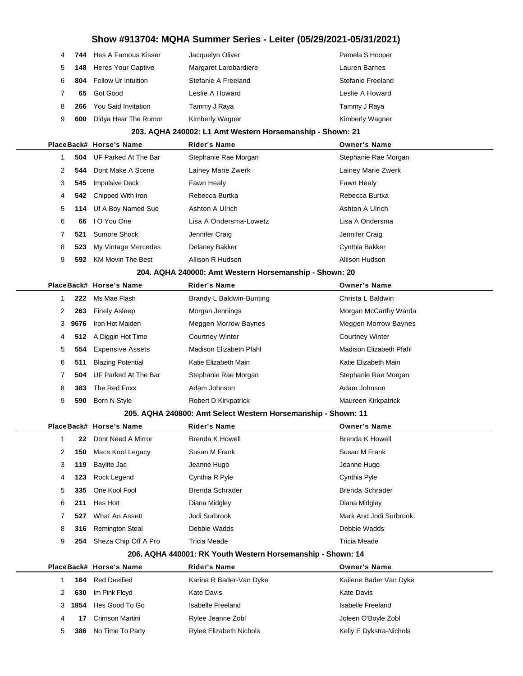| 4 |     | 744 Hes A Famous Kisser       | Jacquelyn Oliver      | Pamela S Hooper   |
|---|-----|-------------------------------|-----------------------|-------------------|
| 5 |     | <b>148</b> Heres Your Captive | Margaret Larobardiere | Lauren Barnes     |
| 6 | 804 | <b>Follow Ur Intuition</b>    | Stefanie A Freeland   | Stefanie Freeland |
|   | 65  | Got Good                      | Leslie A Howard       | Leslie A Howard   |
| 8 | 266 | You Said Invitation           | Tammy J Raya          | Tammy J Raya      |
| 9 | 600 | Didya Hear The Rumor          | Kimberly Wagner       | Kimberly Wagner   |

#### **203. AQHA 240002: L1 Amt Western Horsemanship - Shown: 21**

|   |          | PlaceBack# Horse's Name  | <b>Rider's Name</b>    | <b>Owner's Name</b>  |  |
|---|----------|--------------------------|------------------------|----------------------|--|
|   | 504      | UF Parked At The Bar     | Stephanie Rae Morgan   | Stephanie Rae Morgan |  |
|   | 544      | Dont Make A Scene        | Lainey Marie Zwerk     | Lainey Marie Zwerk   |  |
|   | 3<br>545 | <b>Impulsive Deck</b>    | Fawn Healy             | Fawn Healy           |  |
|   | 4        | 542 Chipped With Iron    | Rebecca Burtka         | Rebecca Burtka       |  |
|   | 5<br>114 | Uf A Boy Named Sue       | Ashton A Ulrich        | Ashton A Ulrich      |  |
| 6 | 66       | I O You One              | Lisa A Ondersma-Lowetz | Lisa A Ondersma      |  |
|   | 521      | Sumore Shock             | Jennifer Craig         | Jennifer Craig       |  |
| 8 | 523      | My Vintage Mercedes      | Delaney Bakker         | Cynthia Bakker       |  |
| 9 | 592      | <b>KM Movin The Best</b> | Allison R Hudson       | Allison Hudson       |  |

#### **204. AQHA 240000: Amt Western Horsemanship - Shown: 20**

|    |      | PlaceBack# Horse's Name  | <b>Rider's Name</b>      | <b>Owner's Name</b>         |
|----|------|--------------------------|--------------------------|-----------------------------|
|    | 222  | Ms Mae Flash             | Brandy L Baldwin-Bunting | Christa L Baldwin           |
|    | 263  | <b>Finely Asleep</b>     | Morgan Jennings          | Morgan McCarthy Warda       |
| 3  | 9676 | Iron Hot Maiden          | Meggen Morrow Baynes     | <b>Meggen Morrow Baynes</b> |
| 4  |      | 512 A Diggin Hot Time    | <b>Courtney Winter</b>   | <b>Courtney Winter</b>      |
| 5. | 554  | <b>Expensive Assets</b>  | Madison Elizabeth Pfahl  | Madison Elizabeth Pfahl     |
| 6  | 511  | <b>Blazing Potential</b> | Katie Elizabeth Main     | Katie Elizabeth Main        |
|    | 504  | UF Parked At The Bar     | Stephanie Rae Morgan     | Stephanie Rae Morgan        |
| 8  | 383  | The Red Foxx             | Adam Johnson             | Adam Johnson                |
| 9  | 590  | Born N Style             | Robert D Kirkpatrick     | Maureen Kirkpatrick         |

#### **205. AQHA 240800: Amt Select Western Horsemanship - Shown: 11**

|              |     | PlaceBack# Horse's Name | <b>Rider's Name</b>    | <b>Owner's Name</b>    |  |
|--------------|-----|-------------------------|------------------------|------------------------|--|
|              | 22  | Dont Need A Mirror      | Brenda K Howell        | Brenda K Howell        |  |
| $\mathbf{2}$ | 150 | Macs Kool Legacy        | Susan M Frank          | Susan M Frank          |  |
| 3            | 119 | Baylite Jac             | Jeanne Hugo            | Jeanne Hugo            |  |
| 4            | 123 | Rock Legend             | Cynthia R Pyle         | Cynthia Pyle           |  |
| 5            | 335 | One Kool Fool           | <b>Brenda Schrader</b> | <b>Brenda Schrader</b> |  |
| 6            | 211 | Hes Hott                | Diana Midgley          | Diana Midgley          |  |
|              | 527 | What An Assett          | Jodi Surbrook          | Mark And Jodi Surbrook |  |
| 8            | 316 | <b>Remington Steal</b>  | Debbie Wadds           | Debbie Wadds           |  |
| 9            | 254 | Sheza Chip Off A Pro    | Tricia Meade           | Tricia Meade           |  |

#### **206. AQHA 440001: RK Youth Western Horsemanship - Shown: 14**

|    |        | PlaceBack# Horse's Name | <b>Rider's Name</b>            | <b>Owner's Name</b>     |
|----|--------|-------------------------|--------------------------------|-------------------------|
|    | 164    | Red Deeified            | Karina R Bader-Van Dyke        | Kailene Bader Van Dyke  |
| 2  | 630    | Im Pink Floyd           | Kate Davis                     | Kate Davis              |
|    | 3 1854 | Hes Good To Go          | Isabelle Freeland              | Isabelle Freeland       |
| 4  | 17     | Crimson Martini         | Rylee Jeanne Zobl              | Joleen O'Boyle Zobl     |
| 5. | 386    | No Time To Party        | <b>Rylee Elizabeth Nichols</b> | Kelly E Dykstra-Nichols |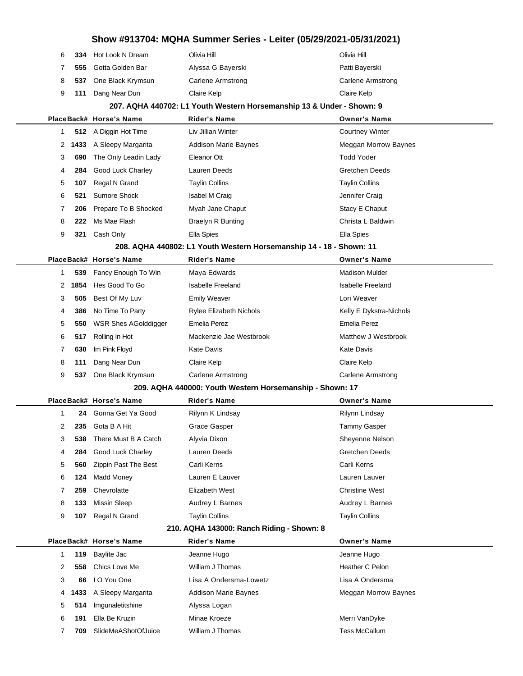|                 |                                        | Show #913704: MQHA Summer Series - Leiter (05/29/2021-05/31/2021)     |                                       |
|-----------------|----------------------------------------|-----------------------------------------------------------------------|---------------------------------------|
| 6<br>334        | Hot Look N Dream                       | Olivia Hill                                                           | Olivia Hill                           |
| 7<br>555        | Gotta Golden Bar                       | Alyssa G Bayerski                                                     | Patti Bayerski                        |
| 8<br>537        | One Black Krymsun                      | <b>Carlene Armstrong</b>                                              | <b>Carlene Armstrong</b>              |
| 9<br>111        | Dang Near Dun                          | Claire Kelp                                                           | Claire Kelp                           |
|                 |                                        | 207. AQHA 440702: L1 Youth Western Horsemanship 13 & Under - Shown: 9 |                                       |
|                 | PlaceBack# Horse's Name                | <b>Rider's Name</b>                                                   | <b>Owner's Name</b>                   |
| 1<br>512        | A Diggin Hot Time                      | Liv Jillian Winter                                                    | <b>Courtney Winter</b>                |
| 2               | 1433 A Sleepy Margarita                | <b>Addison Marie Baynes</b>                                           | Meggan Morrow Baynes                  |
| 3<br>690        | The Only Leadin Lady                   | Eleanor Ott                                                           | <b>Todd Yoder</b>                     |
| 4<br>284        | <b>Good Luck Charley</b>               | Lauren Deeds                                                          | <b>Gretchen Deeds</b>                 |
| 5<br>107        | Regal N Grand                          | <b>Taylin Collins</b>                                                 | <b>Taylin Collins</b>                 |
| 6<br>521        | <b>Sumore Shock</b>                    | Isabel M Craig                                                        | Jennifer Craig                        |
| 7<br>206        | Prepare To B Shocked                   | Myah Jane Chaput                                                      | Stacy E Chaput                        |
| 8<br>222        | Ms Mae Flash                           | <b>Braelyn R Bunting</b>                                              | Christa L Baldwin                     |
| 9<br>321        | Cash Only                              | Ella Spies                                                            | Ella Spies                            |
|                 |                                        | 208. AQHA 440802: L1 Youth Western Horsemanship 14 - 18 - Shown: 11   |                                       |
|                 | PlaceBack# Horse's Name                | <b>Rider's Name</b>                                                   | <b>Owner's Name</b>                   |
| 1<br>539        | Fancy Enough To Win                    | Maya Edwards                                                          | <b>Madison Mulder</b>                 |
| 1854<br>2       | Hes Good To Go                         | <b>Isabelle Freeland</b>                                              | <b>Isabelle Freeland</b>              |
| 3<br>505        | Best Of My Luv                         | <b>Emily Weaver</b>                                                   | Lori Weaver                           |
| 4<br>386        | No Time To Party                       | Rylee Elizabeth Nichols                                               | Kelly E Dykstra-Nichols               |
| 5<br>550        | WSR Shes AGolddigger                   | Emelia Perez                                                          | Emelia Perez                          |
| 6<br>517        | Rolling In Hot                         | Mackenzie Jae Westbrook                                               | Matthew J Westbrook                   |
| 7<br>630        | Im Pink Floyd                          | Kate Davis                                                            | Kate Davis                            |
| 8<br>111        | Dang Near Dun                          | Claire Kelp                                                           | Claire Kelp                           |
| 9<br>537        | One Black Krymsun                      | <b>Carlene Armstrong</b>                                              | <b>Carlene Armstrong</b>              |
|                 |                                        | 209. AQHA 440000: Youth Western Horsemanship - Shown: 17              |                                       |
|                 | PlaceBack# Horse's Name                | <b>Rider's Name</b>                                                   | <b>Owner's Name</b>                   |
| 1               | 24 Gonna Get Ya Good                   | Rilynn K Lindsay                                                      | Rilynn Lindsay                        |
| 2<br>235        | Gota B A Hit                           | <b>Grace Gasper</b>                                                   | <b>Tammy Gasper</b>                   |
| 3<br>538        | There Must B A Catch                   | Alyvia Dixon                                                          | Sheyenne Nelson                       |
| 4<br>284        | Good Luck Charley                      | Lauren Deeds                                                          | Gretchen Deeds                        |
| 5<br>560        | Zippin Past The Best                   | Carli Kerns                                                           | Carli Kerns                           |
| 6<br>124        | <b>Madd Money</b>                      | Lauren E Lauver                                                       | Lauren Lauver                         |
| 7<br>259        | Chevrolatte                            | Elizabeth West                                                        | <b>Christine West</b>                 |
| 8<br>133        | <b>Missin Sleep</b>                    | Audrey L Barnes                                                       | Audrey L Barnes                       |
| 9<br>107        | Regal N Grand                          | <b>Taylin Collins</b>                                                 | <b>Taylin Collins</b>                 |
|                 |                                        | 210. AQHA 143000: Ranch Riding - Shown: 8                             |                                       |
|                 | PlaceBack# Horse's Name                | <b>Rider's Name</b>                                                   | <b>Owner's Name</b>                   |
| 1<br>119<br>558 | Baylite Jac<br>Chics Love Me           | Jeanne Hugo<br>William J Thomas                                       | Jeanne Hugo<br>Heather C Pelon        |
| 2<br>66         | I O You One                            | Lisa A Ondersma-Lowetz                                                | Lisa A Ondersma                       |
| 3               |                                        |                                                                       |                                       |
| 4<br>1433       | A Sleepy Margarita<br>Imgunaletitshine | <b>Addison Marie Baynes</b>                                           | Meggan Morrow Baynes                  |
| 5<br>514        | Ella Be Kruzin                         | Alyssa Logan<br>Minae Kroeze                                          |                                       |
| 6<br>191        |                                        | William J Thomas                                                      | Merri VanDyke<br><b>Tess McCallum</b> |
| 7<br>709        | SlideMeAShotOfJuice                    |                                                                       |                                       |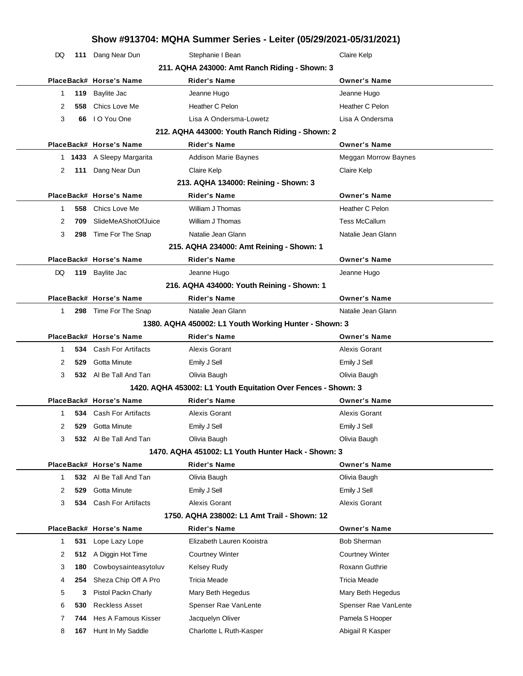|              | Show #913704: MQHA Summer Series - Leiter (05/29/2021-05/31/2021) |                               |                                                               |                        |  |
|--------------|-------------------------------------------------------------------|-------------------------------|---------------------------------------------------------------|------------------------|--|
| DQ           |                                                                   | 111 Dang Near Dun             | Stephanie I Bean                                              | Claire Kelp            |  |
|              |                                                                   |                               | 211. AQHA 243000: Amt Ranch Riding - Shown: 3                 |                        |  |
|              |                                                                   | PlaceBack# Horse's Name       | <b>Rider's Name</b>                                           | <b>Owner's Name</b>    |  |
| 1            | 119                                                               | Baylite Jac                   | Jeanne Hugo                                                   | Jeanne Hugo            |  |
| 2            | 558                                                               | Chics Love Me                 | Heather C Pelon                                               | Heather C Pelon        |  |
| 3            | 66                                                                | I O You One                   | Lisa A Ondersma-Lowetz                                        | Lisa A Ondersma        |  |
|              |                                                                   |                               | 212. AQHA 443000: Youth Ranch Riding - Shown: 2               |                        |  |
|              |                                                                   | PlaceBack# Horse's Name       | <b>Rider's Name</b>                                           | <b>Owner's Name</b>    |  |
|              |                                                                   | 1 1433 A Sleepy Margarita     | Addison Marie Baynes                                          | Meggan Morrow Baynes   |  |
| 2            | 111                                                               | Dang Near Dun                 | Claire Kelp                                                   | Claire Kelp            |  |
|              |                                                                   |                               | 213. AQHA 134000: Reining - Shown: 3                          |                        |  |
|              |                                                                   | PlaceBack# Horse's Name       | <b>Rider's Name</b>                                           | <b>Owner's Name</b>    |  |
| 1            | 558                                                               | Chics Love Me                 | William J Thomas                                              | Heather C Pelon        |  |
| 2            | 709                                                               | SlideMeAShotOfJuice           | William J Thomas                                              | <b>Tess McCallum</b>   |  |
| 3            | 298                                                               | Time For The Snap             | Natalie Jean Glann                                            | Natalie Jean Glann     |  |
|              |                                                                   |                               | 215. AQHA 234000: Amt Reining - Shown: 1                      |                        |  |
|              |                                                                   | PlaceBack# Horse's Name       | <b>Rider's Name</b>                                           | <b>Owner's Name</b>    |  |
| DQ           | 119                                                               | Baylite Jac                   | Jeanne Hugo                                                   | Jeanne Hugo            |  |
|              |                                                                   |                               | 216. AQHA 434000: Youth Reining - Shown: 1                    |                        |  |
|              |                                                                   | PlaceBack# Horse's Name       | <b>Rider's Name</b>                                           | <b>Owner's Name</b>    |  |
| 1            |                                                                   | 298 Time For The Snap         | Natalie Jean Glann                                            | Natalie Jean Glann     |  |
|              |                                                                   |                               | 1380. AQHA 450002: L1 Youth Working Hunter - Shown: 3         |                        |  |
|              |                                                                   | PlaceBack# Horse's Name       | <b>Rider's Name</b>                                           | <b>Owner's Name</b>    |  |
| 1            | 534                                                               | Cash For Artifacts            | Alexis Gorant                                                 | Alexis Gorant          |  |
| 2            | 529                                                               | Gotta Minute                  | Emily J Sell                                                  | Emily J Sell           |  |
| 3            |                                                                   | 532 Al Be Tall And Tan        | Olivia Baugh                                                  | Olivia Baugh           |  |
|              |                                                                   |                               | 1420. AQHA 453002: L1 Youth Equitation Over Fences - Shown: 3 |                        |  |
|              |                                                                   | PlaceBack# Horse's Name       | <b>Rider's Name</b>                                           | <b>Owner's Name</b>    |  |
| $\mathbf{1}$ |                                                                   | <b>534</b> Cash For Artifacts | Alexis Gorant                                                 | Alexis Gorant          |  |
| 2            | 529                                                               | Gotta Minute                  | Emily J Sell                                                  | Emily J Sell           |  |
| 3            |                                                                   | 532 Al Be Tall And Tan        | Olivia Baugh                                                  | Olivia Baugh           |  |
|              |                                                                   |                               | 1470. AQHA 451002: L1 Youth Hunter Hack - Shown: 3            |                        |  |
|              |                                                                   | PlaceBack# Horse's Name       | <b>Rider's Name</b>                                           | <b>Owner's Name</b>    |  |
| 1            | 532                                                               | Al Be Tall And Tan            | Olivia Baugh                                                  | Olivia Baugh           |  |
| 2            | 529                                                               | Gotta Minute                  | Emily J Sell                                                  | Emily J Sell           |  |
| 3            | 534                                                               | Cash For Artifacts            | Alexis Gorant                                                 | Alexis Gorant          |  |
|              |                                                                   |                               | 1750, AQHA 238002: L1 Amt Trail - Shown: 12                   |                        |  |
|              |                                                                   | PlaceBack# Horse's Name       | <b>Rider's Name</b>                                           | <b>Owner's Name</b>    |  |
| 1            | 531                                                               | Lope Lazy Lope                | Elizabeth Lauren Kooistra                                     | <b>Bob Sherman</b>     |  |
| 2            | 512                                                               | A Diggin Hot Time             | Courtney Winter                                               | <b>Courtney Winter</b> |  |
| 3            | 180                                                               | Cowboysainteasytoluv          | <b>Kelsey Rudy</b>                                            | <b>Roxann Guthrie</b>  |  |
| 4            | 254                                                               | Sheza Chip Off A Pro          | Tricia Meade                                                  | Tricia Meade           |  |
| 5            | 3                                                                 | Pistol Packn Charly           | Mary Beth Hegedus                                             | Mary Beth Hegedus      |  |
| 6            | 530                                                               | <b>Reckless Asset</b>         | Spenser Rae VanLente                                          | Spenser Rae VanLente   |  |
| 7            | 744                                                               | Hes A Famous Kisser           | Jacquelyn Oliver                                              | Pamela S Hooper        |  |
| 8            | 167                                                               | Hunt In My Saddle             | Charlotte L Ruth-Kasper                                       | Abigail R Kasper       |  |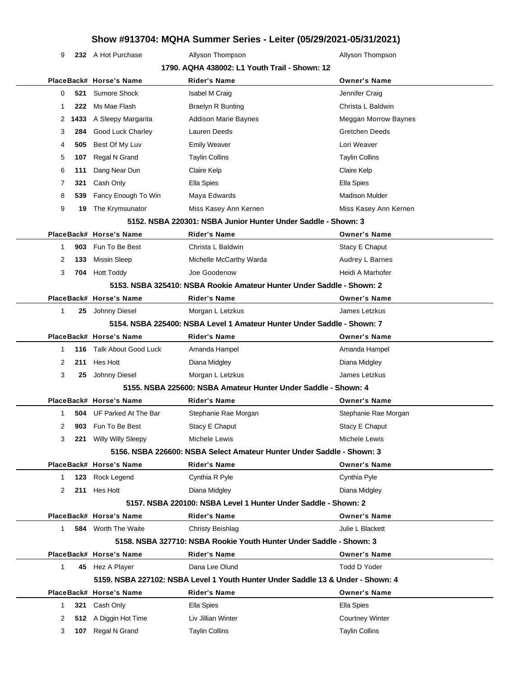9 **232** A Hot Purchase **Allyson Thompson** Allyson Thompson

| 1790. AQHA 438002: L1 Youth Trail - Shown: 12 |    |      |                            |                                                                                 |                             |  |
|-----------------------------------------------|----|------|----------------------------|---------------------------------------------------------------------------------|-----------------------------|--|
|                                               |    |      | PlaceBack# Horse's Name    | <b>Rider's Name</b>                                                             | <b>Owner's Name</b>         |  |
|                                               | 0  | 521  | Sumore Shock               | Isabel M Craig                                                                  | Jennifer Craig              |  |
|                                               | 1  | 222  | Ms Mae Flash               | <b>Braelyn R Bunting</b>                                                        | Christa L Baldwin           |  |
|                                               | 2  | 1433 | A Sleepy Margarita         | <b>Addison Marie Baynes</b>                                                     | <b>Meggan Morrow Baynes</b> |  |
|                                               | 3  | 284  | Good Luck Charley          | Lauren Deeds                                                                    | <b>Gretchen Deeds</b>       |  |
|                                               | 4  | 505  | Best Of My Luv             | <b>Emily Weaver</b>                                                             | Lori Weaver                 |  |
|                                               | 5  | 107  | Regal N Grand              | <b>Taylin Collins</b>                                                           | <b>Taylin Collins</b>       |  |
|                                               | 6  | 111  | Dang Near Dun              | Claire Kelp                                                                     | Claire Kelp                 |  |
|                                               | 7  | 321  | Cash Only                  | Ella Spies                                                                      | Ella Spies                  |  |
|                                               | 8  | 539  | Fancy Enough To Win        | Maya Edwards                                                                    | <b>Madison Mulder</b>       |  |
|                                               | 9  | 19   | The Krymsunator            | Miss Kasey Ann Kernen                                                           | Miss Kasey Ann Kernen       |  |
|                                               |    |      |                            | 5152. NSBA 220301: NSBA Junior Hunter Under Saddle - Shown: 3                   |                             |  |
|                                               |    |      | PlaceBack# Horse's Name    | <b>Rider's Name</b>                                                             | <b>Owner's Name</b>         |  |
|                                               | 1  | 903  | Fun To Be Best             | Christa L Baldwin                                                               | Stacy E Chaput              |  |
|                                               | 2  | 133  | <b>Missin Sleep</b>        | Michelle McCarthy Warda                                                         | Audrey L Barnes             |  |
|                                               | 3  | 704  | <b>Hott Toddy</b>          | Joe Goodenow                                                                    | Heidi A Marhofer            |  |
|                                               |    |      |                            | 5153. NSBA 325410: NSBA Rookie Amateur Hunter Under Saddle - Shown: 2           |                             |  |
|                                               |    |      | PlaceBack# Horse's Name    | <b>Rider's Name</b>                                                             | <b>Owner's Name</b>         |  |
|                                               | 1  |      | 25 Johnny Diesel           | Morgan L Letzkus                                                                | James Letzkus               |  |
|                                               |    |      |                            | 5154. NSBA 225400: NSBA Level 1 Amateur Hunter Under Saddle - Shown: 7          |                             |  |
|                                               |    |      | PlaceBack# Horse's Name    | <b>Rider's Name</b>                                                             | <b>Owner's Name</b>         |  |
|                                               | 1  | 116  | Talk About Good Luck       | Amanda Hampel                                                                   | Amanda Hampel               |  |
|                                               | 2  | 211  | Hes Hott                   | Diana Midgley                                                                   | Diana Midgley               |  |
|                                               | 3  | 25   | Johnny Diesel              | Morgan L Letzkus                                                                | James Letzkus               |  |
|                                               |    |      |                            | 5155. NSBA 225600: NSBA Amateur Hunter Under Saddle - Shown: 4                  |                             |  |
|                                               |    |      | PlaceBack# Horse's Name    | <b>Rider's Name</b>                                                             | <b>Owner's Name</b>         |  |
|                                               | 1  | 504  | UF Parked At The Bar       | Stephanie Rae Morgan                                                            | Stephanie Rae Morgan        |  |
|                                               | 2  | 903  | Fun To Be Best             | Stacy E Chaput                                                                  | Stacy E Chaput              |  |
|                                               | 3  | 221  | Willy Willy Sleepy         | Michele Lewis                                                                   | Michele Lewis               |  |
|                                               |    |      |                            | 5156. NSBA 226600: NSBA Select Amateur Hunter Under Saddle - Shown: 3           |                             |  |
|                                               |    |      | PlaceBack# Horse's Name    | <b>Rider's Name</b>                                                             | <b>Owner's Name</b>         |  |
|                                               | 1  | 123  | Rock Legend                | Cynthia R Pyle                                                                  | Cynthia Pyle                |  |
|                                               | 2  | 211  | Hes Hott                   | Diana Midgley                                                                   | Diana Midgley               |  |
|                                               |    |      |                            | 5157. NSBA 220100: NSBA Level 1 Hunter Under Saddle - Shown: 2                  |                             |  |
|                                               |    |      | PlaceBack# Horse's Name    | <b>Rider's Name</b>                                                             | <b>Owner's Name</b>         |  |
|                                               | 1  |      | <b>584</b> Worth The Waite | <b>Christy Beishlag</b>                                                         | Julie L Blackett            |  |
|                                               |    |      |                            | 5158. NSBA 327710: NSBA Rookie Youth Hunter Under Saddle - Shown: 3             |                             |  |
|                                               |    |      | PlaceBack# Horse's Name    | <b>Rider's Name</b>                                                             | <b>Owner's Name</b>         |  |
|                                               | 1  |      | 45 Hez A Player            | Dana Lee Olund                                                                  | Todd D Yoder                |  |
|                                               |    |      |                            | 5159. NSBA 227102: NSBA Level 1 Youth Hunter Under Saddle 13 & Under - Shown: 4 |                             |  |
|                                               |    |      | PlaceBack# Horse's Name    | <b>Rider's Name</b>                                                             | <b>Owner's Name</b>         |  |
|                                               | 1. |      | 321 Cash Only              | Ella Spies                                                                      | Ella Spies                  |  |
|                                               | 2  | 512  | A Diggin Hot Time          | Liv Jillian Winter                                                              | <b>Courtney Winter</b>      |  |
|                                               | 3  |      | 107 Regal N Grand          | <b>Taylin Collins</b>                                                           | <b>Taylin Collins</b>       |  |
|                                               |    |      |                            |                                                                                 |                             |  |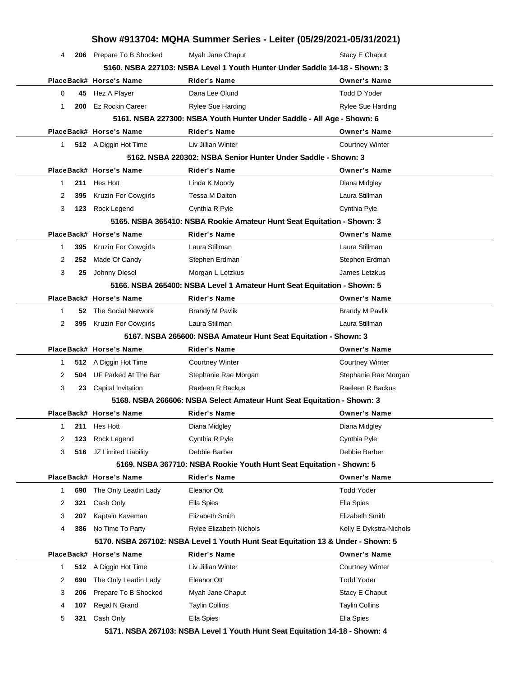|           |     |                            | Show #913704: MQHA Summer Series - Leiter (05/29/2021-05/31/2021)                |                          |
|-----------|-----|----------------------------|----------------------------------------------------------------------------------|--------------------------|
| 4         |     | 206 Prepare To B Shocked   | Myah Jane Chaput                                                                 | Stacy E Chaput           |
|           |     |                            | 5160. NSBA 227103: NSBA Level 1 Youth Hunter Under Saddle 14-18 - Shown: 3       |                          |
|           |     | PlaceBack# Horse's Name    | <b>Rider's Name</b>                                                              | <b>Owner's Name</b>      |
| 0         |     | 45 Hez A Player            | Dana Lee Olund                                                                   | Todd D Yoder             |
| 1         | 200 | <b>Ez Rockin Career</b>    | <b>Rylee Sue Harding</b>                                                         | <b>Rylee Sue Harding</b> |
|           |     |                            | 5161. NSBA 227300: NSBA Youth Hunter Under Saddle - All Age - Shown: 6           |                          |
|           |     | PlaceBack# Horse's Name    | <b>Rider's Name</b>                                                              | <b>Owner's Name</b>      |
| $1 \quad$ |     | 512 A Diggin Hot Time      | Liv Jillian Winter                                                               | <b>Courtney Winter</b>   |
|           |     |                            | 5162. NSBA 220302: NSBA Senior Hunter Under Saddle - Shown: 3                    |                          |
|           |     | PlaceBack# Horse's Name    | <b>Rider's Name</b>                                                              | <b>Owner's Name</b>      |
| 1         |     | 211 Hes Hott               | Linda K Moody                                                                    | Diana Midgley            |
| 2         | 395 | <b>Kruzin For Cowgirls</b> | <b>Tessa M Dalton</b>                                                            | Laura Stillman           |
| 3         |     | 123 Rock Legend            | Cynthia R Pyle                                                                   | Cynthia Pyle             |
|           |     |                            | 5165. NSBA 365410: NSBA Rookie Amateur Hunt Seat Equitation - Shown: 3           |                          |
|           |     | PlaceBack# Horse's Name    | <b>Rider's Name</b>                                                              | <b>Owner's Name</b>      |
| 1         |     | 395 Kruzin For Cowgirls    | Laura Stillman                                                                   | Laura Stillman           |
| 2         | 252 | Made Of Candy              | Stephen Erdman                                                                   | Stephen Erdman           |
| 3         | 25  | Johnny Diesel              | Morgan L Letzkus                                                                 | James Letzkus            |
|           |     |                            | 5166. NSBA 265400: NSBA Level 1 Amateur Hunt Seat Equitation - Shown: 5          |                          |
|           |     | PlaceBack# Horse's Name    | <b>Rider's Name</b>                                                              | <b>Owner's Name</b>      |
| 1         |     | 52 The Social Network      | <b>Brandy M Pavlik</b>                                                           | <b>Brandy M Pavlik</b>   |
| 2         |     | 395 Kruzin For Cowgirls    | Laura Stillman                                                                   | Laura Stillman           |
|           |     |                            | 5167. NSBA 265600: NSBA Amateur Hunt Seat Equitation - Shown: 3                  |                          |
|           |     | PlaceBack# Horse's Name    | <b>Rider's Name</b>                                                              | <b>Owner's Name</b>      |
| 1         |     | 512 A Diggin Hot Time      | <b>Courtney Winter</b>                                                           | <b>Courtney Winter</b>   |
| 2         |     | 504 UF Parked At The Bar   | Stephanie Rae Morgan                                                             | Stephanie Rae Morgan     |
| 3         | 23  | Capital Invitation         | Raeleen R Backus                                                                 | Raeleen R Backus         |
|           |     |                            | 5168. NSBA 266606: NSBA Select Amateur Hunt Seat Equitation - Shown: 3           |                          |
|           |     | PlaceBack# Horse's Name    | <b>Rider's Name</b>                                                              | <b>Owner's Name</b>      |
| 1         | 211 | Hes Hott                   | Diana Midgley                                                                    | Diana Midgley            |
| 2         | 123 | Rock Legend                | Cynthia R Pyle                                                                   | Cynthia Pyle             |
| 3         | 516 | JZ Limited Liability       | Debbie Barber                                                                    | Debbie Barber            |
|           |     |                            | 5169. NSBA 367710: NSBA Rookie Youth Hunt Seat Equitation - Shown: 5             |                          |
|           |     | PlaceBack# Horse's Name    | <b>Rider's Name</b>                                                              | <b>Owner's Name</b>      |
| 1         | 690 | The Only Leadin Lady       | Eleanor Ott                                                                      | <b>Todd Yoder</b>        |
| 2         | 321 | Cash Only                  | Ella Spies                                                                       | Ella Spies               |
| 3         | 207 | Kaptain Kaveman            | Elizabeth Smith                                                                  | Elizabeth Smith          |
| 4         | 386 | No Time To Party           | <b>Rylee Elizabeth Nichols</b>                                                   | Kelly E Dykstra-Nichols  |
|           |     |                            | 5170. NSBA 267102: NSBA Level 1 Youth Hunt Seat Equitation 13 & Under - Shown: 5 |                          |
|           |     | PlaceBack# Horse's Name    | Rider's Name                                                                     | <b>Owner's Name</b>      |
|           |     | A Diggin Hot Time          | Liv Jillian Winter                                                               | <b>Courtney Winter</b>   |
| 1         | 512 |                            |                                                                                  | <b>Todd Yoder</b>        |
| 2         | 690 | The Only Leadin Lady       | Eleanor Ott                                                                      |                          |
| 3         | 206 | Prepare To B Shocked       | Myah Jane Chaput                                                                 | Stacy E Chaput           |
| 4         | 107 | Regal N Grand              | <b>Taylin Collins</b>                                                            | <b>Taylin Collins</b>    |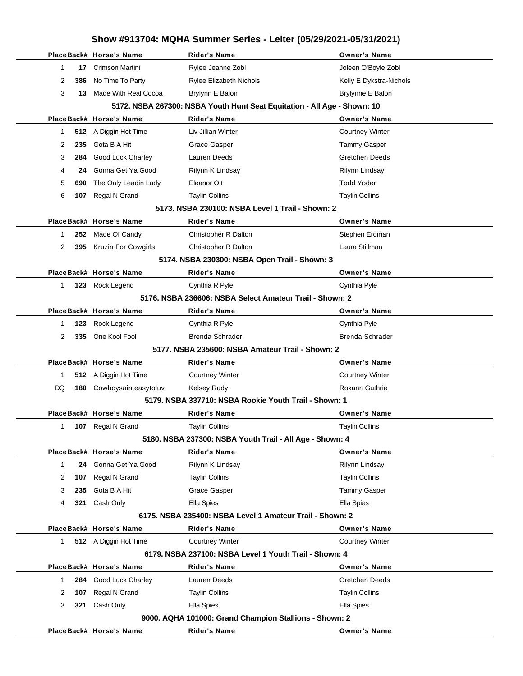|    |          | Show #913704: MQHA Summer Series - Leiter (05/29/2021-05/31/2021) |                                                                          |                         |  |
|----|----------|-------------------------------------------------------------------|--------------------------------------------------------------------------|-------------------------|--|
|    |          | PlaceBack# Horse's Name                                           | <b>Rider's Name</b>                                                      | <b>Owner's Name</b>     |  |
|    | 1<br>17  | Crimson Martini                                                   | Rylee Jeanne Zobl                                                        | Joleen O'Boyle Zobl     |  |
|    | 2<br>386 | No Time To Party                                                  | <b>Rylee Elizabeth Nichols</b>                                           | Kelly E Dykstra-Nichols |  |
|    | 3<br>13  | Made With Real Cocoa                                              | Brylynn E Balon                                                          | Brylynne E Balon        |  |
|    |          |                                                                   | 5172. NSBA 267300: NSBA Youth Hunt Seat Equitation - All Age - Shown: 10 |                         |  |
|    |          | PlaceBack# Horse's Name                                           | <b>Rider's Name</b>                                                      | <b>Owner's Name</b>     |  |
|    | 1        | 512 A Diggin Hot Time                                             | Liv Jillian Winter                                                       | <b>Courtney Winter</b>  |  |
|    | 2<br>235 | Gota B A Hit                                                      | Grace Gasper                                                             | <b>Tammy Gasper</b>     |  |
|    | 3<br>284 | Good Luck Charley                                                 | Lauren Deeds                                                             | <b>Gretchen Deeds</b>   |  |
|    | 4<br>24  | Gonna Get Ya Good                                                 | Rilynn K Lindsay                                                         | Rilynn Lindsay          |  |
|    | 5<br>690 | The Only Leadin Lady                                              | Eleanor Ott                                                              | <b>Todd Yoder</b>       |  |
|    | 6<br>107 | Regal N Grand                                                     | <b>Taylin Collins</b>                                                    | <b>Taylin Collins</b>   |  |
|    |          |                                                                   | 5173. NSBA 230100: NSBA Level 1 Trail - Shown: 2                         |                         |  |
|    |          | PlaceBack# Horse's Name                                           | Rider's Name                                                             | <b>Owner's Name</b>     |  |
|    | 1<br>252 | Made Of Candy                                                     | Christopher R Dalton                                                     | Stephen Erdman          |  |
|    | 2<br>395 | Kruzin For Cowgirls                                               | Christopher R Dalton                                                     | Laura Stillman          |  |
|    |          |                                                                   | 5174. NSBA 230300: NSBA Open Trail - Shown: 3                            |                         |  |
|    |          | PlaceBack# Horse's Name                                           | Rider's Name                                                             | <b>Owner's Name</b>     |  |
|    | 1        | 123 Rock Legend                                                   | Cynthia R Pyle                                                           | Cynthia Pyle            |  |
|    |          |                                                                   | 5176, NSBA 236606: NSBA Select Amateur Trail - Shown: 2                  |                         |  |
|    |          | PlaceBack# Horse's Name                                           | Rider's Name                                                             | <b>Owner's Name</b>     |  |
|    | 1<br>123 | Rock Legend                                                       | Cynthia R Pyle                                                           | Cynthia Pyle            |  |
|    | 2<br>335 | One Kool Fool                                                     | Brenda Schrader                                                          | Brenda Schrader         |  |
|    |          |                                                                   | 5177, NSBA 235600: NSBA Amateur Trail - Shown: 2                         |                         |  |
|    |          | PlaceBack# Horse's Name                                           | Rider's Name                                                             | <b>Owner's Name</b>     |  |
|    | 1<br>512 | A Diggin Hot Time                                                 | <b>Courtney Winter</b>                                                   | <b>Courtney Winter</b>  |  |
| DQ | 180      | Cowboysainteasytoluv                                              | Kelsey Rudy                                                              | <b>Roxann Guthrie</b>   |  |
|    |          |                                                                   | 5179, NSBA 337710: NSBA Rookie Youth Trail - Shown: 1                    |                         |  |
|    |          | PlaceBack# Horse's Name                                           | Rider's Name                                                             | <b>Owner's Name</b>     |  |
|    | 107<br>1 | Regal N Grand                                                     | <b>Taylin Collins</b>                                                    | <b>Taylin Collins</b>   |  |
|    |          |                                                                   | 5180. NSBA 237300: NSBA Youth Trail - All Age - Shown: 4                 |                         |  |
|    |          | PlaceBack# Horse's Name                                           | Rider's Name                                                             | <b>Owner's Name</b>     |  |
|    | 1<br>24  | Gonna Get Ya Good                                                 | Rilynn K Lindsay                                                         | Rilynn Lindsay          |  |
|    | 2<br>107 | Regal N Grand                                                     | <b>Taylin Collins</b>                                                    | <b>Taylin Collins</b>   |  |
|    | 3<br>235 | Gota B A Hit                                                      | Grace Gasper                                                             | <b>Tammy Gasper</b>     |  |
|    | 4<br>321 | Cash Only                                                         | Ella Spies                                                               | Ella Spies              |  |
|    |          |                                                                   | 6175. NSBA 235400: NSBA Level 1 Amateur Trail - Shown: 2                 |                         |  |
|    |          | PlaceBack# Horse's Name                                           | Rider's Name                                                             | <b>Owner's Name</b>     |  |
|    | 1        | 512 A Diggin Hot Time                                             | <b>Courtney Winter</b>                                                   | <b>Courtney Winter</b>  |  |
|    |          |                                                                   | 6179. NSBA 237100: NSBA Level 1 Youth Trail - Shown: 4                   |                         |  |
|    |          | PlaceBack# Horse's Name                                           | <b>Rider's Name</b>                                                      | <b>Owner's Name</b>     |  |
|    | 284<br>1 | Good Luck Charley                                                 | Lauren Deeds                                                             | <b>Gretchen Deeds</b>   |  |
|    | 2<br>107 | Regal N Grand                                                     | <b>Taylin Collins</b>                                                    | <b>Taylin Collins</b>   |  |
|    | 3<br>321 | Cash Only                                                         | Ella Spies                                                               | Ella Spies              |  |
|    |          |                                                                   | 9000. AQHA 101000: Grand Champion Stallions - Shown: 2                   |                         |  |
|    |          | PlaceBack# Horse's Name                                           | <b>Rider's Name</b>                                                      | Owner's Name            |  |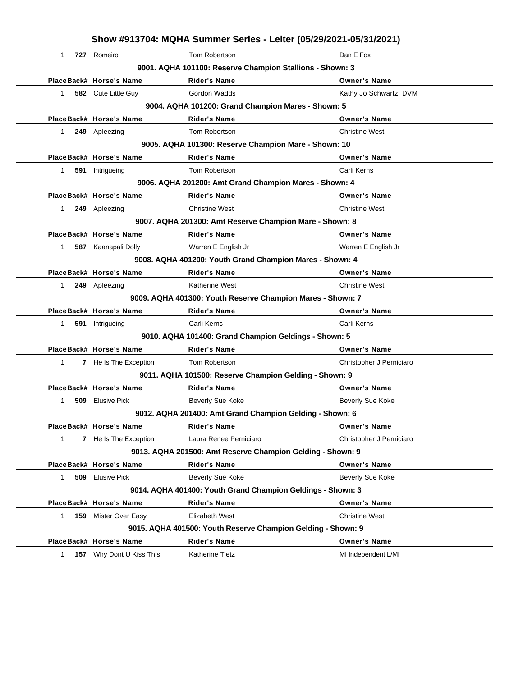|              | Show #913704: MQHA Summer Series - Leiter (05/29/2021-05/31/2021) |                                                              |                          |  |  |
|--------------|-------------------------------------------------------------------|--------------------------------------------------------------|--------------------------|--|--|
| 1            | 727 Romeiro                                                       | Tom Robertson                                                | Dan E Fox                |  |  |
|              |                                                                   | 9001. AQHA 101100: Reserve Champion Stallions - Shown: 3     |                          |  |  |
|              | PlaceBack# Horse's Name                                           | <b>Rider's Name</b>                                          | <b>Owner's Name</b>      |  |  |
| $1 \quad$    | 582 Cute Little Guy                                               | Gordon Wadds                                                 | Kathy Jo Schwartz, DVM   |  |  |
|              |                                                                   | 9004. AQHA 101200: Grand Champion Mares - Shown: 5           |                          |  |  |
|              | PlaceBack# Horse's Name                                           | <b>Rider's Name</b>                                          | <b>Owner's Name</b>      |  |  |
| 1.           | 249 Apleezing                                                     | Tom Robertson                                                | <b>Christine West</b>    |  |  |
|              |                                                                   | 9005. AQHA 101300: Reserve Champion Mare - Shown: 10         |                          |  |  |
|              | PlaceBack# Horse's Name                                           | <b>Rider's Name</b>                                          | <b>Owner's Name</b>      |  |  |
| 1            | 591 Intrigueing                                                   | Tom Robertson                                                | Carli Kerns              |  |  |
|              |                                                                   | 9006. AQHA 201200: Amt Grand Champion Mares - Shown: 4       |                          |  |  |
|              | PlaceBack# Horse's Name                                           | <b>Rider's Name</b>                                          | <b>Owner's Name</b>      |  |  |
| 1            | 249 Apleezing                                                     | <b>Christine West</b>                                        | <b>Christine West</b>    |  |  |
|              |                                                                   | 9007. AQHA 201300: Amt Reserve Champion Mare - Shown: 8      |                          |  |  |
|              | PlaceBack# Horse's Name                                           | <b>Rider's Name</b>                                          | <b>Owner's Name</b>      |  |  |
| $1 \quad$    | 587 Kaanapali Dolly                                               | Warren E English Jr                                          | Warren E English Jr      |  |  |
|              |                                                                   | 9008. AQHA 401200: Youth Grand Champion Mares - Shown: 4     |                          |  |  |
|              | PlaceBack# Horse's Name                                           | <b>Rider's Name</b>                                          | <b>Owner's Name</b>      |  |  |
| 1.           | 249 Apleezing                                                     | Katherine West                                               | <b>Christine West</b>    |  |  |
|              |                                                                   | 9009. AQHA 401300: Youth Reserve Champion Mares - Shown: 7   |                          |  |  |
|              | PlaceBack# Horse's Name                                           | <b>Rider's Name</b>                                          | <b>Owner's Name</b>      |  |  |
| $\mathbf{1}$ | 591 Intrigueing                                                   | Carli Kerns                                                  | Carli Kerns              |  |  |
|              |                                                                   | 9010. AQHA 101400: Grand Champion Geldings - Shown: 5        |                          |  |  |
|              | PlaceBack# Horse's Name                                           | <b>Rider's Name</b>                                          | <b>Owner's Name</b>      |  |  |
| 1            | 7 He Is The Exception                                             | Tom Robertson                                                | Christopher J Perniciaro |  |  |
|              |                                                                   | 9011. AQHA 101500: Reserve Champion Gelding - Shown: 9       |                          |  |  |
|              | PlaceBack# Horse's Name                                           | <b>Rider's Name</b>                                          | <b>Owner's Name</b>      |  |  |
| 509<br>1     | <b>Elusive Pick</b>                                               | <b>Beverly Sue Koke</b>                                      | Beverly Sue Koke         |  |  |
|              |                                                                   | 9012. AQHA 201400: Amt Grand Champion Gelding - Shown: 6     |                          |  |  |
|              | PlaceBack# Horse's Name                                           | Rider's Name                                                 | <b>Owner's Name</b>      |  |  |
| 1            | 7 He Is The Exception                                             | Laura Renee Perniciaro                                       | Christopher J Perniciaro |  |  |
|              |                                                                   | 9013. AQHA 201500: Amt Reserve Champion Gelding - Shown: 9   |                          |  |  |
|              | PlaceBack# Horse's Name                                           | <b>Rider's Name</b>                                          | <b>Owner's Name</b>      |  |  |
| 509<br>1.    | <b>Elusive Pick</b>                                               | <b>Beverly Sue Koke</b>                                      | Beverly Sue Koke         |  |  |
|              |                                                                   | 9014. AQHA 401400: Youth Grand Champion Geldings - Shown: 3  |                          |  |  |
|              | PlaceBack# Horse's Name                                           | Rider's Name                                                 | <b>Owner's Name</b>      |  |  |
| 1.           | 159 Mister Over Easy                                              | Elizabeth West                                               | <b>Christine West</b>    |  |  |
|              |                                                                   | 9015. AQHA 401500: Youth Reserve Champion Gelding - Shown: 9 |                          |  |  |
|              | PlaceBack# Horse's Name                                           | Rider's Name                                                 | <b>Owner's Name</b>      |  |  |
| $\mathbf{1}$ | 157 Why Dont U Kiss This                                          | Katherine Tietz                                              | MI Independent L/MI      |  |  |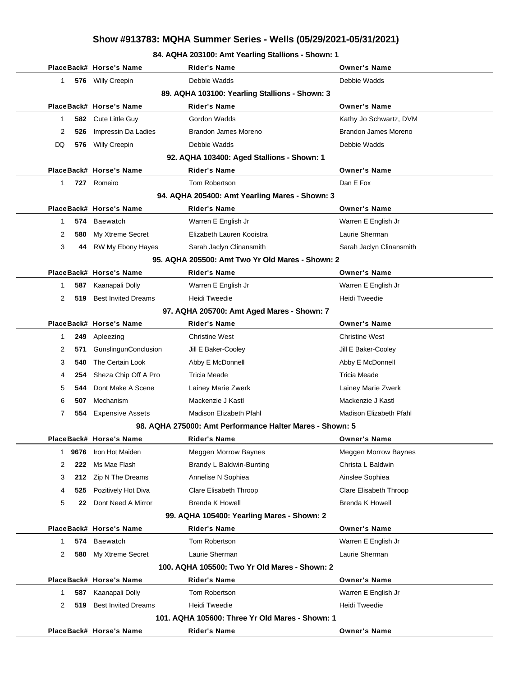#### **84. AQHA 203100: Amt Yearling Stallions - Shown: 1**

|              |                                                | PlaceBack# Horse's Name     | <b>Rider's Name</b>                                      | <b>Owner's Name</b>         |  |  |  |  |
|--------------|------------------------------------------------|-----------------------------|----------------------------------------------------------|-----------------------------|--|--|--|--|
| 1            |                                                | 576 Willy Creepin           | Debbie Wadds                                             | Debbie Wadds                |  |  |  |  |
|              | 89. AQHA 103100: Yearling Stallions - Shown: 3 |                             |                                                          |                             |  |  |  |  |
|              |                                                | PlaceBack# Horse's Name     | <b>Rider's Name</b>                                      | <b>Owner's Name</b>         |  |  |  |  |
| 1            | 582                                            | Cute Little Guy             | Gordon Wadds                                             | Kathy Jo Schwartz, DVM      |  |  |  |  |
| 2            | 526                                            | Impressin Da Ladies         | Brandon James Moreno                                     | Brandon James Moreno        |  |  |  |  |
| DQ           | 576                                            | Willy Creepin               | Debbie Wadds                                             | Debbie Wadds                |  |  |  |  |
|              |                                                |                             | 92. AQHA 103400: Aged Stallions - Shown: 1               |                             |  |  |  |  |
|              |                                                | PlaceBack# Horse's Name     | <b>Rider's Name</b>                                      | <b>Owner's Name</b>         |  |  |  |  |
| 1            | 727                                            | Romeiro                     | Tom Robertson                                            | Dan E Fox                   |  |  |  |  |
|              |                                                |                             | 94. AQHA 205400: Amt Yearling Mares - Shown: 3           |                             |  |  |  |  |
|              |                                                | PlaceBack# Horse's Name     | <b>Rider's Name</b>                                      | <b>Owner's Name</b>         |  |  |  |  |
| 1            | 574                                            | Baewatch                    | Warren E English Jr                                      | Warren E English Jr         |  |  |  |  |
| 2            | 580                                            | My Xtreme Secret            | Elizabeth Lauren Kooistra                                | Laurie Sherman              |  |  |  |  |
| 3            | 44                                             | RW My Ebony Hayes           | Sarah Jaclyn Clinansmith                                 | Sarah Jaclyn Clinansmith    |  |  |  |  |
|              |                                                |                             | 95. AQHA 205500: Amt Two Yr Old Mares - Shown: 2         |                             |  |  |  |  |
|              |                                                | PlaceBack# Horse's Name     | <b>Rider's Name</b>                                      | <b>Owner's Name</b>         |  |  |  |  |
| 1            | 587                                            | Kaanapali Dolly             | Warren E English Jr                                      | Warren E English Jr         |  |  |  |  |
| 2            | 519                                            | <b>Best Invited Dreams</b>  | Heidi Tweedie                                            | Heidi Tweedie               |  |  |  |  |
|              |                                                |                             | 97. AQHA 205700: Amt Aged Mares - Shown: 7               |                             |  |  |  |  |
|              |                                                | PlaceBack# Horse's Name     | <b>Rider's Name</b>                                      | <b>Owner's Name</b>         |  |  |  |  |
| 1            | 249                                            | Apleezing                   | <b>Christine West</b>                                    | <b>Christine West</b>       |  |  |  |  |
| 2            | 571                                            | <b>GunslingunConclusion</b> | Jill E Baker-Cooley                                      | Jill E Baker-Cooley         |  |  |  |  |
| 3            | 540                                            | The Certain Look            | Abby E McDonnell                                         | Abby E McDonnell            |  |  |  |  |
| 4            | 254                                            | Sheza Chip Off A Pro        | <b>Tricia Meade</b>                                      | Tricia Meade                |  |  |  |  |
| 5            | 544                                            | Dont Make A Scene           | Lainey Marie Zwerk                                       | Lainey Marie Zwerk          |  |  |  |  |
| 6            | 507                                            | Mechanism                   | Mackenzie J Kastl                                        | Mackenzie J Kastl           |  |  |  |  |
| 7            | 554                                            | <b>Expensive Assets</b>     | Madison Elizabeth Pfahl                                  | Madison Elizabeth Pfahl     |  |  |  |  |
|              |                                                |                             | 98. AQHA 275000: Amt Performance Halter Mares - Shown: 5 |                             |  |  |  |  |
|              |                                                | PlaceBack# Horse's Name     | Rider's Name                                             | <b>Owner's Name</b>         |  |  |  |  |
| $\mathbf{1}$ | 9676                                           | Iron Hot Maiden             | <b>Meggen Morrow Baynes</b>                              | <b>Meggen Morrow Baynes</b> |  |  |  |  |
| 2            | 222                                            | Ms Mae Flash                | Brandy L Baldwin-Bunting                                 | Christa L Baldwin           |  |  |  |  |
| 3            | 212                                            | Zip N The Dreams            | Annelise N Sophiea                                       | Ainslee Sophiea             |  |  |  |  |
| 4            | 525                                            | Pozitively Hot Diva         | Clare Elisabeth Throop                                   | Clare Elisabeth Throop      |  |  |  |  |
| 5            | 22                                             | Dont Need A Mirror          | <b>Brenda K Howell</b>                                   | <b>Brenda K Howell</b>      |  |  |  |  |
|              |                                                |                             | 99. AQHA 105400: Yearling Mares - Shown: 2               |                             |  |  |  |  |
|              |                                                | PlaceBack# Horse's Name     | <b>Rider's Name</b>                                      | <b>Owner's Name</b>         |  |  |  |  |
| 1            | 574                                            | <b>Baewatch</b>             | Tom Robertson                                            | Warren E English Jr         |  |  |  |  |
| 2            | 580                                            | My Xtreme Secret            | Laurie Sherman                                           | Laurie Sherman              |  |  |  |  |
|              |                                                |                             | 100. AQHA 105500: Two Yr Old Mares - Shown: 2            |                             |  |  |  |  |
|              |                                                | PlaceBack# Horse's Name     | <b>Rider's Name</b>                                      | <b>Owner's Name</b>         |  |  |  |  |
| 1            | 587                                            | Kaanapali Dolly             | Tom Robertson                                            | Warren E English Jr         |  |  |  |  |
| 2            | 519                                            | <b>Best Invited Dreams</b>  | <b>Heidi Tweedie</b>                                     | Heidi Tweedie               |  |  |  |  |
|              |                                                |                             | 101. AQHA 105600: Three Yr Old Mares - Shown: 1          |                             |  |  |  |  |
|              |                                                | PlaceBack# Horse's Name     | <b>Rider's Name</b>                                      | <b>Owner's Name</b>         |  |  |  |  |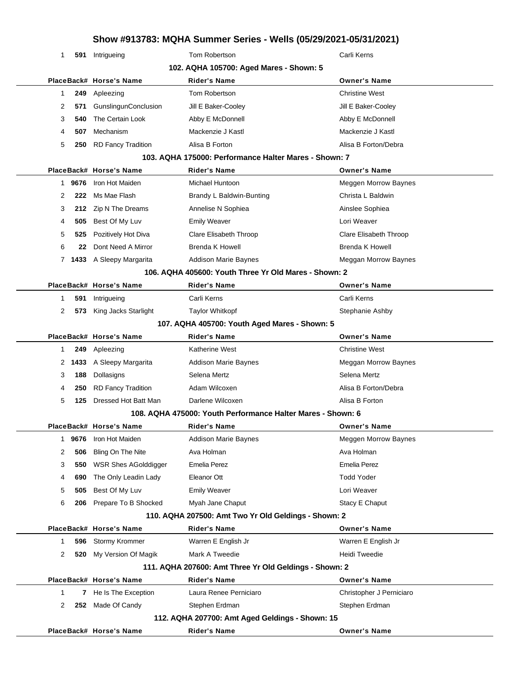| 1                                       | 591 Intrigueing             | Tom Robertson                                               | Carli Kerns                 |  |  |  |
|-----------------------------------------|-----------------------------|-------------------------------------------------------------|-----------------------------|--|--|--|
| 102. AQHA 105700: Aged Mares - Shown: 5 |                             |                                                             |                             |  |  |  |
|                                         | PlaceBack# Horse's Name     | <b>Rider's Name</b>                                         | <b>Owner's Name</b>         |  |  |  |
| $\mathbf 1$<br>249                      | Apleezing                   | Tom Robertson                                               | <b>Christine West</b>       |  |  |  |
| 2<br>571                                | GunslingunConclusion        | Jill E Baker-Cooley                                         | Jill E Baker-Cooley         |  |  |  |
| 3<br>540                                | The Certain Look            | Abby E McDonnell                                            | Abby E McDonnell            |  |  |  |
| 507<br>4                                | Mechanism                   | Mackenzie J Kastl                                           | Mackenzie J Kastl           |  |  |  |
| 5<br>250                                | <b>RD Fancy Tradition</b>   | Alisa B Forton                                              | Alisa B Forton/Debra        |  |  |  |
|                                         |                             | 103. AQHA 175000: Performance Halter Mares - Shown: 7       |                             |  |  |  |
|                                         | PlaceBack# Horse's Name     | <b>Rider's Name</b>                                         | <b>Owner's Name</b>         |  |  |  |
| 1 9676                                  | Iron Hot Maiden             | Michael Huntoon                                             | Meggen Morrow Baynes        |  |  |  |
| 2<br>222                                | Ms Mae Flash                | Brandy L Baldwin-Bunting                                    | Christa L Baldwin           |  |  |  |
| 3                                       | 212 Zip N The Dreams        | Annelise N Sophiea                                          | Ainslee Sophiea             |  |  |  |
| 505<br>4                                | Best Of My Luv              | <b>Emily Weaver</b>                                         | Lori Weaver                 |  |  |  |
| 5<br>525                                | Pozitively Hot Diva         | Clare Elisabeth Throop                                      | Clare Elisabeth Throop      |  |  |  |
| 6<br>22                                 | Dont Need A Mirror          | Brenda K Howell                                             | Brenda K Howell             |  |  |  |
|                                         | 7 1433 A Sleepy Margarita   | <b>Addison Marie Baynes</b>                                 | Meggan Morrow Baynes        |  |  |  |
|                                         |                             | 106. AQHA 405600: Youth Three Yr Old Mares - Shown: 2       |                             |  |  |  |
|                                         | PlaceBack# Horse's Name     | <b>Rider's Name</b>                                         | <b>Owner's Name</b>         |  |  |  |
| 591<br>$\mathbf{1}$                     | Intrigueing                 | Carli Kerns                                                 | Carli Kerns                 |  |  |  |
| 2<br>573                                | King Jacks Starlight        | <b>Taylor Whitkopf</b>                                      | Stephanie Ashby             |  |  |  |
|                                         |                             | 107. AQHA 405700: Youth Aged Mares - Shown: 5               |                             |  |  |  |
|                                         | PlaceBack# Horse's Name     | <b>Rider's Name</b>                                         | <b>Owner's Name</b>         |  |  |  |
| 249<br>$\mathbf{1}$                     | Apleezing                   | <b>Katherine West</b>                                       | <b>Christine West</b>       |  |  |  |
|                                         | 2 1433 A Sleepy Margarita   | <b>Addison Marie Baynes</b>                                 | Meggan Morrow Baynes        |  |  |  |
| 3<br>188                                | Dollasigns                  | Selena Mertz                                                | Selena Mertz                |  |  |  |
| 250<br>4                                | <b>RD Fancy Tradition</b>   | Adam Wilcoxen                                               | Alisa B Forton/Debra        |  |  |  |
| 5<br>125                                | Dressed Hot Batt Man        | Darlene Wilcoxen                                            | Alisa B Forton              |  |  |  |
|                                         |                             | 108. AQHA 475000: Youth Performance Halter Mares - Shown: 6 |                             |  |  |  |
|                                         | PlaceBack# Horse's Name     | Rider's Name                                                | <b>Owner's Name</b>         |  |  |  |
| 9676<br>1                               | Iron Hot Maiden             | <b>Addison Marie Baynes</b>                                 | <b>Meggen Morrow Baynes</b> |  |  |  |
| 2<br>506                                | Bling On The Nite           | Ava Holman                                                  | Ava Holman                  |  |  |  |
| 3<br>550                                | <b>WSR Shes AGolddigger</b> | <b>Emelia Perez</b>                                         | Emelia Perez                |  |  |  |
| 690<br>4                                | The Only Leadin Lady        | Eleanor Ott                                                 | <b>Todd Yoder</b>           |  |  |  |
| 5<br>505                                | Best Of My Luv              | <b>Emily Weaver</b>                                         | Lori Weaver                 |  |  |  |
| 6<br>206                                | Prepare To B Shocked        | Myah Jane Chaput                                            | Stacy E Chaput              |  |  |  |
|                                         |                             | 110. AQHA 207500: Amt Two Yr Old Geldings - Shown: 2        |                             |  |  |  |
|                                         | PlaceBack# Horse's Name     | <b>Rider's Name</b>                                         | <b>Owner's Name</b>         |  |  |  |
| $\mathbf 1$<br>596                      | Stormy Krommer              | Warren E English Jr                                         | Warren E English Jr         |  |  |  |
| 2<br>520                                | My Version Of Magik         | Mark A Tweedie                                              | Heidi Tweedie               |  |  |  |
|                                         |                             | 111. AQHA 207600: Amt Three Yr Old Geldings - Shown: 2      |                             |  |  |  |
|                                         | PlaceBack# Horse's Name     | <b>Rider's Name</b>                                         | <b>Owner's Name</b>         |  |  |  |
| 1<br>7                                  | He Is The Exception         | Laura Renee Perniciaro                                      | Christopher J Perniciaro    |  |  |  |
| 2                                       | 252 Made Of Candy           | Stephen Erdman                                              | Stephen Erdman              |  |  |  |
|                                         |                             | 112. AQHA 207700: Amt Aged Geldings - Shown: 15             |                             |  |  |  |
|                                         | PlaceBack# Horse's Name     | <b>Rider's Name</b>                                         | <b>Owner's Name</b>         |  |  |  |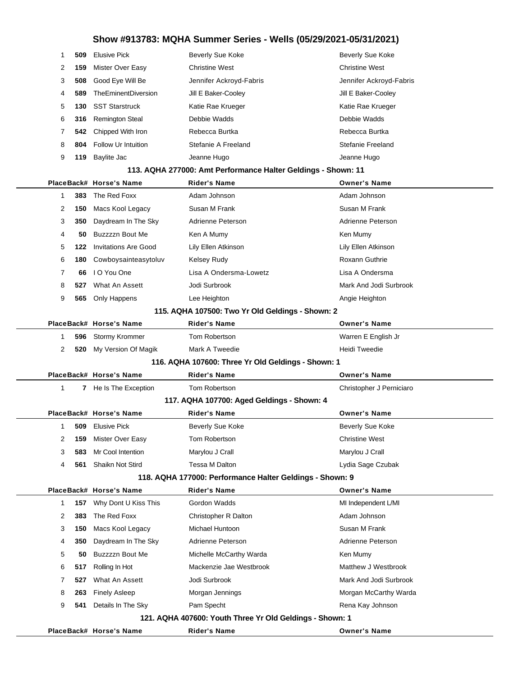|   |     | PlaceBack# Horse's Name                          | Rider's Name                                                  | <b>Owner's Name</b>      |  |
|---|-----|--------------------------------------------------|---------------------------------------------------------------|--------------------------|--|
|   |     |                                                  | 121. AQHA 407600: Youth Three Yr Old Geldings - Shown: 1      |                          |  |
| 9 | 541 | Details In The Sky                               | Pam Specht                                                    | Rena Kay Johnson         |  |
| 8 | 263 | <b>Finely Asleep</b>                             | Morgan Jennings                                               | Morgan McCarthy Warda    |  |
| 7 | 527 | What An Assett                                   | Jodi Surbrook                                                 | Mark And Jodi Surbrook   |  |
| 6 | 517 | Rolling In Hot                                   | Mackenzie Jae Westbrook                                       | Matthew J Westbrook      |  |
| 5 | 50  | Buzzzzn Bout Me                                  | Michelle McCarthy Warda                                       | Ken Mumy                 |  |
| 4 | 350 | Daydream In The Sky                              | Adrienne Peterson                                             | Adrienne Peterson        |  |
| 3 | 150 | Macs Kool Legacy                                 | Michael Huntoon                                               | Susan M Frank            |  |
| 2 | 383 | The Red Foxx                                     | Christopher R Dalton                                          | Adam Johnson             |  |
| 1 | 157 | Why Dont U Kiss This                             | Gordon Wadds                                                  | MI Independent L/MI      |  |
|   |     | PlaceBack# Horse's Name                          | <b>Rider's Name</b>                                           | <b>Owner's Name</b>      |  |
|   |     |                                                  | 118. AQHA 177000: Performance Halter Geldings - Shown: 9      |                          |  |
| 4 | 561 | Shaikn Not Stird                                 | Tessa M Dalton                                                | Lydia Sage Czubak        |  |
| 3 | 583 | Mr Cool Intention                                | Marylou J Crall                                               | Marylou J Crall          |  |
| 2 | 159 | Mister Over Easy                                 | Tom Robertson                                                 | Christine West           |  |
| 1 | 509 | <b>Elusive Pick</b>                              | Beverly Sue Koke                                              | <b>Beverly Sue Koke</b>  |  |
|   |     | PlaceBack# Horse's Name                          | <b>Rider's Name</b>                                           | <b>Owner's Name</b>      |  |
|   |     |                                                  | 117. AQHA 107700: Aged Geldings - Shown: 4                    |                          |  |
| 1 |     | 7 He Is The Exception                            | Tom Robertson                                                 | Christopher J Perniciaro |  |
|   |     | PlaceBack# Horse's Name                          | <b>Rider's Name</b>                                           | <b>Owner's Name</b>      |  |
|   |     |                                                  | 116. AQHA 107600: Three Yr Old Geldings - Shown: 1            |                          |  |
| 2 | 520 | My Version Of Magik                              | Mark A Tweedie                                                | Heidi Tweedie            |  |
| 1 | 596 | Stormy Krommer                                   | Tom Robertson                                                 | Warren E English Jr      |  |
|   |     | PlaceBack# Horse's Name                          | <b>Rider's Name</b>                                           | <b>Owner's Name</b>      |  |
|   |     | 115. AQHA 107500: Two Yr Old Geldings - Shown: 2 |                                                               |                          |  |
| 9 | 565 | Only Happens                                     | Lee Heighton                                                  | Angie Heighton           |  |
| 8 | 527 | What An Assett                                   | Jodi Surbrook                                                 | Mark And Jodi Surbrook   |  |
| 7 | 66  | I O You One                                      | Lisa A Ondersma-Lowetz                                        | Lisa A Ondersma          |  |
| 6 | 180 | Cowboysainteasytoluv                             | <b>Kelsey Rudy</b>                                            | <b>Roxann Guthrie</b>    |  |
| 5 | 122 | <b>Invitations Are Good</b>                      | Lily Ellen Atkinson                                           | Lily Ellen Atkinson      |  |
| 4 | 50  | Buzzzzn Bout Me                                  | Ken A Mumy                                                    | Ken Mumy                 |  |
| 3 | 350 | Daydream In The Sky                              | Adrienne Peterson                                             | Adrienne Peterson        |  |
| 2 | 150 | Macs Kool Legacy                                 | Susan M Frank                                                 | Susan M Frank            |  |
| 1 | 383 | The Red Foxx                                     | Adam Johnson                                                  | Adam Johnson             |  |
|   |     | PlaceBack# Horse's Name                          | <b>Rider's Name</b>                                           | <b>Owner's Name</b>      |  |
|   |     |                                                  | 113. AQHA 277000: Amt Performance Halter Geldings - Shown: 11 |                          |  |
| 9 | 119 | Baylite Jac                                      | Jeanne Hugo                                                   | Jeanne Hugo              |  |
| 8 | 804 | Follow Ur Intuition                              | Stefanie A Freeland                                           | Stefanie Freeland        |  |
| 7 | 542 | Chipped With Iron                                | Rebecca Burtka                                                | Rebecca Burtka           |  |
| 6 | 316 | <b>Remington Steal</b>                           | Debbie Wadds                                                  | Debbie Wadds             |  |
| 5 | 130 | <b>SST Starstruck</b>                            | Katie Rae Krueger                                             | Katie Rae Krueger        |  |
| 4 | 589 | TheEminentDiversion                              | Jill E Baker-Cooley                                           | Jill E Baker-Cooley      |  |
| 3 | 508 | Good Eye Will Be                                 | Jennifer Ackroyd-Fabris                                       | Jennifer Ackroyd-Fabris  |  |
| 2 | 159 | Mister Over Easy                                 | <b>Christine West</b>                                         | <b>Christine West</b>    |  |
| 1 | 509 | <b>Elusive Pick</b>                              | Beverly Sue Koke                                              | <b>Beverly Sue Koke</b>  |  |
|   |     |                                                  |                                                               |                          |  |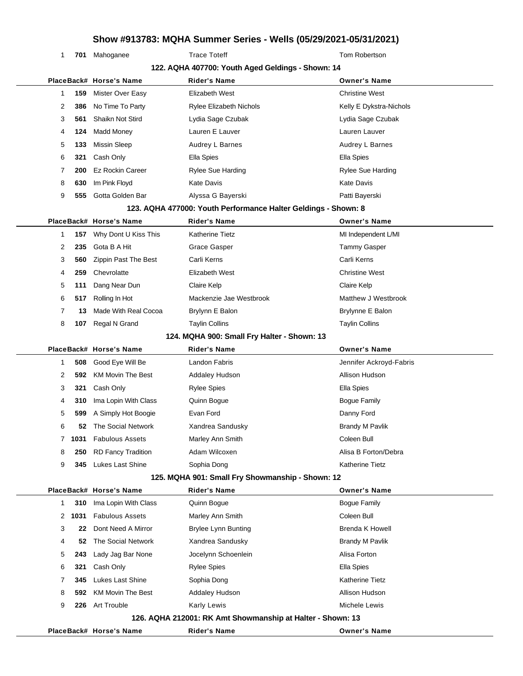1 701 Mahoganee Trace Toteff Trace Tote Tote Tom Robertson

|   |      |                           | 122. AQHA 407700: Youth Aged Geldings - Shown: 14              |                         |
|---|------|---------------------------|----------------------------------------------------------------|-------------------------|
|   |      | PlaceBack# Horse's Name   | <b>Rider's Name</b>                                            | <b>Owner's Name</b>     |
| 1 | 159  | Mister Over Easy          | Elizabeth West                                                 | <b>Christine West</b>   |
| 2 | 386  | No Time To Party          | <b>Rylee Elizabeth Nichols</b>                                 | Kelly E Dykstra-Nichols |
| 3 | 561  | Shaikn Not Stird          | Lydia Sage Czubak                                              | Lydia Sage Czubak       |
| 4 | 124  | Madd Money                | Lauren E Lauver                                                | Lauren Lauver           |
| 5 | 133  | <b>Missin Sleep</b>       | Audrey L Barnes                                                | Audrey L Barnes         |
| 6 | 321  | Cash Only                 | Ella Spies                                                     | Ella Spies              |
| 7 | 200  | <b>Ez Rockin Career</b>   | <b>Rylee Sue Harding</b>                                       | Rylee Sue Harding       |
| 8 | 630  | Im Pink Floyd             | <b>Kate Davis</b>                                              | <b>Kate Davis</b>       |
| 9 | 555  | Gotta Golden Bar          | Alyssa G Bayerski                                              | Patti Bayerski          |
|   |      |                           | 123. AQHA 477000: Youth Performance Halter Geldings - Shown: 8 |                         |
|   |      | PlaceBack# Horse's Name   | <b>Rider's Name</b>                                            | <b>Owner's Name</b>     |
| 1 | 157  | Why Dont U Kiss This      | <b>Katherine Tietz</b>                                         | MI Independent L/MI     |
| 2 | 235  | Gota B A Hit              | Grace Gasper                                                   | <b>Tammy Gasper</b>     |
| 3 | 560  | Zippin Past The Best      | Carli Kerns                                                    | Carli Kerns             |
| 4 | 259  | Chevrolatte               | Elizabeth West                                                 | <b>Christine West</b>   |
| 5 | 111  | Dang Near Dun             | Claire Kelp                                                    | Claire Kelp             |
| 6 | 517  | Rolling In Hot            | Mackenzie Jae Westbrook                                        | Matthew J Westbrook     |
| 7 | 13   | Made With Real Cocoa      | Brylynn E Balon                                                | Brylynne E Balon        |
| 8 | 107  | Regal N Grand             | <b>Taylin Collins</b>                                          | <b>Taylin Collins</b>   |
|   |      |                           | 124. MQHA 900: Small Fry Halter - Shown: 13                    |                         |
|   |      | PlaceBack# Horse's Name   | Rider's Name                                                   | <b>Owner's Name</b>     |
| 1 | 508  | Good Eye Will Be          | Landon Fabris                                                  | Jennifer Ackroyd-Fabris |
| 2 | 592  | <b>KM Movin The Best</b>  | <b>Addaley Hudson</b>                                          | Allison Hudson          |
| 3 | 321  | Cash Only                 | <b>Rylee Spies</b>                                             | Ella Spies              |
| 4 | 310  | Ima Lopin With Class      | Quinn Bogue                                                    | <b>Bogue Family</b>     |
| 5 | 599  | A Simply Hot Boogie       | Evan Ford                                                      | Danny Ford              |
| 6 | 52   | The Social Network        | Xandrea Sandusky                                               | <b>Brandy M Pavlik</b>  |
| 7 | 1031 | <b>Fabulous Assets</b>    | Marley Ann Smith                                               | Coleen Bull             |
| 8 | 250  | <b>RD Fancy Tradition</b> | Adam Wilcoxen                                                  | Alisa B Forton/Debra    |
| 9 | 345  | Lukes Last Shine          | Sophia Dong                                                    | <b>Katherine Tietz</b>  |
|   |      |                           | 125. MQHA 901: Small Fry Showmanship - Shown: 12               |                         |
|   |      | PlaceBack# Horse's Name   | <b>Rider's Name</b>                                            | <b>Owner's Name</b>     |
| 1 | 310  | Ima Lopin With Class      | Quinn Bogue                                                    | <b>Bogue Family</b>     |
| 2 | 1031 | <b>Fabulous Assets</b>    | Marley Ann Smith                                               | Coleen Bull             |
| 3 | 22   | Dont Need A Mirror        | <b>Brylee Lynn Bunting</b>                                     | <b>Brenda K Howell</b>  |
| 4 | 52   | The Social Network        | Xandrea Sandusky                                               | <b>Brandy M Pavlik</b>  |
| 5 | 243  | Lady Jag Bar None         | Jocelynn Schoenlein                                            | Alisa Forton            |
| 6 | 321  | Cash Only                 | <b>Rylee Spies</b>                                             | Ella Spies              |
| 7 | 345  | <b>Lukes Last Shine</b>   | Sophia Dong                                                    | <b>Katherine Tietz</b>  |
| 8 | 592  | <b>KM Movin The Best</b>  | <b>Addaley Hudson</b>                                          | Allison Hudson          |
| 9 |      | 226 Art Trouble           | <b>Karly Lewis</b>                                             | Michele Lewis           |
|   |      |                           | 126. AQHA 212001: RK Amt Showmanship at Halter - Shown: 13     |                         |
|   |      | PlaceBack# Horse's Name   | <b>Rider's Name</b>                                            | <b>Owner's Name</b>     |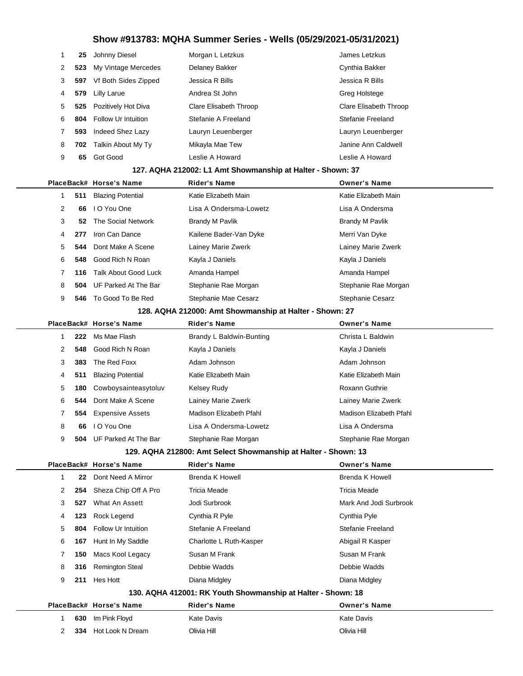|   | 25  | Johnny Diesel              | Morgan L Letzkus       | James Letzkus          |
|---|-----|----------------------------|------------------------|------------------------|
| 2 | 523 | My Vintage Mercedes        | Delaney Bakker         | Cynthia Bakker         |
| 3 | 597 | Vf Both Sides Zipped       | Jessica R Bills        | Jessica R Bills        |
| 4 | 579 | Lilly Larue                | Andrea St John         | Greg Holstege          |
| 5 | 525 | Pozitively Hot Diva        | Clare Elisabeth Throop | Clare Elisabeth Throop |
| 6 | 804 | <b>Follow Ur Intuition</b> | Stefanie A Freeland    | Stefanie Freeland      |
|   | 593 | Indeed Shez Lazy           | Lauryn Leuenberger     | Lauryn Leuenberger     |
| 8 | 702 | Talkin About My Ty         | Mikayla Mae Tew        | Janine Ann Caldwell    |
| 9 | 65  | Got Good                   | Leslie A Howard        | Leslie A Howard        |
|   |     |                            |                        |                        |

#### **127. AQHA 212002: L1 Amt Showmanship at Halter - Shown: 37**

|    |     | PlaceBack# Horse's Name  | <b>Rider's Name</b>    | <b>Owner's Name</b>    |  |
|----|-----|--------------------------|------------------------|------------------------|--|
|    | 511 | <b>Blazing Potential</b> | Katie Elizabeth Main   | Katie Elizabeth Main   |  |
| 2  | 66  | I O You One              | Lisa A Ondersma-Lowetz | Lisa A Ondersma        |  |
| 3  | 52  | The Social Network       | <b>Brandy M Pavlik</b> | <b>Brandy M Pavlik</b> |  |
| 4  | 277 | Iron Can Dance           | Kailene Bader-Van Dyke | Merri Van Dyke         |  |
| 5. | 544 | Dont Make A Scene        | Lainey Marie Zwerk     | Lainey Marie Zwerk     |  |
| 6  | 548 | Good Rich N Roan         | Kayla J Daniels        | Kayla J Daniels        |  |
| 7  | 116 | Talk About Good Luck     | Amanda Hampel          | Amanda Hampel          |  |
| 8  | 504 | UF Parked At The Bar     | Stephanie Rae Morgan   | Stephanie Rae Morgan   |  |
| 9  | 546 | To Good To Be Red        | Stephanie Mae Cesarz   | Stephanie Cesarz       |  |
|    |     |                          |                        |                        |  |

#### **128. AQHA 212000: Amt Showmanship at Halter - Shown: 27**

|   |     | PlaceBack# Horse's Name     | <b>Rider's Name</b>                                           | <b>Owner's Name</b>     |
|---|-----|-----------------------------|---------------------------------------------------------------|-------------------------|
|   | 222 | Ms Mae Flash                | Brandy L Baldwin-Bunting                                      | Christa L Baldwin       |
| 2 | 548 | Good Rich N Roan            | Kayla J Daniels                                               | Kayla J Daniels         |
| 3 | 383 | The Red Foxx                | Adam Johnson                                                  | Adam Johnson            |
| 4 | 511 | <b>Blazing Potential</b>    | Katie Elizabeth Main                                          | Katie Elizabeth Main    |
| 5 | 180 | Cowboysainteasytoluv        | Kelsey Rudy                                                   | Roxann Guthrie          |
| 6 | 544 | Dont Make A Scene           | Lainey Marie Zwerk                                            | Lainey Marie Zwerk      |
|   |     | <b>554</b> Expensive Assets | Madison Elizabeth Pfahl                                       | Madison Elizabeth Pfahl |
| 8 | 66  | I O You One                 | Lisa A Ondersma-Lowetz                                        | Lisa A Ondersma         |
| 9 | 504 | UF Parked At The Bar        | Stephanie Rae Morgan                                          | Stephanie Rae Morgan    |
|   |     |                             | 100 AOUA 010000, Ami Calcai Chaumanahin ai Haliar - Chaum, 19 |                         |

| 129. AQHA 212800: Amt Select Showmanship at Halter - Shown: 13 |  |  |
|----------------------------------------------------------------|--|--|
|----------------------------------------------------------------|--|--|

|                                                              |     | PlaceBack# Horse's Name    | <b>Rider's Name</b>     | <b>Owner's Name</b>    |  |
|--------------------------------------------------------------|-----|----------------------------|-------------------------|------------------------|--|
|                                                              | 22  | Dont Need A Mirror         | Brenda K Howell         | Brenda K Howell        |  |
| 2                                                            | 254 | Sheza Chip Off A Pro       | Tricia Meade            | Tricia Meade           |  |
| 3                                                            | 527 | What An Assett             | Jodi Surbrook           | Mark And Jodi Surbrook |  |
| 4                                                            | 123 | Rock Legend                | Cynthia R Pyle          | Cynthia Pyle           |  |
| 5                                                            | 804 | <b>Follow Ur Intuition</b> | Stefanie A Freeland     | Stefanie Freeland      |  |
| 6                                                            | 167 | Hunt In My Saddle          | Charlotte L Ruth-Kasper | Abigail R Kasper       |  |
|                                                              | 150 | Macs Kool Legacy           | Susan M Frank           | Susan M Frank          |  |
| 8                                                            | 316 | <b>Remington Steal</b>     | Debbie Wadds            | Debbie Wadds           |  |
| 9                                                            | 211 | Hes Hott                   | Diana Midgley           | Diana Midgley          |  |
| 130. AQHA 412001: RK Youth Showmanship at Halter - Shown: 18 |     |                            |                         |                        |  |
|                                                              |     | PlaceBack# Horse's Name    | <b>Rider's Name</b>     | <b>Owner's Name</b>    |  |
|                                                              | 630 | Im Pink Floyd              | <b>Kate Davis</b>       | <b>Kate Davis</b>      |  |
| 2                                                            | 334 | Hot Look N Dream           | Olivia Hill             | Olivia Hill            |  |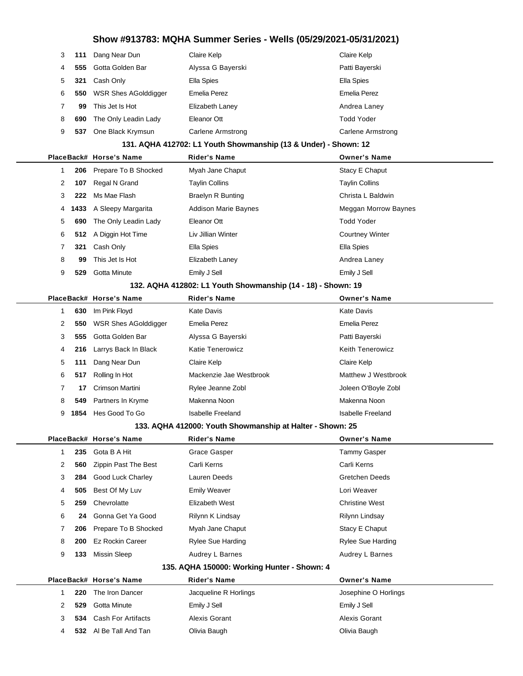| 3 | 111 | Dang Near Dun               | Claire Kelp       | Claire Kelp       |
|---|-----|-----------------------------|-------------------|-------------------|
| 4 | 555 | Gotta Golden Bar            | Alyssa G Bayerski | Patti Bayerski    |
| 5 | 321 | Cash Only                   | Ella Spies        | Ella Spies        |
| 6 | 550 | <b>WSR Shes AGolddigger</b> | Emelia Perez      | Emelia Perez      |
|   | 99  | This Jet Is Hot             | Elizabeth Laney   | Andrea Laney      |
| 8 | 690 | The Only Leadin Lady        | Eleanor Ott       | Todd Yoder        |
| 9 | 537 | One Black Krymsun           | Carlene Armstrong | Carlene Armstrong |
|   |     |                             |                   |                   |

#### **131. AQHA 412702: L1 Youth Showmanship (13 & Under) - Shown: 12**

|                      |                                                             | PlaceBack# Horse's Name        | <b>Rider's Name</b>         | <b>Owner's Name</b>    |  |  |  |
|----------------------|-------------------------------------------------------------|--------------------------------|-----------------------------|------------------------|--|--|--|
|                      |                                                             | 206 Prepare To B Shocked       | Myah Jane Chaput            | Stacy E Chaput         |  |  |  |
| $\mathbf{2}^{\circ}$ | 107                                                         | Regal N Grand                  | <b>Taylin Collins</b>       | <b>Taylin Collins</b>  |  |  |  |
| 3                    | 222                                                         | Ms Mae Flash                   | <b>Braelyn R Bunting</b>    | Christa L Baldwin      |  |  |  |
| 4                    |                                                             | <b>1433</b> A Sleepy Margarita | <b>Addison Marie Baynes</b> | Meggan Morrow Baynes   |  |  |  |
| 5                    | 690                                                         | The Only Leadin Lady           | Eleanor Ott                 | <b>Todd Yoder</b>      |  |  |  |
| 6                    |                                                             | 512 A Diggin Hot Time          | Liv Jillian Winter          | <b>Courtney Winter</b> |  |  |  |
|                      | 321                                                         | Cash Only                      | Ella Spies                  | Ella Spies             |  |  |  |
| 8                    | 99                                                          | This Jet Is Hot                | Elizabeth Laney             | Andrea Laney           |  |  |  |
| 9                    | 529                                                         | Gotta Minute                   | Emily J Sell                | Emily J Sell           |  |  |  |
|                      | 132 AOHA 412802: L1 Vouth Showmanshin (14 - 18) - Shown: 10 |                                |                             |                        |  |  |  |

#### **132. AQHA 412802: L1 Youth Showmanship (14 - 18) - Shown: 19**

|                |      | PlaceBack# Horse's Name     | <b>Rider's Name</b>     | <b>Owner's Name</b>     |
|----------------|------|-----------------------------|-------------------------|-------------------------|
|                | 630  | Im Pink Floyd               | Kate Davis              | Kate Davis              |
| 2              | 550  | <b>WSR Shes AGolddigger</b> | Emelia Perez            | Emelia Perez            |
| 3              | 555  | Gotta Golden Bar            | Alyssa G Bayerski       | Patti Bayerski          |
| 4              | 216  | Larrys Back In Black        | Katie Tenerowicz        | <b>Keith Tenerowicz</b> |
| 5              | 111  | Dang Near Dun               | Claire Kelp             | Claire Kelp             |
| 6              | 517  | Rolling In Hot              | Mackenzie Jae Westbrook | Matthew J Westbrook     |
| $\overline{7}$ | 17   | Crimson Martini             | Rylee Jeanne Zobl       | Joleen O'Boyle Zobl     |
| 8              | 549  | Partners In Kryme           | Makenna Noon            | Makenna Noon            |
| 9              | 1854 | Hes Good To Go              | Isabelle Freeland       | Isabelle Freeland       |

#### **133. AQHA 412000: Youth Showmanship at Halter - Shown: 25**

|   |     | PlaceBack# Horse's Name  | <b>Rider's Name</b>      | <b>Owner's Name</b>      |
|---|-----|--------------------------|--------------------------|--------------------------|
|   | 235 | Gota B A Hit             | Grace Gasper             | Tammy Gasper             |
| 2 | 560 | Zippin Past The Best     | Carli Kerns              | Carli Kerns              |
| 3 | 284 | <b>Good Luck Charley</b> | Lauren Deeds             | <b>Gretchen Deeds</b>    |
| 4 | 505 | Best Of My Luv           | <b>Emily Weaver</b>      | Lori Weaver              |
| 5 | 259 | Chevrolatte              | Elizabeth West           | <b>Christine West</b>    |
| 6 | 24  | Gonna Get Ya Good        | Rilynn K Lindsay         | Rilynn Lindsay           |
|   | 206 | Prepare To B Shocked     | Myah Jane Chaput         | Stacy E Chaput           |
| 8 | 200 | <b>Ez Rockin Career</b>  | <b>Rylee Sue Harding</b> | <b>Rylee Sue Harding</b> |
| 9 | 133 | Missin Sleep             | Audrey L Barnes          | Audrey L Barnes          |
|   |     |                          |                          |                          |

#### **135. AQHA 150000: Working Hunter - Shown: 4**

|  |  |     | PlaceBack# Horse's Name | <b>Rider's Name</b>   | <b>Owner's Name</b>  |  |
|--|--|-----|-------------------------|-----------------------|----------------------|--|
|  |  | 220 | The Iron Dancer         | Jacqueline R Horlings | Josephine O Horlings |  |
|  |  | 529 | Gotta Minute            | Emily J Sell          | Emily J Sell         |  |
|  |  |     | 534 Cash For Artifacts  | Alexis Gorant         | Alexis Gorant        |  |
|  |  |     | 532 Al Be Tall And Tan  | Olivia Baugh          | Olivia Baugh         |  |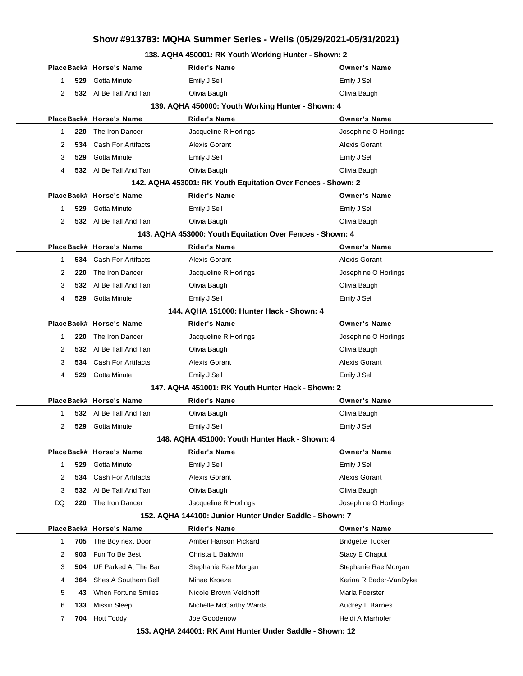### **138. AQHA 450001: RK Youth Working Hunter - Shown: 2**

|           | PlaceBack# Horse's Name          | Rider's Name                                                 | <b>Owner's Name</b>     |
|-----------|----------------------------------|--------------------------------------------------------------|-------------------------|
| 1         | Gotta Minute<br>529              | Emily J Sell                                                 | Emily J Sell            |
| 2         | 532 Al Be Tall And Tan           | Olivia Baugh                                                 | Olivia Baugh            |
|           |                                  | 139. AQHA 450000: Youth Working Hunter - Shown: 4            |                         |
|           | PlaceBack# Horse's Name          | Rider's Name                                                 | <b>Owner's Name</b>     |
| 220<br>1  | The Iron Dancer                  | Jacqueline R Horlings                                        | Josephine O Horlings    |
| 2<br>534  | <b>Cash For Artifacts</b>        | Alexis Gorant                                                | Alexis Gorant           |
| 529<br>3  | Gotta Minute                     | Emily J Sell                                                 | Emily J Sell            |
| 4         | 532 Al Be Tall And Tan           | Olivia Baugh                                                 | Olivia Baugh            |
|           |                                  | 142. AQHA 453001: RK Youth Equitation Over Fences - Shown: 2 |                         |
|           | PlaceBack# Horse's Name          | <b>Rider's Name</b>                                          | <b>Owner's Name</b>     |
| 529<br>1  | <b>Gotta Minute</b>              | Emily J Sell                                                 | Emily J Sell            |
| 2         | 532 Al Be Tall And Tan           | Olivia Baugh                                                 | Olivia Baugh            |
|           |                                  | 143. AQHA 453000: Youth Equitation Over Fences - Shown: 4    |                         |
|           | PlaceBack# Horse's Name          | <b>Rider's Name</b>                                          | <b>Owner's Name</b>     |
| 1         | <b>Cash For Artifacts</b><br>534 | Alexis Gorant                                                | <b>Alexis Gorant</b>    |
| 2<br>220  | The Iron Dancer                  | Jacqueline R Horlings                                        | Josephine O Horlings    |
| 3         | AI Be Tall And Tan<br>532        | Olivia Baugh                                                 | Olivia Baugh            |
| 4         | 529<br><b>Gotta Minute</b>       | Emily J Sell                                                 | Emily J Sell            |
|           |                                  | 144. AQHA 151000: Hunter Hack - Shown: 4                     |                         |
|           | PlaceBack# Horse's Name          | Rider's Name                                                 | <b>Owner's Name</b>     |
| 220<br>1  | The Iron Dancer                  | Jacqueline R Horlings                                        | Josephine O Horlings    |
| 2         | Al Be Tall And Tan<br>532        | Olivia Baugh                                                 | Olivia Baugh            |
| 3<br>534  | <b>Cash For Artifacts</b>        | Alexis Gorant                                                | <b>Alexis Gorant</b>    |
| 529<br>4  | Gotta Minute                     | Emily J Sell                                                 | Emily J Sell            |
|           |                                  | 147. AQHA 451001: RK Youth Hunter Hack - Shown: 2            |                         |
|           | PlaceBack# Horse's Name          | Rider's Name                                                 | <b>Owner's Name</b>     |
| 1         | AI Be Tall And Tan<br>532        | Olivia Baugh                                                 | Olivia Baugh            |
| 2<br>529  | Gotta Minute                     | Emily J Sell                                                 | Emily J Sell            |
|           |                                  | 148. AQHA 451000: Youth Hunter Hack - Shown: 4               |                         |
|           | PlaceBack# Horse's Name          | Rider's Name                                                 | <b>Owner's Name</b>     |
| 529<br>1  | Gotta Minute                     | Emily J Sell                                                 | Emily J Sell            |
| 2<br>534  | Cash For Artifacts               | Alexis Gorant                                                | Alexis Gorant           |
| 3<br>532  | Al Be Tall And Tan               | Olivia Baugh                                                 | Olivia Baugh            |
| DQ<br>220 | The Iron Dancer                  | Jacqueline R Horlings                                        | Josephine O Horlings    |
|           |                                  | 152. AQHA 144100: Junior Hunter Under Saddle - Shown: 7      |                         |
|           | PlaceBack# Horse's Name          | Rider's Name                                                 | <b>Owner's Name</b>     |
| 705<br>1  | The Boy next Door                | Amber Hanson Pickard                                         | <b>Bridgette Tucker</b> |
| 2<br>903  | Fun To Be Best                   | Christa L Baldwin                                            | Stacy E Chaput          |
| 3<br>504  | UF Parked At The Bar             | Stephanie Rae Morgan                                         | Stephanie Rae Morgan    |
| 4<br>364  | Shes A Southern Bell             | Minae Kroeze                                                 | Karina R Bader-VanDyke  |
| 5         | When Fortune Smiles<br>43        | Nicole Brown Veldhoff                                        | Marla Foerster          |
| 6<br>133  | <b>Missin Sleep</b>              | Michelle McCarthy Warda                                      | Audrey L Barnes         |
| 7<br>704  | <b>Hott Toddy</b>                | Joe Goodenow                                                 | Heidi A Marhofer        |
|           |                                  | 152 AOUA 244001, DK Amt Hunter Under Saddle, Shoum, 12       |                         |

**153. AQHA 244001: RK Amt Hunter Under Saddle - Shown: 12**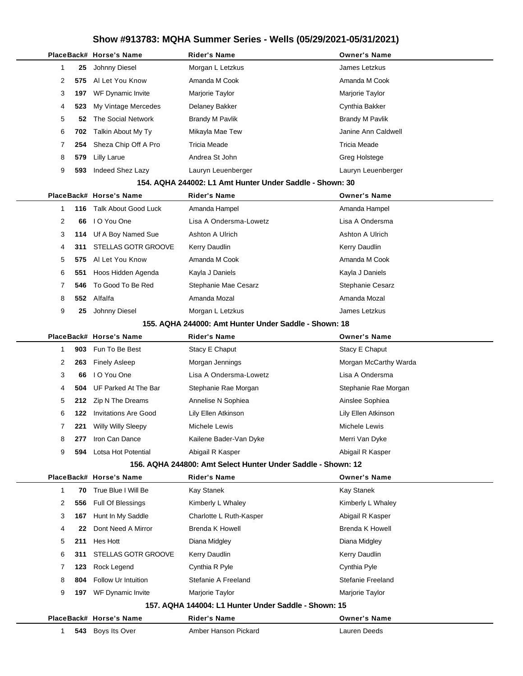|  |              |     | PlaceBack# Horse's Name     | <b>Rider's Name</b>                                          | <b>Owner's Name</b>    |
|--|--------------|-----|-----------------------------|--------------------------------------------------------------|------------------------|
|  | $\mathbf{1}$ | 25  | Johnny Diesel               | Morgan L Letzkus                                             | James Letzkus          |
|  | 2            | 575 | Al Let You Know             | Amanda M Cook                                                | Amanda M Cook          |
|  | 3            | 197 | WF Dynamic Invite           | Marjorie Taylor                                              | Marjorie Taylor        |
|  | 4            | 523 | My Vintage Mercedes         | Delaney Bakker                                               | Cynthia Bakker         |
|  | 5            | 52  | The Social Network          | <b>Brandy M Pavlik</b>                                       | <b>Brandy M Pavlik</b> |
|  | 6            | 702 | Talkin About My Ty          | Mikayla Mae Tew                                              | Janine Ann Caldwell    |
|  | 7            | 254 | Sheza Chip Off A Pro        | <b>Tricia Meade</b>                                          | <b>Tricia Meade</b>    |
|  | 8            | 579 | Lilly Larue                 | Andrea St John                                               | Greg Holstege          |
|  | 9            | 593 | Indeed Shez Lazy            | Lauryn Leuenberger                                           | Lauryn Leuenberger     |
|  |              |     |                             | 154. AQHA 244002: L1 Amt Hunter Under Saddle - Shown: 30     |                        |
|  |              |     | PlaceBack# Horse's Name     | <b>Rider's Name</b>                                          | <b>Owner's Name</b>    |
|  | $\mathbf{1}$ | 116 | <b>Talk About Good Luck</b> | Amanda Hampel                                                | Amanda Hampel          |
|  | 2            | 66  | I O You One                 | Lisa A Ondersma-Lowetz                                       | Lisa A Ondersma        |
|  | 3            | 114 | Uf A Boy Named Sue          | Ashton A Ulrich                                              | Ashton A Ulrich        |
|  | 4            | 311 | STELLAS GOTR GROOVE         | Kerry Daudlin                                                | Kerry Daudlin          |
|  | 5            | 575 | Al Let You Know             | Amanda M Cook                                                | Amanda M Cook          |
|  | 6            | 551 | Hoos Hidden Agenda          | Kayla J Daniels                                              | Kayla J Daniels        |
|  | 7            | 546 | To Good To Be Red           | Stephanie Mae Cesarz                                         | Stephanie Cesarz       |
|  | 8            |     | 552 Alfalfa                 | Amanda Mozal                                                 | Amanda Mozal           |
|  | 9            | 25  | Johnny Diesel               | Morgan L Letzkus                                             | James Letzkus          |
|  |              |     |                             | 155. AQHA 244000: Amt Hunter Under Saddle - Shown: 18        |                        |
|  |              |     | PlaceBack# Horse's Name     | <b>Rider's Name</b>                                          | <b>Owner's Name</b>    |
|  | $\mathbf{1}$ | 903 | Fun To Be Best              | Stacy E Chaput                                               | Stacy E Chaput         |
|  | 2            | 263 | <b>Finely Asleep</b>        | Morgan Jennings                                              | Morgan McCarthy Warda  |
|  | 3            | 66  | I O You One                 | Lisa A Ondersma-Lowetz                                       | Lisa A Ondersma        |
|  | 4            | 504 | UF Parked At The Bar        | Stephanie Rae Morgan                                         | Stephanie Rae Morgan   |
|  | 5            | 212 | Zip N The Dreams            | Annelise N Sophiea                                           | Ainslee Sophiea        |
|  | 6            | 122 | <b>Invitations Are Good</b> | Lily Ellen Atkinson                                          | Lily Ellen Atkinson    |
|  | 7            | 221 | <b>Willy Willy Sleepy</b>   | Michele Lewis                                                | Michele Lewis          |
|  | 8            | 277 | Iron Can Dance              | Kailene Bader-Van Dyke                                       | Merri Van Dyke         |
|  | 9            | 594 | Lotsa Hot Potential         | Abigail R Kasper                                             | Abigail R Kasper       |
|  |              |     |                             | 156. AQHA 244800: Amt Select Hunter Under Saddle - Shown: 12 |                        |
|  |              |     | PlaceBack# Horse's Name     | <b>Rider's Name</b>                                          | <b>Owner's Name</b>    |
|  | 1            | 70  | True Blue I Will Be         | Kay Stanek                                                   | Kay Stanek             |
|  | 2            | 556 | Full Of Blessings           | Kimberly L Whaley                                            | Kimberly L Whaley      |
|  | 3            | 167 | Hunt In My Saddle           | Charlotte L Ruth-Kasper                                      | Abigail R Kasper       |
|  | 4            | 22  | Dont Need A Mirror          | <b>Brenda K Howell</b>                                       | Brenda K Howell        |
|  | 5            | 211 | Hes Hott                    | Diana Midgley                                                | Diana Midgley          |
|  | 6            | 311 | STELLAS GOTR GROOVE         | Kerry Daudlin                                                | Kerry Daudlin          |
|  | 7            | 123 | Rock Legend                 | Cynthia R Pyle                                               | Cynthia Pyle           |
|  | 8            | 804 | Follow Ur Intuition         | Stefanie A Freeland                                          | Stefanie Freeland      |
|  | 9            | 197 | WF Dynamic Invite           | Marjorie Taylor                                              | Marjorie Taylor        |
|  |              |     |                             | 157. AQHA 144004: L1 Hunter Under Saddle - Shown: 15         |                        |
|  |              |     | PlaceBack# Horse's Name     | <b>Rider's Name</b>                                          | <b>Owner's Name</b>    |
|  | $\mathbf{1}$ | 543 | Boys Its Over               | Amber Hanson Pickard                                         | Lauren Deeds           |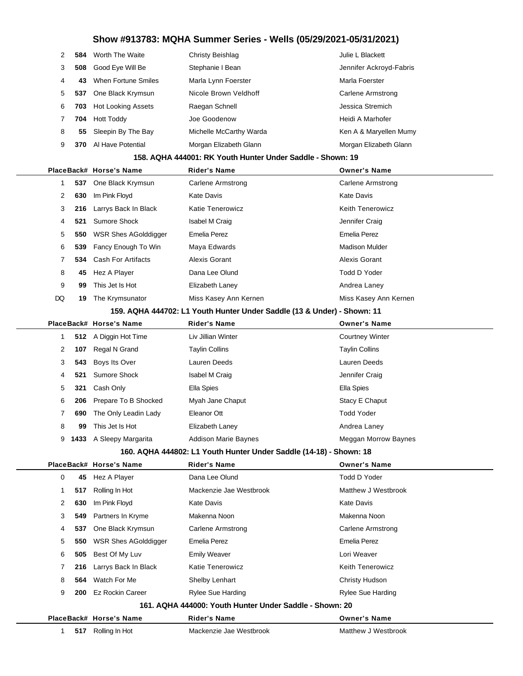| $\mathcal{P}$ |     | <b>584</b> Worth The Waite | Christy Beishlag        | Julie L Blackett        |
|---------------|-----|----------------------------|-------------------------|-------------------------|
| 3             | 508 | Good Eye Will Be           | Stephanie I Bean        | Jennifer Ackroyd-Fabris |
| 4             | 43  | When Fortune Smiles        | Marla Lynn Foerster     | Marla Foerster          |
| 5             | 537 | One Black Krymsun          | Nicole Brown Veldhoff   | Carlene Armstrong       |
| 6             | 703 | <b>Hot Looking Assets</b>  | Raegan Schnell          | Jessica Stremich        |
| 7             | 704 | <b>Hott Toddy</b>          | Joe Goodenow            | Heidi A Marhofer        |
| 8             | 55  | Sleepin By The Bay         | Michelle McCarthy Warda | Ken A & Maryellen Mumy  |
| 9             | 370 | Al Have Potential          | Morgan Elizabeth Glann  | Morgan Elizabeth Glann  |
|               |     |                            |                         |                         |

#### **158. AQHA 444001: RK Youth Hunter Under Saddle - Shown: 19**

|                      |     | PlaceBack# Horse's Name  | <b>Rider's Name</b>     | <b>Owner's Name</b>     |
|----------------------|-----|--------------------------|-------------------------|-------------------------|
|                      |     | 537 One Black Krymsun    | Carlene Armstrong       | Carlene Armstrong       |
| $\mathbf{2}^{\circ}$ | 630 | Im Pink Floyd            | <b>Kate Davis</b>       | Kate Davis              |
| 3                    |     | 216 Larrys Back In Black | <b>Katie Tenerowicz</b> | <b>Keith Tenerowicz</b> |
| 4                    |     | 521 Sumore Shock         | Isabel M Craig          | Jennifer Craig          |
| 5                    | 550 | WSR Shes AGolddigger     | Emelia Perez            | Emelia Perez            |
| 6                    |     | 539 Fancy Enough To Win  | Maya Edwards            | <b>Madison Mulder</b>   |
|                      |     | 534 Cash For Artifacts   | Alexis Gorant           | Alexis Gorant           |
| 8                    | 45  | Hez A Player             | Dana Lee Olund          | Todd D Yoder            |
| 9                    | 99  | This Jet Is Hot          | Elizabeth Laney         | Andrea Laney            |
| DQ                   | 19  | The Krymsunator          | Miss Kasey Ann Kernen   | Miss Kasey Ann Kernen   |
|                      |     |                          |                         |                         |

#### **159. AQHA 444702: L1 Youth Hunter Under Saddle (13 & Under) - Shown: 11**

|   |      | PlaceBack# Horse's Name  | <b>Rider's Name</b>         | <b>Owner's Name</b>    |
|---|------|--------------------------|-----------------------------|------------------------|
|   |      | 512 A Diggin Hot Time    | Liv Jillian Winter          | <b>Courtney Winter</b> |
| 2 | 107  | Regal N Grand            | <b>Taylin Collins</b>       | <b>Taylin Collins</b>  |
| 3 | 543  | Boys Its Over            | Lauren Deeds                | Lauren Deeds           |
| 4 | 521  | Sumore Shock             | Isabel M Craig              | Jennifer Craig         |
| 5 | 321  | Cash Only                | Ella Spies                  | Ella Spies             |
| 6 |      | 206 Prepare To B Shocked | Myah Jane Chaput            | Stacy E Chaput         |
| 7 | 690  | The Only Leadin Lady     | Eleanor Ott                 | <b>Todd Yoder</b>      |
| 8 | 99   | This Jet Is Hot          | Elizabeth Laney             | Andrea Laney           |
| 9 | 1433 | A Sleepy Margarita       | <b>Addison Marie Baynes</b> | Meggan Morrow Baynes   |
|   |      |                          |                             |                        |

#### **160. AQHA 444802: L1 Youth Hunter Under Saddle (14-18) - Shown: 18**

|          |     | PlaceBack# Horse's Name | <b>Rider's Name</b>                                     | <b>Owner's Name</b>     |  |
|----------|-----|-------------------------|---------------------------------------------------------|-------------------------|--|
| $\Omega$ | 45  | Hez A Player            | Dana Lee Olund                                          | Todd D Yoder            |  |
|          |     | 517 Rolling In Hot      | Mackenzie Jae Westbrook                                 | Matthew J Westbrook     |  |
| 2        | 630 | Im Pink Floyd           | Kate Davis                                              | Kate Davis              |  |
| 3        |     | 549 Partners In Kryme   | Makenna Noon                                            | Makenna Noon            |  |
| 4        |     | 537 One Black Krymsun   | <b>Carlene Armstrong</b>                                | Carlene Armstrong       |  |
| 5        | 550 | WSR Shes AGolddigger    | Emelia Perez                                            | Emelia Perez            |  |
| 6        | 505 | Best Of My Luv          | <b>Emily Weaver</b>                                     | Lori Weaver             |  |
|          | 216 | Larrys Back In Black    | Katie Tenerowicz                                        | <b>Keith Tenerowicz</b> |  |
| 8        | 564 | Watch For Me            | <b>Shelby Lenhart</b>                                   | Christy Hudson          |  |
| 9        | 200 | Ez Rockin Career        | Rylee Sue Harding                                       | Rylee Sue Harding       |  |
|          |     |                         | 161. AQHA 444000: Youth Hunter Under Saddle - Shown: 20 |                         |  |
|          |     | PlaceBack# Horse's Name | <b>Rider's Name</b>                                     | <b>Owner's Name</b>     |  |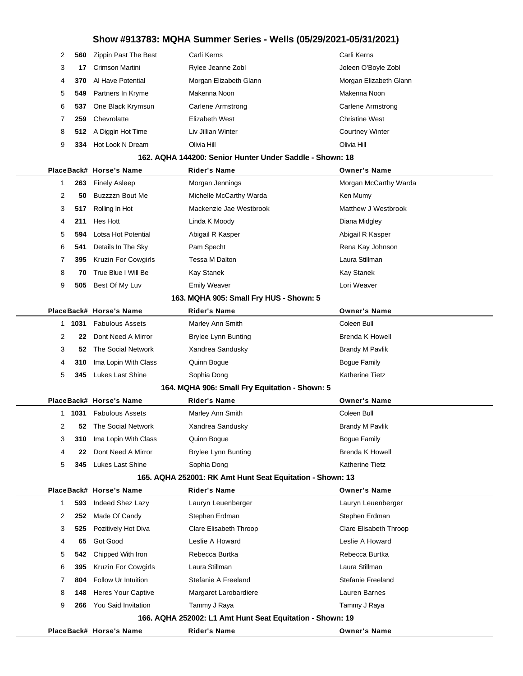| 2              | 560    | Zippin Past The Best         | Carli Kerns                                               | Carli Kerns              |
|----------------|--------|------------------------------|-----------------------------------------------------------|--------------------------|
| 3              | 17     | Crimson Martini              | Rylee Jeanne Zobl                                         | Joleen O'Boyle Zobl      |
| 4              | 370    | Al Have Potential            | Morgan Elizabeth Glann                                    | Morgan Elizabeth Glann   |
| 5              | 549    | Partners In Kryme            | Makenna Noon                                              | Makenna Noon             |
| 6              | 537    | One Black Krymsun            | <b>Carlene Armstrong</b>                                  | <b>Carlene Armstrong</b> |
| 7              | 259    | Chevrolatte                  | Elizabeth West                                            | <b>Christine West</b>    |
| 8              | 512    | A Diggin Hot Time            | Liv Jillian Winter                                        | <b>Courtney Winter</b>   |
| 9              | 334    | Hot Look N Dream             | Olivia Hill                                               | Olivia Hill              |
|                |        |                              | 162. AQHA 144200: Senior Hunter Under Saddle - Shown: 18  |                          |
|                |        | PlaceBack# Horse's Name      | <b>Rider's Name</b>                                       | <b>Owner's Name</b>      |
| 1              | 263    | <b>Finely Asleep</b>         | Morgan Jennings                                           | Morgan McCarthy Warda    |
| $\overline{2}$ | 50     | Buzzzzn Bout Me              | Michelle McCarthy Warda                                   | Ken Mumy                 |
| 3              | 517    | Rolling In Hot               | Mackenzie Jae Westbrook                                   | Matthew J Westbrook      |
| 4              | 211    | Hes Hott                     | Linda K Moody                                             | Diana Midgley            |
| 5              | 594    | Lotsa Hot Potential          | Abigail R Kasper                                          | Abigail R Kasper         |
| 6              | 541    | Details In The Sky           | Pam Specht                                                | Rena Kay Johnson         |
| 7              | 395    | <b>Kruzin For Cowgirls</b>   | Tessa M Dalton                                            | Laura Stillman           |
| 8              | 70     | True Blue I Will Be          | Kay Stanek                                                | Kay Stanek               |
| 9              | 505    | Best Of My Luv               | <b>Emily Weaver</b>                                       | Lori Weaver              |
|                |        |                              | 163. MQHA 905: Small Fry HUS - Shown: 5                   |                          |
|                |        | PlaceBack# Horse's Name      | <b>Rider's Name</b>                                       | <b>Owner's Name</b>      |
| 1              | 1031   | <b>Fabulous Assets</b>       | Marley Ann Smith                                          | Coleen Bull              |
| 2              | 22     | Dont Need A Mirror           | <b>Brylee Lynn Bunting</b>                                | <b>Brenda K Howell</b>   |
| 3              | 52     | The Social Network           | Xandrea Sandusky                                          | <b>Brandy M Pavlik</b>   |
| 4              | 310    | Ima Lopin With Class         | Quinn Bogue                                               | <b>Bogue Family</b>      |
| 5              | 345    | <b>Lukes Last Shine</b>      | Sophia Dong                                               | Katherine Tietz          |
|                |        |                              | 164. MQHA 906: Small Fry Equitation - Shown: 5            |                          |
|                |        | PlaceBack# Horse's Name      | <b>Rider's Name</b>                                       | <b>Owner's Name</b>      |
|                | 1 1031 | <b>Fabulous Assets</b>       | Marley Ann Smith                                          | Coleen Bull              |
| 2              |        | <b>52</b> The Social Network | Xandrea Sandusky                                          | <b>Brandy M Pavlik</b>   |
| 3              | 310    | Ima Lopin With Class         | Quinn Bogue                                               | <b>Bogue Family</b>      |
| 4              | 22     | Dont Need A Mirror           | <b>Brylee Lynn Bunting</b>                                | <b>Brenda K Howell</b>   |
| 5              | 345    | Lukes Last Shine             | Sophia Dong                                               | Katherine Tietz          |
|                |        |                              | 165. AQHA 252001: RK Amt Hunt Seat Equitation - Shown: 13 |                          |
|                |        | PlaceBack# Horse's Name      | <b>Rider's Name</b>                                       | <b>Owner's Name</b>      |
| 1              | 593    | Indeed Shez Lazy             | Lauryn Leuenberger                                        | Lauryn Leuenberger       |
| 2              | 252    | Made Of Candy                | Stephen Erdman                                            | Stephen Erdman           |
| 3              | 525    | Pozitively Hot Diva          | Clare Elisabeth Throop                                    | Clare Elisabeth Throop   |
| 4              | 65     | Got Good                     | Leslie A Howard                                           | Leslie A Howard          |
| 5              | 542    | Chipped With Iron            | Rebecca Burtka                                            | Rebecca Burtka           |
| 6              | 395    | <b>Kruzin For Cowgirls</b>   | Laura Stillman                                            | Laura Stillman           |
| 7              | 804    | Follow Ur Intuition          | Stefanie A Freeland                                       | Stefanie Freeland        |
| 8              | 148    | Heres Your Captive           | Margaret Larobardiere                                     | Lauren Barnes            |
| 9              | 266    | You Said Invitation          | Tammy J Raya                                              | Tammy J Raya             |
|                |        |                              | 166. AQHA 252002: L1 Amt Hunt Seat Equitation - Shown: 19 |                          |

**PlaceBack# Horse's Name Rider's Name Owner's Name**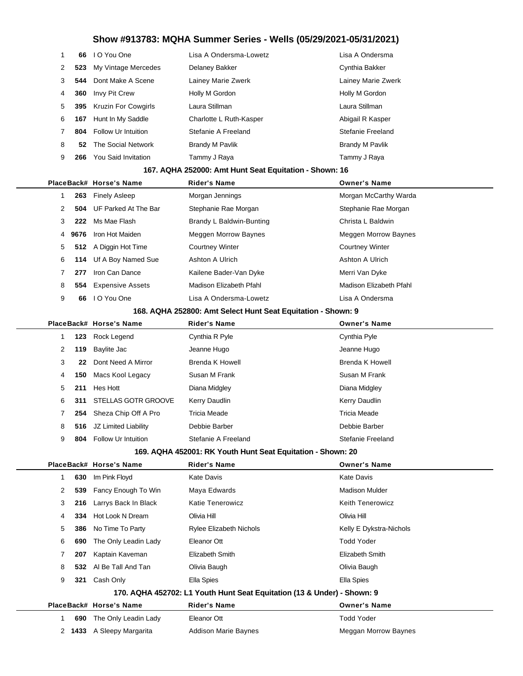|                |      |                            | <u>UUW FUUU. MQLIA UUIIIIIGI UGIIGS - WGIIS (UJIZJIZUZ I-UJIJ IIZUZ I</u> |                          |
|----------------|------|----------------------------|---------------------------------------------------------------------------|--------------------------|
| 1              | 66   | I O You One                | Lisa A Ondersma-Lowetz                                                    | Lisa A Ondersma          |
| 2              | 523  | My Vintage Mercedes        | Delaney Bakker                                                            | Cynthia Bakker           |
| 3              | 544  | Dont Make A Scene          | Lainey Marie Zwerk                                                        | Lainey Marie Zwerk       |
| 4              | 360  | Invy Pit Crew              | Holly M Gordon                                                            | Holly M Gordon           |
| 5              | 395  | <b>Kruzin For Cowgirls</b> | Laura Stillman                                                            | Laura Stillman           |
| 6              | 167  | Hunt In My Saddle          | Charlotte L Ruth-Kasper                                                   | Abigail R Kasper         |
| $\overline{7}$ | 804  | <b>Follow Ur Intuition</b> | Stefanie A Freeland                                                       | Stefanie Freeland        |
| 8              | 52   | The Social Network         | <b>Brandy M Pavlik</b>                                                    | <b>Brandy M Pavlik</b>   |
| 9              | 266  | You Said Invitation        | Tammy J Raya                                                              | Tammy J Raya             |
|                |      |                            | 167. AQHA 252000: Amt Hunt Seat Equitation - Shown: 16                    |                          |
|                |      | PlaceBack# Horse's Name    | <b>Rider's Name</b>                                                       | <b>Owner's Name</b>      |
| 1              | 263  | <b>Finely Asleep</b>       | Morgan Jennings                                                           | Morgan McCarthy Warda    |
| 2              | 504  | UF Parked At The Bar       | Stephanie Rae Morgan                                                      | Stephanie Rae Morgan     |
| 3              | 222  | Ms Mae Flash               | Brandy L Baldwin-Bunting                                                  | Christa L Baldwin        |
| 4              | 9676 | Iron Hot Maiden            | Meggen Morrow Baynes                                                      | Meggen Morrow Baynes     |
| 5              | 512  | A Diggin Hot Time          | <b>Courtney Winter</b>                                                    | <b>Courtney Winter</b>   |
| 6              | 114  | Uf A Boy Named Sue         | Ashton A Ulrich                                                           | Ashton A Ulrich          |
| 7              | 277  | Iron Can Dance             | Kailene Bader-Van Dyke                                                    | Merri Van Dyke           |
| 8              | 554  | <b>Expensive Assets</b>    | Madison Elizabeth Pfahl                                                   | Madison Elizabeth Pfahl  |
| 9              | 66   | I O You One                | Lisa A Ondersma-Lowetz                                                    | Lisa A Ondersma          |
|                |      |                            | 168. AQHA 252800: Amt Select Hunt Seat Equitation - Shown: 9              |                          |
|                |      | PlaceBack# Horse's Name    | <b>Rider's Name</b>                                                       | <b>Owner's Name</b>      |
| 1              | 123  | Rock Legend                | Cynthia R Pyle                                                            | Cynthia Pyle             |
| 2              | 119  | Baylite Jac                | Jeanne Hugo                                                               | Jeanne Hugo              |
| 3              | 22   | Dont Need A Mirror         | Brenda K Howell                                                           | <b>Brenda K Howell</b>   |
| 4              | 150  | Macs Kool Legacy           | Susan M Frank                                                             | Susan M Frank            |
| 5              | 211  | Hes Hott                   | Diana Midgley                                                             | Diana Midgley            |
| 6              | 311  | <b>STELLAS GOTR GROOVE</b> | Kerry Daudlin                                                             | Kerry Daudlin            |
| $\overline{7}$ | 254  | Sheza Chip Off A Pro       | Tricia Meade                                                              | <b>Tricia Meade</b>      |
| 8              | 516  | JZ Limited Liability       | Debbie Barber                                                             | Debbie Barber            |
| 9              | 804  | Follow Ur Intuition        | Stefanie A Freeland                                                       | <b>Stefanie Freeland</b> |
|                |      |                            | 169. AQHA 452001: RK Youth Hunt Seat Equitation - Shown: 20               |                          |
|                |      | PlaceBack# Horse's Name    | <b>Rider's Name</b>                                                       | <b>Owner's Name</b>      |
| $\mathbf{1}$   | 630  | Im Pink Floyd              | <b>Kate Davis</b>                                                         | <b>Kate Davis</b>        |
| 2              | 539  | Fancy Enough To Win        | Maya Edwards                                                              | <b>Madison Mulder</b>    |
| 3              | 216  | Larrys Back In Black       | Katie Tenerowicz                                                          | <b>Keith Tenerowicz</b>  |
| 4              | 334  | Hot Look N Dream           | Olivia Hill                                                               | Olivia Hill              |
| 5              | 386  | No Time To Party           | Rylee Elizabeth Nichols                                                   | Kelly E Dykstra-Nichols  |
| 6              | 690  | The Only Leadin Lady       | Eleanor Ott                                                               | <b>Todd Yoder</b>        |

| 170. AQHA 452702: L1 Youth Hunt Seat Equitation (13 & Under) - Shown: 9 |                           |                             |                             |  |  |
|-------------------------------------------------------------------------|---------------------------|-----------------------------|-----------------------------|--|--|
|                                                                         | PlaceBack# Horse's Name   | <b>Rider's Name</b>         | <b>Owner's Name</b>         |  |  |
| 690                                                                     | The Only Leadin Lady      | Eleanor Ott                 | Todd Yoder                  |  |  |
|                                                                         | 2 1433 A Sleepy Margarita | <b>Addison Marie Baynes</b> | <b>Meggan Morrow Baynes</b> |  |  |

 **207** Kaptain Kaveman Elizabeth Smith Elizabeth Smith **532** Al Be Tall And Tan **Olivia Baugh Clivia Baugh** Olivia Baugh **321** Cash Only **Ella Spies** Ella Spies **Ella Spies** Ella Spies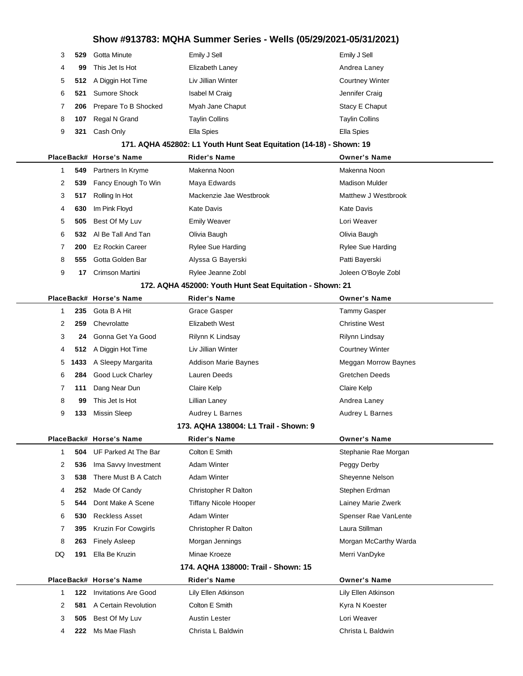| 3            | 529  | Gotta Minute                | Emily J Sell                                                        | Emily J Sell           |
|--------------|------|-----------------------------|---------------------------------------------------------------------|------------------------|
| 4            | 99   | This Jet Is Hot             | Elizabeth Laney                                                     | Andrea Laney           |
| 5            | 512  | A Diggin Hot Time           | Liv Jillian Winter                                                  | <b>Courtney Winter</b> |
| 6            | 521  | <b>Sumore Shock</b>         | Isabel M Craig                                                      | Jennifer Craig         |
| 7            | 206  | Prepare To B Shocked        | Myah Jane Chaput                                                    | Stacy E Chaput         |
| 8            | 107  | Regal N Grand               | <b>Taylin Collins</b>                                               | <b>Taylin Collins</b>  |
| 9            | 321  | Cash Only                   | Ella Spies                                                          | Ella Spies             |
|              |      |                             | 171. AQHA 452802: L1 Youth Hunt Seat Equitation (14-18) - Shown: 19 |                        |
|              |      | PlaceBack# Horse's Name     | <b>Rider's Name</b>                                                 | <b>Owner's Name</b>    |
| 1            | 549  | Partners In Kryme           | Makenna Noon                                                        | Makenna Noon           |
| 2            | 539  | Fancy Enough To Win         | Maya Edwards                                                        | <b>Madison Mulder</b>  |
| 3            | 517  | Rolling In Hot              | Mackenzie Jae Westbrook                                             | Matthew J Westbrook    |
| 4            | 630  | Im Pink Floyd               | Kate Davis                                                          | <b>Kate Davis</b>      |
| 5            | 505  | Best Of My Luv              | <b>Emily Weaver</b>                                                 | Lori Weaver            |
| 6            | 532  | Al Be Tall And Tan          | Olivia Baugh                                                        | Olivia Baugh           |
| 7            | 200  | <b>Ez Rockin Career</b>     | Rylee Sue Harding                                                   | Rylee Sue Harding      |
| 8            | 555  | Gotta Golden Bar            | Alyssa G Bayerski                                                   | Patti Bayerski         |
| 9            | 17   | Crimson Martini             | Rylee Jeanne Zobl                                                   | Joleen O'Boyle Zobl    |
|              |      |                             | 172. AQHA 452000: Youth Hunt Seat Equitation - Shown: 21            |                        |
|              |      | PlaceBack# Horse's Name     | <b>Rider's Name</b>                                                 | <b>Owner's Name</b>    |
| 1            | 235  | Gota B A Hit                | Grace Gasper                                                        | <b>Tammy Gasper</b>    |
| 2            | 259  | Chevrolatte                 | Elizabeth West                                                      | <b>Christine West</b>  |
| 3            | 24   | Gonna Get Ya Good           | Rilynn K Lindsay                                                    | Rilynn Lindsay         |
| 4            | 512  | A Diggin Hot Time           | Liv Jillian Winter                                                  | <b>Courtney Winter</b> |
| 5            | 1433 | A Sleepy Margarita          | <b>Addison Marie Baynes</b>                                         | Meggan Morrow Baynes   |
| 6            | 284  | Good Luck Charley           | Lauren Deeds                                                        | <b>Gretchen Deeds</b>  |
| 7            | 111  | Dang Near Dun               | Claire Kelp                                                         | Claire Kelp            |
| 8            | 99   | This Jet Is Hot             | Lillian Laney                                                       | Andrea Laney           |
| 9            | 133  | <b>Missin Sleep</b>         | Audrey L Barnes                                                     | Audrey L Barnes        |
|              |      |                             | 173. AQHA 138004: L1 Trail - Shown: 9                               |                        |
|              |      | PlaceBack# Horse's Name     | Rider's Name                                                        | <b>Owner's Name</b>    |
| $\mathbf{1}$ | 504  | UF Parked At The Bar        | Colton E Smith                                                      | Stephanie Rae Morgan   |
| 2            | 536  | Ima Savvy Investment        | Adam Winter                                                         | Peggy Derby            |
| 3            | 538  | There Must B A Catch        | Adam Winter                                                         | Sheyenne Nelson        |
| 4            | 252  | Made Of Candy               | Christopher R Dalton                                                | Stephen Erdman         |
| 5            | 544  | Dont Make A Scene           | <b>Tiffany Nicole Hooper</b>                                        | Lainey Marie Zwerk     |
| 6            | 530  | <b>Reckless Asset</b>       | Adam Winter                                                         | Spenser Rae VanLente   |
| 7            | 395  | Kruzin For Cowgirls         | Christopher R Dalton                                                | Laura Stillman         |
| 8            | 263  | <b>Finely Asleep</b>        | Morgan Jennings                                                     | Morgan McCarthy Warda  |
| DQ           | 191  | Ella Be Kruzin              | Minae Kroeze                                                        | Merri VanDyke          |
|              |      |                             | 174. AQHA 138000: Trail - Shown: 15                                 |                        |
|              |      | PlaceBack# Horse's Name     | <b>Rider's Name</b>                                                 | <b>Owner's Name</b>    |
| $\mathbf{1}$ | 122  | <b>Invitations Are Good</b> | Lily Ellen Atkinson                                                 | Lily Ellen Atkinson    |
| 2            | 581  | A Certain Revolution        | Colton E Smith                                                      | Kyra N Koester         |
| 3            | 505  | Best Of My Luv              | Austin Lester                                                       | Lori Weaver            |
| 4            | 222  | Ms Mae Flash                | Christa L Baldwin                                                   | Christa L Baldwin      |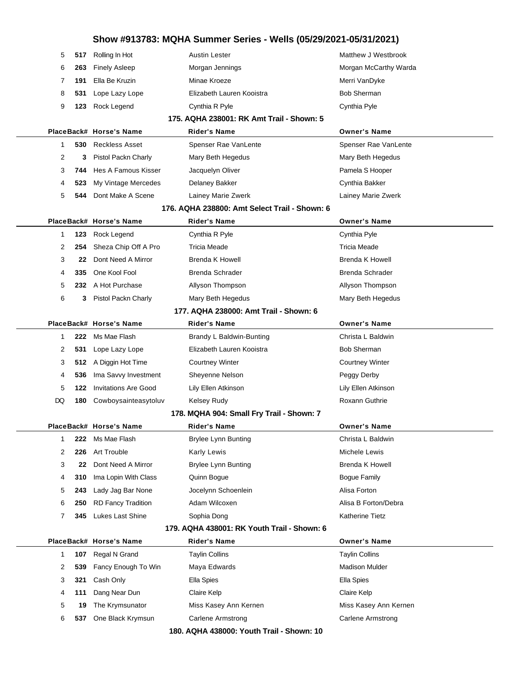| 5  | 517 | Rolling In Hot              | <b>Austin Lester</b>                          | Matthew J Westbrook    |
|----|-----|-----------------------------|-----------------------------------------------|------------------------|
| 6  | 263 | <b>Finely Asleep</b>        | Morgan Jennings                               | Morgan McCarthy Warda  |
| 7  | 191 | Ella Be Kruzin              | Minae Kroeze                                  | Merri VanDyke          |
| 8  | 531 | Lope Lazy Lope              | Elizabeth Lauren Kooistra                     | <b>Bob Sherman</b>     |
| 9  | 123 | Rock Legend                 | Cynthia R Pyle                                | Cynthia Pyle           |
|    |     |                             | 175. AQHA 238001: RK Amt Trail - Shown: 5     |                        |
|    |     | PlaceBack# Horse's Name     | <b>Rider's Name</b>                           | <b>Owner's Name</b>    |
| 1  | 530 | <b>Reckless Asset</b>       | Spenser Rae VanLente                          | Spenser Rae VanLente   |
| 2  | 3   | Pistol Packn Charly         | Mary Beth Hegedus                             | Mary Beth Hegedus      |
| 3  | 744 | Hes A Famous Kisser         | Jacquelyn Oliver                              | Pamela S Hooper        |
| 4  | 523 | My Vintage Mercedes         | Delaney Bakker                                | Cynthia Bakker         |
| 5  | 544 | Dont Make A Scene           | Lainey Marie Zwerk                            | Lainey Marie Zwerk     |
|    |     |                             | 176. AQHA 238800: Amt Select Trail - Shown: 6 |                        |
|    |     | PlaceBack# Horse's Name     | Rider's Name                                  | <b>Owner's Name</b>    |
| 1  | 123 | Rock Legend                 | Cynthia R Pyle                                | Cynthia Pyle           |
| 2  | 254 | Sheza Chip Off A Pro        | <b>Tricia Meade</b>                           | Tricia Meade           |
| 3  | 22  | Dont Need A Mirror          | <b>Brenda K Howell</b>                        | Brenda K Howell        |
| 4  | 335 | One Kool Fool               | Brenda Schrader                               | Brenda Schrader        |
| 5  |     | 232 A Hot Purchase          | Allyson Thompson                              | Allyson Thompson       |
| 6  | 3   | Pistol Packn Charly         | Mary Beth Hegedus                             | Mary Beth Hegedus      |
|    |     |                             | 177. AQHA 238000: Amt Trail - Shown: 6        |                        |
|    |     | PlaceBack# Horse's Name     | Rider's Name                                  | <b>Owner's Name</b>    |
| 1  | 222 | Ms Mae Flash                | Brandy L Baldwin-Bunting                      | Christa L Baldwin      |
| 2  | 531 | Lope Lazy Lope              | Elizabeth Lauren Kooistra                     | <b>Bob Sherman</b>     |
| 3  | 512 | A Diggin Hot Time           | <b>Courtney Winter</b>                        | <b>Courtney Winter</b> |
| 4  | 536 | Ima Savvy Investment        | Sheyenne Nelson                               | Peggy Derby            |
| 5  | 122 | <b>Invitations Are Good</b> | Lily Ellen Atkinson                           | Lily Ellen Atkinson    |
| DQ | 180 | Cowboysainteasytoluv        | Kelsey Rudy                                   | Roxann Guthrie         |
|    |     |                             | 178. MQHA 904: Small Fry Trail - Shown: 7     |                        |
|    |     | PlaceBack# Horse's Name     | <b>Rider's Name</b>                           | <b>Owner's Name</b>    |
| 1  | 222 | Ms Mae Flash                | <b>Brylee Lynn Bunting</b>                    | Christa L Baldwin      |
| 2  | 226 | <b>Art Trouble</b>          | Karly Lewis                                   | Michele Lewis          |
| 3  | 22  | Dont Need A Mirror          | <b>Brylee Lynn Bunting</b>                    | Brenda K Howell        |
| 4  | 310 | Ima Lopin With Class        | Quinn Bogue                                   | Bogue Family           |
| 5  | 243 | Lady Jag Bar None           | Jocelynn Schoenlein                           | Alisa Forton           |
| 6  | 250 | <b>RD Fancy Tradition</b>   | Adam Wilcoxen                                 | Alisa B Forton/Debra   |
| 7  | 345 | Lukes Last Shine            | Sophia Dong                                   | Katherine Tietz        |
|    |     |                             | 179. AQHA 438001: RK Youth Trail - Shown: 6   |                        |
|    |     | PlaceBack# Horse's Name     | <b>Rider's Name</b>                           | <b>Owner's Name</b>    |
| 1  | 107 | Regal N Grand               | <b>Taylin Collins</b>                         | <b>Taylin Collins</b>  |
| 2  | 539 | Fancy Enough To Win         | Maya Edwards                                  | <b>Madison Mulder</b>  |
| 3  | 321 | Cash Only                   | Ella Spies                                    | Ella Spies             |
| 4  | 111 | Dang Near Dun               | Claire Kelp                                   | Claire Kelp            |
| 5  | 19  | The Krymsunator             | Miss Kasey Ann Kernen                         | Miss Kasey Ann Kernen  |
| 6  | 537 | One Black Krymsun           | Carlene Armstrong                             | Carlene Armstrong      |
|    |     |                             | 180. AQHA 438000: Youth Trail - Shown: 10     |                        |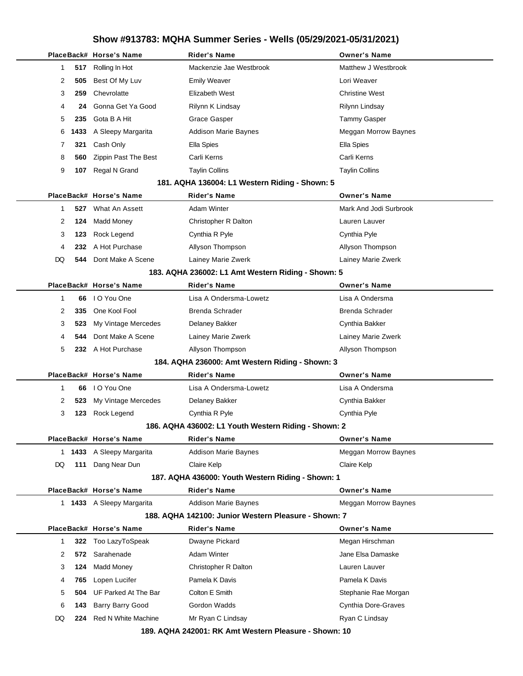|                                                   | PlaceBack# Horse's Name   | <b>Rider's Name</b>                                   | <b>Owner's Name</b>         |  |
|---------------------------------------------------|---------------------------|-------------------------------------------------------|-----------------------------|--|
| 517<br>1                                          | Rolling In Hot            | Mackenzie Jae Westbrook                               | Matthew J Westbrook         |  |
| 2<br>505                                          | Best Of My Luv            | <b>Emily Weaver</b>                                   | Lori Weaver                 |  |
| 3<br>259                                          | Chevrolatte               | Elizabeth West                                        | <b>Christine West</b>       |  |
| 4<br>24                                           | Gonna Get Ya Good         | Rilynn K Lindsay                                      | Rilynn Lindsay              |  |
| 5<br>235                                          | Gota B A Hit              | Grace Gasper                                          | <b>Tammy Gasper</b>         |  |
| 6<br>1433                                         | A Sleepy Margarita        | <b>Addison Marie Baynes</b>                           | Meggan Morrow Baynes        |  |
| 321<br>7                                          | Cash Only                 | Ella Spies                                            | Ella Spies                  |  |
| 8<br>560                                          | Zippin Past The Best      | Carli Kerns                                           | Carli Kerns                 |  |
| 9<br>107                                          | Regal N Grand             | <b>Taylin Collins</b>                                 | <b>Taylin Collins</b>       |  |
|                                                   |                           | 181. AQHA 136004: L1 Western Riding - Shown: 5        |                             |  |
|                                                   | PlaceBack# Horse's Name   | Rider's Name                                          | <b>Owner's Name</b>         |  |
| $\mathbf{1}$<br>527                               | What An Assett            | <b>Adam Winter</b>                                    | Mark And Jodi Surbrook      |  |
| 2<br>124                                          | <b>Madd Money</b>         | Christopher R Dalton                                  | Lauren Lauver               |  |
| 3<br>123                                          | Rock Legend               | Cynthia R Pyle                                        | Cynthia Pyle                |  |
| 4<br>232                                          | A Hot Purchase            | Allyson Thompson                                      | Allyson Thompson            |  |
| DQ<br>544                                         | Dont Make A Scene         | Lainey Marie Zwerk                                    | Lainey Marie Zwerk          |  |
|                                                   |                           | 183. AQHA 236002: L1 Amt Western Riding - Shown: 5    |                             |  |
|                                                   | PlaceBack# Horse's Name   | <b>Rider's Name</b>                                   | <b>Owner's Name</b>         |  |
| 1<br>66                                           | I O You One               | Lisa A Ondersma-Lowetz                                | Lisa A Ondersma             |  |
| 2<br>335                                          | One Kool Fool             | Brenda Schrader                                       | Brenda Schrader             |  |
| 3<br>523                                          | My Vintage Mercedes       | <b>Delaney Bakker</b>                                 | Cynthia Bakker              |  |
| 4<br>544                                          | Dont Make A Scene         | Lainey Marie Zwerk                                    | Lainey Marie Zwerk          |  |
| 5<br>232                                          | A Hot Purchase            | Allyson Thompson                                      | Allyson Thompson            |  |
|                                                   |                           | 184. AQHA 236000: Amt Western Riding - Shown: 3       |                             |  |
|                                                   | PlaceBack# Horse's Name   | <b>Rider's Name</b>                                   | <b>Owner's Name</b>         |  |
| 1<br>66                                           | I O You One               | Lisa A Ondersma-Lowetz                                | Lisa A Ondersma             |  |
| 2<br>523                                          | My Vintage Mercedes       | <b>Delaney Bakker</b>                                 | Cynthia Bakker              |  |
| 3<br>123                                          | Rock Legend               | Cynthia R Pyle                                        | Cynthia Pyle                |  |
|                                                   |                           | 186. AQHA 436002: L1 Youth Western Riding - Shown: 2  |                             |  |
|                                                   | PlaceBack# Horse's Name   | <b>Rider's Name</b>                                   | <b>Owner's Name</b>         |  |
| 1 1433                                            | A Sleepy Margarita        | <b>Addison Marie Baynes</b>                           | <b>Meggan Morrow Baynes</b> |  |
| DQ<br>111                                         | Dang Near Dun             | Claire Kelp                                           | Claire Kelp                 |  |
| 187. AQHA 436000: Youth Western Riding - Shown: 1 |                           |                                                       |                             |  |
|                                                   | PlaceBack# Horse's Name   | <b>Rider's Name</b>                                   | <b>Owner's Name</b>         |  |
|                                                   | 1 1433 A Sleepy Margarita | <b>Addison Marie Baynes</b>                           | Meggan Morrow Baynes        |  |
|                                                   |                           | 188. AQHA 142100: Junior Western Pleasure - Shown: 7  |                             |  |
|                                                   | PlaceBack# Horse's Name   | Rider's Name                                          | <b>Owner's Name</b>         |  |
| $\mathbf{1}$<br>322                               | Too LazyToSpeak           | Dwayne Pickard                                        | Megan Hirschman             |  |
| 2<br>572                                          | Sarahenade                | <b>Adam Winter</b>                                    | Jane Elsa Damaske           |  |
| 3<br>124                                          | <b>Madd Money</b>         | Christopher R Dalton                                  | Lauren Lauver               |  |
| 765<br>4                                          | Lopen Lucifer             | Pamela K Davis                                        | Pamela K Davis              |  |
| 5<br>504                                          | UF Parked At The Bar      | Colton E Smith                                        | Stephanie Rae Morgan        |  |
| 6<br>143                                          | Barry Barry Good          | Gordon Wadds                                          | Cynthia Dore-Graves         |  |
| DQ<br>224                                         | Red N White Machine       | Mr Ryan C Lindsay                                     | Ryan C Lindsay              |  |
|                                                   |                           | 189. AQHA 242001: RK Amt Western Pleasure - Shown: 10 |                             |  |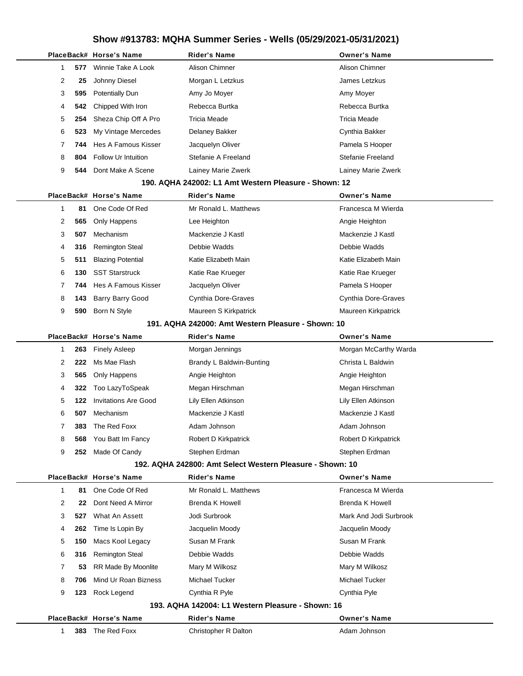|   |          | PlaceBack# Horse's Name     | <b>Rider's Name</b>                                       | <b>Owner's Name</b>    |
|---|----------|-----------------------------|-----------------------------------------------------------|------------------------|
|   | 1<br>577 | Winnie Take A Look          | Alison Chimner                                            | Alison Chimner         |
| 2 | 25       | Johnny Diesel               | Morgan L Letzkus                                          | James Letzkus          |
| 3 | 595      | <b>Potentially Dun</b>      | Amy Jo Moyer                                              | Amy Moyer              |
|   | 4<br>542 | Chipped With Iron           | Rebecca Burtka                                            | Rebecca Burtka         |
| 5 | 254      | Sheza Chip Off A Pro        | Tricia Meade                                              | <b>Tricia Meade</b>    |
| 6 | 523      | My Vintage Mercedes         | Delaney Bakker                                            | Cynthia Bakker         |
| 7 | 744      | Hes A Famous Kisser         | Jacquelyn Oliver                                          | Pamela S Hooper        |
| 8 | 804      | <b>Follow Ur Intuition</b>  | Stefanie A Freeland                                       | Stefanie Freeland      |
| 9 | 544      | Dont Make A Scene           | Lainey Marie Zwerk                                        | Lainey Marie Zwerk     |
|   |          |                             | 190. AQHA 242002: L1 Amt Western Pleasure - Shown: 12     |                        |
|   |          | PlaceBack# Horse's Name     | <b>Rider's Name</b>                                       | <b>Owner's Name</b>    |
| 1 | 81       | One Code Of Red             | Mr Ronald L. Matthews                                     | Francesca M Wierda     |
| 2 | 565      | Only Happens                | Lee Heighton                                              | Angie Heighton         |
| 3 | 507      | Mechanism                   | Mackenzie J Kastl                                         | Mackenzie J Kastl      |
|   | 4<br>316 | <b>Remington Steal</b>      | Debbie Wadds                                              | Debbie Wadds           |
| 5 | 511      | <b>Blazing Potential</b>    | Katie Elizabeth Main                                      | Katie Elizabeth Main   |
| 6 | 130      | <b>SST Starstruck</b>       | Katie Rae Krueger                                         | Katie Rae Krueger      |
| 7 | 744      | Hes A Famous Kisser         | Jacquelyn Oliver                                          | Pamela S Hooper        |
| 8 | 143      | <b>Barry Barry Good</b>     | Cynthia Dore-Graves                                       | Cynthia Dore-Graves    |
| 9 | 590      | Born N Style                | Maureen S Kirkpatrick                                     | Maureen Kirkpatrick    |
|   |          |                             | 191. AQHA 242000: Amt Western Pleasure - Shown: 10        |                        |
|   |          | PlaceBack# Horse's Name     | <b>Rider's Name</b>                                       | <b>Owner's Name</b>    |
| 1 | 263      | <b>Finely Asleep</b>        | Morgan Jennings                                           | Morgan McCarthy Warda  |
|   | 2<br>222 | Ms Mae Flash                | Brandy L Baldwin-Bunting                                  | Christa L Baldwin      |
| 3 | 565      | Only Happens                | Angie Heighton                                            | Angie Heighton         |
| 4 | 322      | Too LazyToSpeak             | Megan Hirschman                                           | Megan Hirschman        |
| 5 | 122      | <b>Invitations Are Good</b> | Lily Ellen Atkinson                                       | Lily Ellen Atkinson    |
| 6 | 507      | Mechanism                   | Mackenzie J Kastl                                         | Mackenzie J Kastl      |
| 7 | 383      | The Red Foxx                | Adam Johnson                                              | Adam Johnson           |
| 8 | 568      | You Batt Im Fancy           | Robert D Kirkpatrick                                      | Robert D Kirkpatrick   |
| 9 | 252      | Made Of Candy               | Stephen Erdman                                            | Stephen Erdman         |
|   |          |                             | 192. AQHA 242800: Amt Select Western Pleasure - Shown: 10 |                        |
|   |          | PlaceBack# Horse's Name     | <b>Rider's Name</b>                                       | <b>Owner's Name</b>    |
| 1 | 81       | One Code Of Red             | Mr Ronald L. Matthews                                     | Francesca M Wierda     |
| 2 | 22       | Dont Need A Mirror          | <b>Brenda K Howell</b>                                    | Brenda K Howell        |
|   | 3<br>527 | What An Assett              | Jodi Surbrook                                             | Mark And Jodi Surbrook |
| 4 | 262      | Time Is Lopin By            | Jacquelin Moody                                           | Jacquelin Moody        |
| 5 | 150      | Macs Kool Legacy            | Susan M Frank                                             | Susan M Frank          |
| 6 | 316      | <b>Remington Steal</b>      | Debbie Wadds                                              | Debbie Wadds           |
| 7 | 53       | RR Made By Moonlite         | Mary M Wilkosz                                            | Mary M Wilkosz         |
| 8 | 706      | Mind Ur Roan Bizness        | Michael Tucker                                            | Michael Tucker         |
| 9 | 123      | Rock Legend                 | Cynthia R Pyle                                            | Cynthia Pyle           |
|   |          |                             | 193. AQHA 142004: L1 Western Pleasure - Shown: 16         |                        |
|   |          | PlaceBack# Horse's Name     | <b>Rider's Name</b>                                       | <b>Owner's Name</b>    |
|   | 1        | 383 The Red Foxx            | Christopher R Dalton                                      | Adam Johnson           |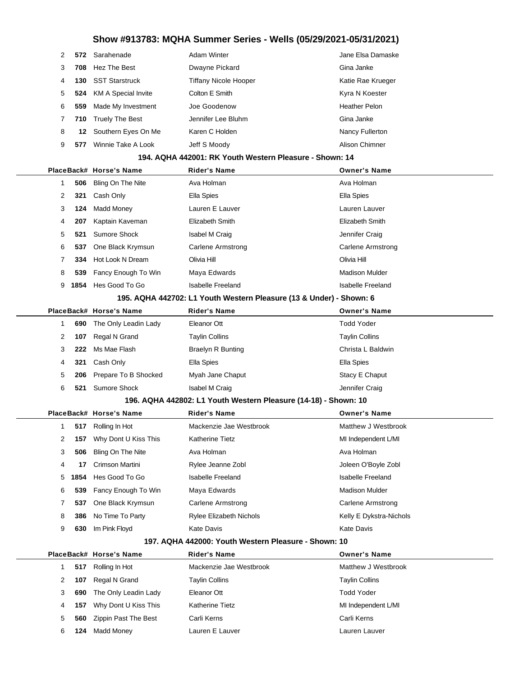| $\mathcal{P}$ |     | 572 Sarahenade                 | Adam Winter                  | Jane Elsa Damaske    |
|---------------|-----|--------------------------------|------------------------------|----------------------|
| 3             | 708 | Hez The Best                   | Dwayne Pickard               | Gina Janke           |
| 4             | 130 | <b>SST Starstruck</b>          | <b>Tiffany Nicole Hooper</b> | Katie Rae Krueger    |
| 5             |     | <b>524</b> KM A Special Invite | Colton E Smith               | Kyra N Koester       |
| 6             | 559 | Made My Investment             | Joe Goodenow                 | <b>Heather Pelon</b> |
|               |     | 710 Truely The Best            | Jennifer Lee Bluhm           | Gina Janke           |
| 8             |     | 12 Southern Eyes On Me         | Karen C Holden               | Nancy Fullerton      |
| 9             | 577 | Winnie Take A Look             | Jeff S Moody                 | Alison Chimner       |
|               |     |                                |                              |                      |

#### **194. AQHA 442001: RK Youth Western Pleasure - Shown: 14**

|              |      | PlaceBack# Horse's Name | <b>Rider's Name</b>                                                 | <b>Owner's Name</b>      |
|--------------|------|-------------------------|---------------------------------------------------------------------|--------------------------|
| 1            | 506  | Bling On The Nite       | Ava Holman                                                          | Ava Holman               |
| 2            | 321  | Cash Only               | Ella Spies                                                          | Ella Spies               |
| 3            | 124  | <b>Madd Money</b>       | Lauren E Lauver                                                     | Lauren Lauver            |
| 4            | 207  | Kaptain Kaveman         | Elizabeth Smith                                                     | <b>Elizabeth Smith</b>   |
| 5            | 521  | Sumore Shock            | Isabel M Craig                                                      | Jennifer Craig           |
| 6            | 537  | One Black Krymsun       | <b>Carlene Armstrong</b>                                            | <b>Carlene Armstrong</b> |
| 7            | 334  | Hot Look N Dream        | Olivia Hill                                                         | Olivia Hill              |
| 8            | 539  | Fancy Enough To Win     | Maya Edwards                                                        | <b>Madison Mulder</b>    |
| 9            | 1854 | Hes Good To Go          | <b>Isabelle Freeland</b>                                            | <b>Isabelle Freeland</b> |
|              |      |                         | 195. AQHA 442702: L1 Youth Western Pleasure (13 & Under) - Shown: 6 |                          |
|              |      | PlaceBack# Horse's Name | <b>Rider's Name</b>                                                 | <b>Owner's Name</b>      |
| 1            | 690  | The Only Leadin Lady    | Eleanor Ott                                                         | Todd Yoder               |
| 2            | 107  | Regal N Grand           | <b>Taylin Collins</b>                                               | <b>Taylin Collins</b>    |
| 3            | 222  | Ms Mae Flash            | <b>Braelyn R Bunting</b>                                            | Christa L Baldwin        |
| 4            | 321  | Cash Only               | Ella Spies                                                          | Ella Spies               |
| 5            | 206  | Prepare To B Shocked    | Myah Jane Chaput                                                    | Stacy E Chaput           |
| 6            | 521  | Sumore Shock            | Isabel M Craig                                                      | Jennifer Craig           |
|              |      |                         | 196. AQHA 442802: L1 Youth Western Pleasure (14-18) - Shown: 10     |                          |
|              |      | PlaceBack# Horse's Name | <b>Rider's Name</b>                                                 | <b>Owner's Name</b>      |
| $\mathbf{1}$ | 517  | Rolling In Hot          | Mackenzie Jae Westbrook                                             | Matthew J Westbrook      |
| 2            | 157  | Why Dont U Kiss This    | <b>Katherine Tietz</b>                                              | MI Independent L/MI      |
| 3            | 506  | Bling On The Nite       | Ava Holman                                                          | Ava Holman               |
| 4            | 17   | <b>Crimson Martini</b>  | Rylee Jeanne Zobl                                                   | Joleen O'Boyle Zobl      |
| 5            | 1854 | Hes Good To Go          | <b>Isabelle Freeland</b>                                            | <b>Isabelle Freeland</b> |
| 6            | 539  | Fancy Enough To Win     | Maya Edwards                                                        | <b>Madison Mulder</b>    |
| 7            | 537  | One Black Krymsun       | Carlene Armstrong                                                   | Carlene Armstrong        |

#### **197. AQHA 442000: Youth Western Pleasure - Shown: 10**

**386** No Time To Party **Rylee Elizabeth Nichols Reading Section** Kelly E Dykstra-Nichols

**630** Im Pink Floyd **Kate Davis** Kate Davis **Kate Davis** Kate Davis

|   |     | PlaceBack# Horse's Name | <b>Rider's Name</b>     | <b>Owner's Name</b>   |
|---|-----|-------------------------|-------------------------|-----------------------|
|   | 517 | Rolling In Hot          | Mackenzie Jae Westbrook | Matthew J Westbrook   |
|   | 107 | Regal N Grand           | <b>Taylin Collins</b>   | <b>Taylin Collins</b> |
| 3 | 690 | The Only Leadin Lady    | Eleanor Ott             | <b>Todd Yoder</b>     |
| 4 | 157 | Why Dont U Kiss This    | <b>Katherine Tietz</b>  | MI Independent L/MI   |
| 5 | 560 | Zippin Past The Best    | Carli Kerns             | Carli Kerns           |
| 6 | 124 | Madd Money              | Lauren E Lauver         | Lauren Lauver         |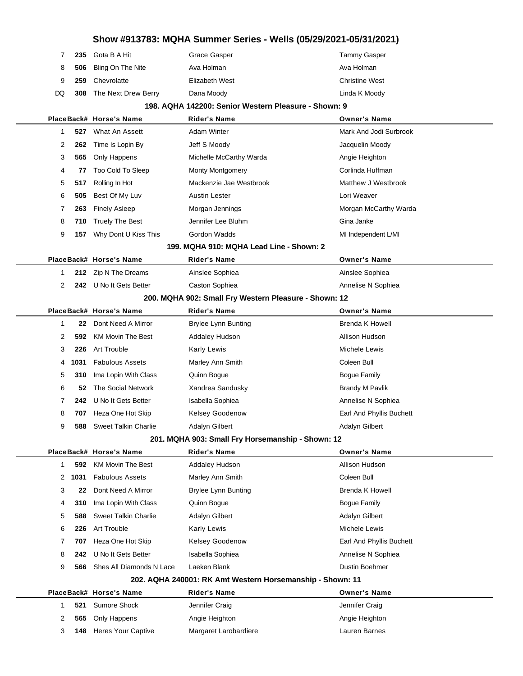|     | Grace Gasper                                                                               | Tammy Gasper          |
|-----|--------------------------------------------------------------------------------------------|-----------------------|
|     | Ava Holman                                                                                 | Ava Holman            |
| 259 | Elizabeth West                                                                             | <b>Christine West</b> |
|     | Dana Moody                                                                                 | Linda K Moody         |
|     | 235 Gota B A Hit<br>506 Bling On The Nite<br>Chevrolatte<br><b>308</b> The Next Drew Berry |                       |

#### **198. AQHA 142200: Senior Western Pleasure - Shown: 9**

|   |      | PlaceBack# Horse's Name                           | <b>Rider's Name</b>                                       | <b>Owner's Name</b>      |
|---|------|---------------------------------------------------|-----------------------------------------------------------|--------------------------|
| 1 | 527  | What An Assett                                    | <b>Adam Winter</b>                                        | Mark And Jodi Surbrook   |
| 2 | 262  | Time Is Lopin By                                  | Jeff S Moody                                              | Jacquelin Moody          |
| 3 | 565  | Only Happens                                      | Michelle McCarthy Warda                                   | Angie Heighton           |
| 4 | 77   | Too Cold To Sleep                                 | <b>Monty Montgomery</b>                                   | Corlinda Huffman         |
| 5 | 517  | Rolling In Hot                                    | Mackenzie Jae Westbrook                                   | Matthew J Westbrook      |
| 6 | 505  | Best Of My Luv                                    | <b>Austin Lester</b>                                      | Lori Weaver              |
| 7 | 263  | <b>Finely Asleep</b>                              | Morgan Jennings                                           | Morgan McCarthy Warda    |
| 8 | 710  | <b>Truely The Best</b>                            | Jennifer Lee Bluhm                                        | Gina Janke               |
| 9 | 157  | Why Dont U Kiss This                              | Gordon Wadds                                              | MI Independent L/MI      |
|   |      |                                                   | 199. MQHA 910: MQHA Lead Line - Shown: 2                  |                          |
|   |      | PlaceBack# Horse's Name                           | Rider's Name                                              | <b>Owner's Name</b>      |
| 1 | 212  | Zip N The Dreams                                  | Ainslee Sophiea                                           | Ainslee Sophiea          |
| 2 |      | 242 U No It Gets Better                           | Caston Sophiea                                            | Annelise N Sophiea       |
|   |      |                                                   | 200. MQHA 902: Small Fry Western Pleasure - Shown: 12     |                          |
|   |      | PlaceBack# Horse's Name                           | <b>Rider's Name</b>                                       | <b>Owner's Name</b>      |
| 1 | 22   | Dont Need A Mirror                                | <b>Brylee Lynn Bunting</b>                                | <b>Brenda K Howell</b>   |
| 2 | 592  | <b>KM Movin The Best</b>                          | Addaley Hudson                                            | Allison Hudson           |
| 3 | 226  | Art Trouble                                       | Karly Lewis                                               | Michele Lewis            |
| 4 | 1031 | <b>Fabulous Assets</b>                            | Marley Ann Smith                                          | Coleen Bull              |
| 5 | 310  | Ima Lopin With Class                              | Quinn Bogue                                               | Bogue Family             |
| 6 | 52   | The Social Network                                | Xandrea Sandusky                                          | <b>Brandy M Pavlik</b>   |
| 7 | 242. | U No It Gets Better                               | Isabella Sophiea                                          | Annelise N Sophiea       |
| 8 | 707  | Heza One Hot Skip                                 | Kelsey Goodenow                                           | Earl And Phyllis Buchett |
| 9 | 588  | <b>Sweet Talkin Charlie</b>                       | Adalyn Gilbert                                            | <b>Adalyn Gilbert</b>    |
|   |      | 201. MQHA 903: Small Fry Horsemanship - Shown: 12 |                                                           |                          |
|   |      | PlaceBack# Horse's Name                           | Rider's Name                                              | <b>Owner's Name</b>      |
| 1 | 592  | <b>KM Movin The Best</b>                          | Addaley Hudson                                            | Allison Hudson           |
| 2 | 1031 | <b>Fabulous Assets</b>                            | Marley Ann Smith                                          | Coleen Bull              |
| 3 | 22   | Dont Need A Mirror                                | <b>Brylee Lynn Bunting</b>                                | <b>Brenda K Howell</b>   |
| 4 | 310  | Ima Lopin With Class                              | Quinn Bogue                                               | <b>Bogue Family</b>      |
| 5 | 588  | Sweet Talkin Charlie                              | Adalyn Gilbert                                            | Adalyn Gilbert           |
| 6 | 226  | Art Trouble                                       | Karly Lewis                                               | Michele Lewis            |
| 7 | 707  | Heza One Hot Skip                                 | Kelsey Goodenow                                           | Earl And Phyllis Buchett |
| 8 | 242  | U No It Gets Better                               | Isabella Sophiea                                          | Annelise N Sophiea       |
| 9 | 566  | Shes All Diamonds N Lace                          | Laeken Blank                                              | Dustin Boehmer           |
|   |      |                                                   | 202. AQHA 240001: RK Amt Western Horsemanship - Shown: 11 |                          |
|   |      | PlaceBack# Horse's Name                           | <b>Rider's Name</b>                                       | <b>Owner's Name</b>      |
| 1 | 521  | Sumore Shock                                      | Jennifer Craig                                            | Jennifer Craig           |
| 2 | 565  | Only Happens                                      | Angie Heighton                                            | Angie Heighton           |
| 3 | 148  | <b>Heres Your Captive</b>                         | Margaret Larobardiere                                     | Lauren Barnes            |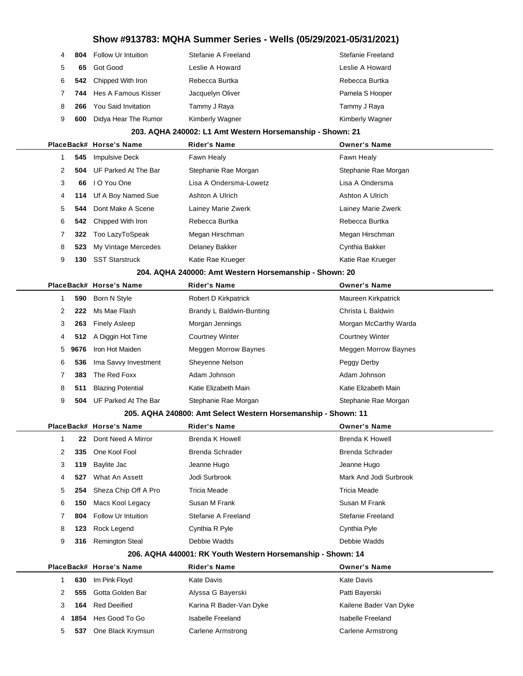| 4           |     | <b>804</b> Follow Ur Intuition | Stefanie A Freeland | Stefanie Freeland      |
|-------------|-----|--------------------------------|---------------------|------------------------|
| 5           | 65  | Got Good                       | Leslie A Howard     | Leslie A Howard        |
| 6           |     | 542 Chipped With Iron          | Rebecca Burtka      | Rebecca Burtka         |
| $7^{\circ}$ |     | 744 Hes A Famous Kisser        | Jacquelyn Oliver    | Pamela S Hooper        |
| 8           | 266 | You Said Invitation            | Tammy J Raya        | Tammy J Raya           |
| 9           | 600 | Didya Hear The Rumor           | Kimberly Wagner     | <b>Kimberly Wagner</b> |

#### **203. AQHA 240002: L1 Amt Western Horsemanship - Shown: 21**

|   |     | PlaceBack# Horse's Name         | <b>Rider's Name</b>    | <b>Owner's Name</b>  |  |
|---|-----|---------------------------------|------------------------|----------------------|--|
|   |     | 545 Impulsive Deck              | Fawn Healy             | Fawn Healy           |  |
| 2 |     | <b>504</b> UF Parked At The Bar | Stephanie Rae Morgan   | Stephanie Rae Morgan |  |
| 3 | 66  | I O You One                     | Lisa A Ondersma-Lowetz | Lisa A Ondersma      |  |
| 4 |     | 114 Uf A Boy Named Sue          | Ashton A Ulrich        | Ashton A Ulrich      |  |
| 5 | 544 | Dont Make A Scene               | Lainey Marie Zwerk     | Lainey Marie Zwerk   |  |
| 6 |     | <b>542</b> Chipped With Iron    | Rebecca Burtka         | Rebecca Burtka       |  |
|   | 322 | Too LazyToSpeak                 | Megan Hirschman        | Megan Hirschman      |  |
| 8 |     | 523 My Vintage Mercedes         | Delaney Bakker         | Cynthia Bakker       |  |
| 9 | 130 | <b>SST Starstruck</b>           | Katie Rae Krueger      | Katie Rae Krueger    |  |
|   |     |                                 |                        |                      |  |

#### **204. AQHA 240000: Amt Western Horsemanship - Shown: 20**

|   |        | PlaceBack# Horse's Name  | <b>Rider's Name</b>      | <b>Owner's Name</b>         |
|---|--------|--------------------------|--------------------------|-----------------------------|
|   | 590    | Born N Style             | Robert D Kirkpatrick     | Maureen Kirkpatrick         |
| 2 | 222    | Ms Mae Flash             | Brandy L Baldwin-Bunting | Christa L Baldwin           |
| 3 | 263    | <b>Finely Asleep</b>     | Morgan Jennings          | Morgan McCarthy Warda       |
| 4 |        | 512 A Diggin Hot Time    | <b>Courtney Winter</b>   | <b>Courtney Winter</b>      |
|   | 5 9676 | Iron Hot Maiden          | Meggen Morrow Baynes     | <b>Meggen Morrow Baynes</b> |
| 6 | 536    | Ima Savvy Investment     | Sheyenne Nelson          | Peggy Derby                 |
|   | 383    | The Red Foxx             | Adam Johnson             | Adam Johnson                |
| 8 | 511    | <b>Blazing Potential</b> | Katie Elizabeth Main     | Katie Elizabeth Main        |
| 9 | 504    | UF Parked At The Bar     | Stephanie Rae Morgan     | Stephanie Rae Morgan        |
|   |        |                          |                          |                             |

#### **205. AQHA 240800: Amt Select Western Horsemanship - Shown: 11**

|   |     | PlaceBack# Horse's Name    | <b>Rider's Name</b>    | <b>Owner's Name</b>    |
|---|-----|----------------------------|------------------------|------------------------|
|   | 22  | Dont Need A Mirror         | Brenda K Howell        | Brenda K Howell        |
| 2 | 335 | One Kool Fool              | <b>Brenda Schrader</b> | Brenda Schrader        |
| 3 | 119 | Baylite Jac                | Jeanne Hugo            | Jeanne Hugo            |
| 4 | 527 | What An Assett             | Jodi Surbrook          | Mark And Jodi Surbrook |
| 5 | 254 | Sheza Chip Off A Pro       | Tricia Meade           | Tricia Meade           |
| 6 | 150 | Macs Kool Legacy           | Susan M Frank          | Susan M Frank          |
|   | 804 | <b>Follow Ur Intuition</b> | Stefanie A Freeland    | Stefanie Freeland      |
| 8 | 123 | Rock Legend                | Cynthia R Pyle         | Cynthia Pyle           |
| 9 | 316 | <b>Remington Steal</b>     | Debbie Wadds           | Debbie Wadds           |

#### **206. AQHA 440001: RK Youth Western Horsemanship - Shown: 14**

|   |        | PlaceBack# Horse's Name | <b>Rider's Name</b>     | <b>Owner's Name</b>    |
|---|--------|-------------------------|-------------------------|------------------------|
|   | 630    | Im Pink Floyd           | Kate Davis              | Kate Davis             |
|   | 555    | Gotta Golden Bar        | Alyssa G Bayerski       | Patti Bayerski         |
| 3 | 164    | Red Deeified            | Karina R Bader-Van Dyke | Kailene Bader Van Dyke |
|   | 4 1854 | Hes Good To Go          | Isabelle Freeland       | Isabelle Freeland      |
| 5 | 537    | One Black Krymsun       | Carlene Armstrong       | Carlene Armstrong      |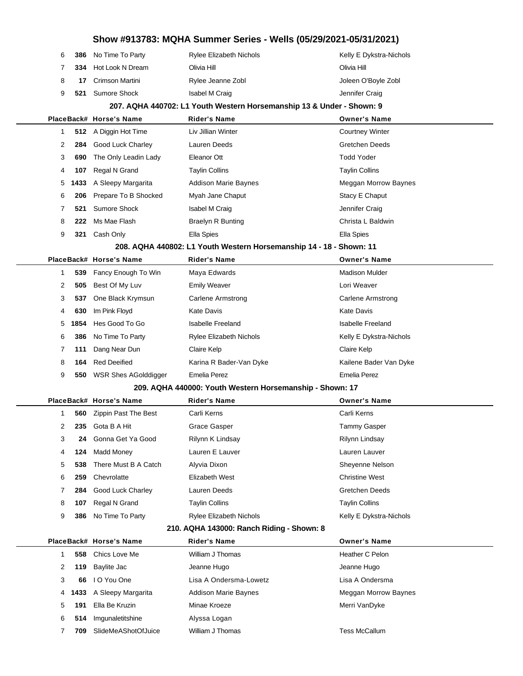|   |      |                                                          | Show #913783: MQHA Summer Series - Wells (05/29/2021-05/31/2021)      |                          |
|---|------|----------------------------------------------------------|-----------------------------------------------------------------------|--------------------------|
| 6 | 386  | No Time To Party                                         | Rylee Elizabeth Nichols                                               | Kelly E Dykstra-Nichols  |
| 7 | 334  | Hot Look N Dream                                         | Olivia Hill                                                           | Olivia Hill              |
| 8 | 17   | Crimson Martini                                          | Rylee Jeanne Zobl                                                     | Joleen O'Boyle Zobl      |
| 9 | 521  | <b>Sumore Shock</b>                                      | Isabel M Craig                                                        | Jennifer Craig           |
|   |      |                                                          | 207. AQHA 440702: L1 Youth Western Horsemanship 13 & Under - Shown: 9 |                          |
|   |      | PlaceBack# Horse's Name                                  | <b>Rider's Name</b>                                                   | <b>Owner's Name</b>      |
| 1 |      | 512 A Diggin Hot Time                                    | Liv Jillian Winter                                                    | <b>Courtney Winter</b>   |
| 2 | 284  | Good Luck Charley                                        | Lauren Deeds                                                          | <b>Gretchen Deeds</b>    |
| 3 | 690  | The Only Leadin Lady                                     | Eleanor Ott                                                           | <b>Todd Yoder</b>        |
| 4 | 107  | Regal N Grand                                            | <b>Taylin Collins</b>                                                 | <b>Taylin Collins</b>    |
| 5 | 1433 | A Sleepy Margarita                                       | <b>Addison Marie Baynes</b>                                           | Meggan Morrow Baynes     |
| 6 | 206  | Prepare To B Shocked                                     | Myah Jane Chaput                                                      | Stacy E Chaput           |
| 7 | 521  | <b>Sumore Shock</b>                                      | Isabel M Craig                                                        | Jennifer Craig           |
| 8 | 222  | Ms Mae Flash                                             | <b>Braelyn R Bunting</b>                                              | Christa L Baldwin        |
| 9 | 321  | Cash Only                                                | Ella Spies                                                            | Ella Spies               |
|   |      |                                                          | 208. AQHA 440802: L1 Youth Western Horsemanship 14 - 18 - Shown: 11   |                          |
|   |      | PlaceBack# Horse's Name                                  | <b>Rider's Name</b>                                                   | <b>Owner's Name</b>      |
| 1 | 539  | Fancy Enough To Win                                      | Maya Edwards                                                          | <b>Madison Mulder</b>    |
| 2 | 505  | Best Of My Luv                                           | <b>Emily Weaver</b>                                                   | Lori Weaver              |
| 3 | 537  | One Black Krymsun                                        | Carlene Armstrong                                                     | Carlene Armstrong        |
| 4 | 630  | Im Pink Floyd                                            | <b>Kate Davis</b>                                                     | <b>Kate Davis</b>        |
| 5 | 1854 | Hes Good To Go                                           | <b>Isabelle Freeland</b>                                              | <b>Isabelle Freeland</b> |
| 6 | 386  | No Time To Party                                         | <b>Rylee Elizabeth Nichols</b>                                        | Kelly E Dykstra-Nichols  |
| 7 | 111  | Dang Near Dun                                            | Claire Kelp                                                           | Claire Kelp              |
| 8 | 164  | <b>Red Deeified</b>                                      | Karina R Bader-Van Dyke                                               | Kailene Bader Van Dyke   |
| 9 | 550  | <b>WSR Shes AGolddigger</b>                              | Emelia Perez                                                          | <b>Emelia Perez</b>      |
|   |      | 209. AQHA 440000: Youth Western Horsemanship - Shown: 17 |                                                                       |                          |
|   |      | PlaceBack# Horse's Name                                  | <b>Rider's Name</b>                                                   | <b>Owner's Name</b>      |
| 1 |      | 560 Zippin Past The Best                                 | Carli Kerns                                                           | Carli Kerns              |
| 2 | 235  | Gota B A Hit                                             | Grace Gasper                                                          | <b>Tammy Gasper</b>      |
| 3 | 24   | Gonna Get Ya Good                                        | Rilynn K Lindsay                                                      | Rilynn Lindsay           |
| 4 | 124  | <b>Madd Money</b>                                        | Lauren E Lauver                                                       | Lauren Lauver            |
| 5 | 538  | There Must B A Catch                                     | Alyvia Dixon                                                          | Sheyenne Nelson          |
| 6 | 259  | Chevrolatte                                              | <b>Elizabeth West</b>                                                 | <b>Christine West</b>    |
| 7 | 284  | Good Luck Charley                                        | Lauren Deeds                                                          | <b>Gretchen Deeds</b>    |
| 8 | 107  | Regal N Grand                                            | <b>Taylin Collins</b>                                                 | <b>Taylin Collins</b>    |
| 9 | 386  | No Time To Party                                         | Rylee Elizabeth Nichols                                               | Kelly E Dykstra-Nichols  |
|   |      |                                                          | 210. AQHA 143000: Ranch Riding - Shown: 8                             |                          |
|   |      | PlaceBack# Horse's Name                                  | <b>Rider's Name</b>                                                   | <b>Owner's Name</b>      |
| 1 | 558  | Chics Love Me                                            | William J Thomas                                                      | Heather C Pelon          |
| 2 | 119  | <b>Baylite Jac</b>                                       | Jeanne Hugo                                                           | Jeanne Hugo              |
| 3 | 66   | I O You One                                              | Lisa A Ondersma-Lowetz                                                | Lisa A Ondersma          |
| 4 | 1433 | A Sleepy Margarita                                       | Addison Marie Baynes                                                  | Meggan Morrow Baynes     |
| 5 | 191  | Ella Be Kruzin                                           | Minae Kroeze                                                          | Merri VanDyke            |
| 6 | 514  | Imgunaletitshine                                         | Alyssa Logan                                                          |                          |
| 7 | 709  | SlideMeAShotOfJuice                                      | William J Thomas                                                      | <b>Tess McCallum</b>     |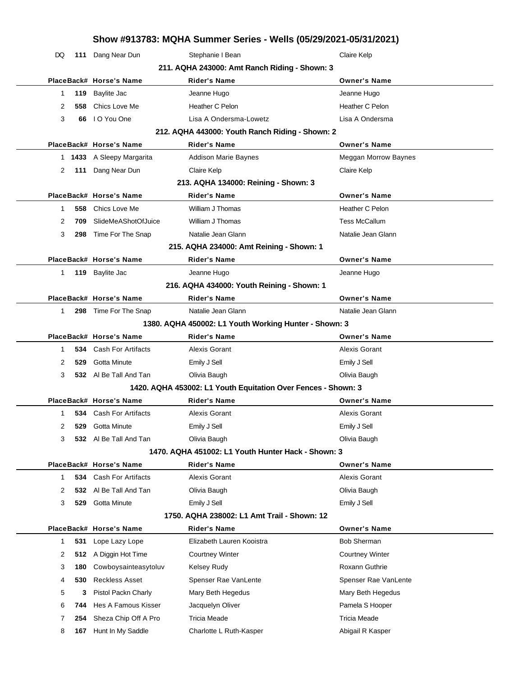|    | Show #913783: MQHA Summer Series - Wells (05/29/2021-05/31/2021) |                               |                                                               |  |                        |  |  |
|----|------------------------------------------------------------------|-------------------------------|---------------------------------------------------------------|--|------------------------|--|--|
| DQ |                                                                  | 111 Dang Near Dun             | Stephanie I Bean                                              |  | Claire Kelp            |  |  |
|    |                                                                  |                               | 211. AQHA 243000: Amt Ranch Riding - Shown: 3                 |  |                        |  |  |
|    |                                                                  | PlaceBack# Horse's Name       | <b>Rider's Name</b>                                           |  | <b>Owner's Name</b>    |  |  |
| 1  | 119                                                              | Baylite Jac                   | Jeanne Hugo                                                   |  | Jeanne Hugo            |  |  |
| 2  | 558                                                              | Chics Love Me                 | Heather C Pelon                                               |  | Heather C Pelon        |  |  |
| 3  | 66                                                               | I O You One                   | Lisa A Ondersma-Lowetz                                        |  | Lisa A Ondersma        |  |  |
|    |                                                                  |                               | 212. AQHA 443000: Youth Ranch Riding - Shown: 2               |  |                        |  |  |
|    |                                                                  | PlaceBack# Horse's Name       | <b>Rider's Name</b>                                           |  | <b>Owner's Name</b>    |  |  |
|    |                                                                  | 1 1433 A Sleepy Margarita     | <b>Addison Marie Baynes</b>                                   |  | Meggan Morrow Baynes   |  |  |
| 2  | 111                                                              | Dang Near Dun                 | Claire Kelp                                                   |  | Claire Kelp            |  |  |
|    |                                                                  |                               | 213. AQHA 134000: Reining - Shown: 3                          |  |                        |  |  |
|    |                                                                  | PlaceBack# Horse's Name       | <b>Rider's Name</b>                                           |  | <b>Owner's Name</b>    |  |  |
| 1  | 558                                                              | Chics Love Me                 | William J Thomas                                              |  | Heather C Pelon        |  |  |
| 2  | 709                                                              | SlideMeAShotOfJuice           | William J Thomas                                              |  | <b>Tess McCallum</b>   |  |  |
| 3  | 298                                                              | Time For The Snap             | Natalie Jean Glann                                            |  | Natalie Jean Glann     |  |  |
|    |                                                                  |                               | 215. AQHA 234000: Amt Reining - Shown: 1                      |  |                        |  |  |
|    |                                                                  | PlaceBack# Horse's Name       | Rider's Name                                                  |  | <b>Owner's Name</b>    |  |  |
| 1  | 119                                                              | <b>Baylite Jac</b>            | Jeanne Hugo                                                   |  | Jeanne Hugo            |  |  |
|    |                                                                  |                               | 216. AQHA 434000: Youth Reining - Shown: 1                    |  |                        |  |  |
|    |                                                                  | PlaceBack# Horse's Name       | <b>Rider's Name</b>                                           |  | <b>Owner's Name</b>    |  |  |
| 1  |                                                                  | 298 Time For The Snap         | Natalie Jean Glann                                            |  | Natalie Jean Glann     |  |  |
|    |                                                                  |                               | 1380. AQHA 450002: L1 Youth Working Hunter - Shown: 3         |  |                        |  |  |
|    |                                                                  | PlaceBack# Horse's Name       | <b>Rider's Name</b>                                           |  | <b>Owner's Name</b>    |  |  |
| 1  |                                                                  | <b>534</b> Cash For Artifacts | Alexis Gorant                                                 |  | Alexis Gorant          |  |  |
| 2  | 529                                                              | Gotta Minute                  | Emily J Sell                                                  |  | Emily J Sell           |  |  |
| 3  |                                                                  | 532 Al Be Tall And Tan        | Olivia Baugh                                                  |  | Olivia Baugh           |  |  |
|    |                                                                  |                               | 1420. AQHA 453002: L1 Youth Equitation Over Fences - Shown: 3 |  |                        |  |  |
|    |                                                                  | PlaceBack# Horse's Name       | <b>Rider's Name</b>                                           |  | <b>Owner's Name</b>    |  |  |
| 1  |                                                                  | 534 Cash For Artifacts        | Alexis Gorant                                                 |  | Alexis Gorant          |  |  |
| 2  | 529                                                              | Gotta Minute                  | Emily J Sell                                                  |  | Emily J Sell           |  |  |
| 3  | 532                                                              | Al Be Tall And Tan            | Olivia Baugh                                                  |  | Olivia Baugh           |  |  |
|    | 1470, AQHA 451002: L1 Youth Hunter Hack - Shown: 3               |                               |                                                               |  |                        |  |  |
|    |                                                                  | PlaceBack# Horse's Name       | <b>Rider's Name</b>                                           |  | <b>Owner's Name</b>    |  |  |
| 1  | 534                                                              | Cash For Artifacts            | Alexis Gorant                                                 |  | Alexis Gorant          |  |  |
| 2  | 532                                                              | Al Be Tall And Tan            | Olivia Baugh                                                  |  | Olivia Baugh           |  |  |
| 3  | 529                                                              | Gotta Minute                  | Emily J Sell                                                  |  | Emily J Sell           |  |  |
|    | 1750. AQHA 238002: L1 Amt Trail - Shown: 12                      |                               |                                                               |  |                        |  |  |
|    |                                                                  | PlaceBack# Horse's Name       | <b>Rider's Name</b>                                           |  | <b>Owner's Name</b>    |  |  |
| 1  | 531                                                              | Lope Lazy Lope                | Elizabeth Lauren Kooistra                                     |  | <b>Bob Sherman</b>     |  |  |
| 2  | 512                                                              | A Diggin Hot Time             | <b>Courtney Winter</b>                                        |  | <b>Courtney Winter</b> |  |  |
| 3  | 180                                                              | Cowboysainteasytoluv          | <b>Kelsey Rudy</b>                                            |  | Roxann Guthrie         |  |  |
| 4  | 530                                                              | <b>Reckless Asset</b>         | Spenser Rae VanLente                                          |  | Spenser Rae VanLente   |  |  |
| 5  | 3                                                                | Pistol Packn Charly           | Mary Beth Hegedus                                             |  | Mary Beth Hegedus      |  |  |
| 6  | 744                                                              | Hes A Famous Kisser           | Jacquelyn Oliver                                              |  | Pamela S Hooper        |  |  |
| 7  | 254                                                              | Sheza Chip Off A Pro          | Tricia Meade                                                  |  | <b>Tricia Meade</b>    |  |  |
| 8  | 167                                                              | Hunt In My Saddle             | Charlotte L Ruth-Kasper                                       |  | Abigail R Kasper       |  |  |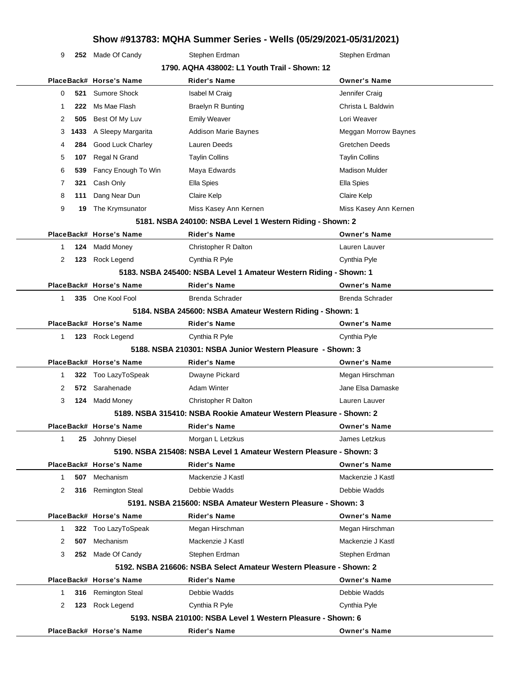9 **252** Made Of Candy Stephen Erdman Stephen Erdman Stephen Erdman

| PlaceBack# Horse's Name<br><b>Rider's Name</b><br><b>Owner's Name</b><br>Sumore Shock<br><b>Isabel M Craig</b><br>Jennifer Craig<br>0<br>521 |  |  |  |  |
|----------------------------------------------------------------------------------------------------------------------------------------------|--|--|--|--|
|                                                                                                                                              |  |  |  |  |
|                                                                                                                                              |  |  |  |  |
| Ms Mae Flash<br>Christa L Baldwin<br>222<br><b>Braelyn R Bunting</b><br>-1                                                                   |  |  |  |  |
| Best Of My Luv<br><b>Emily Weaver</b><br>Lori Weaver<br>2<br>505                                                                             |  |  |  |  |
| <b>Addison Marie Baynes</b><br>A Sleepy Margarita<br>Meggan Morrow Baynes<br>3<br>1433                                                       |  |  |  |  |
| Good Luck Charley<br>Lauren Deeds<br>Gretchen Deeds<br>284<br>4                                                                              |  |  |  |  |
| <b>Taylin Collins</b><br>5<br>107<br>Regal N Grand<br><b>Taylin Collins</b>                                                                  |  |  |  |  |
| Fancy Enough To Win<br>Maya Edwards<br><b>Madison Mulder</b><br>6<br>539                                                                     |  |  |  |  |
| 7<br>321<br>Cash Only<br>Ella Spies<br>Ella Spies                                                                                            |  |  |  |  |
| Dang Near Dun<br>Claire Kelp<br>Claire Kelp<br>8<br>111                                                                                      |  |  |  |  |
| 9<br>Miss Kasey Ann Kernen<br>The Krymsunator<br>Miss Kasey Ann Kernen<br>19                                                                 |  |  |  |  |
| 5181. NSBA 240100: NSBA Level 1 Western Riding - Shown: 2                                                                                    |  |  |  |  |
| PlaceBack# Horse's Name<br><b>Rider's Name</b><br><b>Owner's Name</b>                                                                        |  |  |  |  |
| <b>Madd Money</b><br>Lauren Lauver<br>124<br>Christopher R Dalton<br>1                                                                       |  |  |  |  |
| 2<br>123<br>Rock Legend<br>Cynthia R Pyle<br>Cynthia Pyle                                                                                    |  |  |  |  |
| 5183. NSBA 245400: NSBA Level 1 Amateur Western Riding - Shown: 1                                                                            |  |  |  |  |
| PlaceBack# Horse's Name<br><b>Rider's Name</b><br><b>Owner's Name</b>                                                                        |  |  |  |  |
| 335 One Kool Fool<br>Brenda Schrader<br><b>Brenda Schrader</b><br>$\mathbf{1}$                                                               |  |  |  |  |
| 5184. NSBA 245600: NSBA Amateur Western Riding - Shown: 1                                                                                    |  |  |  |  |
| PlaceBack# Horse's Name<br><b>Rider's Name</b><br><b>Owner's Name</b>                                                                        |  |  |  |  |
| Cynthia Pyle<br>$\mathbf{1}$<br>123 Rock Legend<br>Cynthia R Pyle                                                                            |  |  |  |  |
| 5188. NSBA 210301: NSBA Junior Western Pleasure - Shown: 3                                                                                   |  |  |  |  |
| PlaceBack# Horse's Name<br><b>Rider's Name</b><br><b>Owner's Name</b>                                                                        |  |  |  |  |
| Dwayne Pickard<br>Megan Hirschman<br>Too LazyToSpeak<br>-1<br>322                                                                            |  |  |  |  |
| Sarahenade<br><b>Adam Winter</b><br>Jane Elsa Damaske<br>2<br>572                                                                            |  |  |  |  |
| Lauren Lauver<br>3<br>124<br><b>Madd Money</b><br>Christopher R Dalton                                                                       |  |  |  |  |
| 5189. NSBA 315410: NSBA Rookie Amateur Western Pleasure - Shown: 2                                                                           |  |  |  |  |
| PlaceBack# Horse's Name<br><b>Rider's Name</b><br><b>Owner's Name</b>                                                                        |  |  |  |  |
| 25 Johnny Diesel<br>Morgan L Letzkus<br>James Letzkus<br>1                                                                                   |  |  |  |  |
| 5190. NSBA 215408: NSBA Level 1 Amateur Western Pleasure - Shown: 3                                                                          |  |  |  |  |
|                                                                                                                                              |  |  |  |  |
| PlaceBack# Horse's Name<br><b>Rider's Name</b><br><b>Owner's Name</b>                                                                        |  |  |  |  |
| Mechanism<br>Mackenzie J Kastl<br>Mackenzie J Kastl<br>507<br>1                                                                              |  |  |  |  |
| 316 Remington Steal<br>Debbie Wadds<br>Debbie Wadds<br>2                                                                                     |  |  |  |  |
| 5191. NSBA 215600: NSBA Amateur Western Pleasure - Shown: 3                                                                                  |  |  |  |  |
| PlaceBack# Horse's Name<br><b>Rider's Name</b><br><b>Owner's Name</b>                                                                        |  |  |  |  |
| Too LazyToSpeak<br>Megan Hirschman<br>Megan Hirschman<br>322<br>1                                                                            |  |  |  |  |
| Mechanism<br>Mackenzie J Kastl<br>Mackenzie J Kastl<br>2<br>507                                                                              |  |  |  |  |
| Made Of Candy<br>Stephen Erdman<br>Stephen Erdman<br>3<br>252                                                                                |  |  |  |  |
| 5192. NSBA 216606: NSBA Select Amateur Western Pleasure - Shown: 2                                                                           |  |  |  |  |
| PlaceBack# Horse's Name<br><b>Rider's Name</b><br><b>Owner's Name</b>                                                                        |  |  |  |  |
| Debbie Wadds<br>Debbie Wadds<br>316<br><b>Remington Steal</b><br>1                                                                           |  |  |  |  |
| Rock Legend<br>2<br>123<br>Cynthia R Pyle<br>Cynthia Pyle                                                                                    |  |  |  |  |
| 5193. NSBA 210100: NSBA Level 1 Western Pleasure - Shown: 6                                                                                  |  |  |  |  |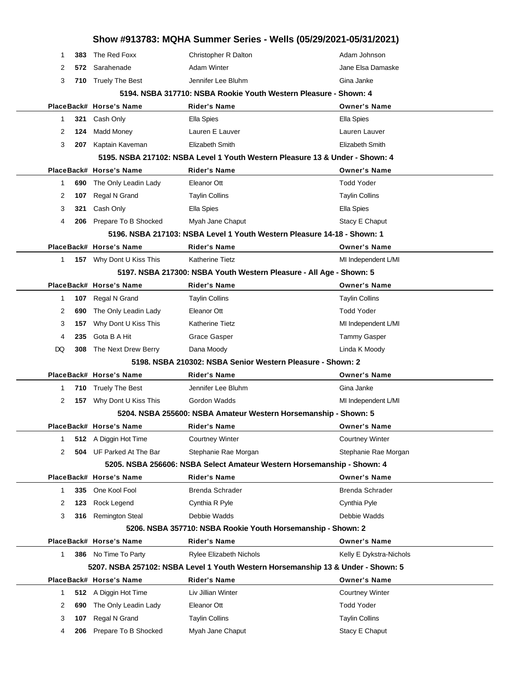| Show #913783: MQHA Summer Series - Wells (05/29/2021-05/31/2021)       |     |                                 |                                                                         |                                                                                  |  |
|------------------------------------------------------------------------|-----|---------------------------------|-------------------------------------------------------------------------|----------------------------------------------------------------------------------|--|
| 1                                                                      | 383 | The Red Foxx                    | Christopher R Dalton                                                    | Adam Johnson                                                                     |  |
| 2                                                                      | 572 | Sarahenade                      | <b>Adam Winter</b>                                                      | Jane Elsa Damaske                                                                |  |
| 3                                                                      |     | 710 Truely The Best             | Jennifer Lee Bluhm                                                      | Gina Janke                                                                       |  |
|                                                                        |     |                                 |                                                                         | 5194. NSBA 317710: NSBA Rookie Youth Western Pleasure - Shown: 4                 |  |
|                                                                        |     | PlaceBack# Horse's Name         | <b>Rider's Name</b>                                                     | <b>Owner's Name</b>                                                              |  |
| 1                                                                      | 321 | Cash Only                       | Ella Spies                                                              | Ella Spies                                                                       |  |
| 2                                                                      | 124 | <b>Madd Money</b>               | Lauren E Lauver                                                         | Lauren Lauver                                                                    |  |
| 3                                                                      | 207 | Kaptain Kaveman                 | Elizabeth Smith                                                         | Elizabeth Smith                                                                  |  |
|                                                                        |     |                                 |                                                                         | 5195. NSBA 217102: NSBA Level 1 Youth Western Pleasure 13 & Under - Shown: 4     |  |
|                                                                        |     | PlaceBack# Horse's Name         | <b>Rider's Name</b>                                                     | <b>Owner's Name</b>                                                              |  |
| 1                                                                      | 690 | The Only Leadin Lady            | Eleanor Ott                                                             | <b>Todd Yoder</b>                                                                |  |
| 2                                                                      | 107 | Regal N Grand                   | <b>Taylin Collins</b>                                                   | <b>Taylin Collins</b>                                                            |  |
| 3                                                                      | 321 | Cash Only                       | Ella Spies                                                              | Ella Spies                                                                       |  |
| 4                                                                      | 206 | Prepare To B Shocked            | Myah Jane Chaput                                                        | Stacy E Chaput                                                                   |  |
|                                                                        |     |                                 | 5196. NSBA 217103: NSBA Level 1 Youth Western Pleasure 14-18 - Shown: 1 |                                                                                  |  |
|                                                                        |     | PlaceBack# Horse's Name         | <b>Rider's Name</b>                                                     | <b>Owner's Name</b>                                                              |  |
| $\mathbf 1$                                                            |     | 157 Why Dont U Kiss This        | <b>Katherine Tietz</b>                                                  | MI Independent L/MI                                                              |  |
|                                                                        |     |                                 |                                                                         | 5197. NSBA 217300: NSBA Youth Western Pleasure - All Age - Shown: 5              |  |
|                                                                        |     | PlaceBack# Horse's Name         | <b>Rider's Name</b>                                                     | <b>Owner's Name</b>                                                              |  |
| 1                                                                      | 107 | Regal N Grand                   | <b>Taylin Collins</b>                                                   | <b>Taylin Collins</b>                                                            |  |
| 2                                                                      | 690 | The Only Leadin Lady            | Eleanor Ott                                                             | <b>Todd Yoder</b>                                                                |  |
| 3                                                                      | 157 | Why Dont U Kiss This            | Katherine Tietz                                                         | MI Independent L/MI                                                              |  |
| 4                                                                      | 235 | Gota B A Hit                    | Grace Gasper                                                            | <b>Tammy Gasper</b>                                                              |  |
| DQ                                                                     | 308 | The Next Drew Berry             | Dana Moody                                                              | Linda K Moody                                                                    |  |
|                                                                        |     |                                 | 5198. NSBA 210302: NSBA Senior Western Pleasure - Shown: 2              |                                                                                  |  |
|                                                                        |     | PlaceBack# Horse's Name         | <b>Rider's Name</b>                                                     | <b>Owner's Name</b>                                                              |  |
| 1                                                                      | 710 | <b>Truely The Best</b>          | Jennifer Lee Bluhm                                                      | Gina Janke                                                                       |  |
| 2                                                                      | 157 | Why Dont U Kiss This            | Gordon Wadds                                                            | MI Independent L/MI                                                              |  |
|                                                                        |     |                                 |                                                                         | 5204. NSBA 255600: NSBA Amateur Western Horsemanship - Shown: 5                  |  |
|                                                                        |     | PlaceBack# Horse's Name         | <b>Rider's Name</b>                                                     | Owner's Name                                                                     |  |
| 1                                                                      |     | 512 A Diggin Hot Time           | <b>Courtney Winter</b>                                                  | <b>Courtney Winter</b>                                                           |  |
| 2                                                                      |     | <b>504</b> UF Parked At The Bar | Stephanie Rae Morgan                                                    | Stephanie Rae Morgan                                                             |  |
| 5205. NSBA 256606: NSBA Select Amateur Western Horsemanship - Shown: 4 |     |                                 |                                                                         |                                                                                  |  |
|                                                                        |     | PlaceBack# Horse's Name         | <b>Rider's Name</b>                                                     | <b>Owner's Name</b>                                                              |  |
| $\mathbf{1}$                                                           | 335 | One Kool Fool                   | Brenda Schrader                                                         | <b>Brenda Schrader</b>                                                           |  |
| 2                                                                      | 123 | Rock Legend                     | Cynthia R Pyle                                                          | Cynthia Pyle                                                                     |  |
| 3                                                                      | 316 | <b>Remington Steal</b>          | Debbie Wadds                                                            | Debbie Wadds                                                                     |  |
| 5206. NSBA 357710: NSBA Rookie Youth Horsemanship - Shown: 2           |     |                                 |                                                                         |                                                                                  |  |
|                                                                        |     | PlaceBack# Horse's Name         | <b>Rider's Name</b>                                                     | <b>Owner's Name</b>                                                              |  |
| $\mathbf{1}$                                                           |     | 386 No Time To Party            | <b>Rylee Elizabeth Nichols</b>                                          | Kelly E Dykstra-Nichols                                                          |  |
|                                                                        |     |                                 |                                                                         | 5207. NSBA 257102: NSBA Level 1 Youth Western Horsemanship 13 & Under - Shown: 5 |  |
|                                                                        |     | PlaceBack# Horse's Name         | <b>Rider's Name</b>                                                     | <b>Owner's Name</b>                                                              |  |
| $\mathbf{1}$                                                           | 512 | A Diggin Hot Time               | Liv Jillian Winter                                                      | <b>Courtney Winter</b>                                                           |  |
| 2                                                                      | 690 | The Only Leadin Lady            | Eleanor Ott                                                             | <b>Todd Yoder</b>                                                                |  |
| 3                                                                      | 107 | Regal N Grand                   | <b>Taylin Collins</b>                                                   | <b>Taylin Collins</b>                                                            |  |
| 4                                                                      | 206 | Prepare To B Shocked            | Myah Jane Chaput                                                        | Stacy E Chaput                                                                   |  |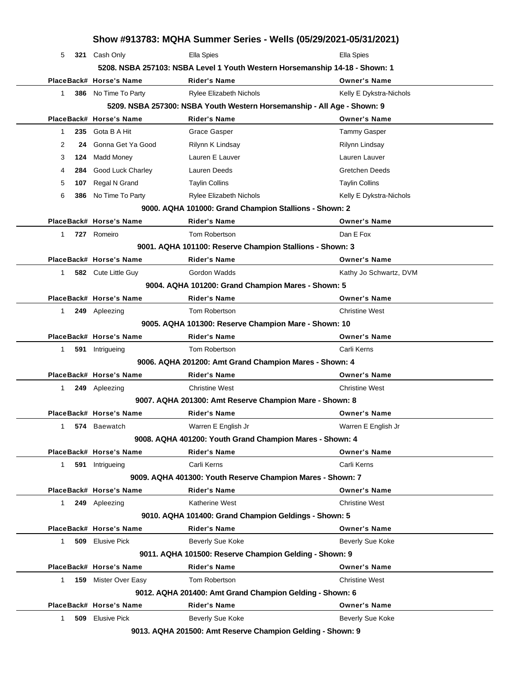|                                                       | Show #913783: MQHA Summer Series - Wells (05/29/2021-05/31/2021)            |     |                             |                                                                         |                         |
|-------------------------------------------------------|-----------------------------------------------------------------------------|-----|-----------------------------|-------------------------------------------------------------------------|-------------------------|
|                                                       | 5                                                                           |     | 321 Cash Only               | <b>Ella Spies</b>                                                       | <b>Ella Spies</b>       |
|                                                       | 5208. NSBA 257103: NSBA Level 1 Youth Western Horsemanship 14-18 - Shown: 1 |     |                             |                                                                         |                         |
|                                                       |                                                                             |     | PlaceBack# Horse's Name     | <b>Rider's Name</b>                                                     | <b>Owner's Name</b>     |
|                                                       | 1                                                                           |     | 386 No Time To Party        | <b>Rylee Elizabeth Nichols</b>                                          | Kelly E Dykstra-Nichols |
|                                                       |                                                                             |     |                             | 5209. NSBA 257300: NSBA Youth Western Horsemanship - All Age - Shown: 9 |                         |
|                                                       |                                                                             |     | PlaceBack# Horse's Name     | <b>Rider's Name</b>                                                     | <b>Owner's Name</b>     |
|                                                       | 1                                                                           |     | 235 Gota B A Hit            | Grace Gasper                                                            | <b>Tammy Gasper</b>     |
|                                                       | 2                                                                           |     | 24 Gonna Get Ya Good        | Rilynn K Lindsay                                                        | Rilynn Lindsay          |
|                                                       | 3                                                                           | 124 | Madd Money                  | Lauren E Lauver                                                         | Lauren Lauver           |
|                                                       | 4                                                                           | 284 | <b>Good Luck Charley</b>    | Lauren Deeds                                                            | <b>Gretchen Deeds</b>   |
|                                                       | 5                                                                           | 107 | Regal N Grand               | <b>Taylin Collins</b>                                                   | <b>Taylin Collins</b>   |
|                                                       | 6                                                                           |     | 386 No Time To Party        | <b>Rylee Elizabeth Nichols</b>                                          | Kelly E Dykstra-Nichols |
|                                                       |                                                                             |     |                             | 9000. AQHA 101000: Grand Champion Stallions - Shown: 2                  |                         |
|                                                       |                                                                             |     | PlaceBack# Horse's Name     | <b>Rider's Name</b>                                                     | <b>Owner's Name</b>     |
|                                                       | $\mathbf{1}$                                                                |     | 727 Romeiro                 | Tom Robertson                                                           | Dan E Fox               |
|                                                       |                                                                             |     |                             | 9001. AQHA 101100: Reserve Champion Stallions - Shown: 3                |                         |
|                                                       |                                                                             |     | PlaceBack# Horse's Name     | <b>Rider's Name</b>                                                     | <b>Owner's Name</b>     |
|                                                       | 1                                                                           |     | 582 Cute Little Guy         | Gordon Wadds                                                            | Kathy Jo Schwartz, DVM  |
|                                                       |                                                                             |     |                             | 9004. AQHA 101200: Grand Champion Mares - Shown: 5                      |                         |
|                                                       |                                                                             |     | PlaceBack# Horse's Name     | <b>Rider's Name</b>                                                     | <b>Owner's Name</b>     |
|                                                       | $\mathbf{1}$                                                                |     | 249 Apleezing               | Tom Robertson                                                           | <b>Christine West</b>   |
|                                                       |                                                                             |     |                             | 9005. AQHA 101300: Reserve Champion Mare - Shown: 10                    |                         |
|                                                       |                                                                             |     | PlaceBack# Horse's Name     | <b>Rider's Name</b>                                                     | <b>Owner's Name</b>     |
|                                                       | 1                                                                           |     | 591 Intrigueing             | Tom Robertson                                                           | Carli Kerns             |
|                                                       |                                                                             |     |                             | 9006. AQHA 201200: Amt Grand Champion Mares - Shown: 4                  |                         |
|                                                       |                                                                             |     | PlaceBack# Horse's Name     | <b>Rider's Name</b>                                                     | <b>Owner's Name</b>     |
|                                                       | 1                                                                           |     | 249 Apleezing               | <b>Christine West</b>                                                   | <b>Christine West</b>   |
|                                                       |                                                                             |     |                             | 9007. AQHA 201300: Amt Reserve Champion Mare - Shown: 8                 |                         |
|                                                       |                                                                             |     | PlaceBack# Horse's Name     | <b>Rider's Name</b>                                                     | <b>Owner's Name</b>     |
|                                                       | 1                                                                           |     | 574 Baewatch                | Warren E English Jr                                                     | Warren E English Jr     |
|                                                       |                                                                             |     |                             | 9008. AQHA 401200: Youth Grand Champion Mares - Shown: 4                |                         |
|                                                       |                                                                             |     | PlaceBack# Horse's Name     | <b>Rider's Name</b>                                                     | <b>Owner's Name</b>     |
|                                                       | $\mathbf{1}$                                                                |     | 591 Intrigueing             | Carli Kerns                                                             | Carli Kerns             |
|                                                       |                                                                             |     |                             | 9009. AQHA 401300: Youth Reserve Champion Mares - Shown: 7              |                         |
|                                                       |                                                                             |     | PlaceBack# Horse's Name     | <b>Rider's Name</b>                                                     | <b>Owner's Name</b>     |
|                                                       | $\mathbf{1}$                                                                |     | 249 Apleezing               | Katherine West                                                          | <b>Christine West</b>   |
| 9010. AQHA 101400: Grand Champion Geldings - Shown: 5 |                                                                             |     |                             |                                                                         |                         |
|                                                       |                                                                             |     | PlaceBack# Horse's Name     | <b>Rider's Name</b>                                                     | <b>Owner's Name</b>     |
|                                                       | $\mathbf{1}$                                                                |     | 509 Elusive Pick            | Beverly Sue Koke                                                        | <b>Beverly Sue Koke</b> |
|                                                       | 9011. AQHA 101500: Reserve Champion Gelding - Shown: 9                      |     |                             |                                                                         |                         |
|                                                       |                                                                             |     | PlaceBack# Horse's Name     | <b>Rider's Name</b>                                                     | <b>Owner's Name</b>     |
|                                                       | 1.                                                                          |     | <b>159</b> Mister Over Easy | Tom Robertson                                                           | <b>Christine West</b>   |
|                                                       | 9012. AQHA 201400: Amt Grand Champion Gelding - Shown: 6                    |     |                             |                                                                         |                         |
|                                                       |                                                                             |     | PlaceBack# Horse's Name     | <b>Rider's Name</b>                                                     | <b>Owner's Name</b>     |
|                                                       | 1                                                                           |     | <b>509</b> Elusive Pick     | <b>Beverly Sue Koke</b>                                                 | <b>Beverly Sue Koke</b> |
|                                                       |                                                                             |     |                             |                                                                         |                         |

**9013. AQHA 201500: Amt Reserve Champion Gelding - Shown: 9**